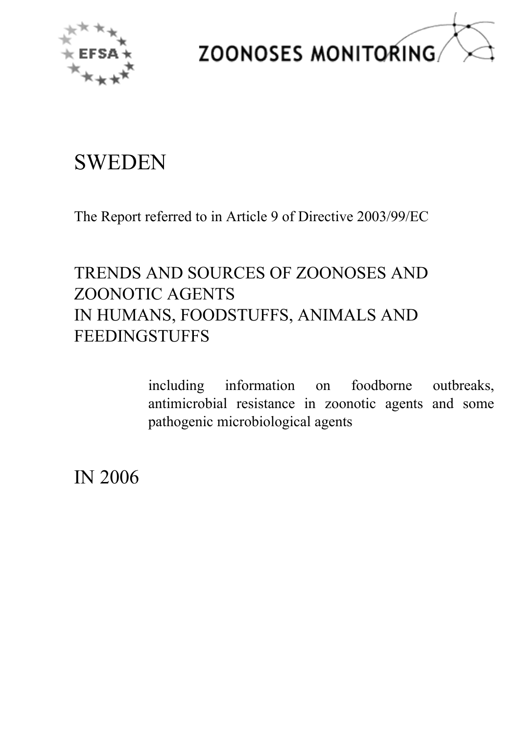



# **SWEDEN**

The Report referred to in Article 9 of Directive 2003/99/EC

# TRENDS AND SOURCES OF ZOONOSES AND ZOONOTIC AGENTS IN HUMANS, FOODSTUFFS, ANIMALS AND FEEDINGSTUFFS

including information on foodborne outbreaks,<br>antimicrobial resistance in zoonotic agents and some<br>pathogenic microbiological agents antimicrobial resistance in zoonotic agents and some<br>pathogenic microbiological agents pathogenic microbiological agents

IN 2006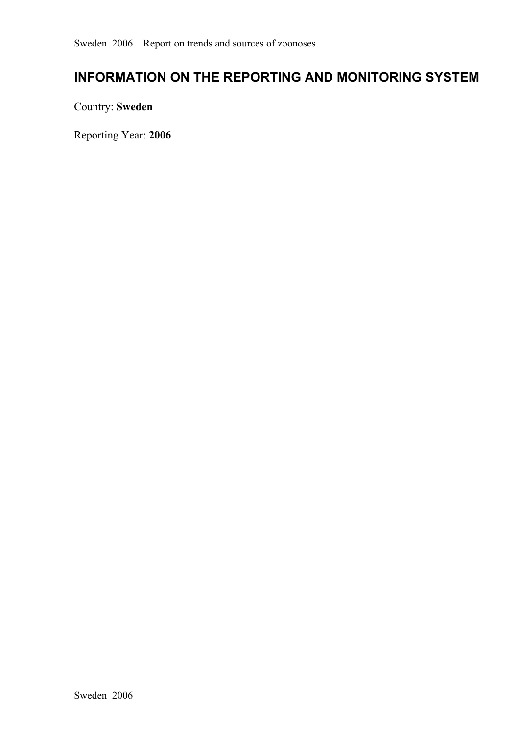# **INFORMATION ON THE REPORTING AND MONITORING SYSTEM**

Country: **Sweden**

Reporting Year: **2006**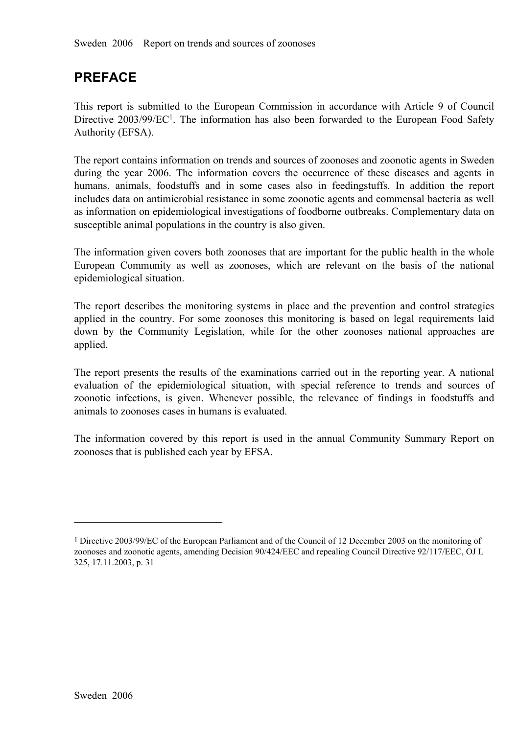# **PREFACE**

This repor<sup>t</sup> is submitted to the European Commission in accordance with Article <sup>9</sup> of Council Directive 2003/99/EC<sup>1</sup>. The information has also been forwarded to the European Food Safety Authority (EFSA). Authority (EFSA).

The report contains information on trends and sources of zoonoses and zoonotic agents in Sweden during the year 2006. The information covers the occurrence of these diseases and agents in humans, animals, foodstuffs and in some cases also in feedingstuffs. In addition the report includes data on antimicrobial resista humans, animals, foodstuffs and in some cases also in feedingstuffs. In addition the report includes data on antimicrobial resistance in some zoonotic agents and commensal bacteria as well as information on epidemiological includes data on antimicrobial resistance in some zoonotic agents and commensal bacteria as well as information on epidemiological investigations of foodborne outbreaks. Complementary data on susceptible animal populations in the country is also given.

The information given covers both zoonoses that are important for the public health in the whole European Community as well as zoonoses, which are relevant on the basis of the national epidemiological situation.

The repor<sup>t</sup> describes the monitoring systems in <sup>p</sup>lace and the prevention and control strategies applied in the country. For some zoonoses this monitoring is based on legal requirements laid down by the Community Legislation, while for the other zoonoses national approaches are applied.

The report presents the results of the examinations carried out in the reporting year. A national evaluation of the epidemiological situation, with special reference to trends and sources of evaluation of the epidemiological situation, with special reference to trends and sources of zoonotic infections, is given. Whenever possible, the relevance of findings in foodstuffs and animals to zoonoses cases in humans zoonotic infections, is given. Whenever possible, the relevance of findings in foodstuffs and animals to zoonoses cases in humans is evaluated. animals to zoonoses cases in humans is evaluated.

The information covered by this repor<sup>t</sup> is used in the annual Community Summary Report on zoonoses that is published each year by EFSA.

<sup>1</sup>Directive 2003/99/EC of the European Parliament and of the Council of 12 December 2003 on the monitoring of zoonoses and zoonotic agents, amending Decision 90/424/EEC and repealing Council Directive 92/117/EEC, OJ L 325, 17.11.2003, p. 31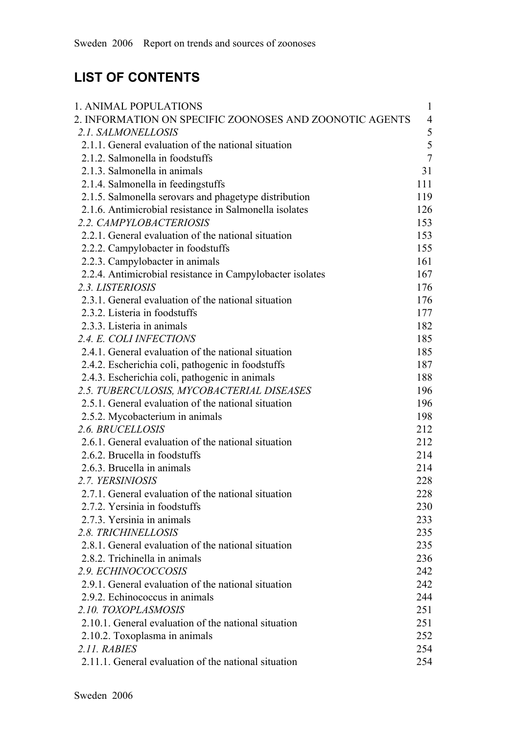# **LIST OF CONTENTS**

| 1. ANIMAL POPULATIONS                                     | $\mathbf{1}$   |
|-----------------------------------------------------------|----------------|
| 2. INFORMATION ON SPECIFIC ZOONOSES AND ZOONOTIC AGENTS   | $\overline{4}$ |
| 2.1. SALMONELLOSIS                                        | 5              |
| 2.1.1. General evaluation of the national situation       | 5              |
| 2.1.2. Salmonella in foodstuffs                           | $\overline{7}$ |
| 2.1.3. Salmonella in animals                              | 31             |
| 2.1.4. Salmonella in feedingstuffs                        | 111            |
| 2.1.5. Salmonella serovars and phagetype distribution     | 119            |
| 2.1.6. Antimicrobial resistance in Salmonella isolates    | 126            |
| 2.2. CAMPYLOBACTERIOSIS                                   | 153            |
| 2.2.1. General evaluation of the national situation       | 153            |
| 2.2.2. Campylobacter in foodstuffs                        | 155            |
| 2.2.3. Campylobacter in animals                           | 161            |
| 2.2.4. Antimicrobial resistance in Campylobacter isolates | 167            |
| 2.3. LISTERIOSIS                                          | 176            |
| 2.3.1. General evaluation of the national situation       | 176            |
| 2.3.2. Listeria in foodstuffs                             | 177            |
| 2.3.3. Listeria in animals                                | 182            |
| 2.4. E. COLI INFECTIONS                                   | 185            |
| 2.4.1. General evaluation of the national situation       | 185            |
| 2.4.2. Escherichia coli, pathogenic in foodstuffs         | 187            |
| 2.4.3. Escherichia coli, pathogenic in animals            | 188            |
| 2.5. TUBERCULOSIS, MYCOBACTERIAL DISEASES                 | 196            |
| 2.5.1. General evaluation of the national situation       | 196            |
| 2.5.2. Mycobacterium in animals                           | 198            |
| 2.6. BRUCELLOSIS                                          | 212            |
| 2.6.1. General evaluation of the national situation       | 212            |
| 2.6.2. Brucella in foodstuffs                             | 214            |
| 2.6.3. Brucella in animals                                | 214            |
| 2.7. YERSINIOSIS                                          | 228            |
| 2.7.1. General evaluation of the national situation       | 228            |
| 2.7.2. Yersinia in foodstuffs                             | 230            |
| 2.7.3. Yersinia in animals                                | 233            |
| 2.8. TRICHINELLOSIS                                       | 235            |
| 2.8.1. General evaluation of the national situation       | 235            |
| 2.8.2. Trichinella in animals                             | 236            |
| 2.9. ECHINOCOCCOSIS                                       | 242            |
| 2.9.1. General evaluation of the national situation       | 242            |
| 2.9.2. Echinococcus in animals                            | 244            |
| 2.10. TOXOPLASMOSIS                                       | 251            |
| 2.10.1. General evaluation of the national situation      | 251            |
| 2.10.2. Toxoplasma in animals                             | 252            |
| 2.11. RABIES                                              | 254            |
| 2.11.1. General evaluation of the national situation      | 254            |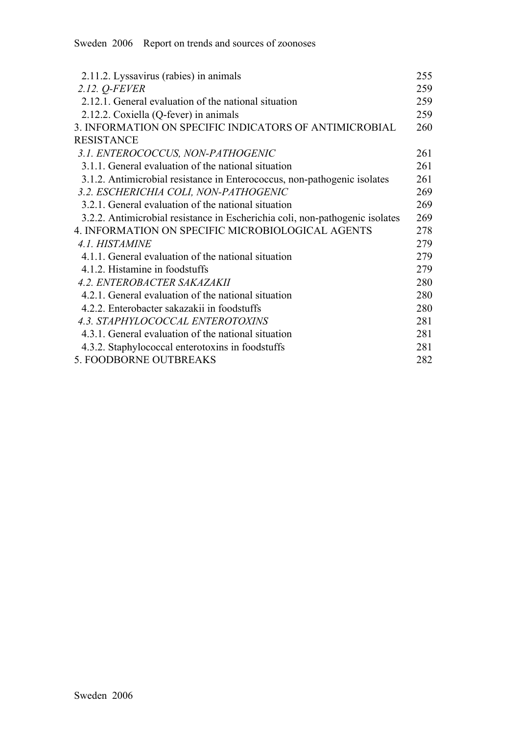| 2.11.2. Lyssavirus (rabies) in animals                                       | 255 |
|------------------------------------------------------------------------------|-----|
| 2.12. <i>Q-FEVER</i>                                                         | 259 |
| 2.12.1. General evaluation of the national situation                         | 259 |
| 2.12.2. Coxiella (Q-fever) in animals                                        | 259 |
| 3. INFORMATION ON SPECIFIC INDICATORS OF ANTIMICROBIAL                       | 260 |
| <b>RESISTANCE</b>                                                            |     |
| 3.1. ENTEROCOCCUS, NON-PATHOGENIC                                            | 261 |
| 3.1.1. General evaluation of the national situation                          | 261 |
| 3.1.2. Antimicrobial resistance in Enterococcus, non-pathogenic isolates     | 261 |
| 3.2. ESCHERICHIA COLI, NON-PATHOGENIC                                        | 269 |
| 3.2.1. General evaluation of the national situation                          | 269 |
| 3.2.2. Antimicrobial resistance in Escherichia coli, non-pathogenic isolates | 269 |
| 4. INFORMATION ON SPECIFIC MICROBIOLOGICAL AGENTS                            | 278 |
| 4.1. HISTAMINE                                                               | 279 |
| 4.1.1. General evaluation of the national situation                          | 279 |
| 4.1.2. Histamine in foodstuffs                                               | 279 |
| <b>4.2. ENTEROBACTER SAKAZAKII</b>                                           | 280 |
| 4.2.1. General evaluation of the national situation                          | 280 |
| 4.2.2. Enterobacter sakazakii in foodstuffs                                  | 280 |
| 4.3. STAPHYLOCOCCAL ENTEROTOXINS                                             | 281 |
| 4.3.1. General evaluation of the national situation                          | 281 |
| 4.3.2. Staphylococcal enterotoxins in foodstuffs                             | 281 |
| 5. FOODBORNE OUTBREAKS                                                       | 282 |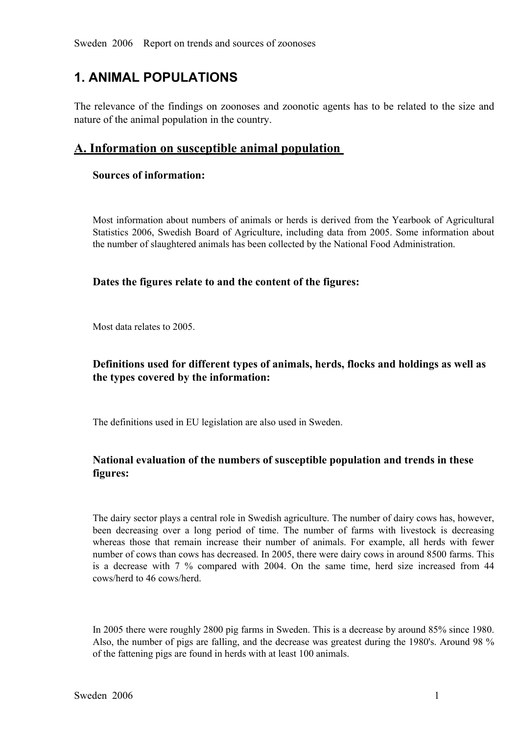# **1. ANIMAL POPULATIONS**

The relevance of the findings on zoonoses and zoonotic agents has to be related to the size and nature of the animal population in the country.

## **A. Information on susceptible animal population**

### **Sources of information:**

Most information about numbers of animals or herds is derived from the Yearbook of Agricultural Statistics 2006, Swedish Board of Agriculture, including data from 2005. Some information about the number of slaughtered animals has been collected by the National Food Administration.

## **Dates the figures relate to and the content of the figures:**

Most data relates to 2005.

## **Definitions used for different types of animals, herds, flocks and holdings as well as the types covered by the information:**

The definitions used in EU legislation are also used in Sweden.

## **National evaluation of the numbers of susceptible population and trends in these figures:**

The dairy sector plays a central role in Swedish agriculture. The number of dairy cows has, however, been decreasing over a long period of time. The number of farms with livestock is decreasing whereas those that remain increase their number of animals. For example, all herds with fewer whereas those that remain increase their number of animals. For example, all herds with fewer number of cows than cows has decreased. In 2005, there were dairy cows in around 8500 farms. This is a decrease with 7 % compare number of cows than cows has decreased. In 2005, there were dairy cows in around 8500 farms. This is <sup>a</sup> decrease with <sup>7</sup> % compared with 2004. On the same time, herd size increased from <sup>44</sup> cows/herd to 46 cows/herd.

In 2005 there were roughly 2800 pig farms in Sweden. This is a decrease by around 85% since 1980. Also, the number of pigs are falling, and the decrease was greatest during the 1980's. Around 98 % of the fattening pigs are found in herds with at least 100 animals.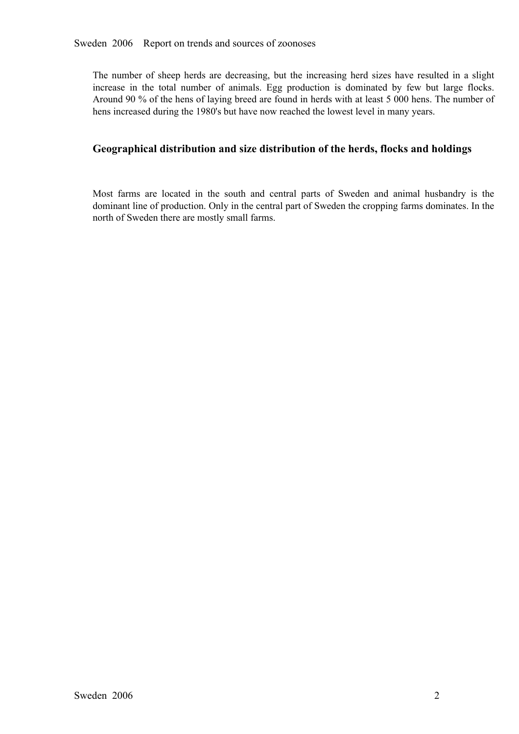The number of sheep herds are decreasing, but the increasing herd sizes have resulted in a slight increase in the total number of animals. Egg production is dominated by few but large flocks. increase in the total number of animals. Egg production is dominated by few but large flocks.<br>Around 90 % of the hens of laying breed are found in herds with at least 5 000 hens. The number of<br>hens increased during the 198 Around 90 % of the hens of laying breed are found in herds with at least 5 000 hens. The number of hens increased during the 1980's but have now reached the lowest level in many years.

## **Geographical distribution and size distribution of the herds, flocks and holdings**

Most farms are located in the south and central parts of Sweden and animal husbandry is the dominant line of production. Only in the central part of Sweden the cropping farms dominates. In the north of Sweden there are mos dominant line of production. Only in the central part of Sweden the cropping farms dominates. In the north of Sweden there are mostly small farms.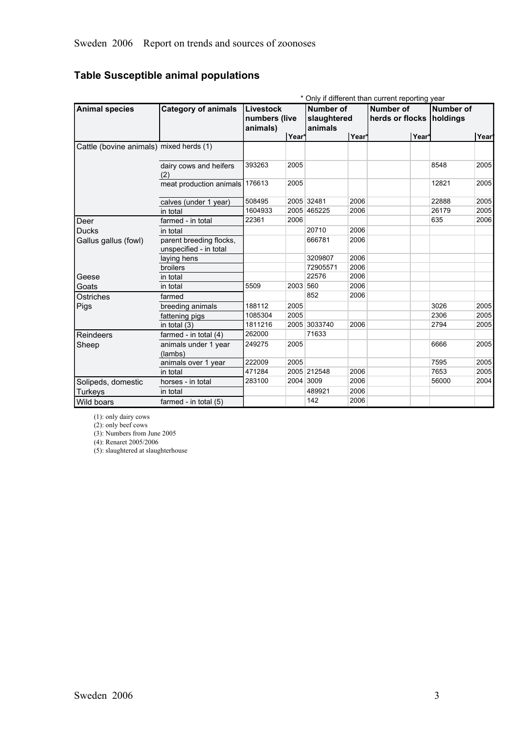## **Table Susceptible animal populations**

|                                         |                                                   |                                        |                   |                                            |       | * Only if different than current reporting year |                       |      |
|-----------------------------------------|---------------------------------------------------|----------------------------------------|-------------------|--------------------------------------------|-------|-------------------------------------------------|-----------------------|------|
| <b>Animal species</b>                   | <b>Category of animals</b>                        | Livestock<br>numbers (live<br>animals) |                   | <b>Number of</b><br>slaughtered<br>animals |       | Number of<br>herds or flocks                    | Number of<br>holdings |      |
|                                         |                                                   |                                        | Year <sup>*</sup> |                                            | Year* | Year*                                           |                       | Year |
| Cattle (bovine animals) mixed herds (1) |                                                   |                                        |                   |                                            |       |                                                 |                       |      |
|                                         | dairy cows and heifers<br>(2)                     | 393263                                 | 2005              |                                            |       |                                                 | 8548                  | 2005 |
|                                         | meat production animals 176613                    |                                        | 2005              |                                            |       |                                                 | 12821                 | 2005 |
|                                         | calves (under 1 year)                             | 508495                                 |                   | 2005 32481                                 | 2006  |                                                 | 22888                 | 2005 |
|                                         | in total                                          | 1604933                                |                   | 2005 465225                                | 2006  |                                                 | 26179                 | 2005 |
| Deer                                    | farmed - in total                                 | 22361                                  | 2006              |                                            |       |                                                 | 635                   | 2006 |
| <b>Ducks</b>                            | in total                                          |                                        |                   | 20710                                      | 2006  |                                                 |                       |      |
| Gallus gallus (fowl)                    | parent breeding flocks,<br>unspecified - in total |                                        |                   | 666781                                     | 2006  |                                                 |                       |      |
|                                         | laying hens                                       |                                        |                   | 3209807                                    | 2006  |                                                 |                       |      |
|                                         | broilers                                          |                                        |                   | 72905571                                   | 2006  |                                                 |                       |      |
| Geese                                   | in total                                          |                                        |                   | 22576                                      | 2006  |                                                 |                       |      |
| Goats                                   | in total                                          | 5509                                   | 2003 560          |                                            | 2006  |                                                 |                       |      |
| Ostriches                               | farmed                                            |                                        |                   | 852                                        | 2006  |                                                 |                       |      |
| Pigs                                    | breeding animals                                  | 188112                                 | 2005              |                                            |       |                                                 | 3026                  | 2005 |
|                                         | fattening pigs                                    | 1085304                                | 2005              |                                            |       |                                                 | 2306                  | 2005 |
|                                         | in total (3)                                      | 1811216                                |                   | 2005 3033740                               | 2006  |                                                 | 2794                  | 2005 |
| Reindeers                               | farmed - in total $(4)$                           | 262000                                 |                   | 71633                                      |       |                                                 |                       |      |
| Sheep                                   | animals under 1 year<br>(lambs)                   | 249275                                 | 2005              |                                            |       |                                                 | 6666                  | 2005 |
|                                         | animals over 1 year                               | 222009                                 | 2005              |                                            |       |                                                 | 7595                  | 2005 |
|                                         | in total                                          | 471284                                 |                   | 2005 212548                                | 2006  |                                                 | 7653                  | 2005 |
| Solipeds, domestic                      | horses - in total                                 | 283100                                 |                   | 2004 3009                                  | 2006  |                                                 | 56000                 | 2004 |
| <b>Turkeys</b>                          | in total                                          |                                        |                   | 489921                                     | 2006  |                                                 |                       |      |
| Wild boars                              | farmed - in total $(5)$                           |                                        |                   | 142                                        | 2006  |                                                 |                       |      |

(1): only dairy cows

(2): only beef cows

(3): Numbers from June 2005

(4): Renaret 2005/2006

(5): slaughtered at slaughterhouse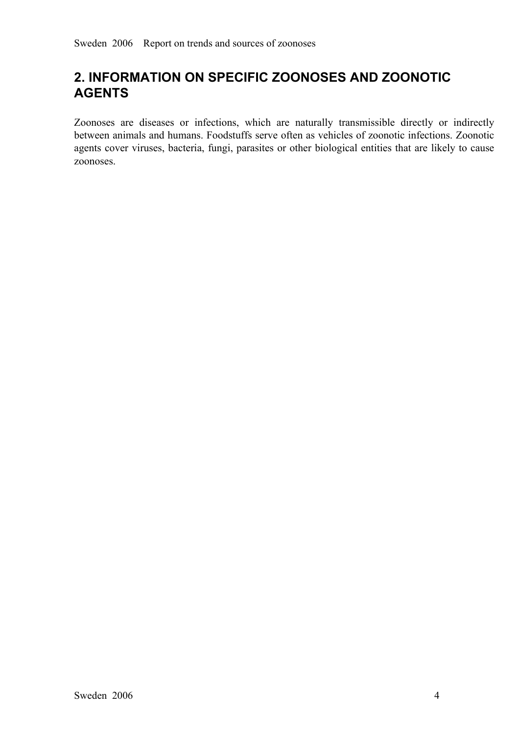## **2. INFORMATION ON SPECIFIC ZOONOSES AND ZOONOTIC AGENTS**

Zoonoses are diseases or infections, which are naturally transmissible directly or indirectly<br>between animals and humans. Foodstuffs serve often as vehicles of zoonotic infections. Zoonotic<br>agents cover viruses, bacteria, between animals and humans. Foodstuffs serve often as vehicles of zoonotic infections. Zoonotic agents cover viruses, bacteria, fungi, parasites or other biological entities that are likely to cause zoonoses.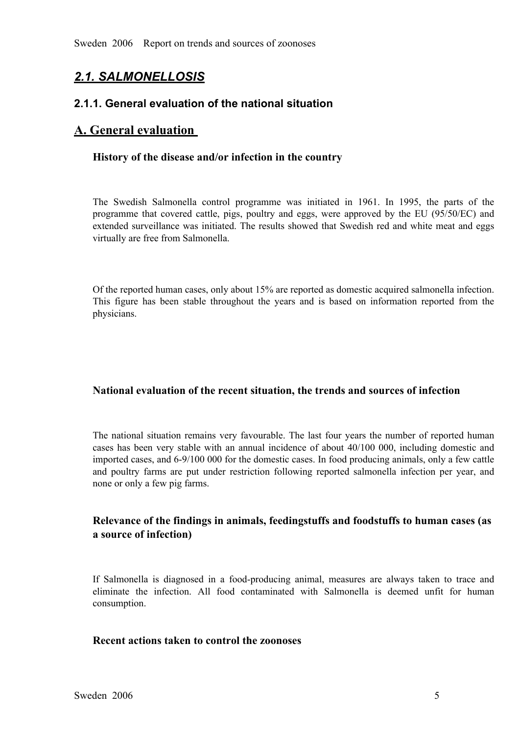## *2.1. SALMONELLOSIS*

### **2.1.1. General evaluation of the national situation**

## **A. General evaluation**

#### **History of the disease and/or infection in the country**

The Swedish Salmonella control programme was initiated in 1961. In 1995, the parts of the programme that covered cattle, pigs, poultry and eggs, were approved by the EU (95/50/EC) and extended surveillance was initiated. T programme that covered cattle, pigs, poultry and eggs, were approved by the EU (95/50/EC) and extended surveillance was initiated. The results showed that Swedish red and white meat and eggs virtually are f extended surveillance was initiated. The results showed that Swedish red and white meat and eggs<br>virtually are free from Salmonella. virtually are free from Salmonella.

Of the reported human cases, only about 15% are reported as domestic acquired salmonella infection. This figure has been stable throughout the years and is based on information reported from the physicians.

#### **National evaluation of the recent situation, the trends and sources of infection**

The national situation remains very favourable. The last four years the number of reported human cases has been very stable with an annual incidence of about 40/100 000, including domestic and imported cases, and 6-9/100 0 cases has been very stable with an annual incidence of about 40/100 000, including domestic and<br>imported cases, and 6-9/100 000 for the domestic cases. In food producing animals, only a few cattle<br>and poultry farms are put imported cases, and 6-9/100 000 for the domestic cases. In food producing animals, only a few cattle and poultry farms are pu<sup>t</sup> under restriction following reported salmonella infection per year, and none or only a few pig farms.

## **Relevance of the findings in animals, feedingstuffs and foodstuffs to human cases (as a source of infection)**

If Salmonella is diagnosed in a food-producing animal, measures are always taken to trace and eliminate the infection. All food contaminated with Salmonella is deemed unfit for human consumption. eliminate the infection. All food contaminated with Salmonella is deemed unfit for human consumption. consumption.

#### **Recent actions taken to control the zoonoses**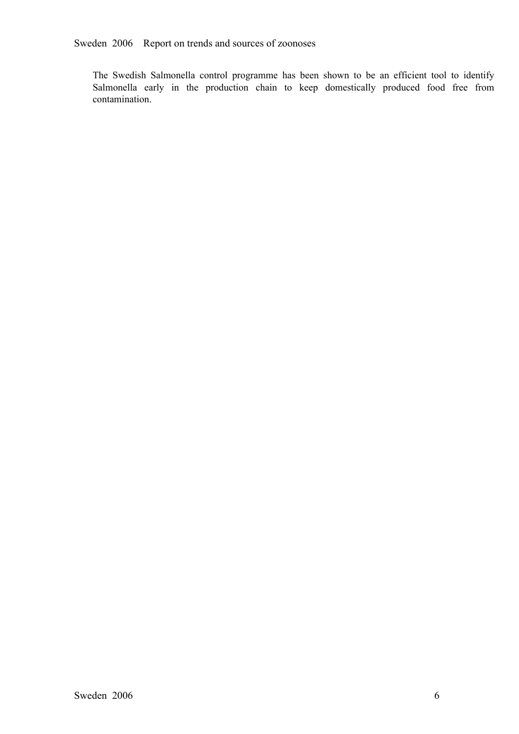Sweden 2006 Report on trends and sources of zoonoses

The Swedish Salmonella control programme has been shown to be an efficient tool to identify Salmonella early in the production chain to keep domestically produced food free from contamination. Salmonella early in the production chain to keep domestically produced food free from contamination. contamination.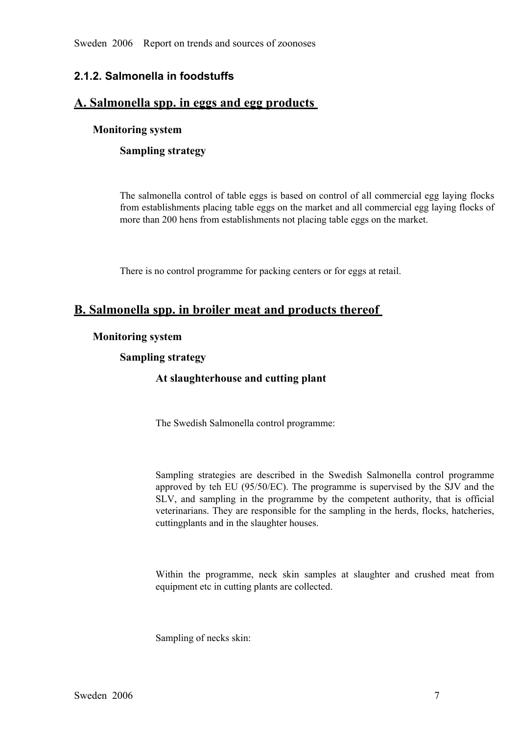Sweden 2006 Report on trends and sources of zoonoses

## **2.1.2. Salmonella in foodstuffs**

## **A. Salmonella spp. in eggs and egg products**

## **Monitoring system**

## **Sampling strategy**

The salmonella control of table eggs is based on control of all commercial egg laying flocks from establishments placing table eggs on the market and all commercial egg laying flocks of more than 200 hens from establishments not placing table eggs on the market.

There is no control programme for packing centers or for eggs at retail.

## **B. Salmonella spp. in broiler meat and products thereof**

#### **Monitoring system**

## **Sampling strategy**

## **At slaughterhouse and cutting plant**

The Swedish Salmonella control programme:

Sampling strategies are described in the Swedish Salmonella control programme approved by teh EU (95/50/EC). The programme is supervised by the SJV and the SLV, and sampling in the programme by the competent authority, tha approved by teh EU (95/50/EC). The programme is supervised by the SJV and the SLV, and sampling in the programme by the competent authority, that is official veterinarians. They are responsible for the sampling in the her SLV, and sampling in the programme by the competent authority, that is official veterinarians. They are responsible for the sampling in the herds, flocks, hatcheries, cutting plants and in the slaughter houses. veterinarians. They are responsible for the sampling in the herds, flocks, hatcheries, cuttingplants and in the slaughter houses.

Within the programme, neck skin samples at slaughter and crushed meat from equipment etc in cutting plants are collected.

Sampling of necks skin: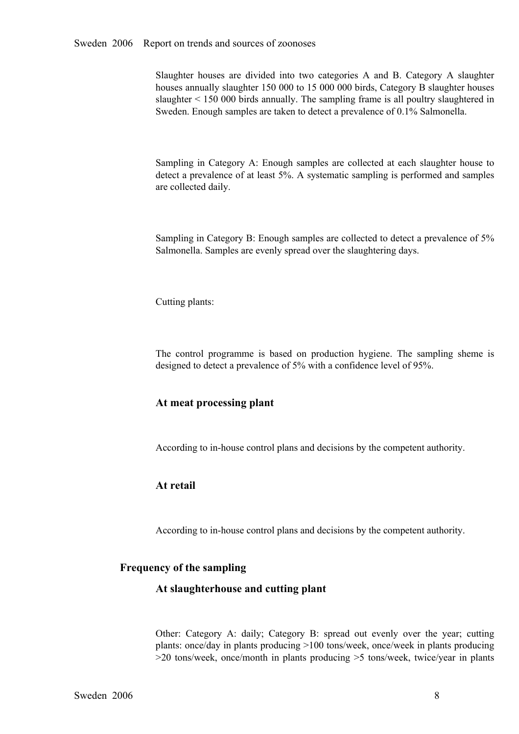Slaughter houses are divided into two categories A and B. Category A slaughter houses annually slaughter 150 000 to 15 000 000 birds, Category B slaughter houses slaughter < 150 000 birds annually. The sampling frame is al houses annually slaughter 150 000 to 15 000 000 birds, Category B slaughter houses slaughter < 150 000 birds annually. The sampling frame is all poultry slaughtered in Sweden. Enough samples are taken to detect a prevalence of 0.1% Salmonella.

Sampling in Category A: Enough samples are collected at each slaughter house to detect a prevalence of at least 5%. A systematic sampling is performed and samples are collected daily. detect a prevalence of at least 5%. A systematic sampling is performed and samples are collected daily.

Sampling in Category B: Enough samples are collected to detect a prevalence of 5% Salmonella. Samples are evenly spread over the slaughtering days.

Cutting plants:

The control programme is based on production hygiene. The sampling sheme is designed to detect a prevalence of 5% with a confidence level of 95%.

#### **At meat processing plant**

According to in-house control plans and decisions by the competent authority.

#### **At retail**

According to in-house control plans and decisions by the competent authority.

#### **Frequency of the sampling**

#### **At slaughterhouse and cutting plant**

Other: Category A: daily; Category B: spread out evenly over the year; cutting plants: once/day in plants producing >100 tons/week, once/week in plants producing >20 tons/week, once/month in plants producing >5 tons/week, plants: once/day in plants producing >100 tons/week, once/week in plants producing  $>$ 20 tons/week, once/month in plants producing  $>$ 5 tons/week, twice/year in plants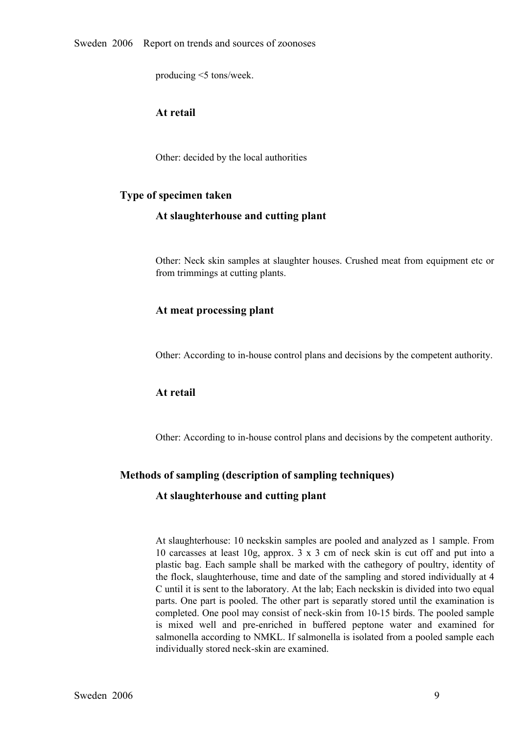producing <5 tons/week.

## **At retail**

Other: decided by the local authorities

#### **Type of specimen taken**

#### **At slaughterhouse and cutting plant**

Other: Neck skin samples at slaughter houses. Crushed meat from equipment etc or from trimmings at cutting plants.

#### **At meat processing plant**

Other: According to inhouse control plans and decisions by the competent authority.

#### **At retail**

Other: According to inhouse control plans and decisions by the competent authority.

#### **Methods of sampling (description of sampling techniques)**

#### **At slaughterhouse and cutting plant**

At slaughterhouse: 10 neckskin samples are pooled and analyzed as 1 sample. From 10 carcasses at least 10g, approx.  $3 \times 3$  cm of neck skin is cut off and put into a plastic bag. Each sample shall be marked with the cathegory of poultry, identity of the flock, slaughterhouse, time and date of the samp plastic bag. Each sample shall be marked with the cathegory of poultry, identity of C until it is sent to the laboratory. At the lab; Each neckskin is divided into two equal parts. One part is pooled. The other part is separatly stored until the examination is completed. One pool may consist of neck-skin from 10-15 birds. The pooled sample is mixed well and pre-enriched in buffered peptone water and examined for salmonella according to NMKL. If salmonella is isolated from a pooled sample each individually stored neck-skin are examined. salmonella according to NMKL. If salmonella is isolated from a pooled sample each individually stored neck-skin are examined.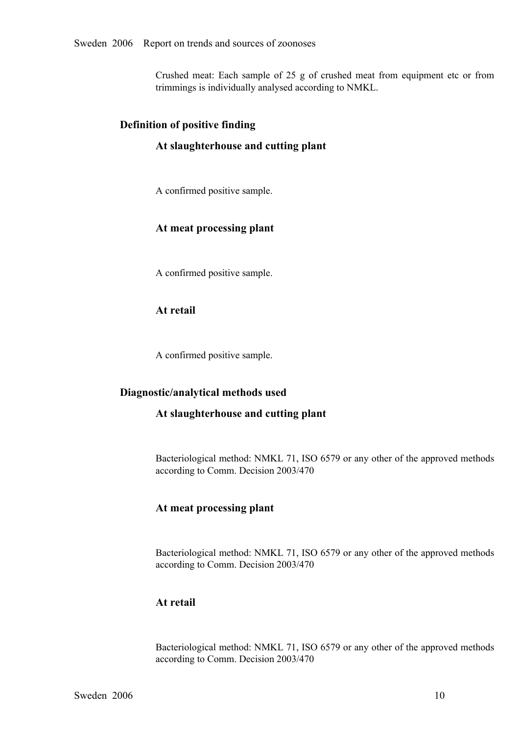Crushed meat: Each sample of <sup>25</sup> <sup>g</sup> of crushed meat from equipment etc or from trimmings is individually analysed according to NMKL.

#### **Definition of positive finding**

#### **At slaughterhouse and cutting plant**

A confirmed positive sample.

#### **At meat processing plant**

A confirmed positive sample.

## **At retail**

A confirmed positive sample.

#### **Diagnostic/analytical methods used**

#### **At slaughterhouse and cutting plant**

Bacteriological method: NMKL 71, ISO 6579 or any other of the approved methods according to Comm. Decision 2003/470

#### **At meat processing plant**

Bacteriological method: NMKL 71, ISO 6579 or any other of the approved methods according to Comm. Decision 2003/470

#### **At retail**

Bacteriological method: NMKL 71, ISO 6579 or any other of the approved methods according to Comm. Decision 2003/470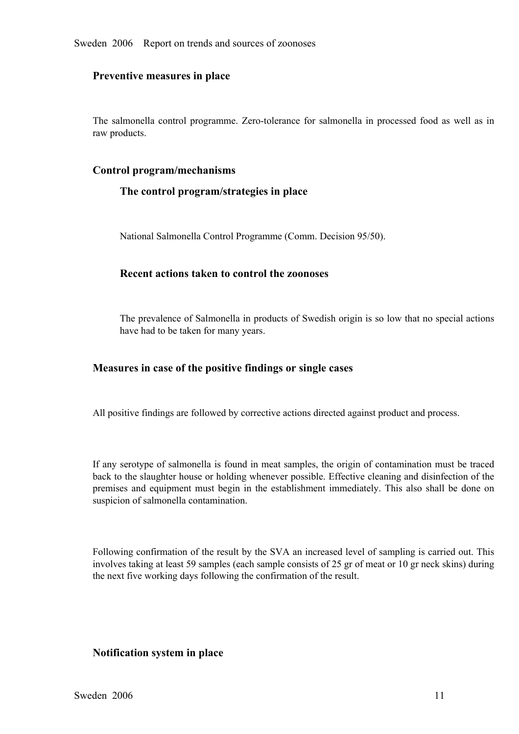#### **Preventive measures in place**

The salmonella control programme. Zero-tolerance for salmonella in processed food as well as in raw products.

#### **Control program/mechanisms**

#### **The control program/strategies in place**

National Salmonella Control Programme (Comm. Decision 95/50).

#### **Recent actions taken to control the zoonoses**

The prevalence of Salmonella in products of Swedish origin is so low that no special actions have had to be taken for many years.

#### **Measures in case of the positive findings or single cases**

All positive findings are followed by corrective actions directed against product and process.

If any serotype of salmonella is found in meat samples, the origin of contamination must be traced back to the slaughter house or holding whenever possible. Effective cleaning and disinfection of the premises and equipment must begin in the establishment immediately. This also shall be done on suspicion of salmonella contamination.

Following confirmation of the result by the SVA an increased level of sampling is carried out. This involves taking at least 59 samples (each sample consists of 25 gr of meat or 10 gr neck skins) during the next five working days following the confirmation of the result.

#### **Notification system in place**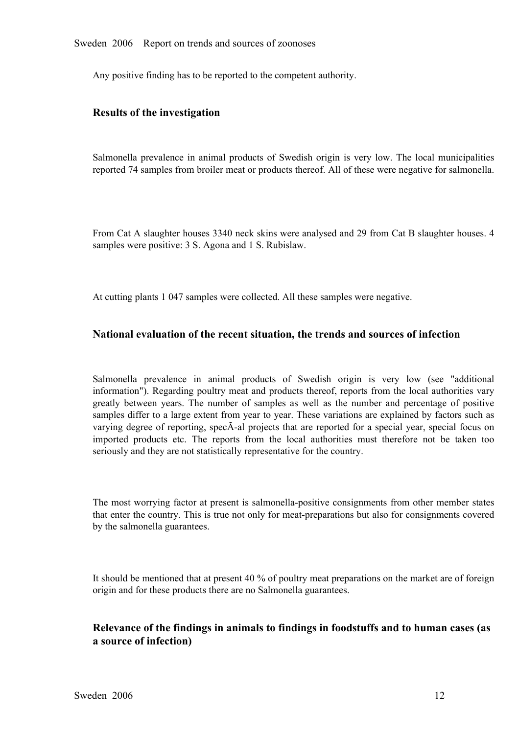Any positive finding has to be reported to the competent authority.

## **Results of the investigation**

Salmonella prevalence in animal products of Swedish origin is very low. The local municipalities reported 74 samples from broiler meat or products thereof. All of these were negative for salmonella. reported 74 samples from broiler meat or products thereof. All of these were negative for salmonella.

From Cat A slaughter houses 3340 neck skins were analysed and 29 from Cat B slaughter houses. 4 samples were positive: 3 S. Agona and 1 S. Rubislaw.

At cutting plants 1 047 samples were collected. All these samples were negative.

#### **National evaluation of the recent situation, the trends and sources of infection**

Salmonella prevalence in animal products of Swedish origin is very low (see "additional information"). Regarding poultry meat and products thereof, reports from the local authorities vary greatly between years. The number of samples as well as the number and percentage of positive varying degree of reporting, spec $\tilde{A}$ -al projects that are reported for a special year, special focus on samples differ to a large extent from year to year. These variations are explained by factors such as varying degree of reporting, specÃ-al projects that are reported for a special year, special focus on imported products etc. The reports from the local authorities must therefore not be taken too seriously and they ar imported products etc. The reports from the local authorities must therefore not be taken too seriously and they are not statistically representative for the country. seriously and they are not statistically representative for the country.

The most worrying factor at present is salmonella-positive consignments from other member states that enter the country. This is true not only for meat-preparations but also for consignments covered by the salmonella guara that enter the country. This is true not only for meat-preparations but also for consignments covered by the salmonella guarantees.

It should be mentioned that at present 40 % of poultry meat preparations on the market are of foreign origin and for these products there are no Salmonella guarantees.

## **Relevance of the findings in animals to findings in foodstuffs and to human cases (as a source of infection)**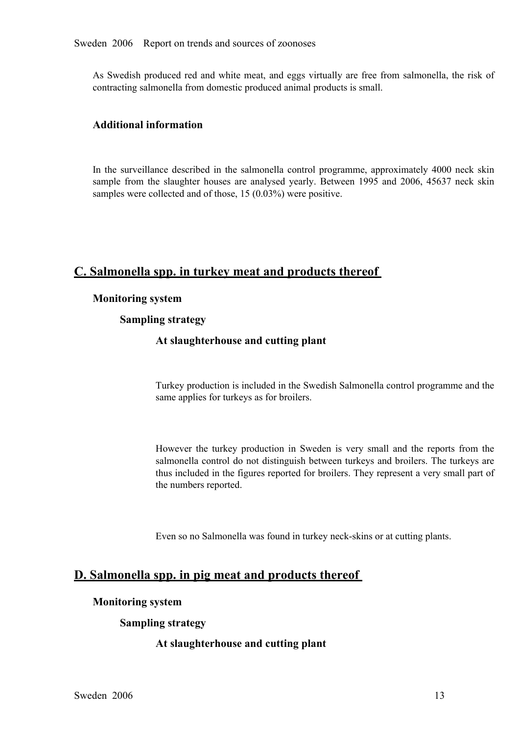As Swedish produced red and white meat, and eggs virtually are free from salmonella, the risk of contracting salmonella from domestic produced animal products is small.

## **Additional information**

In the surveillance described in the salmonella control programme, approximately 4000 neck skin sample from the slaughter houses are analysed yearly. Between 1995 and 2006, 45637 neck skin samples were collected and of those, 15 (0.03%) were positive.

## **C. Salmonella spp. in turkey meat and products thereof**

#### **Monitoring system**

#### **Sampling strategy**

#### **At slaughterhouse and cutting plant**

Turkey production is included in the Swedish Salmonella control programme and the same applies for turkeys as for broilers.

However the turkey production in Sweden is very small and the reports from the salmonella control do not distinguish between turkeys and broilers. The turkeys are thus included in the figures reported for broilers. They re salmonella control do not distinguish between turkeys and broilers. The turkeys are the numbers reported.

Even so no Salmonella was found in turkey neck-skins or at cutting plants.

## **D. Salmonella spp. in pig meat and products thereof**

#### **Monitoring system**

#### **Sampling strategy**

#### **At slaughterhouse and cutting plant**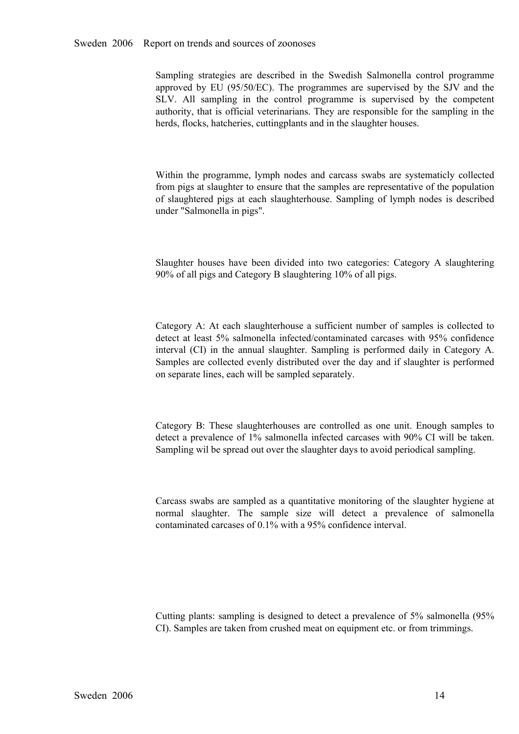Sampling strategies are described in the Swedish Salmonella control programme approved by EU (95/50/EC). The programmes are supervised by the SJV and the SLV. All sampling in the control programme is supervised by the comp approved by EU (95/50/EC). The programmes are supervised by the SJV and the SLV. All sampling in the control programme is supervised by the competent authority, that is official veterinarians. They are responsible for the SLV. All sampling in the control programme is supervised by the competent authority, that is official veterinarians. They are responsible for the sampling in the herds, flocks, hatcheries, cuttingplants and in the slaughte authority, that is official veterinarians. They are responsible for the sampling in the herds, flocks, hatcheries, cuttingplants and in the slaughter houses. herds, flocks, hatcheries, cuttingplants and in the slaughter houses.

Within the programme, lymph nodes and carcass swabs are systematicly collected<br>from pigs at slaughter to ensure that the samples are representative of the population<br>of slaughtered pigs at each slaughterhouse. Sampling of from pigs at slaughter to ensure that the samples are representative of the population of slaughtered pigs at each slaughterhouse. Sampling of lymph nodes is described under "Salmonella in pigs". under "Salmonella in pigs".

Slaughter houses have been divided into two categories: Category <sup>A</sup> slaughtering 90% of all pigs and Category B slaughtering 10% of all pigs.

Category A: At each slaughterhouse a sufficient number of samples is collected to detect at least 5% salmonella infected/contaminated carcases with 95% confidence interval (CI) in the annual slaughter. Sampling is performe detect at least 5% salmonella infected/contaminated carcases with 95% confidence<br>interval (CI) in the annual slaughter. Sampling is performed daily in Category A.<br>Samples are collected evenly distributed over the day and i interval (CI) in the annual slaughter. Sampling is performed daily in Category A. Samples are collected evenly distributed over the day and if slaughter is performed on separate lines, each will be sampled separately. Samples are collected evenly distributed over the day and if slaughter is performed on separate lines, each will be sampled separately.

Category B: These slaughterhouses are controlled as one unit. Enough samples to detect a prevalence of 1% salmonella infected carcases with 90% CI will be taken.<br>Sampling wil be spread out over the slaughter days to avoid detect a prevalence of 1% salmonella infected carcases with 90% CI will be taken. Sampling wil be spread out over the slaughter days to avoid periodical sampling.

Carcass swabs are sampled as a quantitative monitoring of the slaughter hygiene at normal slaughter. The sample size will detect <sup>a</sup> prevalence of salmonella contaminated carcases of 0.1% with a 95% confidence interval.

Cutting plants: sampling is designed to detect a prevalence of 5% salmonella (95% CI). Samples are taken from crushed meat on equipment etc. or from trimmings. CI). Samples are taken from crushed meat on equipment etc. or from trimmings.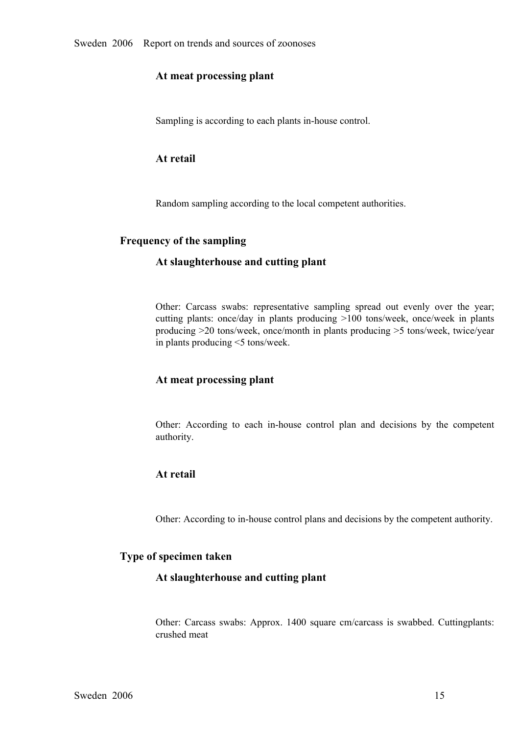#### **At meat processing plant**

Sampling is according to each plants in-house control.

## **At retail**

Random sampling according to the local competent authorities.

#### **Frequency of the sampling**

#### **At slaughterhouse and cutting plant**

Other: Carcass swabs: representative sampling spread out evenly over the year; cutting <sup>p</sup>lants: once/day in <sup>p</sup>lants producing >100 tons/week, once/week in <sup>p</sup>lants producing >20 tons/week, once/month in plants producing >5 tons/week, twice/year in plants producing <5 tons/week.

## **At meat processing plant**

Other: According to each in-house control plan and decisions by the competent authority.

## **At retail**

Other: According to in-house control plans and decisions by the competent authority.

#### **Type of specimen taken**

#### **At slaughterhouse and cutting plant**

Other: Carcass swabs: Approx. <sup>1400</sup> square cm/carcass is swabbed. Cuttingplants: crushed meat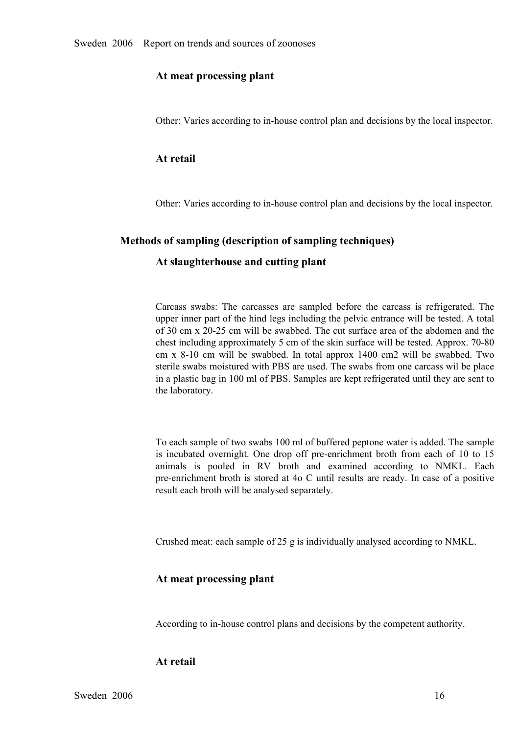#### **At meat processing plant**

Other: Varies according to in-house control plan and decisions by the local inspector.

#### **At retail**

Other: Varies according to inhouse control plan and decisions by the local inspector.

#### **Methods of sampling (description of sampling techniques)**

#### **At slaughterhouse and cutting plant**

Carcass swabs: The carcasses are sampled before the carcass is refrigerated. The upper inner part of the hind legs including the pelvic entrance will be tested. A total of 30 cm x 20-25 cm will be swabbed. The cut surface upper inner part of the hind legs including the pelvic entrance will be tested. A total of 30 cm x 2025 cm will be swabbed. The cut surface area of the abdomen and the chest including approximately 5 cm of the skin surface will be tested. Approx. 70-80 cm x 8-10 cm will be swabbed. In total approx 1400 cm2 will be swabbed. Two<br>sterile swabs moistured with PBS are used. The swabs from one carcass wil be place<br>in a plastic bag in 100 ml of PBS. Samples are kept refrigerate sterile swabs moistured with PBS are used. The swabs from one carcass wil be place in a plastic bag in 100 ml of PBS. Samples are kept refrigerated until they are sent to the laboratory.

To each sample of two swabs 100 ml of buffered peptone water is added. The sample is incubated overnight. One drop off pre-enrichment broth from each of 10 to 15 animals is pooled in RV broth and examined according to NMKL. Each pre-enrichment broth is stored at 4o C until results are ready. In case of animals is pooled in RV broth and examined according to NMKL. Each<br>pre-enrichment broth is stored at 4o C until results are ready. In case of a positive<br>result each broth will be analysed separately. pre-enrichment broth is stored at 4o C until results are ready. In case of a positive result each broth will be analysed separately. result each broth will be analysed separately.

Crushed meat: each sample of 25 g is individually analysed according to NMKL.

#### **At meat processing plant**

According to in-house control plans and decisions by the competent authority.

#### **At retail**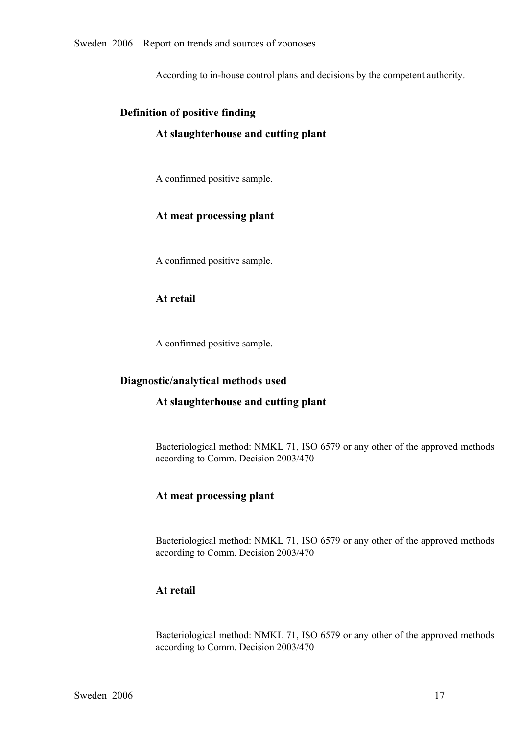According to in-house control plans and decisions by the competent authority.

# **Definition of positive finding**

## **At slaughterhouse and cutting plant**

A confirmed positive sample.

## **At meat processing plant**

A confirmed positive sample.

#### **At retail**

A confirmed positive sample.

#### **Diagnostic/analytical methods used**

#### **At slaughterhouse and cutting plant**

Bacteriological method: NMKL 71, ISO 6579 or any other of the approved methods according to Comm. Decision 2003/470

#### **At meat processing plant**

Bacteriological method: NMKL 71, ISO 6579 or any other of the approved methods according to Comm. Decision 2003/470

## **At retail**

Bacteriological method: NMKL 71, ISO 6579 or any other of the approved methods according to Comm. Decision 2003/470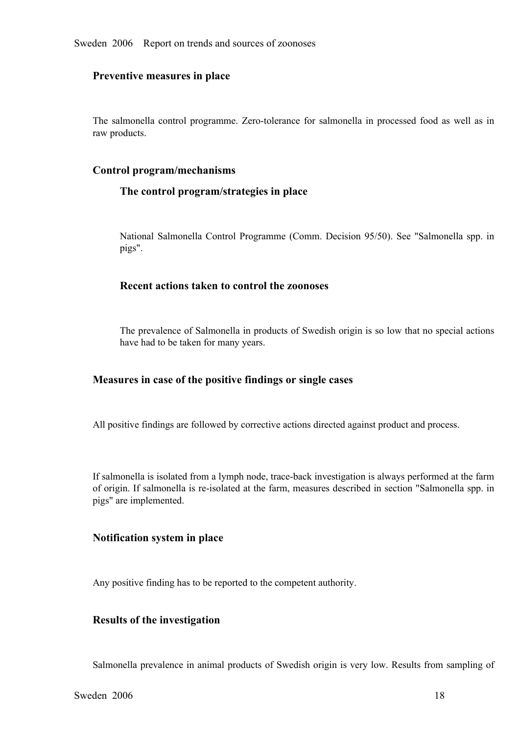#### **Preventive measures in place**

The salmonella control programme. Zero-tolerance for salmonella in processed food as well as in raw products.

#### **Control program/mechanisms**

#### **The control program/strategies in place**

National Salmonella Control Programme (Comm. Decision 95/50). See "Salmonella spp. in pigs".

#### **Recent actions taken to control the zoonoses**

The prevalence of Salmonella in products of Swedish origin is so low that no special actions have had to be taken for many years.

#### **Measures in case of the positive findings or single cases**

All positive findings are followed by corrective actions directed against product and process.

If salmonella is isolated from a lymph node, traceback investigation is always performed at the farm of origin. If salmonella is re-isolated at the farm, measures described in section "Salmonella spp. in pigs" are implemented.

#### **Notification system in place**

Any positive finding has to be reported to the competent authority.

#### **Results of the investigation**

Salmonella prevalence in animal products of Swedish origin is very low. Results from sampling of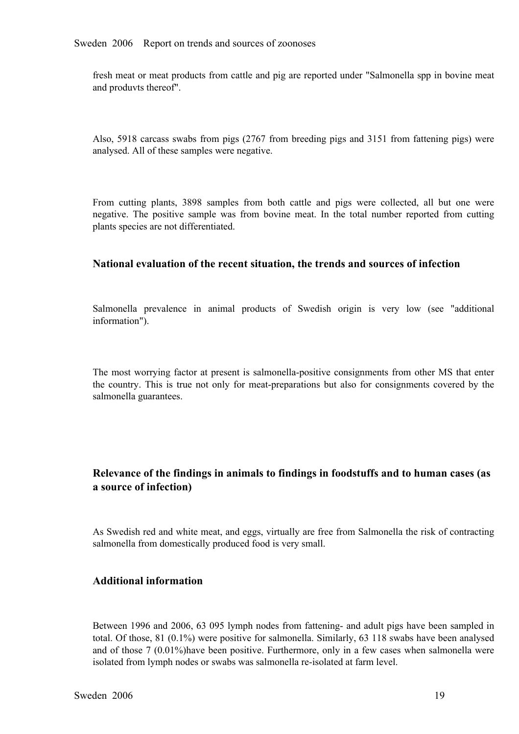fresh meat or meat products from cattle and pig are reported under "Salmonella spp in bovine meat and produvts thereof".

Also, 5918 carcass swabs from pigs (2767 from breeding pigs and 3151 from fattening pigs) were analysed. All of these samples were negative.

From cutting plants, 3898 samples from both cattle and pigs were collected, all but one were negative. The positive sample was from bovine meat. In the total number reported from cutting plants speci negative. The positive sample was from bovine meat. In the total number reported from cutting plants species are not differentiated. plants species are not differentiated.

#### **National evaluation of the recent situation, the trends and sources of infection**

Salmonella prevalence in animal products of Swedish origin is very low (see "additional information").

The most worrying factor at present is salmonella-positive consignments from other MS that enter the country. This is true not only for meat-preparations but also for consignments covered by the salmonella guarantees.

## **Relevance of the findings in animals to findings in foodstuffs and to human cases (as a source of infection)**

As Swedish red and white meat, and eggs, virtually are free from Salmonella the risk of contracting salmonella from domestically produced food is very small.

#### **Additional information**

Between 1996 and 2006, 63 095 lymph nodes from fattening- and adult pigs have been sampled in total. Of those, 81 (0.1%) were positive for salmonella. Similarly, 63 118 swabs have been analysed and of those 7 (0.01%)have been positive. Furthermore, only in a few cases when salmonella were isolated from lymph nodes or swabs was salmonella re-isolated at farm level.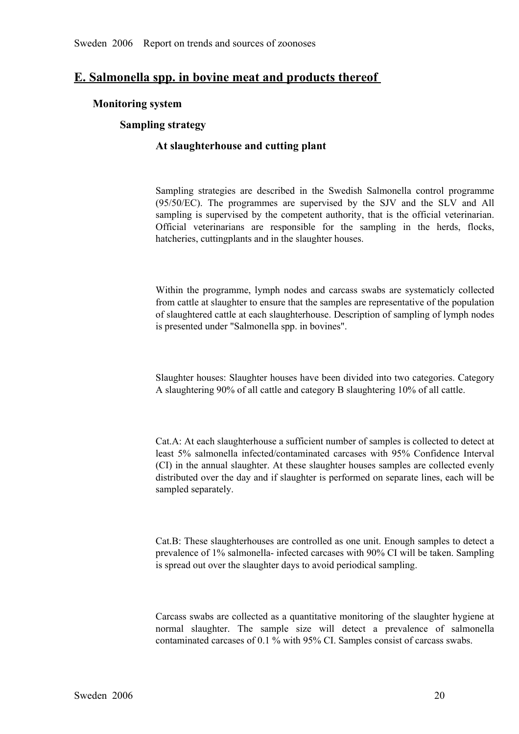## **E. Salmonella spp. in bovine meat and products thereof**

#### **Monitoring system**

#### **Sampling strategy**

## **At slaughterhouse and cutting plant**

Sampling strategies are described in the Swedish Salmonella control programme (95/50/EC). The programmes are supervised by the SJV and the SLV and All sampling is supervised by the competent authority, that is the official (95/50/EC). The programmes are supervised by the SJV and the SLV and All sampling is supervised by the competent authority, that is the official veterinarian. Official veterinarians are responsible for the sampling in the sampling is supervised by the competent authority, that is the official veterinarian.<br>Official veterinarians are responsible for the sampling in the herds, flocks,<br>hatcheries, cuttingplants and in the slaughter houses. Official veterinarians are responsible for the sampling in the herds, flocks, hatcheries, cutting plants and in the slaughter houses. hatcheries, cuttingplants and in the slaughter houses.

Within the programme, lymph nodes and carcass swabs are systematicly collected<br>from cattle at slaughter to ensure that the samples are representative of the population<br>of slaughtered cattle at each slaughterhouse. Descript from cattle at slaughter to ensure that the samples are representative of the population of slaughtered cattle at each slaughterhouse. Description of sampling of lymph nodes is presented under "Salmonella spp. in bovines".

Slaughter houses: Slaughter houses have been divided into two categories. Category A slaughtering 90% of all cattle and category B slaughtering 10% of all cattle.

Cat.A: At each slaughterhouse a sufficient number of samples is collected to detect at least 5% salmonella infected/contaminated carcases with 95% Confidence Interval (CI) in the annual slaughter. At these slaughter houses samples are collected evenly distributed over the day and if slaughter is performed on (CI) in the annual slaughter. At these slaughter houses samples are collected evenly sampled separately.

Cat.B: These slaughterhouses are controlled as one unit. Enough samples to detect a prevalence of 1% salmonella infected carcases with 90% CI will be taken. Sampling is spread out over the slaughter days to avoid periodical sampling.

Carcass swabs are collected as a quantitative monitoring of the slaughter hygiene at normal slaughter. The sample size will detect a prevalence of salmonella<br>contaminated carcases of 0.1 % with 95% CI. Samples consist of carcass swabs. contaminated carcases of 0.1 % with 95% CI. Samples consist of carcass swabs.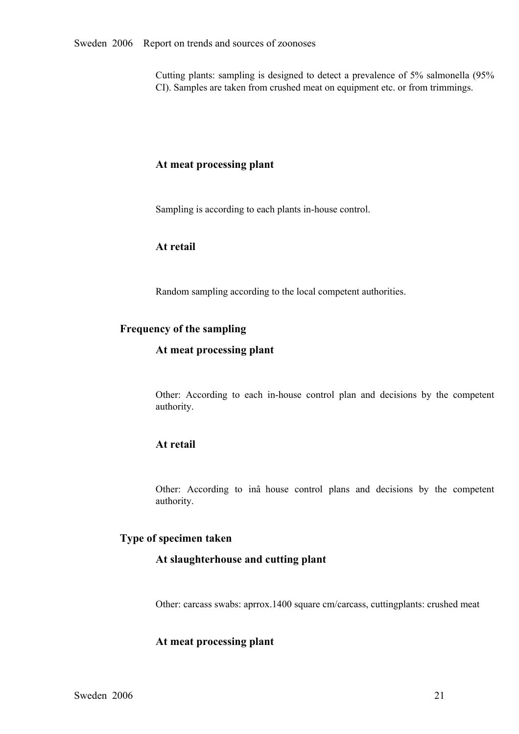Cutting plants: sampling is designed to detect a prevalence of 5% salmonella (95% CI). Samples are taken from crushed meat on equipment etc. or from trimmings.

#### **At meat processing plant**

Sampling is according to each plants in-house control.

## **At retail**

Random sampling according to the local competent authorities.

#### **Frequency of the sampling**

#### **At meat processing plant**

Other: According to each in-house control plan and decisions by the competent authority.

## **At retail**

Other: According to inâ house control <sup>p</sup>lans and decisions by the competent authority.

#### **Type of specimen taken**

#### **At slaughterhouse and cutting plant**

Other: carcass swabs: aprrox.1400 square cm/carcass, cuttingplants: crushed meat

## **At meat processing plant**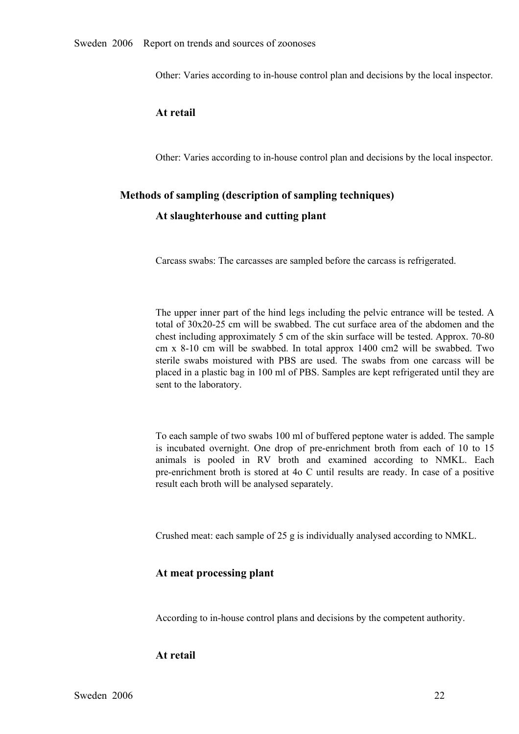Other: Varies according to in-house control plan and decisions by the local inspector.

#### **At retail**

Other: Varies according to inhouse control plan and decisions by the local inspector.

#### **Methods of sampling (description of sampling techniques)**

#### **At slaughterhouse and cutting plant**

Carcass swabs: The carcasses are sampled before the carcass is refrigerated.

The upper inner part of the hind legs including the pelvic entrance will be tested. A total of  $30x20-25$  cm will be swabbed. The cut surface area of the abdomen and the chest including approximately 5 cm of the skin surface will be tested. Approx. 70-80 cm x 8-10 cm will be swabbed. In total approx 1400 cm2 will be swabbed. Two<br>sterile swabs moistured with PBS are used. The swabs from one carcass will be<br>placed in a plastic bag in 100 ml of PBS. Samples are kept refrigera sterile swabs moistured with PBS are used. The swabs from one carcass will be placed in a plastic bag in 100 ml of PBS. Samples are kept refrigerated until they are sent to the laboratory. placed in a plastic bag in 100 ml of PBS. Samples are kept refrigerated until they are sent to the laboratory.

To each sample of two swabs 100 ml of buffered peptone water is added. The sample is incubated overnight. One drop of pre-enrichment broth from each of 10 to 15 animals is pooled in RV broth and examined according to NMKL. Each animals is pooled in RV broth and examined according to NMKL. Each<br>pre-enrichment broth is stored at 4o C until results are ready. In case of a positive<br>result each broth will be analysed separately. pre-enrichment broth is stored at 4o C until results are ready. In case of a positive result each broth will be analysed separately. result each broth will be analysed separately.

Crushed meat: each sample of 25 g is individually analysed according to NMKL.

#### **At meat processing plant**

According to in-house control plans and decisions by the competent authority.

#### **At retail**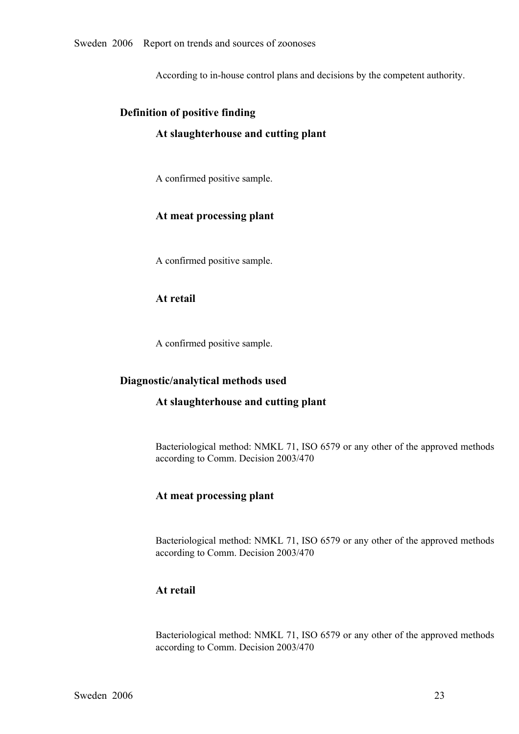According to in-house control plans and decisions by the competent authority.

# **Definition of positive finding**

## **At slaughterhouse and cutting plant**

A confirmed positive sample.

## **At meat processing plant**

A confirmed positive sample.

#### **At retail**

A confirmed positive sample.

#### **Diagnostic/analytical methods used**

#### **At slaughterhouse and cutting plant**

Bacteriological method: NMKL 71, ISO 6579 or any other of the approved methods according to Comm. Decision 2003/470

#### **At meat processing plant**

Bacteriological method: NMKL 71, ISO 6579 or any other of the approved methods according to Comm. Decision 2003/470

## **At retail**

Bacteriological method: NMKL 71, ISO 6579 or any other of the approved methods according to Comm. Decision 2003/470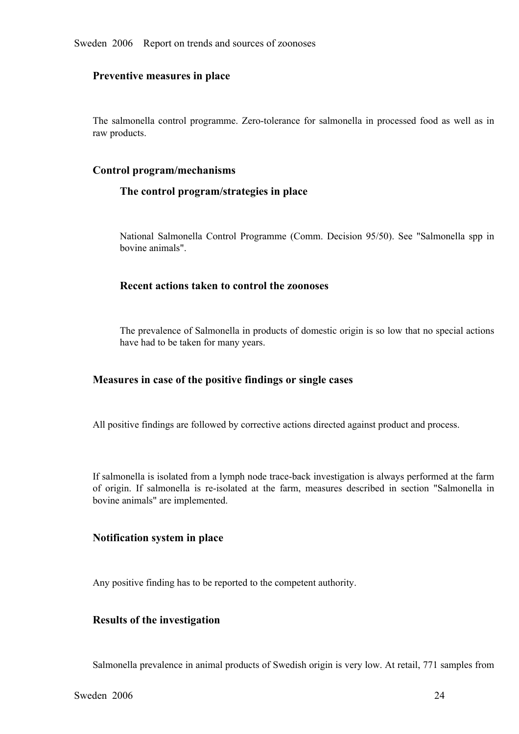#### **Preventive measures in place**

The salmonella control programme. Zero-tolerance for salmonella in processed food as well as in raw products.

#### **Control program/mechanisms**

#### **The control program/strategies in place**

National Salmonella Control Programme (Comm. Decision 95/50). See "Salmonella spp in bovine animals".

#### **Recent actions taken to control the zoonoses**

The prevalence of Salmonella in products of domestic origin is so low that no special actions have had to be taken for many years.

#### **Measures in case of the positive findings or single cases**

All positive findings are followed by corrective actions directed against product and process.

If salmonella is isolated from a lymph node traceback investigation is always performed at the farm of origin. If salmonella is reisolated at the farm, measures described in section "Salmonella in bovine animals" are implemented.

#### **Notification system in place**

Any positive finding has to be reported to the competent authority.

#### **Results of the investigation**

Salmonella prevalence in animal products of Swedish origin is very low. At retail, 771 samples from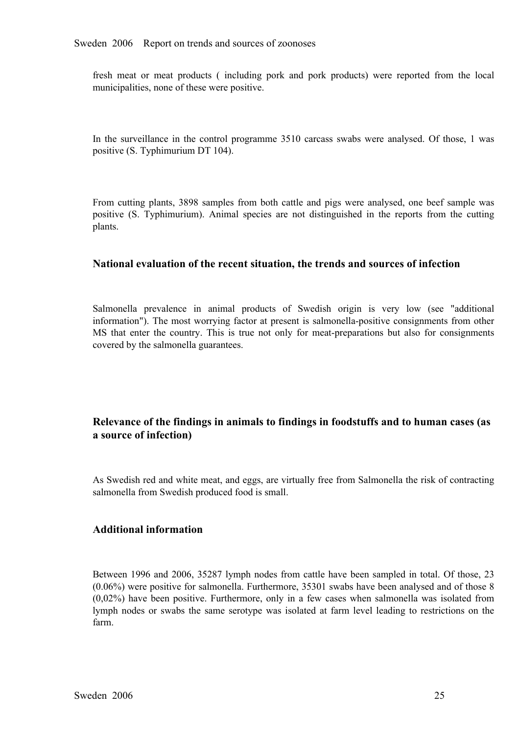fresh meat or meat products ( including por<sup>k</sup> and por<sup>k</sup> products) were reported from the local municipalities, none of these were positive.

In the surveillance in the control programme 3510 carcass swabs were analysed. Of those, 1 was positive (S. Typhimurium DT 104).

From cutting plants, 3898 samples from both cattle and pigs were analysed, one beef sample was positive (S. Typhimurium). Animal species are not distinguished in the reports from the cutting plants. positive (S. Typhimurium). Animal species are not distinguished in the reports from the cutting <br>plants. plants.

#### **National evaluation of the recent situation, the trends and sources of infection**

Salmonella prevalence in animal products of Swedish origin is very low (see "additional information"). The most worrying factor at present is salmonella-positive consignments from other information"). The most worrying factor at present is salmonella-positive consignments from other MS that enter the country. This is true not only for meat-preparations but also for consignments covered by the salmonella g MS that enter the country. This is true not only for meat-preparations but also for consignments covered by the salmonella guarantees. covered by the salmonella guarantees.

## **Relevance of the findings in animals to findings in foodstuffs and to human cases (as a source of infection)**

As Swedish red and white meat, and eggs, are virtually free from Salmonella the risk of contracting salmonella from Swedish produced food is small.

## **Additional information**

Between 1996 and 2006, 35287 lymph nodes from cattle have been sampled in total. Of those, 23<br>(0.06%) were positive for salmonella. Furthermore, 35301 swabs have been analysed and of those 8<br>(0,02%) have been positive. Fur (0.06%) were positive for salmonella. Furthermore, 35301 swabs have been analysed and of those 8  $(0,02%)$  have been positive. Furthermore, only in a few cases when salmonella was isolated from lymph nodes or swabs the same serotype was isolated at farm level leading to restrictions on the farm. lymph nodes or swabs the same serotype was isolated at farm level leading to restrictions on the farm. farm.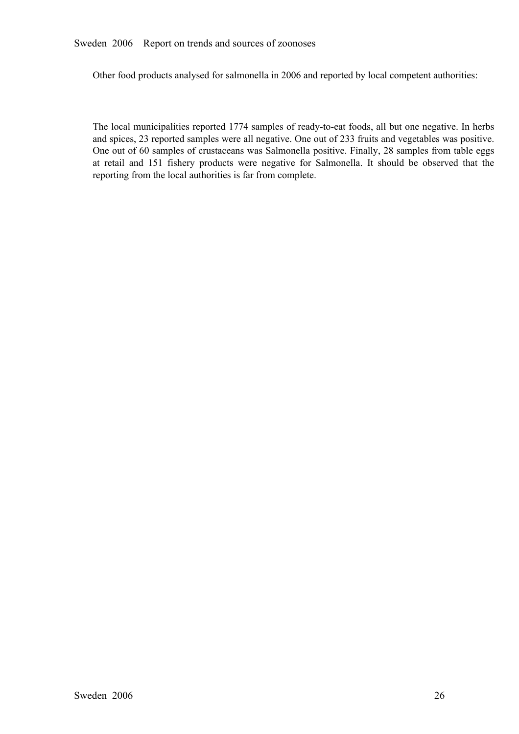#### Sweden 2006 Report on trends and sources of zoonoses

Other food products analysed for salmonella in 2006 and reported by local competent authorities:

The local municipalities reported 1774 samples of ready-to-eat foods, all but one negative. In herbs and spices, 23 reported samples were all negative. One out of 233 fruits and vegetables was positive. One out of 60 samples of crustaceans was Salmonella positive. Finally, 28 samples from table eggs at retail and <sup>151</sup> fishery products were negative for Salmonella. It should be observed that the reporting from the local authorities is far from complete.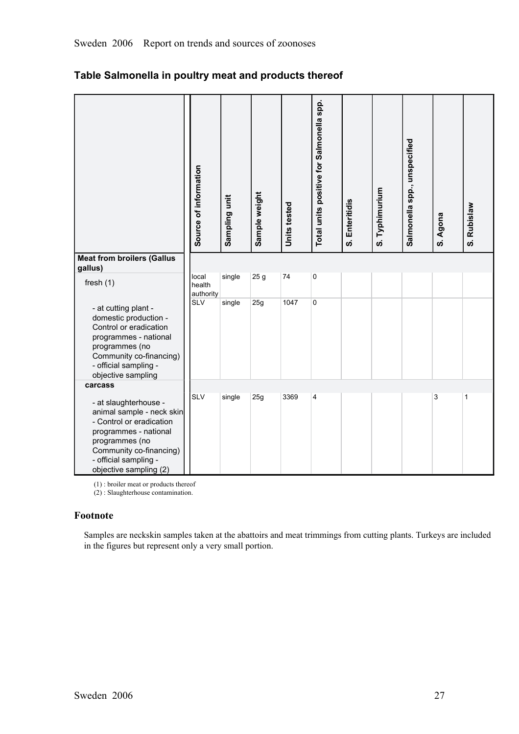| <b>Meat from broilers (Gallus</b>                                                                                                                                                                       | Source of information        | Sampling unit | Sample weight   | Units tested | Total units positive for Salmonella spp. | S. Enteritidis | S. Typhimurium | Salmonella spp., unspecified | S. Agona | S. Rubislaw |
|---------------------------------------------------------------------------------------------------------------------------------------------------------------------------------------------------------|------------------------------|---------------|-----------------|--------------|------------------------------------------|----------------|----------------|------------------------------|----------|-------------|
| gallus)                                                                                                                                                                                                 |                              |               |                 |              |                                          |                |                |                              |          |             |
| fresh $(1)$                                                                                                                                                                                             | local<br>health<br>authority | single        | 25 <sub>g</sub> | 74           | $\mathbf 0$                              |                |                |                              |          |             |
| - at cutting plant -<br>domestic production -<br>Control or eradication<br>programmes - national<br>programmes (no<br>Community co-financing)<br>- official sampling -<br>objective sampling            | <b>SLV</b>                   | single        | 25g             | 1047         | $\mathbf 0$                              |                |                |                              |          |             |
| carcass                                                                                                                                                                                                 |                              |               |                 |              |                                          |                |                |                              |          |             |
| - at slaughterhouse -<br>animal sample - neck skin<br>- Control or eradication<br>programmes - national<br>programmes (no<br>Community co-financing)<br>- official sampling -<br>objective sampling (2) | <b>SLV</b>                   | single        | 25g             | 3369         | $\overline{4}$                           |                |                |                              | 3        | 1           |

## **Table Salmonella in poultry meat and products thereof**

(1) : broiler meat or products thereof

(2) : Slaughterhouse contamination.

#### **Footnote**

Samples are neckskin samples taken at the abattoirs and meat trimmings from cutting plants. Turkeys are included in the figures but represent only a very small portion.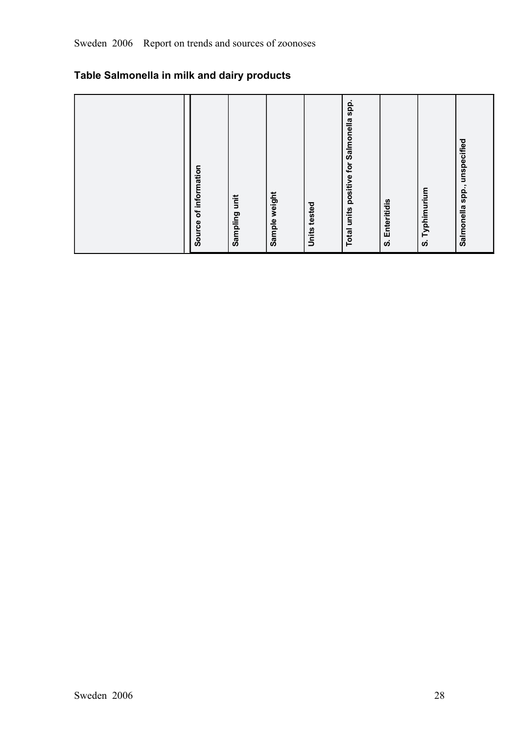## **Table Salmonella in milk and dairy products**

| spp.<br>positive for Salmonella<br>Salmonella spp., unspecified<br>of information<br>Typhimurium<br>Sample weight<br>unit<br>Enteritidis<br>Units tested<br>Total units<br>Sampling<br>Source<br>ທ່<br>ဖ |
|----------------------------------------------------------------------------------------------------------------------------------------------------------------------------------------------------------|
|----------------------------------------------------------------------------------------------------------------------------------------------------------------------------------------------------------|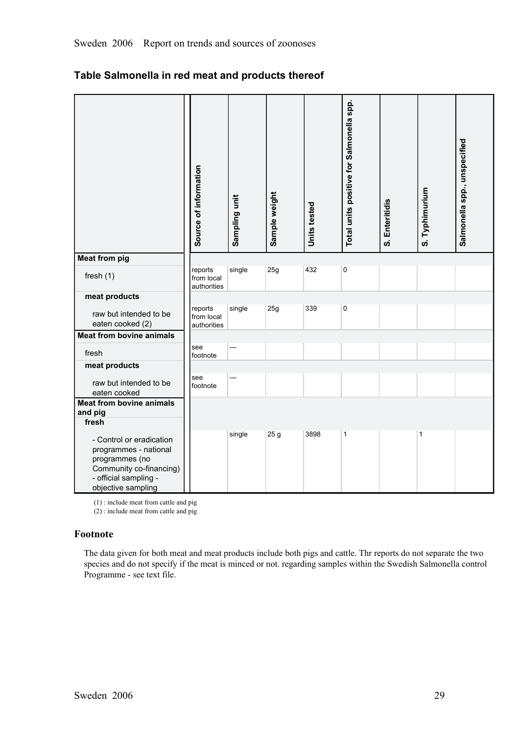| Table Salmonella in red meat and products thereof |  |
|---------------------------------------------------|--|
|---------------------------------------------------|--|

|                                                                                                                                               | Source of information                | Sampling unit | Sample weight   | Units tested | Total units positive for Salmonella spp. | S. Enteritidis | S. Typhimurium | Salmonella spp., unspecified |
|-----------------------------------------------------------------------------------------------------------------------------------------------|--------------------------------------|---------------|-----------------|--------------|------------------------------------------|----------------|----------------|------------------------------|
| <b>Meat from pig</b>                                                                                                                          |                                      |               |                 |              |                                          |                |                |                              |
| fresh $(1)$                                                                                                                                   | reports<br>from local<br>authorities | single        | 25g             | 432          | $\pmb{0}$                                |                |                |                              |
| meat products                                                                                                                                 |                                      |               |                 |              |                                          |                |                |                              |
| raw but intended to be<br>eaten cooked (2)                                                                                                    | reports<br>from local<br>authorities | single        | 25g             | 339          | 0                                        |                |                |                              |
| <b>Meat from bovine animals</b>                                                                                                               |                                      |               |                 |              |                                          |                |                |                              |
| fresh                                                                                                                                         | see<br>footnote                      | ---           |                 |              |                                          |                |                |                              |
| meat products                                                                                                                                 |                                      |               |                 |              |                                          |                |                |                              |
| raw but intended to be<br>eaten cooked                                                                                                        | see<br>footnote                      | ---           |                 |              |                                          |                |                |                              |
| <b>Meat from bovine animals</b><br>and pig<br>fresh                                                                                           |                                      |               |                 |              |                                          |                |                |                              |
| - Control or eradication<br>programmes - national<br>programmes (no<br>Community co-financing)<br>- official sampling -<br>objective sampling |                                      | single        | 25 <sub>g</sub> | 3898         | 1                                        |                | 1              |                              |

(1) : include meat from cattle and pig

 $(2)$ : include meat from cattle and pig

#### **Footnote**

The data given for both meat and meat products include both pigs and cattle. Thr reports do not separate the two species and do not specify if the meat is minced or not. regarding samples within the Swedish Salmonella control Programme - see text file.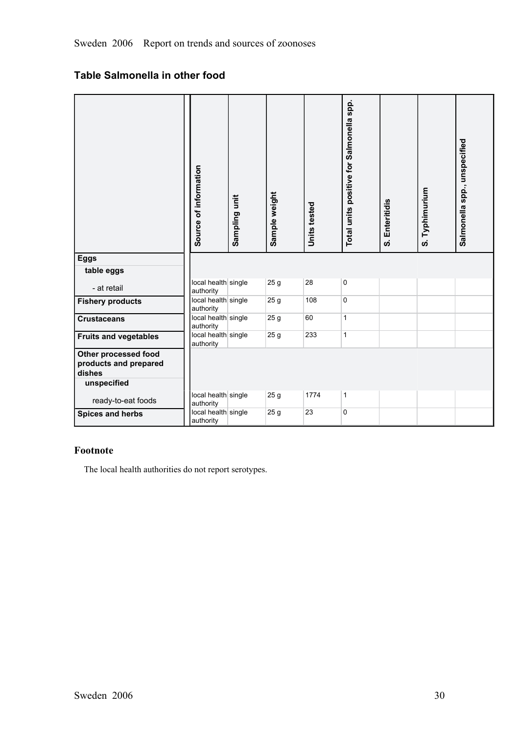## **Table Salmonella in other food**

|                                                         | Source of information            | Sampling unit | Sample weight   | Units tested | Total units positive for Salmonella spp. | Enteritidis<br>ຜ່ | S. Typhimurium | Salmonella spp., unspecified |
|---------------------------------------------------------|----------------------------------|---------------|-----------------|--------------|------------------------------------------|-------------------|----------------|------------------------------|
| <b>Eggs</b>                                             |                                  |               |                 |              |                                          |                   |                |                              |
| table eggs                                              |                                  |               |                 |              |                                          |                   |                |                              |
| - at retail                                             | local health single<br>authority |               | 25 <sub>g</sub> | 28           | 0                                        |                   |                |                              |
| <b>Fishery products</b>                                 | local health single<br>authority |               | 25 <sub>g</sub> | 108          | $\mathbf 0$                              |                   |                |                              |
| <b>Crustaceans</b>                                      | local health single<br>authority |               | 25 <sub>g</sub> | 60           | $\mathbf{1}$                             |                   |                |                              |
| <b>Fruits and vegetables</b>                            | local health single<br>authority |               | 25 <sub>g</sub> | 233          | $\mathbf{1}$                             |                   |                |                              |
| Other processed food<br>products and prepared<br>dishes |                                  |               |                 |              |                                          |                   |                |                              |
| unspecified                                             |                                  |               |                 |              |                                          |                   |                |                              |
| ready-to-eat foods                                      | local health single<br>authority |               | 25 <sub>g</sub> | 1774         | $\mathbf{1}$                             |                   |                |                              |
| <b>Spices and herbs</b>                                 | local health single<br>authority |               | 25 <sub>g</sub> | 23           | 0                                        |                   |                |                              |

## **Footnote**

The local health authorities do not report serotypes.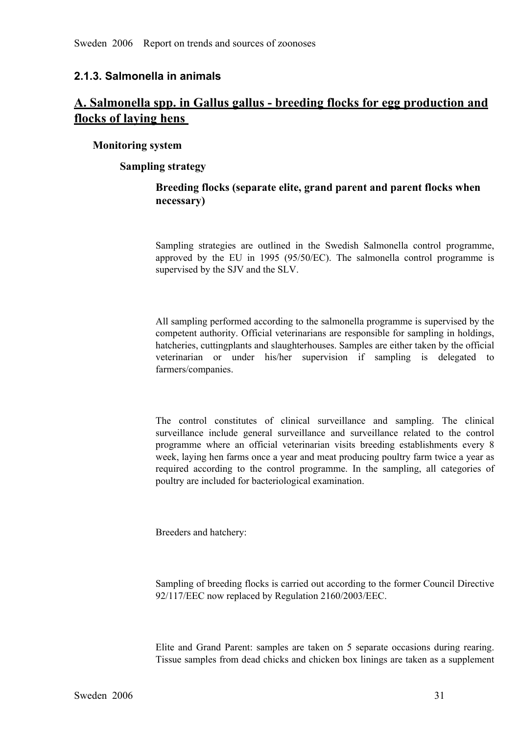#### **2.1.3. Salmonella in animals**

## **A. Salmonella spp. in Gallus gallus breeding flocks for egg production and flocks of laying hens**

#### **Monitoring system**

#### **Sampling strategy**

## **Breeding flocks (separate elite, grand parent and parent flocks when necessary)**

Sampling strategies are outlined in the Swedish Salmonella control programme, approved by the EU in 1995 (95/50/EC). The salmonella control programme is supervised by the SJV and the SLV. approved by the EU in 1995 (95/50/EC). The salmonella control programme is supervised by the SJV and the SLV. supervised by the SJV and the SLV.

All sampling performed according to the salmonella programme is supervised by the competent authority. Official veterinarians are responsible for sampling in holdings, hatcheries, cuttingplants and slaughterhouses. Samples are either taken by the official veterinarian or under his/her supervision if sampling is delegated to farmers/companies.

The control constitutes of clinical surveillance and sampling. The clinical surveillance include general surveillance and surveillance related to the control programme where an official veterinarian visits breeding establi surveillance include general surveillance and surveillance related to the control<br>programme where an official veterinarian visits breeding establishments every 8<br>week, laying hen farms once a year and meat producing poultr programme where an official veterinarian visits breeding establishments every 8 week, laying hen farms once a year and meat producing poultry farm twice a year as required according to the control programme. In the samplin week, laying hen farms once a year and meat producing poultry farm twice a year as required according to the control programme. In the sampling, all categories of poultry are included for bacteriological examination.

Breeders and hatchery:

Sampling of breeding flocks is carried out according to the former Council Directive 92/117/EEC now replaced by Regulation 2160/2003/EEC.

Elite and Grand Parent: samples are taken on 5 separate occasions during rearing.<br>Tissue samples from dead chicks and chicken box linings are taken as a supplement Tissue samples from dead chicks and chicken box linings are taken as a supplement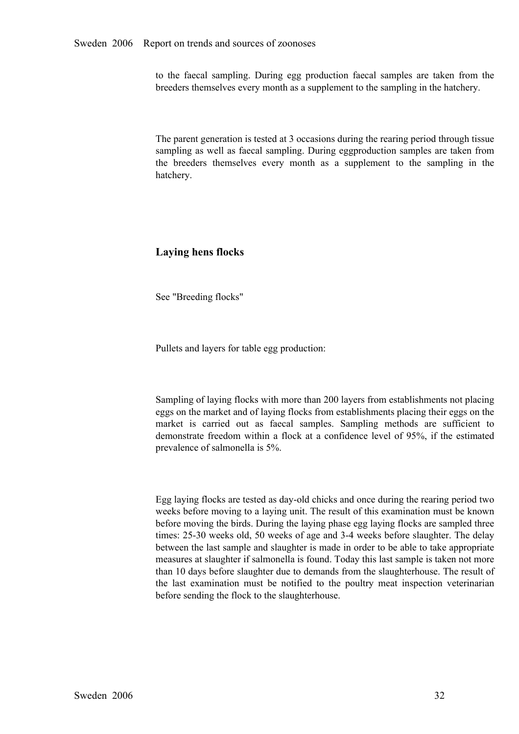to the faecal sampling. During egg production faecal samples are taken from the breeders themselves every month as a supplement to the sampling in the hatchery.

The parent generation is tested at 3 occasions during the rearing period through tissue sampling as well as faecal sampling. During eggproduction samples are taken from<br>the breeders themselves every month as a supplement to the sampling in the<br>hatchery. the breeders themselves every month as a supplement to the sampling in the hatchery. hatchery.

## **Laying hens flocks**

See "Breeding flocks"

Pullets and layers for table egg production:

Sampling of laying flocks with more than 200 layers from establishments not placing eggs on the market and of laying flocks from establishments placing their eggs on the market is carried out as faecal samples. Sampling methods are sufficient to demonstrate freedom within <sup>a</sup> flock at <sup>a</sup> confidence level of 95%, if the estimated prevalence of salmonella is 5%.

Egg laying flocks are tested as day-old chicks and once during the rearing period two weeks before moving to a laying unit. The result of this examination must be known before moving the birds. During the laying phase egg laying flocks are sampled three times: 25-30 weeks old, 50 weeks of age and 3-4 weeks before slaughter. The delay between the last sample and slaughter is made in order to be able to take appropriate measures at slaughter if salmonella is found. Today this last sample is taken not more than 10 days before slaughter due to demands from the slaughterhouse. The result of the last examination must be notified to the poultry meat inspection veterinarian before sending the flock to the slaughterhouse.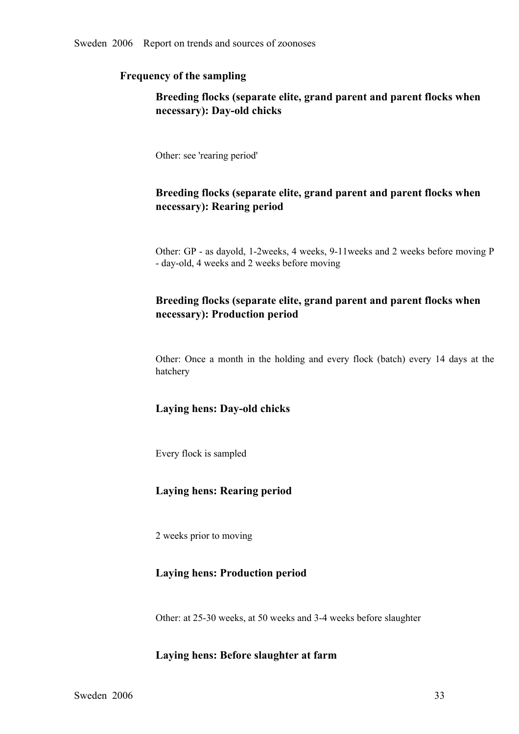## **Frequency of the sampling**

# **Breeding flocks (separate elite, grand parent and parent flocks when necessary**): Day-old chicks

Other: see 'rearing period'

## **Breeding flocks (separate elite, grand parent and parent flocks when necessary): Rearing period**

Other: GP - as dayold, 1-2weeks, 4 weeks, 9-11weeks and 2 weeks before moving P - day-old, 4 weeks and 2 weeks before moving

# **Breeding flocks (separate elite, grand parent and parent flocks when necessary): Production period**

Other: Once <sup>a</sup> month in the holding and every flock (batch) every <sup>14</sup> days at the hatchery

## Laying hens: Day-old chicks

Every flock is sampled

### **Laying hens: Rearing period**

2 weeks prior to moving

#### **Laying hens: Production period**

Other: at 25-30 weeks, at 50 weeks and 3-4 weeks before slaughter

### **Laying hens: Before slaughter at farm**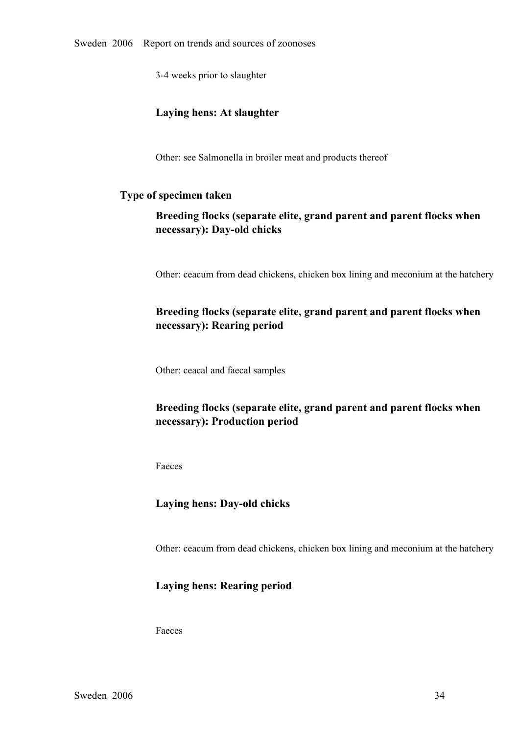34 weeks prior to slaughter

## **Laying hens: At slaughter**

Other: see Salmonella in broiler meat and products thereof

#### **Type of specimen taken**

# **Breeding flocks (separate elite, grand parent and parent flocks when**  $n$ ecessary): Day-old chicks

Other: ceacum from dead chickens, chicken box lining and meconium at the hatchery

# **Breeding flocks (separate elite, grand parent and parent flocks when necessary): Rearing period**

Other: ceacal and faecal samples

# **Breeding flocks (separate elite, grand parent and parent flocks when necessary): Production period**

Faeces

# Laying hens: Day-old chicks

Other: ceacum from dead chickens, chicken box lining and meconium at the hatchery

### **Laying hens: Rearing period**

Faeces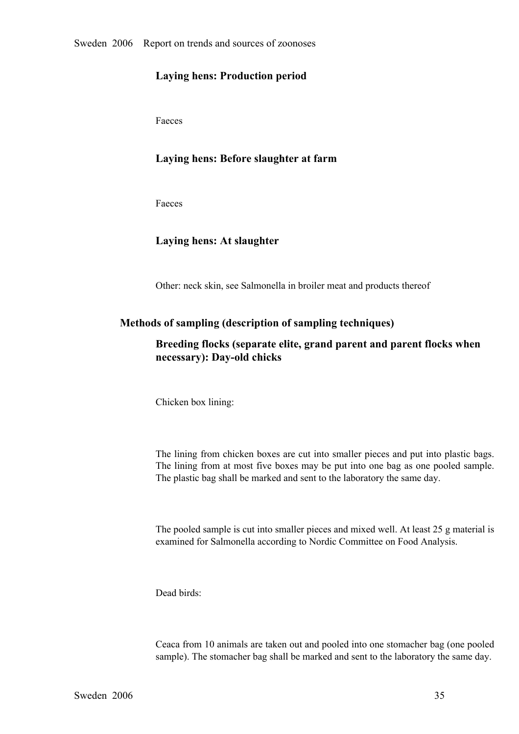## **Laying hens: Production period**

Faeces

### **Laying hens: Before slaughter at farm**

Faeces

### **Laying hens: At slaughter**

Other: neck skin, see Salmonella in broiler meat and products thereof

#### **Methods of sampling (description of sampling techniques)**

## **Breeding flocks (separate elite, grand parent and parent flocks when necessary**): Day-old chicks

Chicken box lining:

The lining from chicken boxes are cut into smaller pieces and put into plastic bags. The lining from at most five boxes may be put into one bag as one pooled sample. The plastic bag shall be marked and sent to the laboratory the same day.

The pooled sample is cut into smaller pieces and mixed well. At least 25 g material is examined for Salmonella according to Nordic Committee on Food Analysis.

Dead birds:

Ceaca from 10 animals are taken out and pooled into one stomacher bag (one pooled sample). The stomacher bag shall be marked and sent to the laboratory the same day.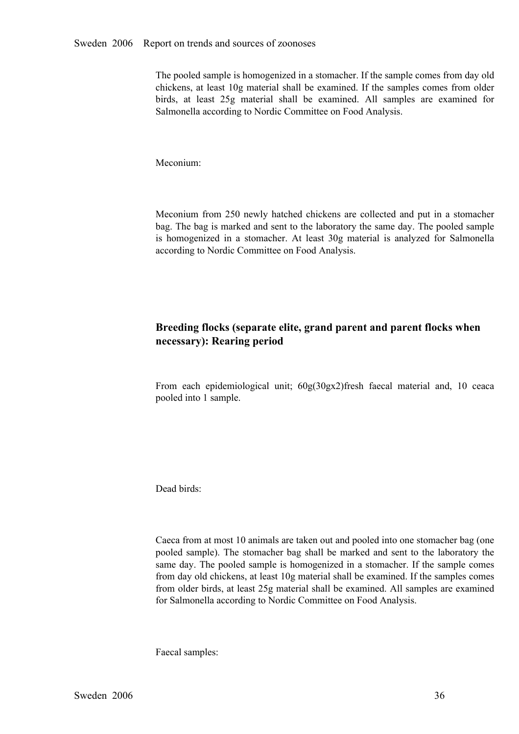The pooled sample is homogenized in a stomacher. If the sample comes from day old chickens, at least 10g material shall be examined. If the samples comes from older<br>birds, at least 25g material shall be examined. All samples are examined for<br>Salmonella according to Nordic Committee on Food Analysis. birds, at least 25g material shall be examined. All samples are examined for Salmonella according to Nordic Committee on Food Analysis. Salmonella according to Nordic Committee on Food Analysis.

Meconium:

Meconium from 250 newly hatched chickens are collected and put in a stomacher<br>bag. The bag is marked and sent to the laboratory the same day. The pooled sample<br>is homogenized in a stomacher. At least 30g material is analyz bag. The bag is marked and sent to the laboratory the same day. The pooled sample is homogenized in <sup>a</sup> stomacher. At least 30g material is analyzed for Salmonella according to Nordic Committee on Food Analysis.

# **Breeding flocks (separate elite, grand parent and parent flocks when necessary): Rearing period**

From each epidemiological unit; 60g(30gx2)fresh faecal material and, <sup>10</sup> ceaca pooled into 1 sample.

Dead birds:

Caeca from at most 10 animals are taken out and pooled into one stomacher bag (one pooled sample). The stomacher bag shall be marked and sent to the laboratory the same day. The pooled sample is homogenized in a stomacher. If the sample comes same day. The pooled sample is homogenized in a stomacher. If the sample comes<br>from day old chickens, at least 10g material shall be examined. If the samples comes<br>from older birds, at least 25g material shall be examined. from day old chickens, at least 10g material shall be examined. If the samples comes from older birds, at least 25g material shall be examined. All samples are examined for Salmonella according to Nordic Committee on Food Analysis.

Faecal samples: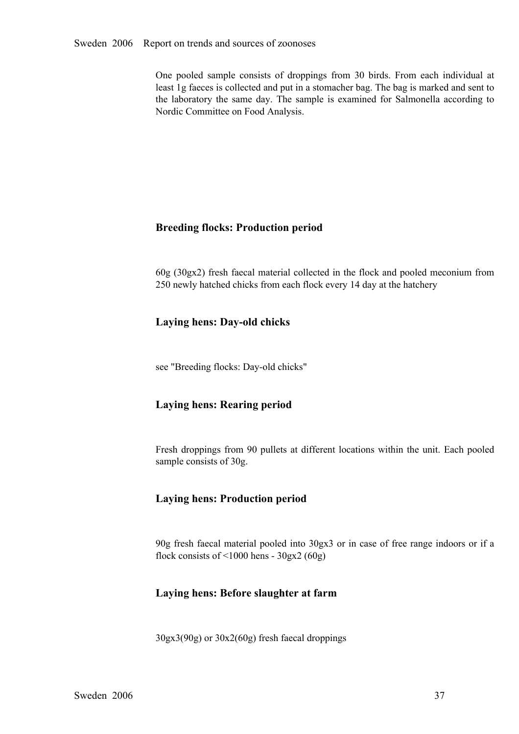One pooled sample consists of droppings from 30 birds. From each individual at least 1g faeces is collected and put in a stomacher bag. The bag is marked and sent to the laboratory the same day. The sample is examined for least 1g faeces is collected and put in a stomacher bag. The bag is marked and sent to the laboratory the same day. The sample is examined for Salmonella according to Nordic Committee on Food Analysis.

# **Breeding flocks: Production period**

60g (30gx2) fresh faecal material collected in the flock and pooled meconium from 250 newly hatched chicks from each flock every 14 day at the hatchery

# **Laying hens: Day-old chicks**

see "Breeding flocks: Day-old chicks"

# **Laying hens: Rearing period**

Fresh droppings from <sup>90</sup> pullets at different locations within the unit. Each pooled sample consists of 30g.

## **Laying hens: Production period**

90g fresh faecal material pooled into 30gx3 or in case of free range indoors or if a flock consists of  $\leq 1000$  hens -  $30gx2(60g)$ 

## **Laying hens: Before slaughter at farm**

30gx3(90g) or 30x2(60g) fresh faecal droppings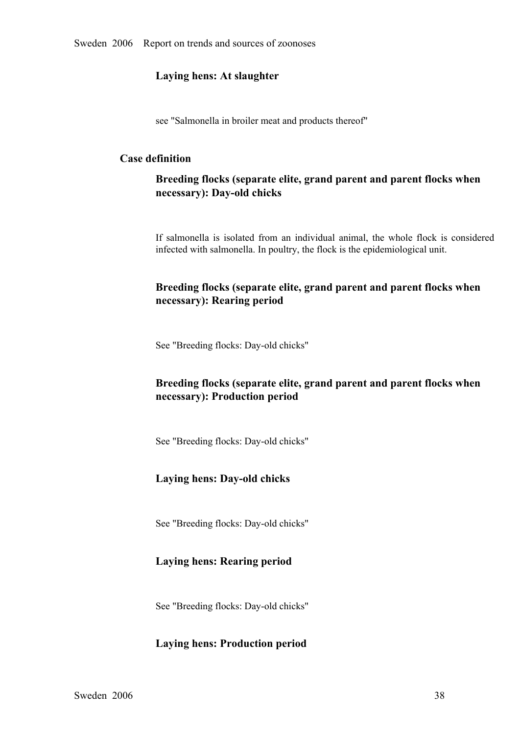### **Laying hens: At slaughter**

see "Salmonella in broiler meat and products thereof"

### **Case definition**

# **Breeding flocks (separate elite, grand parent and parent flocks when necessary**): Day-old chicks

If salmonella is isolated from an individual animal, the whole flock is considered infected with salmonella. In poultry, the flock is the epidemiological unit.

# **Breeding flocks (separate elite, grand parent and parent flocks when necessary): Rearing period**

See "Breeding flocks: Day-old chicks"

# **Breeding flocks (separate elite, grand parent and parent flocks when necessary): Production period**

See "Breeding flocks: Day-old chicks"

# Laying hens: Day-old chicks

See "Breeding flocks: Day-old chicks"

## **Laying hens: Rearing period**

See "Breeding flocks: Day-old chicks"

## **Laying hens: Production period**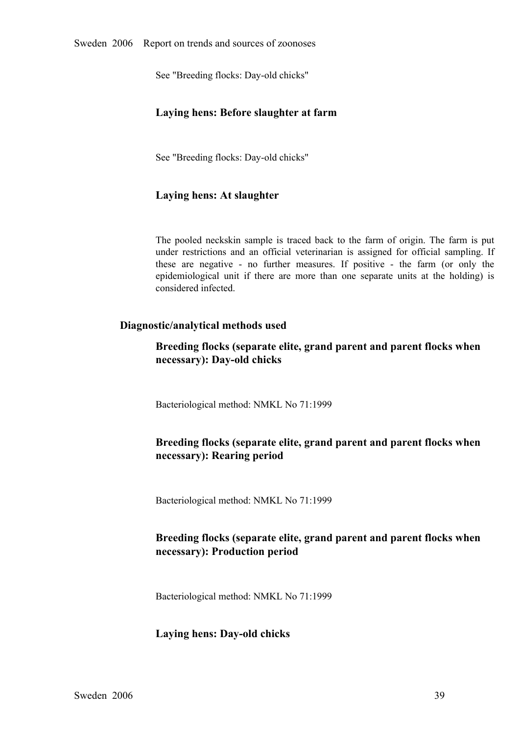See "Breeding flocks: Day-old chicks"

## **Laying hens: Before slaughter at farm**

See "Breeding flocks: Day-old chicks"

### **Laying hens: At slaughter**

The pooled neckskin sample is traced back to the farm of origin. The farm is put under restrictions and an official veterinarian is assigned for official sampling. If these are negative - no further measures. If positive under restrictions and an official veterinarian is assigned for official sampling. If these are negative - no further measures. If positive - the farm (or only the epidemiological unit if there are more than one separate u these are negative - no further measures. If positive - the farm (or only the epidemiological unit if there are more than one separate units at the holding) is considered infected. epidemiological unit if there are more than one separate units at the holding) is considered infected. considered infected.

### **Diagnostic/analytical methods used**

**Breeding flocks (separate elite, grand parent and parent flocks when necessary**): Day-old chicks

Bacteriological method: NMKL No 71:1999

# **Breeding flocks (separate elite, grand parent and parent flocks when necessary): Rearing period**

Bacteriological method: NMKL No 71:1999

# **Breeding flocks (separate elite, grand parent and parent flocks when necessary): Production period**

Bacteriological method: NMKL No 71:1999

### Laying hens: Day-old chicks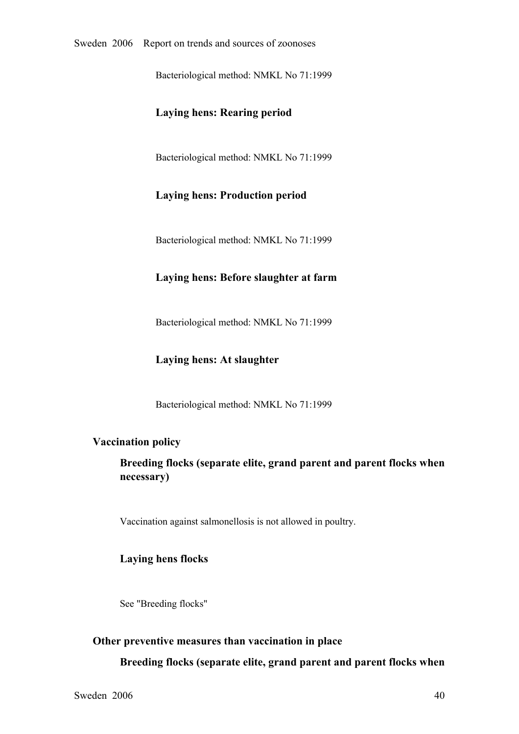Bacteriological method: NMKL No 71:1999

## **Laying hens: Rearing period**

Bacteriological method: NMKL No 71:1999

#### **Laying hens: Production period**

Bacteriological method: NMKL No 71:1999

### **Laying hens: Before slaughter at farm**

Bacteriological method: NMKL No 71:1999

#### **Laying hens: At slaughter**

Bacteriological method: NMKL No 71:1999

#### **Vaccination policy**

**Breeding flocks (separate elite, grand parent and parent flocks when necessary)**

Vaccination against salmonellosis is not allowed in poultry.

#### **Laying hens flocks**

See "Breeding flocks"

#### **Other preventive measures than vaccination in place**

**Breeding flocks (separate elite, grand parent and parent flocks when**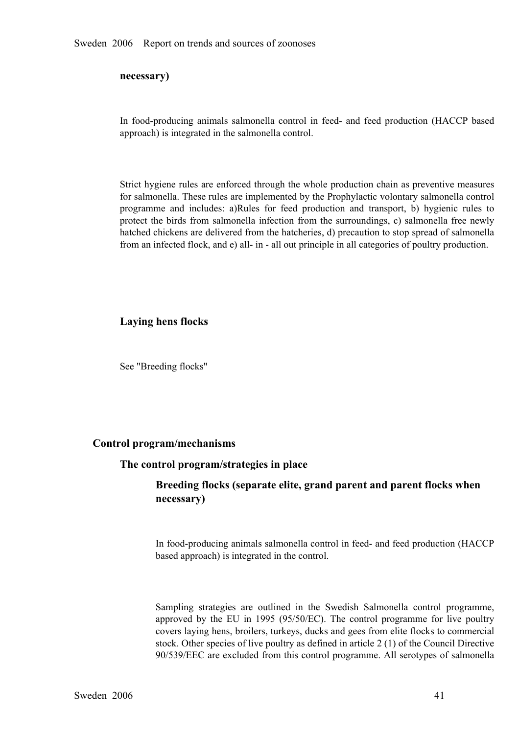#### **necessary)**

In food-producing animals salmonella control in feed- and feed production (HACCP based approach) is integrated in the salmonella control.

Strict hygiene rules are enforced through the whole production chain as preventive measures for salmonella. These rules are implemented by the Prophylactic volontary salmonella control programme and includes: a)Rules for feed production and transport, b) hygienic rules to protect the birds from salmonella infection from the surroundings, c) salmonella free newly protect the birds from salmonella infection from the surroundings, c) salmonella free newly<br>hatched chickens are delivered from the hatcheries, d) precaution to stop spread of salmonella<br>from an infected flock, and e) allhatched chickens are delivered from the hatcheries, d) precaution to stop spread of salmonella from an infected flock, and e) all- in - all out principle in all categories of poultry production.

#### **Laying hens flocks**

See "Breeding flocks"

#### **Control program/mechanisms**

#### **The control program/strategies in place**

# **Breeding flocks (separate elite, grand parent and parent flocks when necessary)**

In food-producing animals salmonella control in feed- and feed production (HACCP based approach) is integrated in the control.

Sampling strategies are outlined in the Swedish Salmonella control programme, approved by the EU in 1995 (95/50/EC). The control programme for live poultry approved by the EU in 1995 (95/50/EC). The control programme for live poultry covers laying hens, broilers, turkeys, ducks and gees from elite flocks to commercial stock. Other species of live poultry as defined in article covers laying hens, broilers, turkeys, ducks and gees from elite flocks to commercial 90/539/EEC are excluded from this control programme. All serotypes of salmonella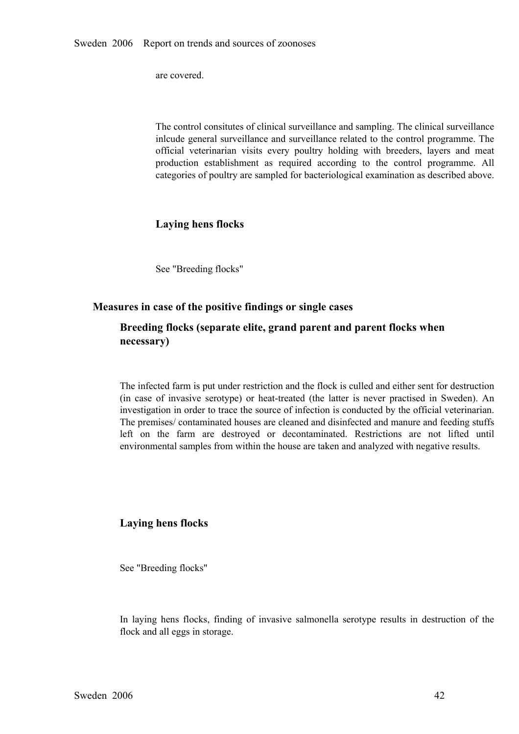are covered.

The control consitutes of clinical surveillance and sampling. The clinical surveillance inlcude general surveillance and surveillance related to the control programme. The official veterinarian visits every poultry holding with breeders, layers and meat production establishment as required according to the control programme. All categories of poultry are sampled for bacteriological examinati production establishment as required according to the control programme. All categories of poultry are sampled for bacteriological examination as described above. categories of poultry are sampled for bacteriological examination as described above.

## **Laying hens flocks**

See "Breeding flocks"

#### **Measures in case of the positive findings or single cases**

## **Breeding flocks (separate elite, grand parent and parent flocks when necessary)**

The infected farm is put under restriction and the flock is culled and either sent for destruction (in case of invasive serotype) or heat-treated (the latter is never practised in Sweden). An investigation in order to trace the source of infection is conducted by the official veterinarian. The premises/ contaminated hou investigation in order to trace the source of infection is conducted by the official veterinarian. The premises/ contaminated houses are cleaned and disinfected and manure and feeding stuffs left on the farm are destroyed or decontaminated. Restrictions are not lifted until environmental samples from within the house are taken and analyzed with negative results. environmental samples from within the house are taken and analyzed with negative results.

#### **Laying hens flocks**

See "Breeding flocks"

In laying hens flocks, finding of invasive salmonella serotype results in destruction of the flock and all eggs in storage.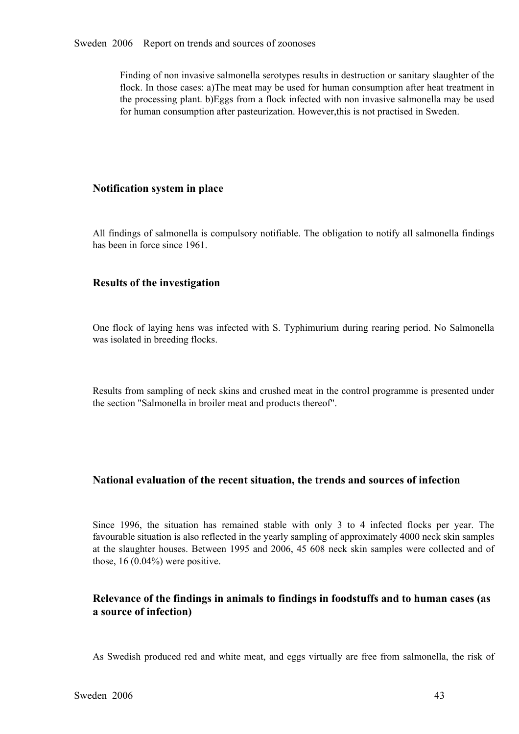Finding of non invasive salmonella serotypes results in destruction or sanitary slaughter of the flock. In those cases: a)The meat may be used for human consumption after heat treatment in the processing plant. b)Eggs from a flock infected with non invasive salmonella may be used for human consumption after pasteurization. However,this is not practised in Sweden.

### **Notification system in place**

All findings of salmonella is compulsory notifiable. The obligation to notify all salmonella findings has been in force since 1961.

## **Results of the investigation**

One flock of laying hens was infected with S. Typhimurium during rearing period. No Salmonella was isolated in breeding flocks.

Results from sampling of neck skins and crushed meat in the control programme is presented under the section "Salmonella in broiler meat and products thereof".

## **National evaluation of the recent situation, the trends and sources of infection**

Since 1996, the situation has remained stable with only 3 to 4 infected flocks per year. The favourable situation is also reflected in the yearly sampling of approximately 4000 neck skin samples at the slaughter houses. Be favourable situation is also reflected in the yearly sampling of approximately 4000 neck skin samples at the slaughter houses. Between 1995 and 2006, <sup>45</sup> <sup>608</sup> neck skin samples were collected and of those, 16 (0.04%) were positive.

# **Relevance of the findings in animals to findings in foodstuffs and to human cases (as a source of infection)**

As Swedish produced red and white meat, and eggs virtually are free from salmonella, the risk of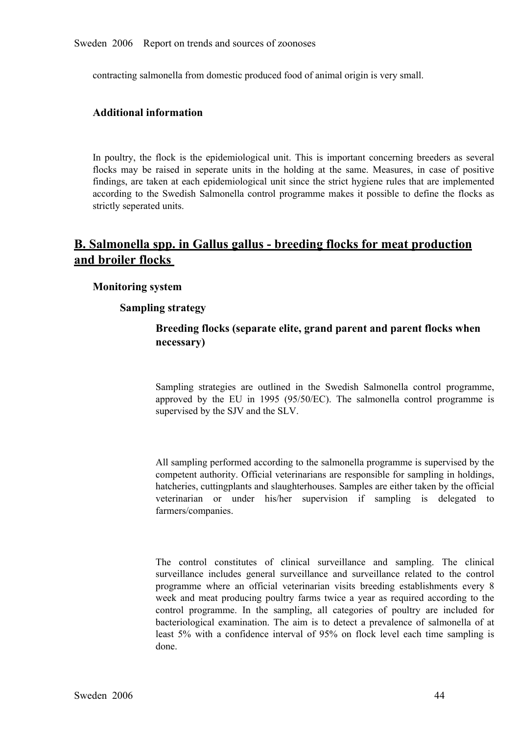contracting salmonella from domestic produced food of animal origin is very small.

### **Additional information**

In poultry, the flock is the epidemiological unit. This is important concerning breeders as several flocks may be raised in seperate units in the holding at the same. Measures, in case of positive findings, are taken at each epidemiological unit since the strict hygiene rules that are implemented findings, are taken at each epidemiological unit since the strict hygiene rules that are implemented according to the Swedish Salmonella control programme makes it possible to define the flocks as strictly seperated units. according to the Swedish Salmonella control programme makes it possible to define the flocks as strictly seperated units. strictly seperated units.

# **B. Salmonella spp. in Gallus gallus breeding flocks for meat production and broiler flocks**

#### **Monitoring system**

#### **Sampling strategy**

# **Breeding flocks (separate elite, grand parent and parent flocks when necessary)**

Sampling strategies are outlined in the Swedish Salmonella control programme, approved by the EU in 1995 (95/50/EC). The salmonella control programme is supervised by the SJV and the SLV. approved by the EU in 1995 (95/50/EC). The salmonella control programme is supervised by the SJV and the SLV. supervised by the SJV and the SLV.

All sampling performed according to the salmonella programme is supervised by the competent authority. Official veterinarians are responsible for sampling in holdings, hatcheries, cuttingplants and slaughterhouses. Samples are either taken by the official veterinarian or under his/her supervision if sampling is delegated to farmers/companies.

The control constitutes of clinical surveillance and sampling. The clinical surveillance includes general surveillance and surveillance related to the control programme where an official veterinarian visits breeding establ surveillance includes general surveillance and surveillance related to the control<br>programme where an official veterinarian visits breeding establishments every 8<br>week and meat producing poultry farms twice a year as requi programme where an official veterinarian visits breeding establishments every 8 week and meat producing poultry farms twice a year as required according to the control programme. In the sampling, all categories of poultry week and meat producing poultry farms twice a year as required according to the control programme. In the sampling, all categories of poultry are included for bacteriological examination. The aim is to detect a prevalence control programme. In the sampling, all categories of poultry are included for bacteriological examination. The aim is to detect a prevalence of salmonella of at least 5% with a confidence interval of 95% on flock level ea bacteriological examination. The aim is to detect a prevalence of salmonella of at least 5% with a confidence interval of 95% on flock level each time sampling is done. least 5% with a confidence interval of 95% on flock level each time sampling is done. done.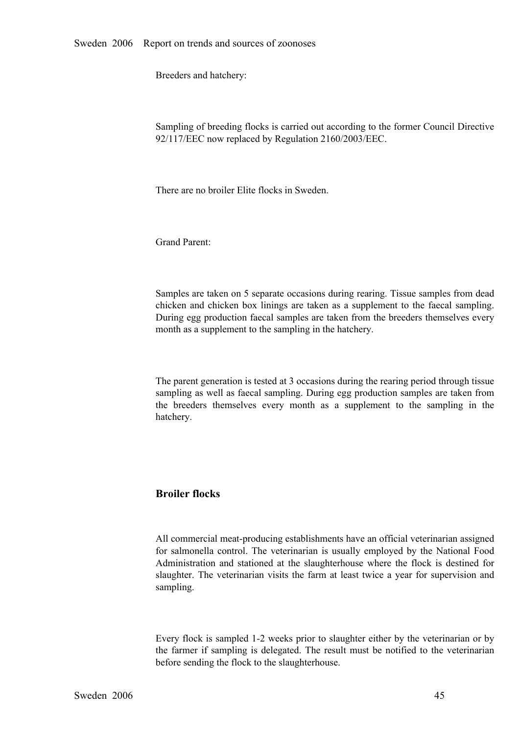Breeders and hatchery:

Sampling of breeding flocks is carried out according to the former Council Directive 92/117/EEC now replaced by Regulation 2160/2003/EEC.

There are no broiler Elite flocks in Sweden.

Grand Parent:

Samples are taken on 5 separate occasions during rearing. Tissue samples from dead chicken and chicken box linings are taken as a supplement to the faecal sampling.<br>During egg production faecal samples are taken from the breeders themselves every month as a supplement to the sampling in the During egg production faecal samples are taken from the breeders themselves every month as a supplement to the sampling in the hatchery.

The parent generation is tested at 3 occasions during the rearing period through tissue sampling as well as faecal sampling. During egg production samples are taken from the breeders themselves every month as <sup>a</sup> supplement to the sampling in the hatchery.

### **Broiler flocks**

All commercial meat-producing establishments have an official veterinarian assigned for salmonella control. The veterinarian is usually employed by the National Food<br>Administration and stationed at the slaughterhouse where the flock is destined for Administration and stationed at the slaughterhouse where the flock is destined for slaughter. The veterinarian visits the farm at least twice a year for supervision and sampling. slaughter. The veterinarian visits the farm at least twice a year for supervision and sampling. sampling.

Every flock is sampled 12 weeks prior to slaughter either by the veterinarian or by the farmer if sampling is delegated. The result must be notified to the veterinarian before sending the flock to the slaughterhouse.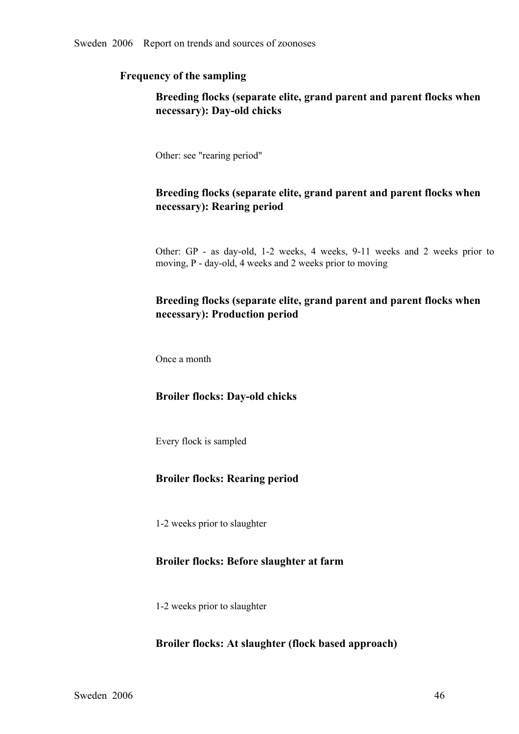## **Frequency of the sampling**

# **Breeding flocks (separate elite, grand parent and parent flocks when**  $n$ ecessary): Day-old chicks

Other: see "rearing period"

## **Breeding flocks (separate elite, grand parent and parent flocks when necessary): Rearing period**

Other: GP - as day-old, 1-2 weeks, 4 weeks, 9-11 weeks and 2 weeks prior to moving, P - day-old, 4 weeks and 2 weeks prior to moving

# **Breeding flocks (separate elite, grand parent and parent flocks when necessary): Production period**

Once a month

#### **Broiler flocks: Day-old chicks**

Every flock is sampled

#### **Broiler flocks: Rearing period**

12 weeks prior to slaughter

## **Broiler flocks: Before slaughter at farm**

12 weeks prior to slaughter

#### **Broiler flocks: At slaughter (flock based approach)**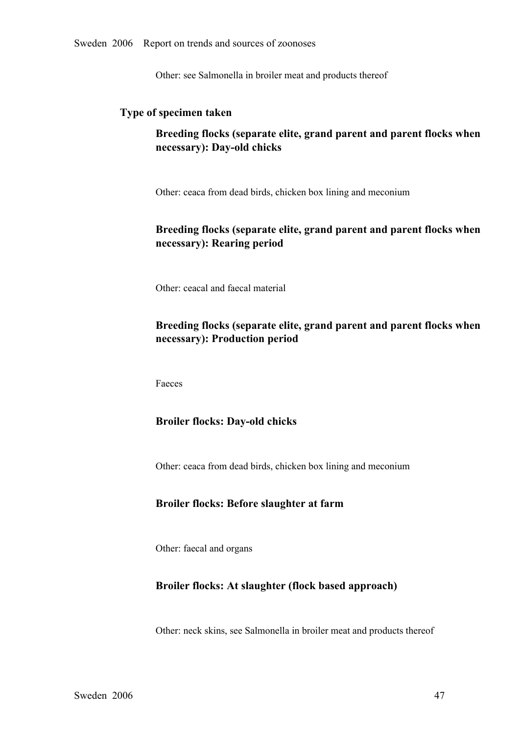Other: see Salmonella in broiler meat and products thereof

## **Type of specimen taken**

# **Breeding flocks (separate elite, grand parent and parent flocks when necessary**): Day-old chicks

Other: ceaca from dead birds, chicken box lining and meconium

# **Breeding flocks (separate elite, grand parent and parent flocks when necessary): Rearing period**

Other: ceacal and faecal material

# **Breeding flocks (separate elite, grand parent and parent flocks when necessary): Production period**

Faeces

#### **Broiler flocks: Day-old chicks**

Other: ceaca from dead birds, chicken box lining and meconium

#### **Broiler flocks: Before slaughter at farm**

Other: faecal and organs

#### **Broiler flocks: At slaughter (flock based approach)**

Other: neck skins, see Salmonella in broiler meat and products thereof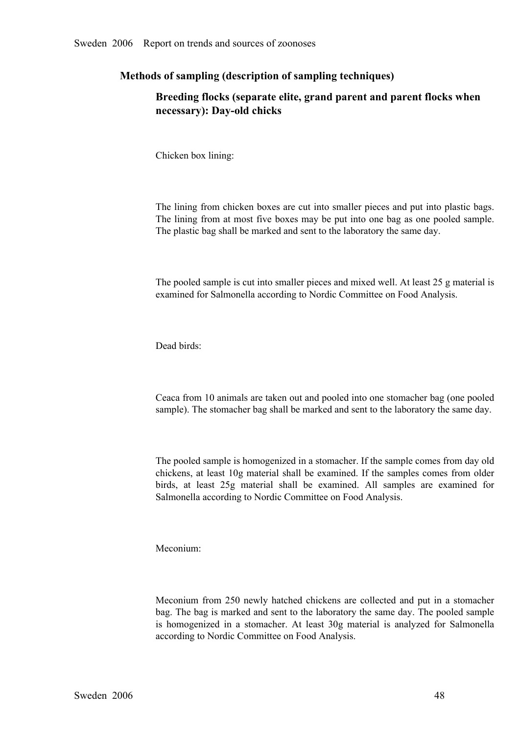## **Methods of sampling (description of sampling techniques)**

# **Breeding flocks (separate elite, grand parent and parent flocks when necessary**): Day-old chicks

Chicken box lining:

The lining from chicken boxes are cut into smaller pieces and put into plastic bags. The lining from at most five boxes may be put into one bag as one pooled sample. The plastic bag shall be marked and sent to the laboratory the same day.

The pooled sample is cut into smaller pieces and mixed well. At least 25 g material is examined for Salmonella according to Nordic Committee on Food Analysis.

Dead birds:

Ceaca from 10 animals are taken out and pooled into one stomacher bag (one pooled sample). The stomacher bag shall be marked and sent to the laboratory the same day.

The pooled sample is homogenized in a stomacher. If the sample comes from day old chickens, at least 10g material shall be examined. If the samples comes from older<br>birds, at least 25g material shall be examined. All samples are examined for<br>Salmonella according to Nordic Committee on Food Analysis. birds, at least 25g material shall be examined. All samples are examined for Salmonella according to Nordic Committee on Food Analysis. Salmonella according to Nordic Committee on Food Analysis.

Meconium:

Meconium from 250 newly hatched chickens are collected and put in a stomacher<br>bag. The bag is marked and sent to the laboratory the same day. The pooled sample<br>is homogenized in a stomacher. At least 30g material is analyz bag. The bag is marked and sent to the laboratory the same day. The pooled sample is homogenized in <sup>a</sup> stomacher. At least 30g material is analyzed for Salmonella according to Nordic Committee on Food Analysis.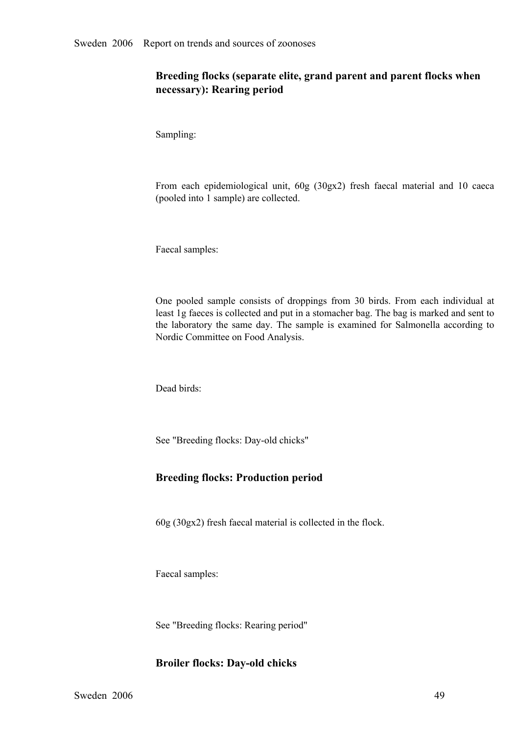# **Breeding flocks (separate elite, grand parent and parent flocks when necessary): Rearing period**

Sampling:

From each epidemiological unit, 60g (30gx2) fresh faecal material and <sup>10</sup> caeca (pooled into 1 sample) are collected.

Faecal samples:

One pooled sample consists of droppings from 30 birds. From each individual at least 1g faeces is collected and put in a stomacher bag. The bag is marked and sent to the laboratory the same day. The sample is examined for least 1g faeces is collected and put in a stomacher bag. The bag is marked and sent to the laboratory the same day. The sample is examined for Salmonella according to<br>Nordic Committee on Food Analysis. Nordic Committee on Food Analysis.

Dead birds:

See "Breeding flocks: Day-old chicks"

## **Breeding flocks: Production period**

60g (30gx2) fresh faecal material is collected in the flock.

Faecal samples:

See "Breeding flocks: Rearing period"

### **Broiler flocks: Day-old chicks**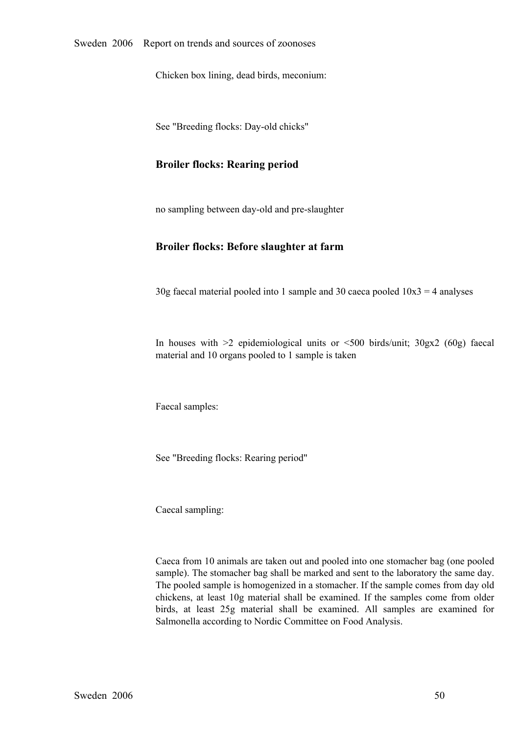Chicken box lining, dead birds, meconium:

See "Breeding flocks: Day-old chicks"

#### **Broiler flocks: Rearing period**

no sampling between day-old and pre-slaughter

#### **Broiler flocks: Before slaughter at farm**

 $30g$  faecal material pooled into 1 sample and 30 caeca pooled  $10x3 = 4$  analyses

In houses with  $\geq 2$  epidemiological units or  $\leq 500$  birds/unit;  $30gx2$  (60g) faecal material and 10 organs pooled to 1 sample is taken

Faecal samples:

See "Breeding flocks: Rearing period"

Caecal sampling:

Caeca from 10 animals are taken out and pooled into one stomacher bag (one pooled sample). The stomacher bag shall be marked and sent to the laboratory the same day. The pooled sample is homogenized in a stomacher. If the sample comes from day old chickens, at least 10g material shall be examined. If the samples come from older<br>birds, at least 25g material shall be examined. All samples are examined for<br>Salmonella according to Nordic Committee on Food Analysis. birds, at least 25g material shall be examined. All samples are examined for Salmonella according to Nordic Committee on Food Analysis. Salmonella according to Nordic Committee on Food Analysis.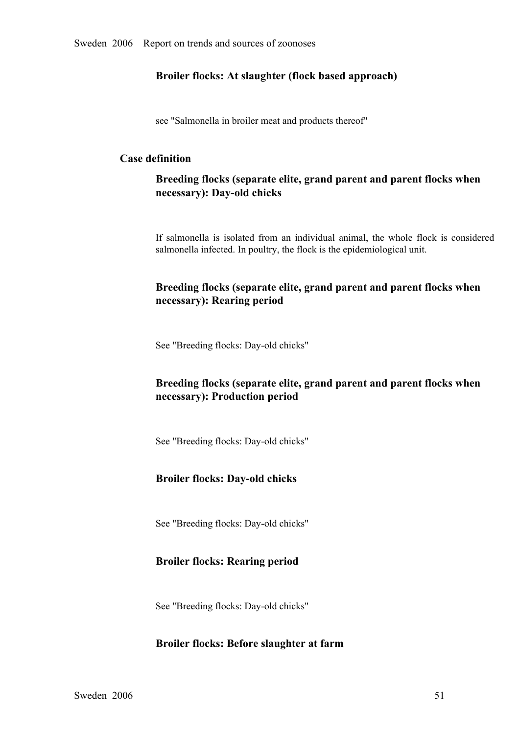### **Broiler flocks: At slaughter (flock based approach)**

see "Salmonella in broiler meat and products thereof"

## **Case definition**

**Breeding flocks (separate elite, grand parent and parent flocks when necessary**): Day-old chicks

If salmonella is isolated from an individual animal, the whole flock is considered salmonella infected. In poultry, the flock is the epidemiological unit.

# **Breeding flocks (separate elite, grand parent and parent flocks when necessary): Rearing period**

See "Breeding flocks: Day-old chicks"

# **Breeding flocks (separate elite, grand parent and parent flocks when necessary): Production period**

See "Breeding flocks: Day-old chicks"

## **Broiler flocks: Day-old chicks**

See "Breeding flocks: Day-old chicks"

## **Broiler flocks: Rearing period**

See "Breeding flocks: Day-old chicks"

#### **Broiler flocks: Before slaughter at farm**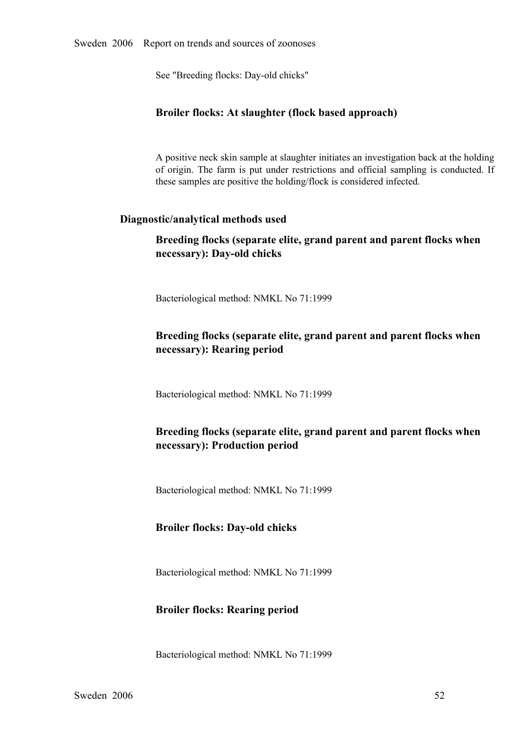See "Breeding flocks: Day-old chicks"

### **Broiler flocks: At slaughter (flock based approach)**

A positive neck skin sample at slaughter initiates an investigation back at the holding of origin. The farm is pu<sup>t</sup> under restrictions and official sampling is conducted. If these samples are positive the holding/flock is considered infected.

### **Diagnostic/analytical methods used**

## **Breeding flocks (separate elite, grand parent and parent flocks when necessary**): Day-old chicks

Bacteriological method: NMKL No 71:1999

# **Breeding flocks (separate elite, grand parent and parent flocks when necessary): Rearing period**

Bacteriological method: NMKL No 71:1999

# **Breeding flocks (separate elite, grand parent and parent flocks when necessary): Production period**

Bacteriological method: NMKL No 71:1999

#### **Broiler flocks: Day-old chicks**

Bacteriological method: NMKL No 71:1999

#### **Broiler flocks: Rearing period**

Bacteriological method: NMKL No 71:1999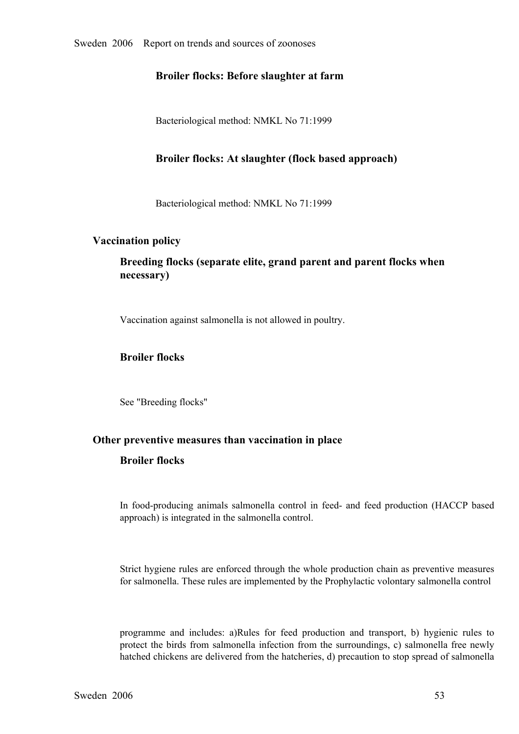### **Broiler flocks: Before slaughter at farm**

Bacteriological method: NMKL No 71:1999

### **Broiler flocks: At slaughter (flock based approach)**

Bacteriological method: NMKL No 71:1999

#### **Vaccination policy**

# **Breeding flocks (separate elite, grand parent and parent flocks when necessary)**

Vaccination against salmonella is not allowed in poultry.

### **Broiler flocks**

See "Breeding flocks"

## **Other preventive measures than vaccination in place**

### **Broiler flocks**

In food-producing animals salmonella control in feed- and feed production (HACCP based approach) is integrated in the salmonella control.

Strict hygiene rules are enforced through the whole production chain as preventive measures for salmonella. These rules are implemented by the Prophylactic volontary salmonella control

programme and includes: a)Rules for feed production and transport, b) hygienic rules to protect the birds from salmonella infection from the surroundings, c) salmonella free newly protect the birds from salmonella infection from the surroundings, c) salmonella free newly<br>hatched chickens are delivered from the hatcheries, d) precaution to stop spread of salmonella hatched chickens are delivered from the hatcheries, d) precaution to stop spread of salmonella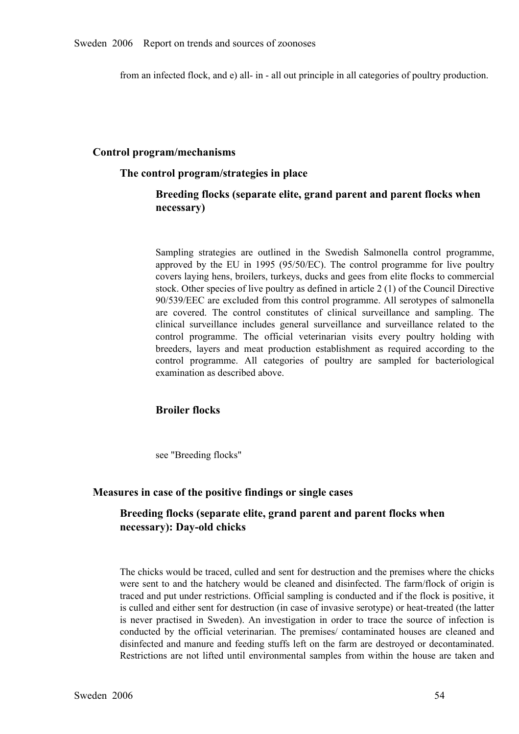from an infected flock, and e) all- in - all out principle in all categories of poultry production.

### **Control program/mechanisms**

#### **The control program/strategies in place**

### **Breeding flocks (separate elite, grand parent and parent flocks when necessary)**

Sampling strategies are outlined in the Swedish Salmonella control programme, approved by the EU in 1995 (95/50/EC). The control programme for live poultry approved by the EU in 1995 (95/50/EC). The control programme for live poultry covers laying hens, broilers, turkeys, ducks and gees from elite flocks to commercial stock. Other species of live poultry as defined in article covers laying hens, broilers, turkeys, ducks and gees from elite flocks to commercial 90/539/EEC are excluded from this control programme. All serotypes of salmonella are covered. The control constitutes of clinical surveillance and sampling. The clinical surveillance includes general surveillance and surveillance related to the control programme. The official veterinarian visits every clinical surveillance includes general surveillance and surveillance related to the control programme. The official veterinarian visits every poultry holding with breeders, layers and meat production establishment as requi control programme. The official veterinarian visits every poultry holding with breeders, layers and meat production establishment as required according to the control programme. All categories of poultry are sampled for ba breeders, layers and meat production establishment as required according to the control programme. All categories of poultry are sampled for bacteriological examination as described above. control programme. All categories of poultry are sampled for bacteriological examination as described above. examination as described above.

#### **Broiler flocks**

see "Breeding flocks"

#### **Measures in case of the positive findings or single cases**

## **Breeding flocks (separate elite, grand parent and parent flocks when necessary**): Day-old chicks

The chicks would be traced, culled and sent for destruction and the premises where the chicks were sent to and the hatchery would be cleaned and disinfected. The farm/flock of origin is<br>traced and put under restrictions. Official sampling is conducted and if the flock is positive, it<br>is culled and either sent for d traced and put under restrictions. Official sampling is conducted and if the flock is positive, it is culled and either sent for destruction (in case of invasive serotype) or heat-treated (the latter is never practised in Sweden). An investigation in order to trace the source of infection is conducted by the official veterinarian. The premises/ contaminated houses are cleaned and disinfected and manure and feeding stuf conducted by the official veterinarian. The premises/ contaminated houses are cleaned and<br>disinfected and manure and feeding stuffs left on the farm are destroyed or decontaminated.<br>Restrictions are not lifted until enviro disinfected and manure and feeding stuffs left on the farm are destroyed or decontaminated.<br>Restrictions are not lifted until environmental samples from within the house are taken and Restrictions are not lifted until environmental samples from within the house are taken and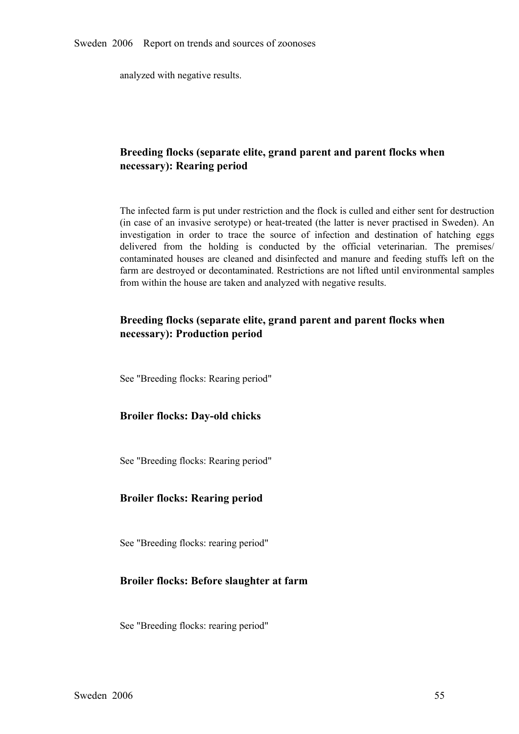analyzed with negative results.

## **Breeding flocks (separate elite, grand parent and parent flocks when necessary): Rearing period**

The infected farm is put under restriction and the flock is culled and either sent for destruction (in case of an invasive serotype) or heat-treated (the latter is never practised in Sweden). An investigation in order to trace the source of infection and destination of hatching eggs delivered from the holding is conducted by the official veterinarian. The premises/ contaminated houses are cleaned and disinfected and manure and feeding stuffs left on the contaminated houses are cleaned and disinfected and manure and feeding stuffs left on the farm are destroyed or decontaminated. Restrictions are not lifted until environmental samples from within the house are taken and an farm are destroyed or decontaminated. Restrictions are not lifted until environmental samples from within the house are taken and analyzed with negative results.

# **Breeding flocks (separate elite, grand parent and parent flocks when necessary): Production period**

See "Breeding flocks: Rearing period"

### **Broiler flocks: Day-old chicks**

See "Breeding flocks: Rearing period"

#### **Broiler flocks: Rearing period**

See "Breeding flocks: rearing period"

#### **Broiler flocks: Before slaughter at farm**

See "Breeding flocks: rearing period"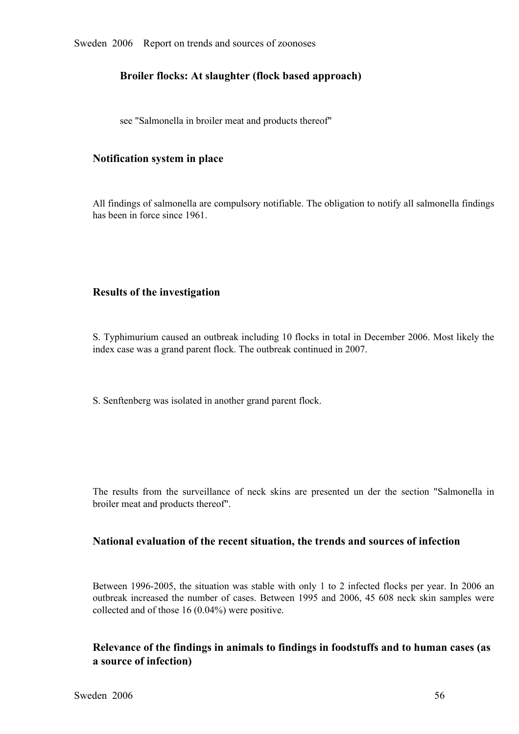## **Broiler flocks: At slaughter (flock based approach)**

see "Salmonella in broiler meat and products thereof"

### **Notification system in place**

All findings of salmonella are compulsory notifiable. The obligation to notify all salmonella findings has been in force since 1961.

### **Results of the investigation**

S. Typhimurium caused an outbreak including 10 flocks in total in December 2006. Most likely the index case was a grand parent flock. The outbreak continued in 2007.

S. Senftenberg was isolated in another grand parent flock.

The results from the surveillance of neck skins are presented un der the section "Salmonella in broiler meat and products thereof".

### **National evaluation of the recent situation, the trends and sources of infection**

Between 1996-2005, the situation was stable with only 1 to 2 infected flocks per year. In 2006 an outbreak increased the number of cases. Between 1995 and 2006, 45 608 neck skin samples were collected and of those 16 (0.04 outbreak increased the number of cases. Between 1995 and 2006, 45 608 neck skin samples were collected and of those 16 (0.04%) were positive. collected and of those 16 (0.04%) were positive.

# **Relevance of the findings in animals to findings in foodstuffs and to human cases (as a source of infection)**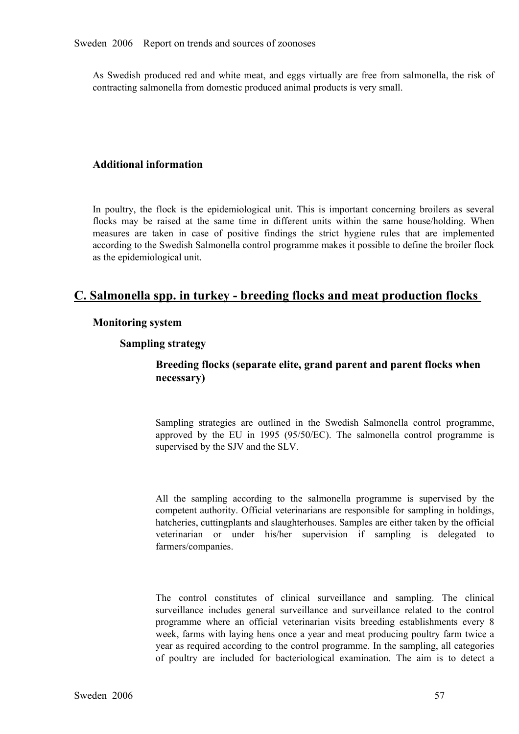As Swedish produced red and white meat, and eggs virtually are free from salmonella, the risk of contracting salmonella from domestic produced animal products is very small.

### **Additional information**

In poultry, the flock is the epidemiological unit. This is important concerning broilers as several flocks may be raised at the same time in different units within the same house/holding. When measures are taken in case of positive findings the strict hygiene rules that are implemented measures are taken in case of positive findings the strict hygiene rules that are implemented according to the Swedish Salmonella control programme makes it possible to define the broiler flock as the epidemi according to the Swedish Salmonella control programme makes it possible to define the broiler flock as the epidemiological unit.

# **C. Salmonella spp. in turkey breeding flocks and meat production flocks**

#### **Monitoring system**

#### **Sampling strategy**

## **Breeding flocks (separate elite, grand parent and parent flocks when necessary)**

Sampling strategies are outlined in the Swedish Salmonella control programme, approved by the EU in 1995 (95/50/EC). The salmonella control programme is supervised by the SJV and the SLV. approved by the EU in 1995 (95/50/EC). The salmonella control programme is supervised by the SJV and the SLV. supervised by the SJV and the SLV.

All the sampling according to the salmonella programme is supervised by the competent authority. Official veterinarians are responsible for sampling in holdings, hatcheries, cuttingplants and slaughterhouses. Samples are e competent authority. Official veterinarians are responsible for sampling in holdings, veterinarian or under his/her supervision if sampling is delegated to farmers/companies.

The control constitutes of clinical surveillance and sampling. The clinical surveillance includes general surveillance and surveillance related to the control programme where an official veterinarian visits breeding establ surveillance includes general surveillance and surveillance related to the control programme where an official veterinarian visits breeding establishments every 8 week, farms with laying hens once a year and meat producing programme where an official veterinarian visits breeding establishments every 8 week, farms with laying hens once a year and meat producing poultry farm twice a year as required according to the control programme. In the s of poultry are included for bacteriological examination. The aim is to detect <sup>a</sup>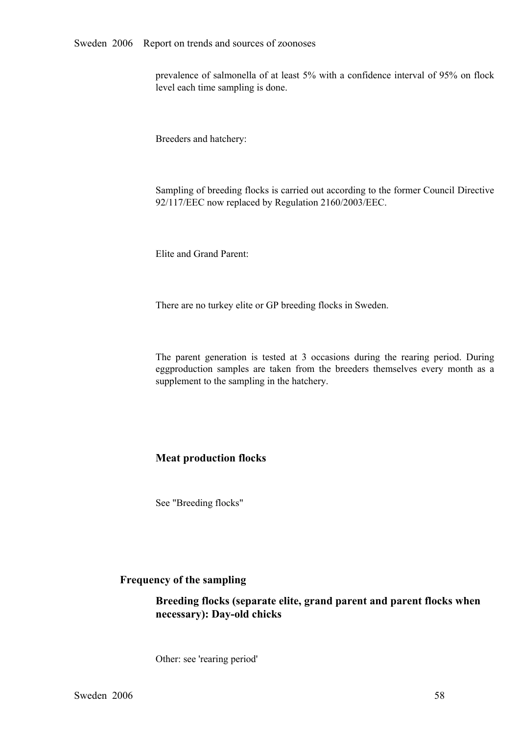prevalence of salmonella of at least 5% with a confidence interval of 95% on flock level each time sampling is done.

Breeders and hatchery:

Sampling of breeding flocks is carried out according to the former Council Directive 92/117/EEC now replaced by Regulation 2160/2003/EEC.

Elite and Grand Parent:

There are no turkey elite or GP breeding flocks in Sweden.

The parent generation is tested at 3 occasions during the rearing period. During eggproduction samples are taken from the breeders themselves every month as a supplement to the sampling in the hatchery. eggproduction samples are taken from the breeders themselves every month as a supplement to the sampling in the hatchery. supplement to the sampling in the hatchery.

## **Meat production flocks**

See "Breeding flocks"

### **Frequency of the sampling**

**Breeding flocks (separate elite, grand parent and parent flocks when necessary**): Day-old chicks

Other: see 'rearing period'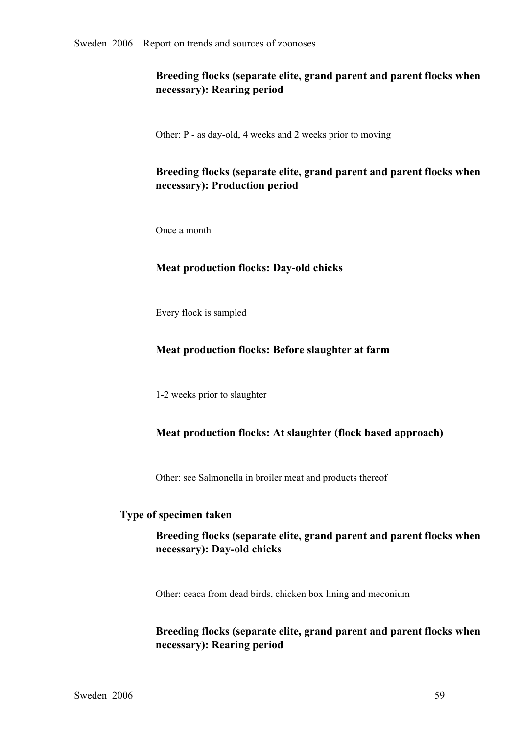# **Breeding flocks (separate elite, grand parent and parent flocks when necessary): Rearing period**

Other: P - as day-old, 4 weeks and 2 weeks prior to moving

# **Breeding flocks (separate elite, grand parent and parent flocks when necessary): Production period**

Once a month

### **Meat production flocks: Day-old chicks**

Every flock is sampled

## **Meat production flocks: Before slaughter at farm**

12 weeks prior to slaughter

## **Meat production flocks: At slaughter (flock based approach)**

Other: see Salmonella in broiler meat and products thereof

#### **Type of specimen taken**

# **Breeding flocks (separate elite, grand parent and parent flocks when necessary**): Day-old chicks

Other: ceaca from dead birds, chicken box lining and meconium

## **Breeding flocks (separate elite, grand parent and parent flocks when necessary): Rearing period**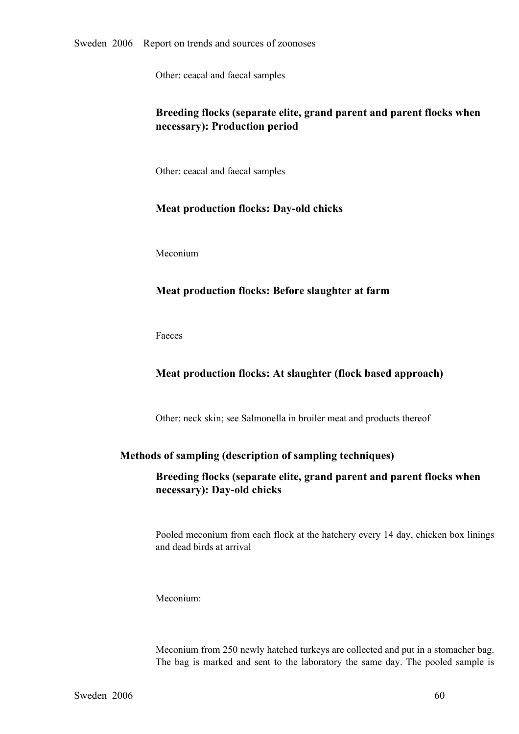Other: ceacal and faecal samples

# **Breeding flocks (separate elite, grand parent and parent flocks when necessary): Production period**

Other: ceacal and faecal samples

### **Meat production flocks: Day-old chicks**

Meconium

# **Meat production flocks: Before slaughter at farm**

Faeces

# **Meat production flocks: At slaughter (flock based approach)**

Other: neck skin; see Salmonella in broiler meat and products thereof

## **Methods of sampling (description of sampling techniques)**

# **Breeding flocks (separate elite, grand parent and parent flocks when necessary**): Day-old chicks

Pooled meconium from each flock at the hatchery every 14 day, chicken box linings and dead birds at arrival

Meconium:

Meconium from 250 newly hatched turkeys are collected and put in a stomacher bag. The bag is marked and sent to the laboratory the same day. The pooled sample is  $60$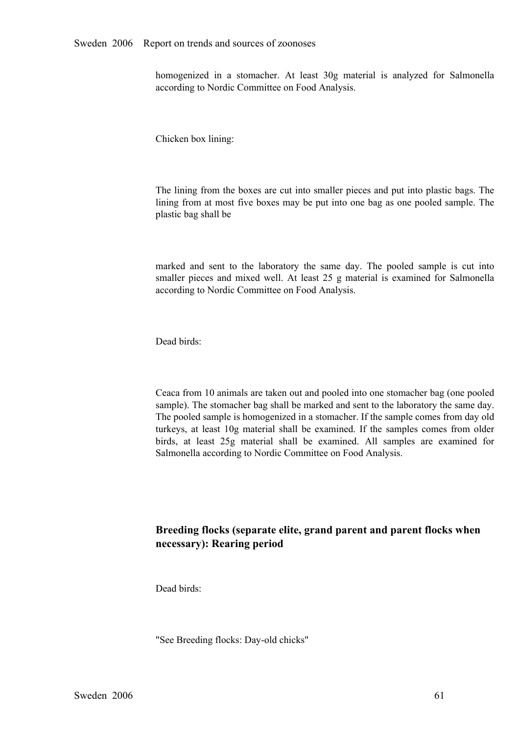homogenized in a stomacher. At least 30g material is analyzed for Salmonella according to Nordic Committee on Food Analysis.

Chicken box lining:

The lining from the boxes are cut into smaller pieces and put into plastic bags. The lining from at most five boxes may be put into one bag as one pooled sample. The plastic bag shall be

marked and sent to the laboratory the same day. The pooled sample is cut into smaller pieces and mixed well. At least 25 g material is examined for Salmonella according to Nordic Committee on Food Analysis. smaller pieces and mixed well. At least 25 g material is examined for Salmonella according to Nordic Committee on Food Analysis. according to Nordic Committee on Food Analysis.

Dead birds:

Ceaca from 10 animals are taken out and pooled into one stomacher bag (one pooled sample). The stomacher bag shall be marked and sent to the laboratory the same day. The pooled sample is homogenized in a stomacher. If the sample comes from day old turkeys, at least 10g material shall be examined. If the samples comes from older<br>birds, at least 25g material shall be examined. All samples are examined for<br>Salmonella according to Nordic Committee on Food Analysis. birds, at least 25g material shall be examined. All samples are examined for Salmonella according to Nordic Committee on Food Analysis. Salmonella according to Nordic Committee on Food Analysis.

# **Breeding flocks (separate elite, grand parent and parent flocks when necessary): Rearing period**

Dead birds:

"See Breeding flocks: Day-old chicks"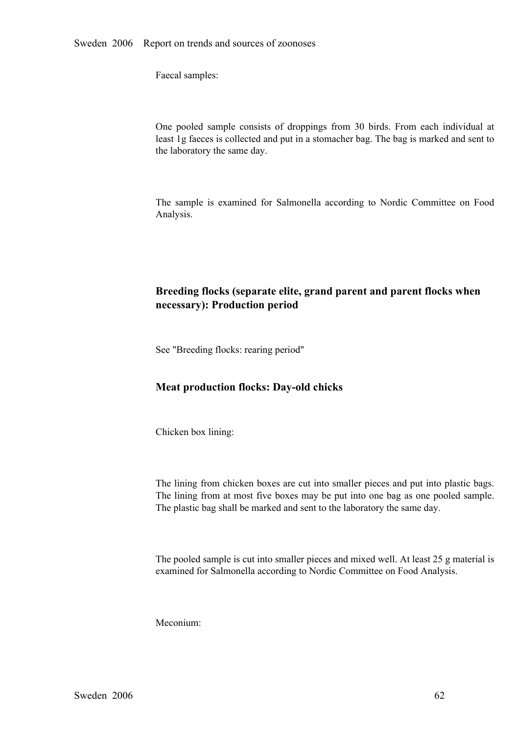Faecal samples:

One pooled sample consists of droppings from 30 birds. From each individual at least 1g faeces is collected and put in a stomacher bag. The bag is marked and sent to the laboratory the same day. least 1g faeces is collected and put in a stomacher bag. The bag is marked and sent to the laboratory the same day.

The sample is examined for Salmonella according to Nordic Committee on Food Analysis.

# **Breeding flocks (separate elite, grand parent and parent flocks when necessary): Production period**

See "Breeding flocks: rearing period"

### **Meat production flocks: Day-old chicks**

Chicken box lining:

The lining from chicken boxes are cut into smaller pieces and put into plastic bags. The lining from at most five boxes may be put into one bag as one pooled sample. The plastic bag shall be marked and sent to the laboratory the same day.

The pooled sample is cut into smaller pieces and mixed well. At least 25 g material is examined for Salmonella according to Nordic Committee on Food Analysis.

Meconium: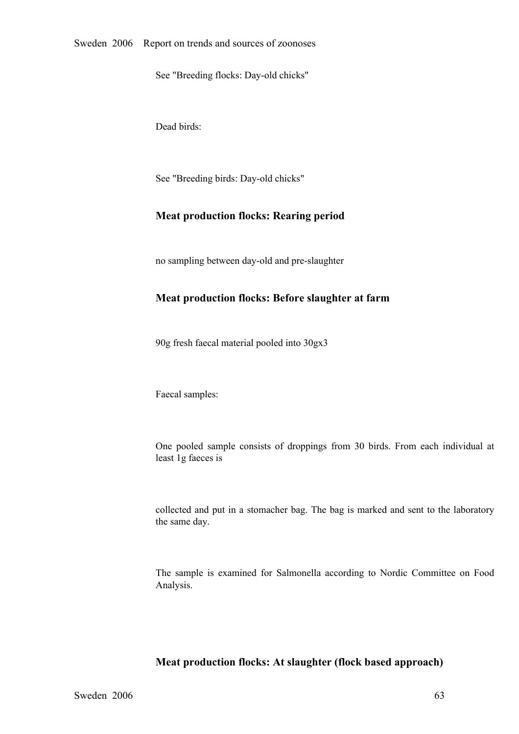See "Breeding flocks: Day-old chicks"

Dead birds:

See "Breeding birds: Day-old chicks"

#### **Meat production flocks: Rearing period**

no sampling between day-old and pre-slaughter

#### **Meat production flocks: Before slaughter at farm**

90g fresh faecal material pooled into 30gx3

Faecal samples:

One pooled sample consists of droppings from <sup>30</sup> birds. From each individual at least 1g faeces is

collected and put in a stomacher bag. The bag is marked and sent to the laboratory the same day.

The sample is examined for Salmonella according to Nordic Committee on Food Analysis.

### **Meat production flocks: At slaughter (flock based approach)**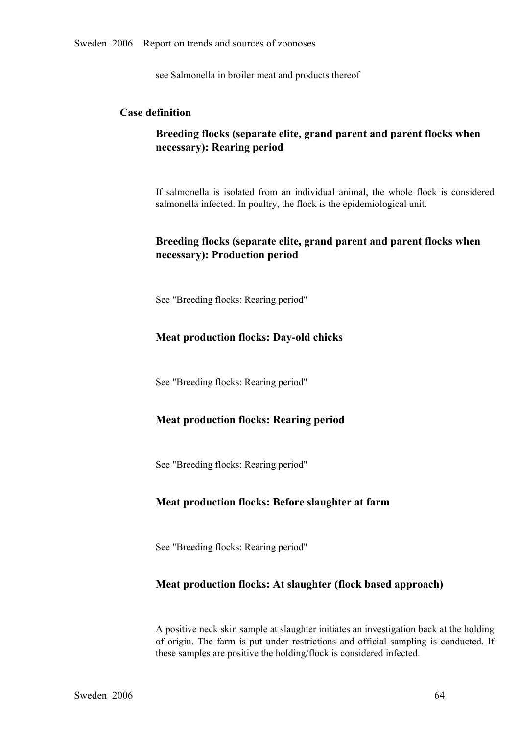see Salmonella in broiler meat and products thereof

## **Case definition**

# **Breeding flocks (separate elite, grand parent and parent flocks when necessary): Rearing period**

If salmonella is isolated from an individual animal, the whole flock is considered salmonella infected. In poultry, the flock is the epidemiological unit.

# **Breeding flocks (separate elite, grand parent and parent flocks when necessary): Production period**

See "Breeding flocks: Rearing period"

### **Meat production flocks: Day-old chicks**

See "Breeding flocks: Rearing period"

#### **Meat production flocks: Rearing period**

See "Breeding flocks: Rearing period"

## **Meat production flocks: Before slaughter at farm**

See "Breeding flocks: Rearing period"

#### **Meat production flocks: At slaughter (flock based approach)**

A positive neck skin sample at slaughter initiates an investigation back at the holding of origin. The farm is pu<sup>t</sup> under restrictions and official sampling is conducted. If these samples are positive the holding/flock is considered infected.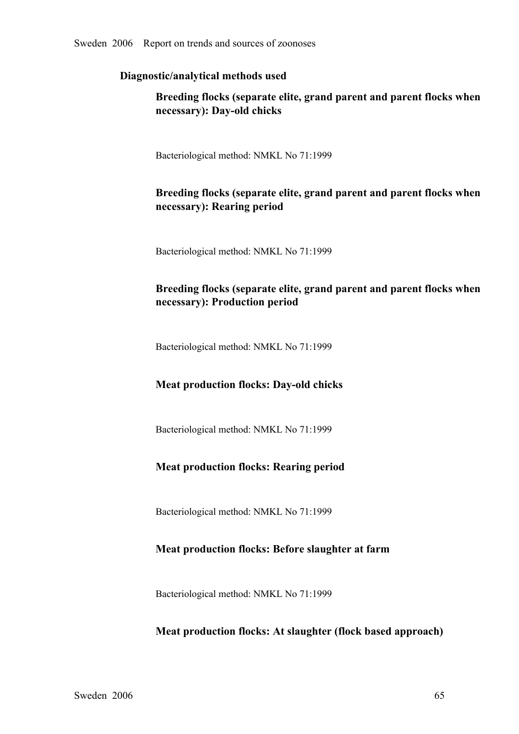# **Diagnostic/analytical methods used**

# **Breeding flocks (separate elite, grand parent and parent flocks when necessary**): Day-old chicks

Bacteriological method: NMKL No 71:1999

# **Breeding flocks (separate elite, grand parent and parent flocks when necessary): Rearing period**

Bacteriological method: NMKL No 71:1999

# **Breeding flocks (separate elite, grand parent and parent flocks when necessary): Production period**

Bacteriological method: NMKL No 71:1999

# **Meat production flocks: Day-old chicks**

Bacteriological method: NMKL No 71:1999

# **Meat production flocks: Rearing period**

Bacteriological method: NMKL No 71:1999

# **Meat production flocks: Before slaughter at farm**

Bacteriological method: NMKL No 71:1999

# **Meat production flocks: At slaughter (flock based approach)**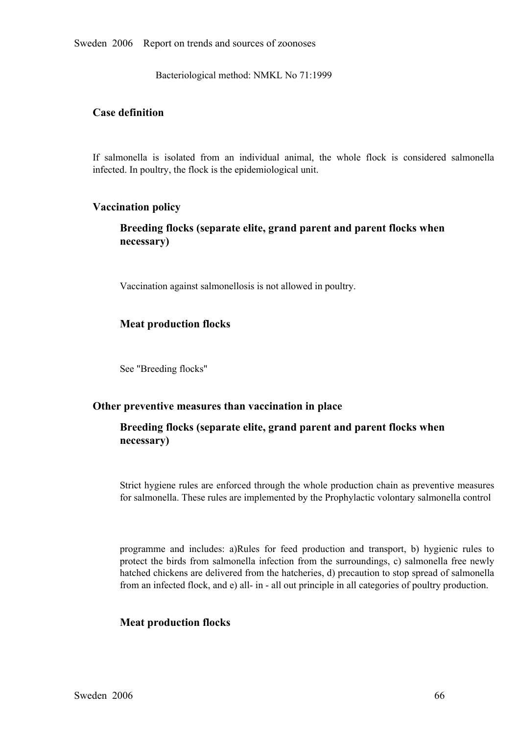Sweden 2006 Report on trends and sources of zoonoses

Bacteriological method: NMKL No 71:1999

## **Case definition**

If salmonella is isolated from an individual animal, the whole flock is considered salmonella infected. In poultry, the flock is the epidemiological unit.

#### **Vaccination policy**

## **Breeding flocks (separate elite, grand parent and parent flocks when necessary)**

Vaccination against salmonellosis is not allowed in poultry.

### **Meat production flocks**

See "Breeding flocks"

#### **Other preventive measures than vaccination in place**

# **Breeding flocks (separate elite, grand parent and parent flocks when necessary)**

Strict hygiene rules are enforced through the whole production chain as preventive measures for salmonella. These rules are implemented by the Prophylactic volontary salmonella control

programme and includes: a)Rules for feed production and transport, b) hygienic rules to protect the birds from salmonella infection from the surroundings, c) salmonella free newly protect the birds from salmonella infection from the surroundings, c) salmonella free newly<br>hatched chickens are delivered from the hatcheries, d) precaution to stop spread of salmonella<br>from an infected flock, and e) allhatched chickens are delivered from the hatcheries, d) precaution to stop spread of salmonella from an infected flock, and e) all- in - all out principle in all categories of poultry production.

#### **Meat production flocks**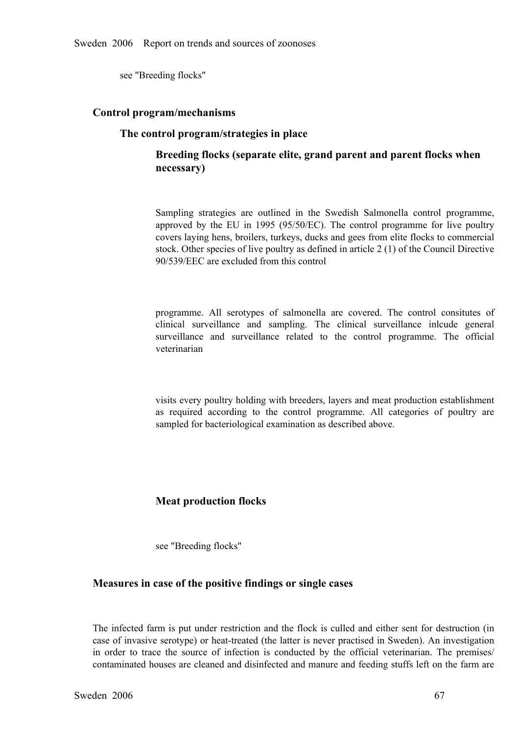see "Breeding flocks"

#### **Control program/mechanisms**

#### **The control program/strategies in place**

# **Breeding flocks (separate elite, grand parent and parent flocks when necessary)**

Sampling strategies are outlined in the Swedish Salmonella control programme, approved by the EU in 1995 (95/50/EC). The control programme for live poultry covers laying hens, broilers, turkeys, ducks and gees from elite f approved by the EU in 1995 (95/50/EC). The control programme for live poultry covers laying hens, broilers, turkeys, ducks and gees from elite flocks to commercial stock. Other species of live poultry as defined in article covers laying hens, broilers, turkeys, ducks and gees from elite flocks to commercial stock. Other species of live poultry as defined in article 2 (1) of the Council Directive 90/539/EEC are excluded from this control

programme. All serotypes of salmonella are covered. The control consitutes of clinical surveillance and sampling. The clinical surveillance inlcude general surveillance and surveillance related to the control programme. Th clinical surveillance and sampling. The clinical surveillance inlcude general<br>surveillance and surveillance related to the control programme. The official<br>veterinarian surveillance and surveillance related to the control programme. The official veterinarian veterinarian

visits every poultry holding with breeders, layers and meat production establishment as required according to the control programme. All categories of poultry are sampled for bacteriological examination as described above.

## **Meat production flocks**

see "Breeding flocks"

#### **Measures in case of the positive findings or single cases**

The infected farm is put under restriction and the flock is culled and either sent for destruction (in case of invasive serotype) or heat-treated (the latter is never practised in Sweden). An investigation in order to trac case of invasive serotype) or heat-treated (the latter is never practised in Sweden). An investigation in order to trace the source of infection is conducted by the official veterinarian. The premises/<br>contaminated houses are cleaned and disinfected and manure and feeding stuffs left on the farm are contaminated houses are cleaned and disinfected and manure and feeding stuffs left on the farm are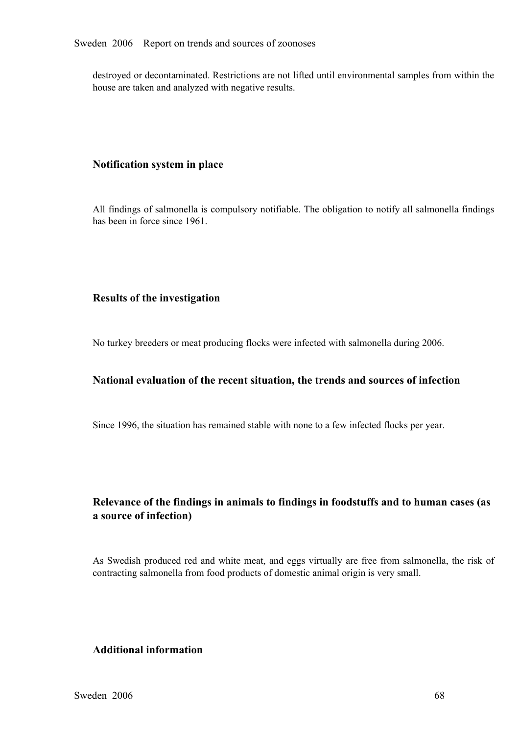destroyed or decontaminated. Restrictions are not lifted until environmental samples from within the house are taken and analyzed with negative results.

#### **Notification system in place**

All findings of salmonella is compulsory notifiable. The obligation to notify all salmonella findings has been in force since 1961.

## **Results of the investigation**

No turkey breeders or meat producing flocks were infected with salmonella during 2006.

#### **National evaluation of the recent situation, the trends and sources of infection**

Since 1996, the situation has remained stable with none to a few infected flocks per year.

# **Relevance of the findings in animals to findings in foodstuffs and to human cases (as a source of infection)**

As Swedish produced red and white meat, and eggs virtually are free from salmonella, the risk of contracting salmonella from food products of domestic animal origin is very small.

# **Additional information**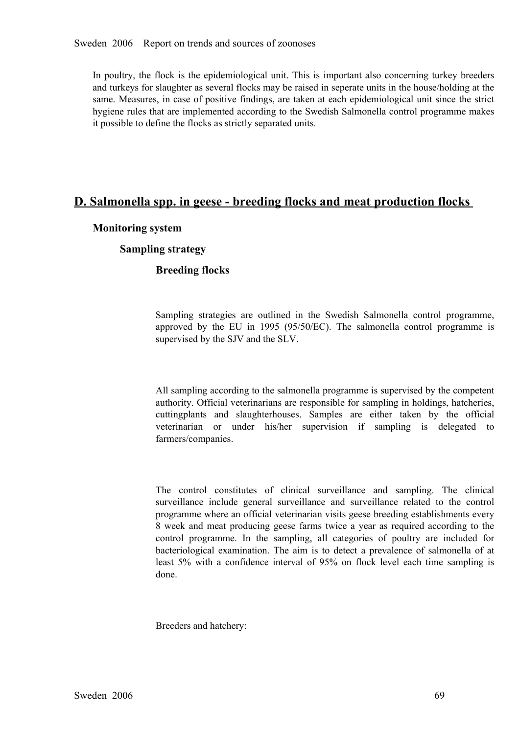In poultry, the flock is the epidemiological unit. This is important also concerning turkey breeders and turkeys for slaughter as several flocks may be raised in seperate units in the house/holding at the same. Measures, i and turkeys for slaughter as several flocks may be raised in seperate units in the house/holding at the hygiene rules that are implemented according to the Swedish Salmonella control programme makes it possible to define the flocks as strictly separated units.

# **D. Salmonella spp. in geese breeding flocks and meat production flocks**

#### **Monitoring system**

## **Sampling strategy**

## **Breeding flocks**

Sampling strategies are outlined in the Swedish Salmonella control programme, approved by the EU in 1995 (95/50/EC). The salmonella control programme is supervised by the SJV and the SLV. approved by the EU in 1995 (95/50/EC). The salmonella control programme is supervised by the SJV and the SLV. supervised by the SJV and the SLV.

All sampling according to the salmonella programme is supervised by the competent authority. Official veterinarians are responsible for sampling in holdings, hatcheries, cuttingplants and slaughterhouses. Samples are either taken by the official veterinarian or under his/her supervision if sampling is delegated to farmers/companies. veterinarian or under his/her supervision if sampling is delegated to<br>farmers/companies. farmers/companies.

The control constitutes of clinical surveillance and sampling. The clinical 8 week and meat producing geese farms twice a year as required according to the programme where an official veterinarian visits geese breeding establishments every control programme. In the sampling, all categories of poultry are included for bacteriological examination. The aim is to detect a prevalence of salmonella of at bacteriological examination. The aim is to detect a prevalence of salmonella of at least 5% with a confidence interval of 95% on flock level each time sampling is done. least 5% with a confidence interval of 95% on flock level each time sampling is done. done.

Breeders and hatchery: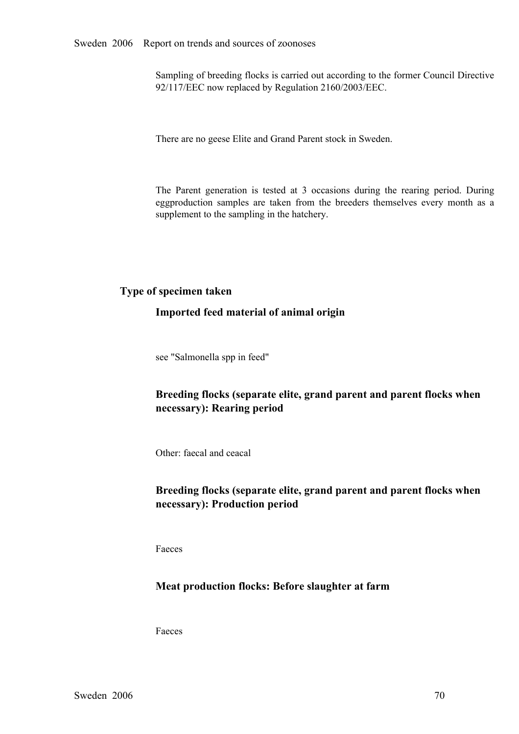Sampling of breeding flocks is carried out according to the former Council Directive 92/117/EEC now replaced by Regulation 2160/2003/EEC.

There are no geese Elite and Grand Parent stock in Sweden.

The Parent generation is tested at 3 occasions during the rearing period. During eggproduction samples are taken from the breeders themselves every month as a supplement to the sampling in the hatchery. eggproduction samples are taken from the breeders themselves every month as a supplement to the sampling in the hatchery. supplement to the sampling in the hatchery.

## **Type of specimen taken**

#### **Imported feed material of animal origin**

see "Salmonella spp in feed"

# **Breeding flocks (separate elite, grand parent and parent flocks when necessary): Rearing period**

Other: faecal and ceacal

# **Breeding flocks (separate elite, grand parent and parent flocks when necessary): Production period**

Faeces

## **Meat production flocks: Before slaughter at farm**

Faeces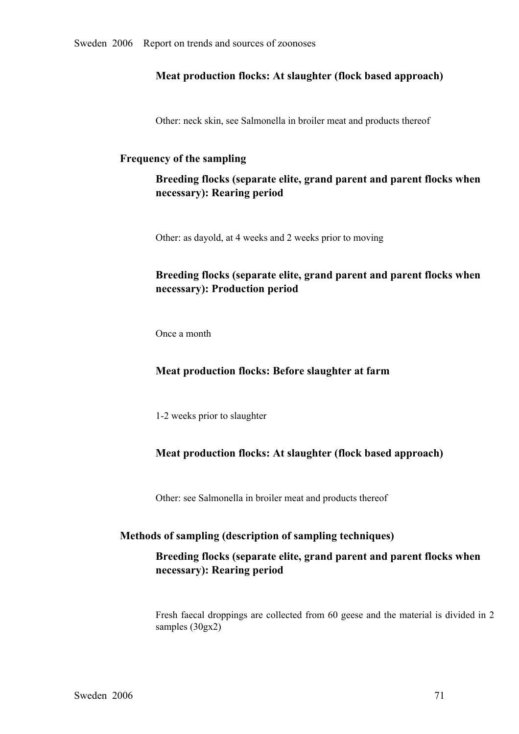## **Meat production flocks: At slaughter (flock based approach)**

Other: neck skin, see Salmonella in broiler meat and products thereof

#### **Frequency of the sampling**

**Breeding flocks (separate elite, grand parent and parent flocks when necessary): Rearing period**

Other: as dayold, at 4 weeks and 2 weeks prior to moving

# **Breeding flocks (separate elite, grand parent and parent flocks when necessary): Production period**

Once a month

#### **Meat production flocks: Before slaughter at farm**

12 weeks prior to slaughter

## **Meat production flocks: At slaughter (flock based approach)**

Other: see Salmonella in broiler meat and products thereof

#### **Methods of sampling (description of sampling techniques)**

## **Breeding flocks (separate elite, grand parent and parent flocks when necessary): Rearing period**

Fresh faecal droppings are collected from 60 geese and the material is divided in 2 samples (30gx2)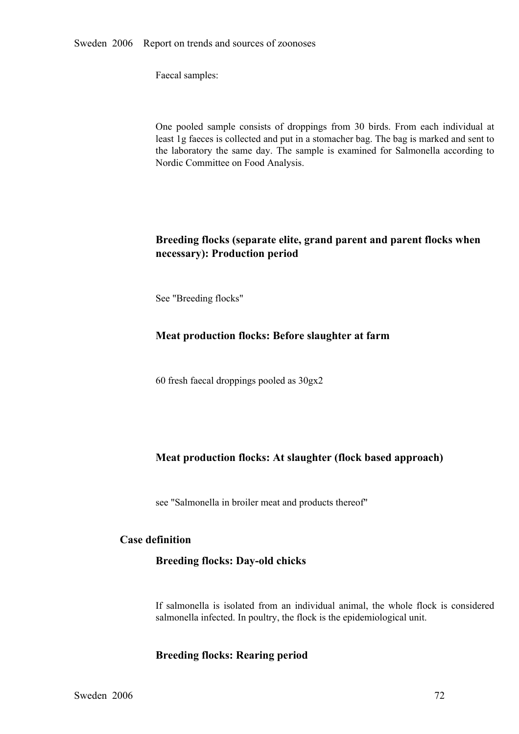Faecal samples:

One pooled sample consists of droppings from 30 birds. From each individual at least 1g faeces is collected and put in a stomacher bag. The bag is marked and sent to the laboratory the same day. The sample is examined for least 1g faeces is collected and put in a stomacher bag. The bag is marked and sent to the laboratory the same day. The sample is examined for Salmonella according to Nordic Committee on Food Analysis.

# **Breeding flocks (separate elite, grand parent and parent flocks when necessary): Production period**

See "Breeding flocks"

## **Meat production flocks: Before slaughter at farm**

60 fresh faecal droppings pooled as 30gx2

## **Meat production flocks: At slaughter (flock based approach)**

see "Salmonella in broiler meat and products thereof"

## **Case definition**

## **Breeding flocks: Day-old chicks**

If salmonella is isolated from an individual animal, the whole flock is considered salmonella infected. In poultry, the flock is the epidemiological unit.

#### **Breeding flocks: Rearing period**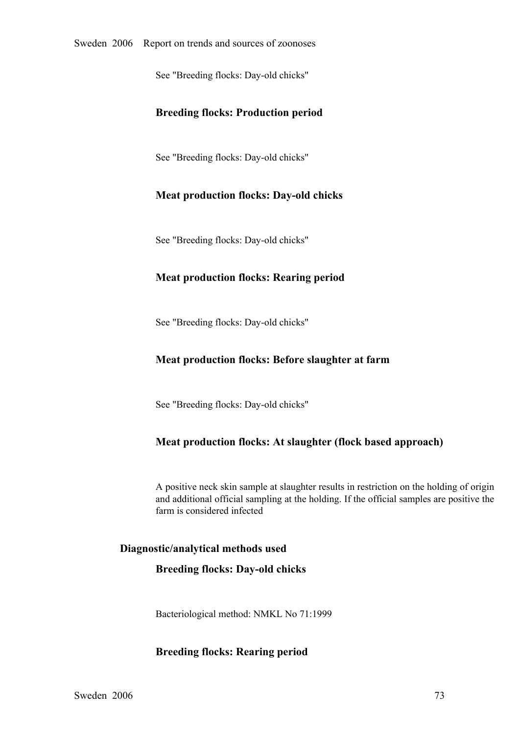See "Breeding flocks: Day-old chicks"

## **Breeding flocks: Production period**

See "Breeding flocks: Day-old chicks"

## **Meat production flocks: Day-old chicks**

See "Breeding flocks: Day-old chicks"

## **Meat production flocks: Rearing period**

See "Breeding flocks: Day-old chicks"

## **Meat production flocks: Before slaughter at farm**

See "Breeding flocks: Day-old chicks"

## **Meat production flocks: At slaughter (flock based approach)**

A positive neck skin sample at slaughter results in restriction on the holding of origin and additional official sampling at the holding. If the official samples are positive the farm is considered infected

#### **Diagnostic/analytical methods used**

#### **Breeding flocks: Day-old chicks**

Bacteriological method: NMKL No 71:1999

#### **Breeding flocks: Rearing period**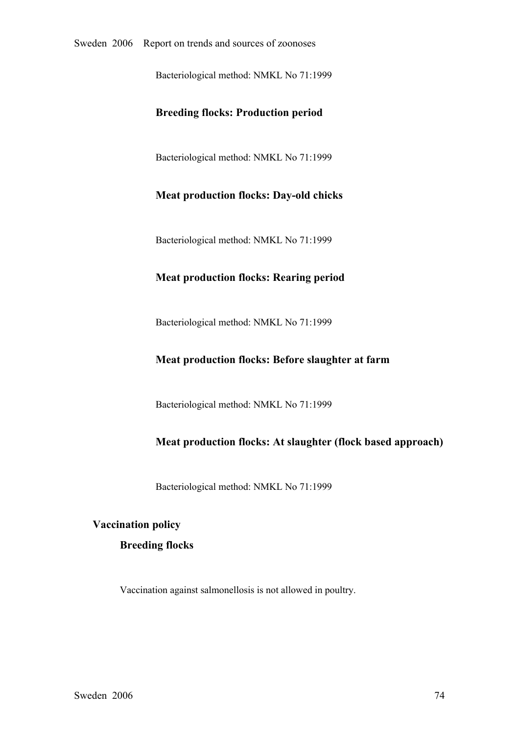Bacteriological method: NMKL No 71:1999

#### **Breeding flocks: Production period**

Bacteriological method: NMKL No 71:1999

#### **Meat production flocks: Day-old chicks**

Bacteriological method: NMKL No 71:1999

## **Meat production flocks: Rearing period**

Bacteriological method: NMKL No 71:1999

#### **Meat production flocks: Before slaughter at farm**

Bacteriological method: NMKL No 71:1999

## **Meat production flocks: At slaughter (flock based approach)**

Bacteriological method: NMKL No 71:1999

# **Vaccination policy**

#### **Breeding flocks**

Vaccination against salmonellosis is not allowed in poultry.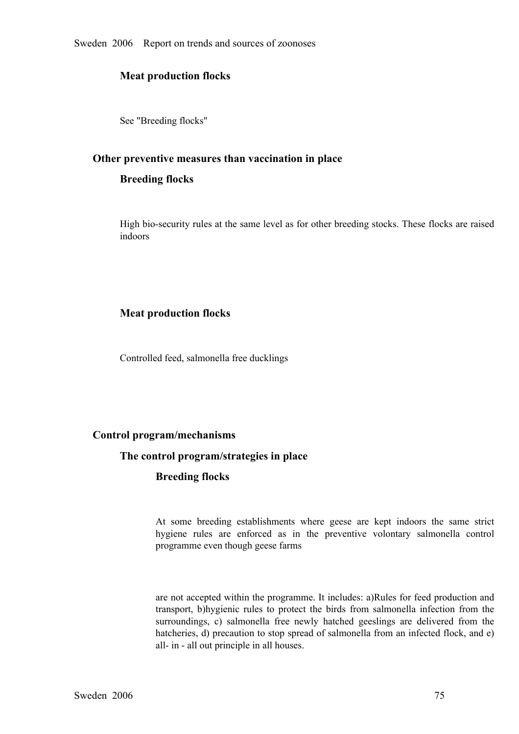Sweden 2006 Report on trends and sources of zoonoses

## **Meat production flocks**

See "Breeding flocks"

#### **Other preventive measures than vaccination in place**

#### **Breeding flocks**

High bio-security rules at the same level as for other breeding stocks. These flocks are raised indoors

## **Meat production flocks**

Controlled feed, salmonella free ducklings

## **Control program/mechanisms**

#### **The control program/strategies in place**

#### **Breeding flocks**

At some breeding establishments where geese are kept indoors the same strict hygiene rules are enforced as in the preventive volontary salmonella control programme even though geese farms hygiene rules are enforced as in the preventive volontary salmonella control<br>programme even though geese farms programme even though geese farms

are not accepted within the programme. It includes: a)Rules for feed production and transport, b)hygienic rules to protect the birds from salmonella infection from the surroundings, c) salmonella free newly hatched geeslings are delivered from the hatcheries, d) precaution to stop spread of salmonella fro surroundings, c) salmonella free newly hatched geeslings are delivered from the hatcheries, d) precaution to stop spread of salmonella from an infected flock, and e) all- in - all out principle in all houses. hatcheries, d) precaution to stop spread of salmonella from an infected flock, and e) all- in - all out principle in all houses.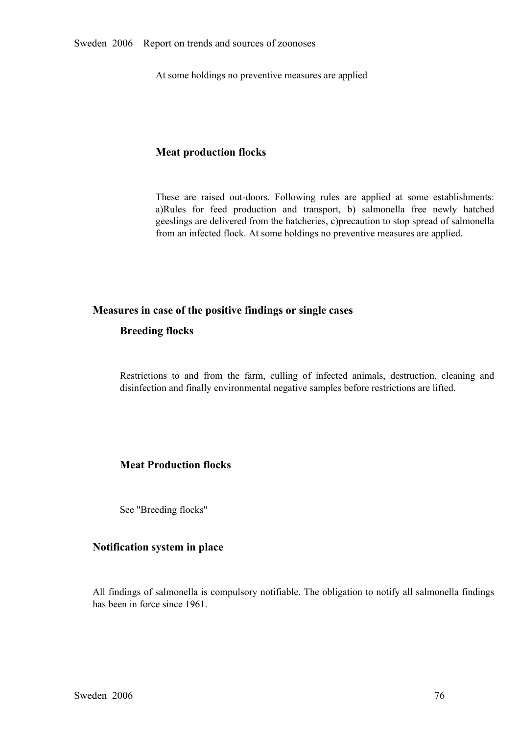At some holdings no preventive measures are applied

## **Meat production flocks**

These are raised out-doors. Following rules are applied at some establishments:<br>a)Rules for feed production and transport, b) salmonella free newly hatched<br>geeslings are delivered from the hatcheries, c)precaution to stop a)Rules for feed production and transport, b) salmonella free newly hatched geeslings are delivered from the hatcheries, c)precaution to stop spread of salmonella from an infected flock. At some holdings no preventive meas geeslings are delivered from the hatcheries, c)precaution to stop spread of salmonella from an infected flock. At some holdings no preventive measures are applied.

#### **Measures in case of the positive findings or single cases**

## **Breeding flocks**

Restrictions to and from the farm, culling of infected animals, destruction, cleaning and disinfection and finally environmental negative samples before restrictions are lifted.

## **Meat Production flocks**

See "Breeding flocks"

#### **Notification system in place**

All findings of salmonella is compulsory notifiable. The obligation to notify all salmonella findings has been in force since 1961.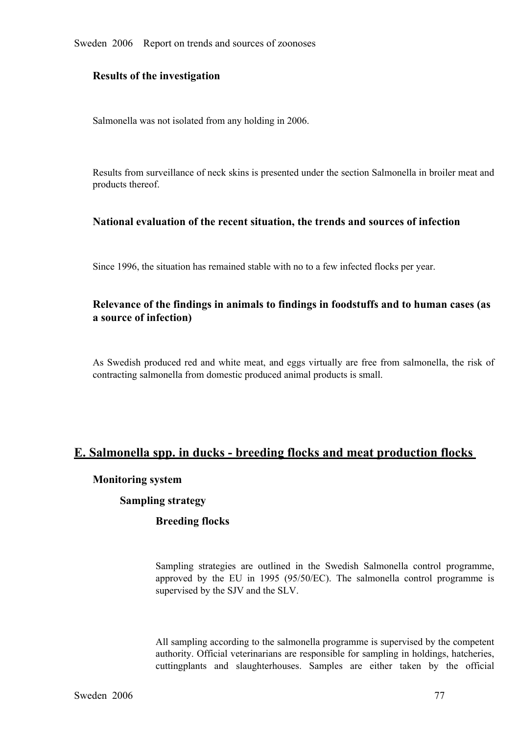Sweden 2006 Report on trends and sources of zoonoses

#### **Results of the investigation**

Salmonella was not isolated from any holding in 2006.

Results from surveillance of neck skins is presented under the section Salmonella in broiler meat and products thereof.

#### **National evaluation of the recent situation, the trends and sources of infection**

Since 1996, the situation has remained stable with no to a few infected flocks per year.

# **Relevance of the findings in animals to findings in foodstuffs and to human cases (as a source of infection)**

As Swedish produced red and white meat, and eggs virtually are free from salmonella, the risk of contracting salmonella from domestic produced animal products is small.

# **E. Salmonella spp. in ducks breeding flocks and meat production flocks**

#### **Monitoring system**

#### **Sampling strategy**

#### **Breeding flocks**

Sampling strategies are outlined in the Swedish Salmonella control programme, approved by the EU in <sup>1995</sup> (95/50/EC). The salmonella control programme is supervised by the SJV and the SLV.

All sampling according to the salmonella programme is supervised by the competent authority. Official veterinarians are responsible for sampling in holdings, hatcheries, cuttingplants and slaughterhouses. Samples are either taken by the official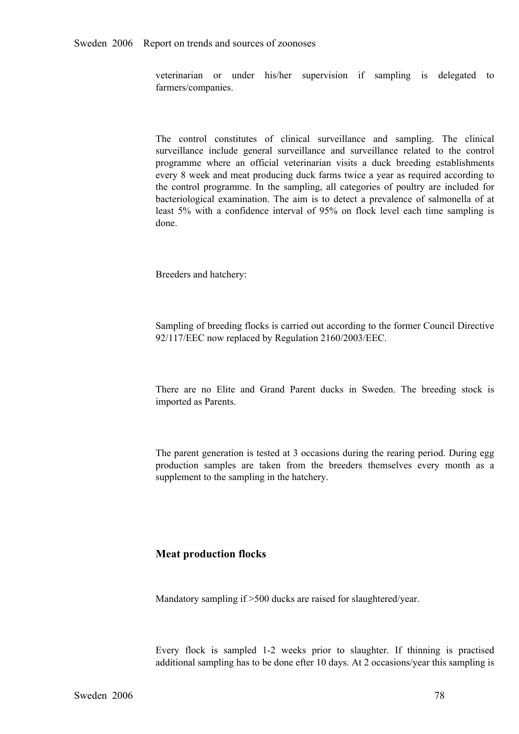veterinarian or under his/her supervision if sampling is delegated to farmers/companies.

The control constitutes of clinical surveillance and sampling. The clinical surveillance include general surveillance and surveillance related to the control programme where an official veterinarian visits a duck breeding surveillance include general surveillance and surveillance related to the control programme where an official veterinarian visits a duck breeding establishments every 8 week and meat producing duck farms twice a year as re the control programme. In the sampling, all categories of poultry are included for bacteriological examination. The aim is to detect a prevalence of salmonella of at bacteriological examination. The aim is to detect a prevalence of salmonella of at least 5% with a confidence interval of 95% on flock level each time sampling is done. least 5% with a confidence interval of 95% on flock level each time sampling is done. done.

Breeders and hatchery:

Sampling of breeding flocks is carried out according to the former Council Directive 92/117/EEC now replaced by Regulation 2160/2003/EEC.

There are no Elite and Grand Parent ducks in Sweden. The breeding stock is imported as Parents.

The parent generation is tested at 3 occasions during the rearing period. During egg production samples are taken from the breeders themselves every month as <sup>a</sup> supplement to the sampling in the hatchery.

#### **Meat production flocks**

Mandatory sampling if >500 ducks are raised for slaughtered/year.

Every flock is sampled 1-2 weeks prior to slaughter. If thinning is practised additional sampling has to be done efter 10 days. At 2 occasions/year this sampling is additional sampling has to be done efter 10 days. At 2 occasions/year this sampling is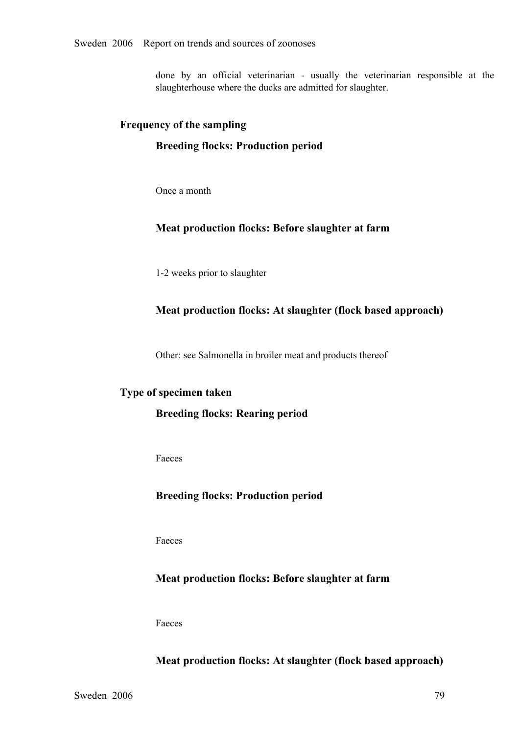done by an official veterinarian usually the veterinarian responsible at the slaughterhouse where the ducks are admitted for slaughter.

#### **Frequency of the sampling**

#### **Breeding flocks: Production period**

Once a month

## **Meat production flocks: Before slaughter at farm**

12 weeks prior to slaughter

#### **Meat production flocks: At slaughter (flock based approach)**

Other: see Salmonella in broiler meat and products thereof

## **Type of specimen taken**

#### **Breeding flocks: Rearing period**

Faeces

## **Breeding flocks: Production period**

Faeces

#### **Meat production flocks: Before slaughter at farm**

Faeces

## **Meat production flocks: At slaughter (flock based approach)**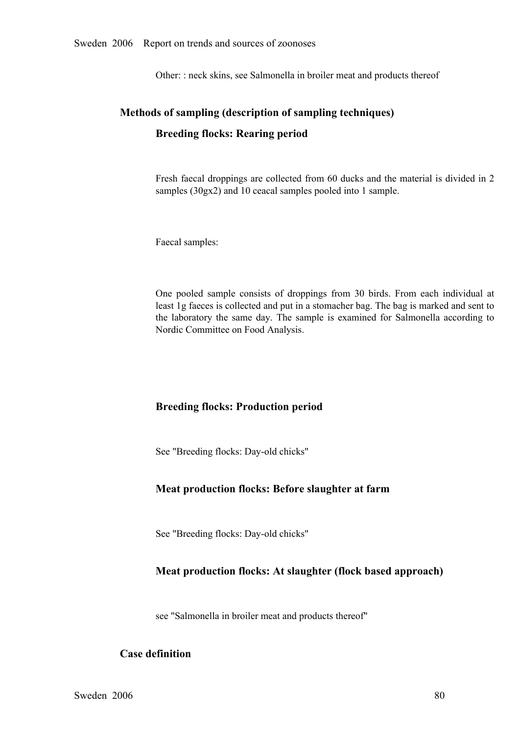Other: : neck skins, see Salmonella in broiler meat and products thereof

# **Methods of sampling (description of sampling techniques) Breeding flocks: Rearing period**

Fresh faecal droppings are collected from 60 ducks and the material is divided in 2 samples (30gx2) and 10 ceacal samples pooled into 1 sample.

Faecal samples:

One pooled sample consists of droppings from 30 birds. From each individual at least 1g faeces is collected and put in a stomacher bag. The bag is marked and sent to the laboratory the same day. The sample is examined for least 1g faeces is collected and put in a stomacher bag. The bag is marked and sent to the laboratory the same day. The sample is examined for Salmonella according to Nordic Committee on Food Analysis.

## **Breeding flocks: Production period**

See "Breeding flocks: Day-old chicks"

## **Meat production flocks: Before slaughter at farm**

See "Breeding flocks: Day-old chicks"

## **Meat production flocks: At slaughter (flock based approach)**

see "Salmonella in broiler meat and products thereof"

## **Case definition**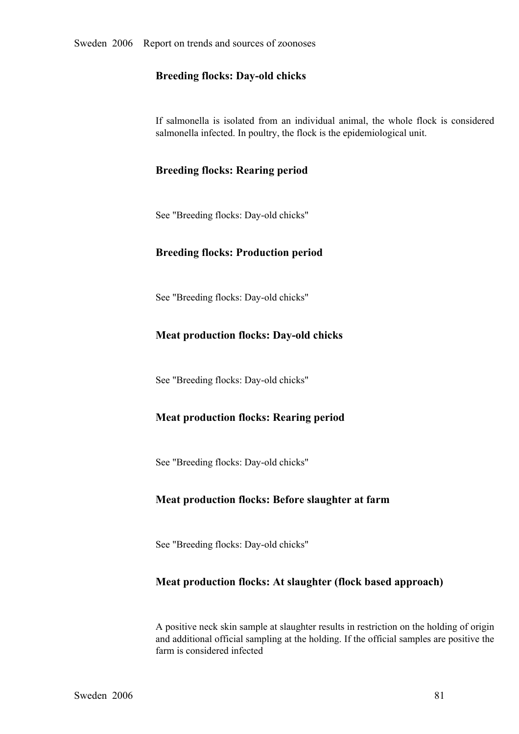## **Breeding flocks: Day-old chicks**

If salmonella is isolated from an individual animal, the whole flock is considered salmonella infected. In poultry, the flock is the epidemiological unit.

## **Breeding flocks: Rearing period**

See "Breeding flocks: Day-old chicks"

## **Breeding flocks: Production period**

See "Breeding flocks: Day-old chicks"

## **Meat production flocks: Day-old chicks**

See "Breeding flocks: Day-old chicks"

## **Meat production flocks: Rearing period**

See "Breeding flocks: Day-old chicks"

## **Meat production flocks: Before slaughter at farm**

See "Breeding flocks: Day-old chicks"

#### **Meat production flocks: At slaughter (flock based approach)**

A positive neck skin sample at slaughter results in restriction on the holding of origin and additional official sampling at the holding. If the official samples are positive the farm is considered infected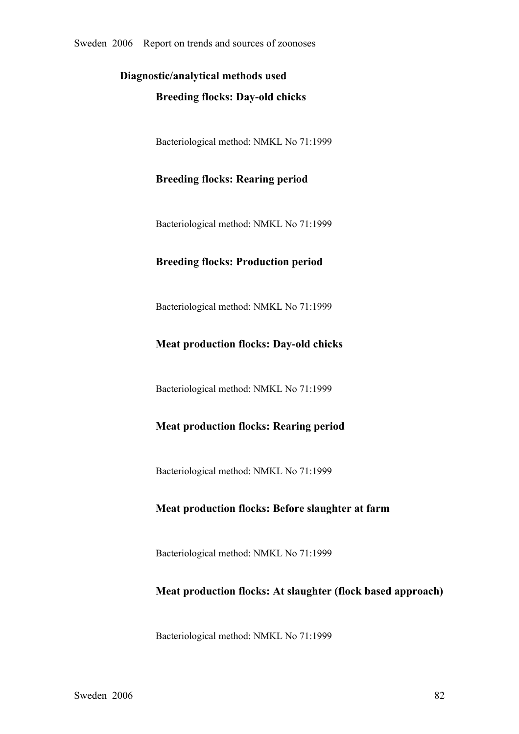# **Diagnostic/analytical methods used Breeding flocks: Day-old chicks**

Bacteriological method: NMKL No 71:1999

# **Breeding flocks: Rearing period**

Bacteriological method: NMKL No 71:1999

## **Breeding flocks: Production period**

Bacteriological method: NMKL No 71:1999

## **Meat production flocks: Day-old chicks**

Bacteriological method: NMKL No 71:1999

## **Meat production flocks: Rearing period**

Bacteriological method: NMKL No 71:1999

## **Meat production flocks: Before slaughter at farm**

Bacteriological method: NMKL No 71:1999

## **Meat production flocks: At slaughter (flock based approach)**

Bacteriological method: NMKL No 71:1999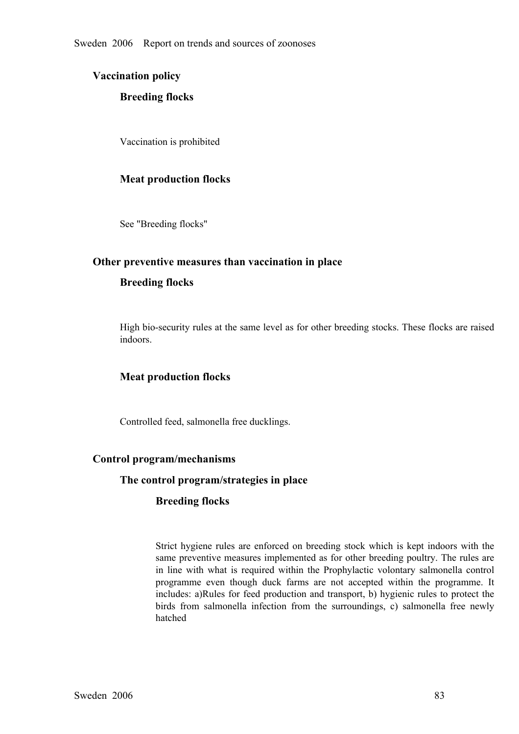## **Vaccination policy**

## **Breeding flocks**

Vaccination is prohibited

## **Meat production flocks**

See "Breeding flocks"

## **Other preventive measures than vaccination in place**

## **Breeding flocks**

High biosecurity rules at the same level as for other breeding stocks. These flocks are raised indoors.

## **Meat production flocks**

Controlled feed, salmonella free ducklings.

#### **Control program/mechanisms**

#### **The control program/strategies in place**

#### **Breeding flocks**

Strict hygiene rules are enforced on breeding stock which is kept indoors with the same preventive measures implemented as for other breeding poultry. The rules are in line with what is required within the Prophylactic vol same preventive measures implemented as for other breeding poultry. The rules are in line with what is required within the Prophylactic volontary salmonella control programme even though duck farms are not accepted within the programme. It includes: a)Rules for feed production and transport, b) hygienic rules to protect the includes: a)Rules for feed production and transport, b) hygienic rules to protect the birds from salmonella infection from the surroundings, c) salmonella free newly hatched birds from salmonella infection from the surroundings, c) salmonella free newly hatched hatched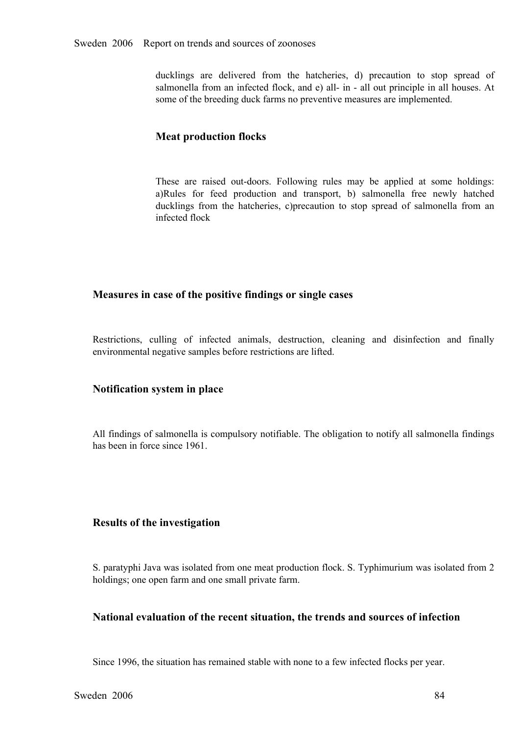ducklings are delivered from the hatcheries, d) precaution to stop spread of salmonella from an infected flock, and e) all- in - all out principle in all houses. At some of the breeding duck farms no preventive measures ar salmonella from an infected flock, and e) all- in - all out principle in all houses. At some of the breeding duck farms no preventive measures are implemented.

## **Meat production flocks**

These are raised out-doors. Following rules may be applied at some holdings:<br>a)Rules for feed production and transport, b) salmonella free newly hatched<br>ducklings from the hatcheries, c)precaution to stop spread of salmon a)Rules for feed production and transport, b) salmonella free newly hatched ducklings from the hatcheries, c)precaution to stop spread of salmonella from an infected flock ducklings from the hatcheries, c)precaution to stop spread of salmonella from an infected flock

## **Measures in case of the positive findings or single cases**

Restrictions, culling of infected animals, destruction, cleaning and disinfection and finally environmental negative samples before restrictions are lifted.

#### **Notification system in place**

All findings of salmonella is compulsory notifiable. The obligation to notify all salmonella findings has been in force since 1961.

#### **Results of the investigation**

S. paratyphi Java was isolated from one meat production flock. S. Typhimurium was isolated from 2 holdings; one open farm and one small private farm.

## **National evaluation of the recent situation, the trends and sources of infection**

Since 1996, the situation has remained stable with none to a few infected flocks per year.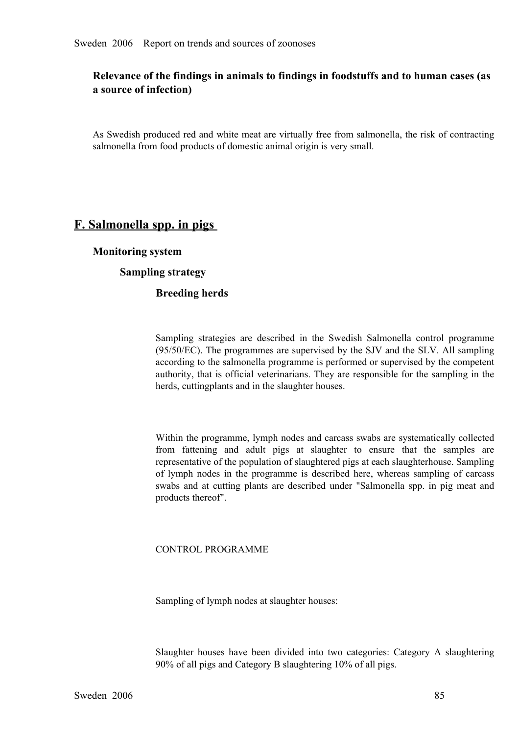# **Relevance of the findings in animals to findings in foodstuffs and to human cases (as a source of infection)**

As Swedish produced red and white meat are virtually free from salmonella, the risk of contracting salmonella from food products of domestic animal origin is very small.

# **F. Salmonella spp. in pigs**

**Monitoring system**

# **Sampling strategy**

## **Breeding herds**

Sampling strategies are described in the Swedish Salmonella control programme (95/50/EC). The programmes are supervised by the SJV and the SLV. All sampling according to the salmonella programme is performed or supervised by the competent authority, that is official veterinarians. They are responsible for the sampling in the herds, cuttingplants and in the slaughter houses.

Within the programme, lymph nodes and carcass swabs are systematically collected from fattening and adult pigs at slaughter to ensure that the samples are representative of the population of slaughtered pigs at each slaughterhouse. Sampling of lymph nodes in the programme is described here, whereas sam representative of the population of slaughtered pigs at each slaughterhouse. Sampling of lymph nodes in the programme is described here, whereas sampling of carcass swabs and at cutting plants are described under "Salmonella spp. in pig meat and products thereof". swabs and at cutting plants are described under "Salmonella spp. in pig meat and products thereof". products thereof".

#### CONTROL PROGRAMME

Sampling of lymph nodes at slaughter houses:

Slaughter houses have been divided into two categories: Category <sup>A</sup> slaughtering 90% of all pigs and Category B slaughtering 10% of all pigs.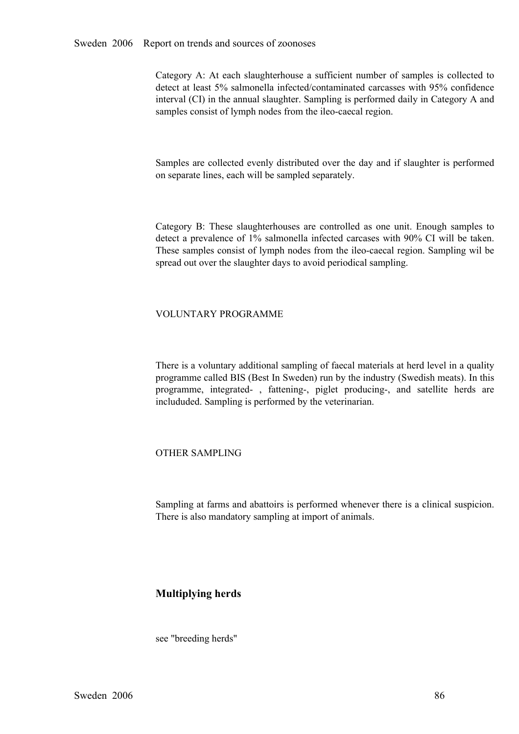Category A: At each slaughterhouse a sufficient number of samples is collected to detect at least 5% salmonella infected/contaminated carcasses with 95% confidence interval (CI) in the annual slaughter. Sampling is perform detect at least 5% salmonella infected/contaminated carcasses with 95% confidence samples consist of lymph nodes from the ileo-caecal region.

Samples are collected evenly distributed over the day and if slaughter is performed on separate lines, each will be sampled separately.

Category B: These slaughterhouses are controlled as one unit. Enough samples to detect a prevalence of 1% salmonella infected carcases with 90% CI will be taken.<br>These samples consist of lymph nodes from the ileo-caecal re detect a prevalence of 1% salmonella infected carcases with 90% CI will be taken. These samples consist of lymph nodes from the ileo-caecal region. Sampling wil be spread out over the slaughter days to avoid periodical sampling.

#### VOLUNTARY PROGRAMME

There is a voluntary additional sampling of faecal materials at herd level in a quality programme called BIS (Best In Sweden) run by the industry (Swedish meats). In this programme, integrated-, fattening-, piglet producing-, and satellite herds are includuded. Sampling is performed by the veterinarian.

#### OTHER SAMPLING

Sampling at farms and abattoirs is performed whenever there is a clinical suspicion. There is also mandatory sampling at import of animals.

## **Multiplying herds**

see "breeding herds"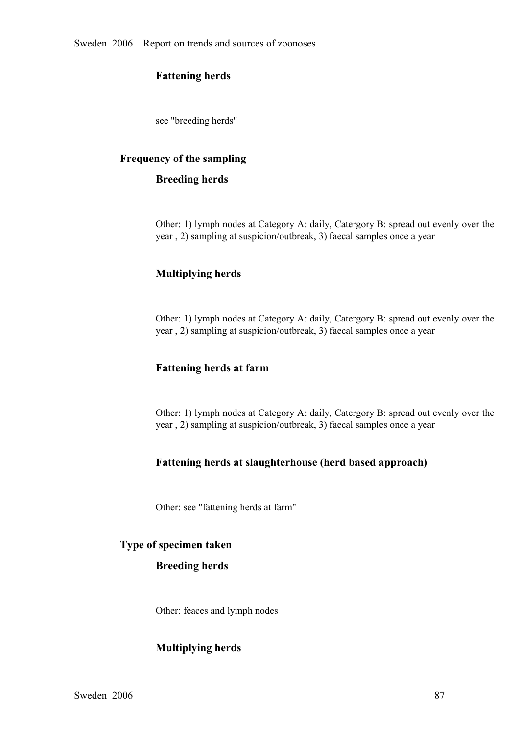## **Fattening herds**

see "breeding herds"

#### **Frequency of the sampling**

#### **Breeding herds**

Other: 1) lymph nodes at Category A: daily, Catergory B: spread out evenly over the year , 2) sampling at suspicion/outbreak, 3) faecal samples once a year

## **Multiplying herds**

Other: 1) lymph nodes at Category A: daily, Catergory B: spread out evenly over the year , 2) sampling at suspicion/outbreak, 3) faecal samples once a year

## **Fattening herds at farm**

Other: 1) lymph nodes at Category A: daily, Catergory B: spread out evenly over the year , 2) sampling at suspicion/outbreak, 3) faecal samples once a year

## **Fattening herds at slaughterhouse (herd based approach)**

Other: see "fattening herds at farm"

# **Type of specimen taken**

#### **Breeding herds**

Other: feaces and lymph nodes

#### **Multiplying herds**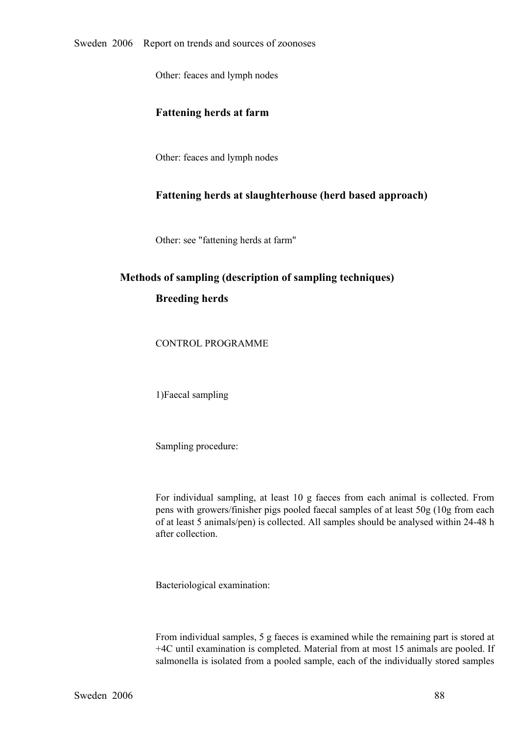Other: feaces and lymph nodes

## **Fattening herds at farm**

Other: feaces and lymph nodes

## **Fattening herds at slaughterhouse (herd based approach)**

Other: see "fattening herds at farm"

# **Methods of sampling (description of sampling techniques) Breeding herds**

CONTROL PROGRAMME

1)Faecal sampling

Sampling procedure:

For individual sampling, at least 10 g faeces from each animal is collected. From<br>pens with growers/finisher pigs pooled faecal samples of at least 50g (10g from each<br>of at least 5 animals/pen) is collected. All samples sh pens with growers/finisher pigs pooled faecal samples of at least 50g (10g from each of at least 5 animals/pen) is collected. All samples should be analysed within 2448 h after collection.

Bacteriological examination:

From individual samples, 5 g faeces is examined while the remaining part is stored at +4C until examination is completed. Material from at most 15 animals are pooled. If salmonella is isolated from a pooled sample, each of the individually stored samples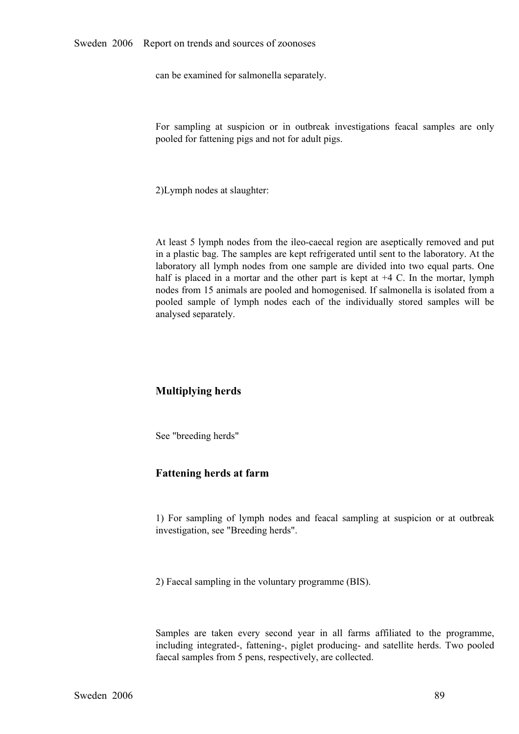can be examined for salmonella separately.

For sampling at suspicion or in outbreak investigations feacal samples are only pooled for fattening pigs and not for adult pigs.

2)Lymph nodes at slaughter:

At least 5 lymph nodes from the ileo-caecal region are aseptically removed and put in a plastic bag. The samples are kept refrigerated until sent to the laboratory. At the laboratory all lymph nodes from one sample are divided into two equal parts. One half is placed in a mortar and the other part is kept at  $+4$  C. In the mortar, lymph half is placed in a mortar and the other part is kept at  $+4$  C. In the mortar, lymph nodes from 15 animals are pooled and homogenised. If salmonella is isolated from a pooled sample of lymph nodes each of the individuall nodes from 15 animals are pooled and homogenised. If salmonella is isolated from a pooled sample of lymph nodes each of the individually stored samples will be analysed separately. analysed separately.

#### **Multiplying herds**

See "breeding herds"

#### **Fattening herds at farm**

1) For sampling of lymph nodes and feacal sampling at suspicion or at outbreak investigation, see "Breeding herds".

2) Faecal sampling in the voluntary programme (BIS).

Samples are taken every second year in all farms affiliated to the programme, including integrated-, fattening-, piglet producing- and satellite herds. Two pooled faecal samples from 5 pens, respectively, are collected.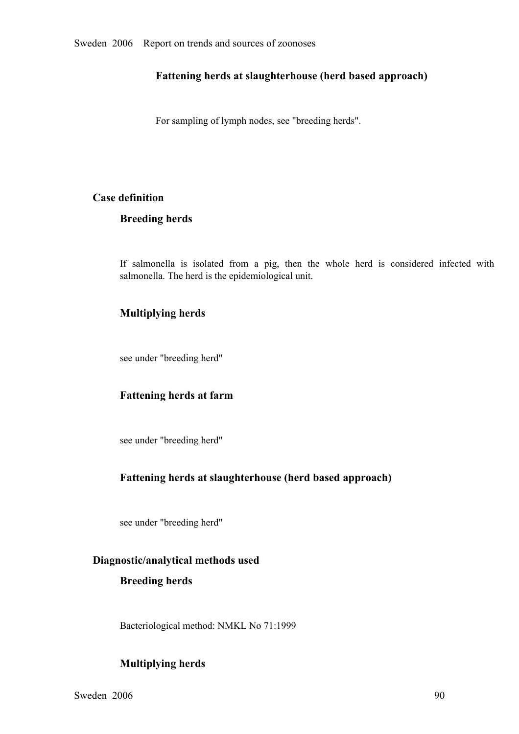## **Fattening herds at slaughterhouse (herd based approach)**

For sampling of lymph nodes, see "breeding herds".

# **Case definition**

## **Breeding herds**

If salmonella is isolated from a pig, then the whole herd is considered infected with salmonella. The herd is the epidemiological unit.

# **Multiplying herds**

see under "breeding herd"

## **Fattening herds at farm**

see under "breeding herd"

## **Fattening herds at slaughterhouse (herd based approach)**

see under "breeding herd"

## **Diagnostic/analytical methods used**

#### **Breeding herds**

Bacteriological method: NMKL No 71:1999

# **Multiplying herds**

Sweden  $2006$  90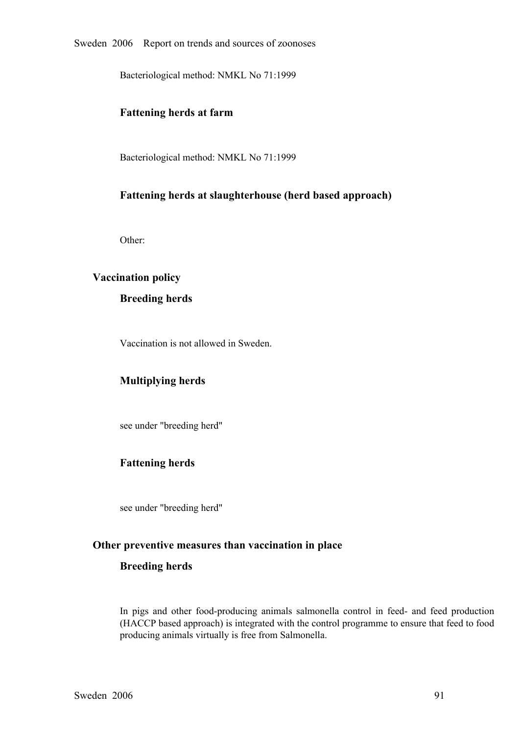Bacteriological method: NMKL No 71:1999

#### **Fattening herds at farm**

Bacteriological method: NMKL No 71:1999

# **Fattening herds at slaughterhouse (herd based approach)**

Other:

#### **Vaccination policy**

#### **Breeding herds**

Vaccination is not allowed in Sweden.

#### **Multiplying herds**

see under "breeding herd"

## **Fattening herds**

see under "breeding herd"

#### **Other preventive measures than vaccination in place**

#### **Breeding herds**

In pigs and other food-producing animals salmonella control in feed- and feed production (HACCP based approach) is integrated with the control programme to ensure that feed to food producing animals virtually is free from (HACCP based approach) is integrated with the control programme to ensure that feed to food producing animals virtually is free from Salmonella.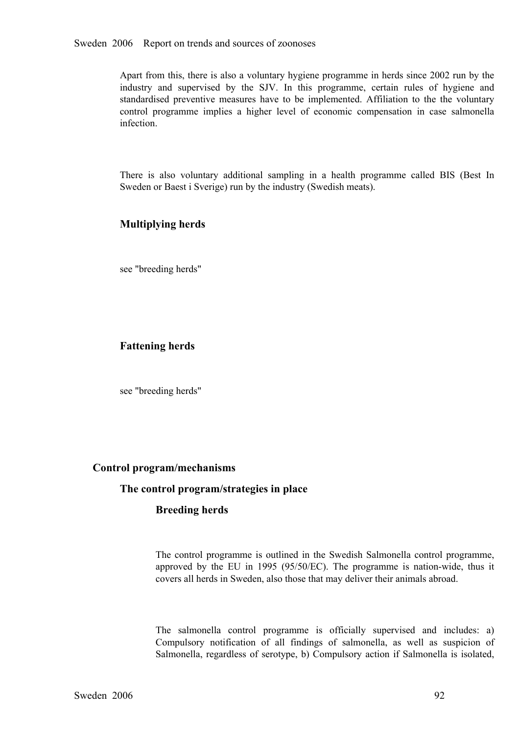Apart from this, there is also a voluntary hygiene programme in herds since 2002 run by the industry and supervised by the SJV. In this programme, certain rules of hygiene and standardised preventive measures have to be implemented. Affiliation to the the voluntary control programme implies a higher level of econ standardised preventive measures have to be implemented. Affiliation to the the voluntary<br>control programme implies a higher level of economic compensation in case salmonella<br>infection. control programme implies a higher level of economic compensation in case salmonella infection. infection.

There is also voluntary additional sampling in <sup>a</sup> health programme called BIS (Best In Sweden or Baest i Sverige) run by the industry (Swedish meats).

# **Multiplying herds**

see "breeding herds"

# **Fattening herds**

see "breeding herds"

#### **Control program/mechanisms**

#### **The control program/strategies in place**

## **Breeding herds**

The control programme is outlined in the Swedish Salmonella control programme, approved by the EU in 1995 (95/50/EC). The programme is nation-wide, thus it covers all herds in Sweden, also those that may deliver their anim approved by the EU in 1995 (95/50/EC). The programme is nation-wide, thus it covers all herds in Sweden, also those that may deliver their animals abroad. covers all herds in Sweden, also those that may deliver their animals abroad.

The salmonella control programme is officially supervised and includes: a)<br>Compulsory notification of all findings of salmonella, as well as suspicion of<br>Salmonella, regardless of serotype, b) Compulsory action if Salmonel Compulsory notification of all findings of salmonella, as well as suspicion of Salmonella, regardless of serotype, b) Compulsory action if Salmonella is isolated, Salmonella, regardless of serotype, b) Compulsory action if Salmonella is isolated,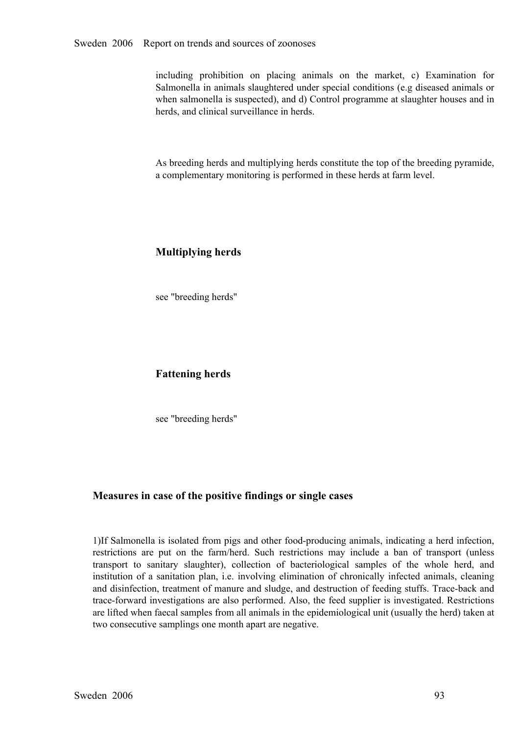including prohibition on placing animals on the market, c) Examination for Salmonella in animals slaughtered under special conditions (e.g diseased animals or when salmonella is suspected), and d) Control programme at slau Salmonella in animals slaughtered under special conditions (e.g diseased animals or herds, and clinical surveillance in herds.

As breeding herds and multiplying herds constitute the top of the breeding pyramide, a complementary monitoring is performed in these herds at farm level.

# **Multiplying herds**

see "breeding herds"

## **Fattening herds**

see "breeding herds"

## **Measures in case of the positive findings or single cases**

1)If Salmonella is isolated from pigs and other food-producing animals, indicating a herd infection, restrictions are put on the farm/herd. Such restrictions may include a ban of transport (unless<br>transport to sanitary slaughter), collection of bacteriological samples of the whole herd, and<br>institution of a sanitation pla transport to sanitary slaughter), collection of bacteriological samples of the whole herd, and<br>institution of a sanitation plan, i.e. involving elimination of chronically infected animals, cleaning<br>and disinfection, treatm institution of a sanitation plan, i.e. involving elimination of chronically infected animals, cleaning<br>and disinfection, treatment of manure and sludge, and destruction of feeding stuffs. Trace-back and<br>trace-forward inves and disinfection, treatment of manure and sludge, and destruction of feeding stuffs. Trace-back and trace-forward investigations are also performed. Also, the feed supplier is investigated. Restrictions are lifted when faecal samples from all animals in the epidemiological unit (usually the herd) taken at two consecutive samplings one month apart are negative.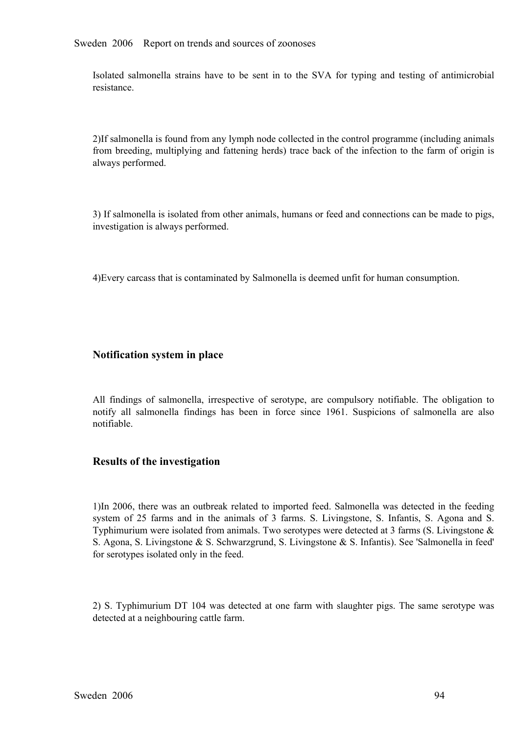Sweden 2006 Report on trends and sources of zoonoses

Isolated salmonella strains have to be sent in to the SVA for typing and testing of antimicrobial resistance.

2)If salmonella is found from any lymph node collected in the control programme (including animals from breeding, multiplying and fattening herds) trace back of the infection to the farm of origin is always performed.

3) If salmonella is isolated from other animals, humans or feed and connections can be made to pigs, investigation is always performed.

4)Every carcass that is contaminated by Salmonella is deemed unfit for human consumption.

#### **Notification system in place**

All findings of salmonella, irrespective of serotype, are compulsory notifiable. The obligation to notify all salmonella findings has been in force since 1961. Suspicions of salmonella are also notifiable.

#### **Results of the investigation**

1)In 2006, there was an outbreak related to imported feed. Salmonella was detected in the feeding system of 25 farms and in the animals of 3 farms. S. Livingstone, S. Infantis, S. Agona and S. system of 25 farms and in the animals of 3 farms. S. Livingstone, S. Infantis, S. Agona and S. Typhimurium were isolated from animals. Two serotypes were detected at 3 farms (S. Livingstone & S. Agona, S. Livingstone & S. Typhimurium were isolated from animals. Two serotypes were detected at 3 farms (S. Livingstone & for serotypes isolated only in the feed.

2) S. Typhimurium DT 104 was detected at one farm with slaughter <sup>p</sup>igs. The same serotype was detected at a neighbouring cattle farm.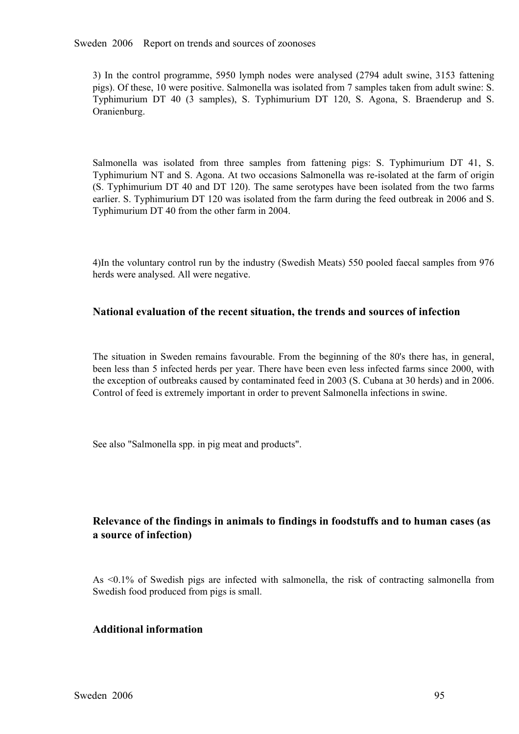3) In the control programme, 5950 lymph nodes were analysed (2794 adult swine, 3153 fattening pigs). Of these, 10 were positive. Salmonella was isolated from 7 samples taken from adult swine: S. Typhimurium DT 4 pigs). Of these, 10 were positive. Salmonella was isolated from 7 samples taken from adult swine: S. Typhimurium DT <sup>40</sup> (3 samples), S. Typhimurium DT 120, S. Agona, S. Braenderup and S. Oranienburg.

Salmonella was isolated from three samples from fattening pigs: S. Typhimurium DT 41, S.<br>Typhimurium NT and S. Agona. At two occasions Salmonella was re-isolated at the farm of origin<br>(S. Typhimurium DT 40 and DT 120). The Typhimurium NT and S. Agona. At two occasions Salmonella was re-isolated at the farm of origin (S. Typhimurium DT 40 and DT 120). The same serotypes have been isolated from the two farms earlier. S. Typhimurium DT 120 was isolated from the farm during the feed outbreak in 2006 and S. Typhimurium DT 40 from the other earlier. S. Typhimurium DT 120 was isolated from the farm during the feed outbreak in 2006 and S. Typhimurium DT 40 from the other farm in 2004.

4)In the voluntary control run by the industry (Swedish Meats) 550 pooled faecal samples from 976 herds were analysed. All were negative.

## **National evaluation of the recent situation, the trends and sources of infection**

The situation in Sweden remains favourable. From the beginning of the 80's there has, in general, been less than 5 infected herds per year. There have been even less infected farms since 2000, with the exception of outbre been less than 5 infected herds per year. There have been even less infected farms since 2000, with the exception of outbreaks caused by contaminated feed in 2003 (S. Cubana at 30 herds) and in 2006. Control of feed is extremely important in order to prevent Salmonella infections in swine.

See also "Salmonella spp. in pig meat and products".

# **Relevance of the findings in animals to findings in foodstuffs and to human cases (as a source of infection)**

As <0.1% of Swedish <sup>p</sup>igs are infected with salmonella, the risk of contracting salmonella from Swedish food produced from pigs is small.

#### **Additional information**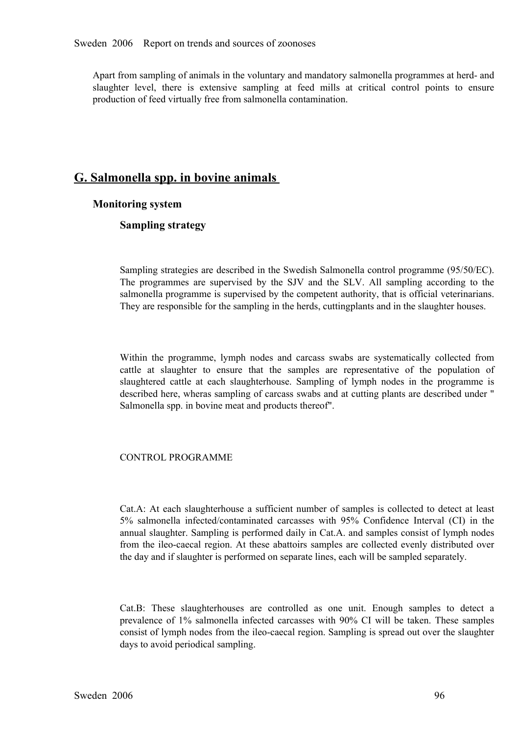Apart from sampling of animals in the voluntary and mandatory salmonella programmes at herd- and slaughter level, there is extensive sampling at feed mills at critical control points to ensure production of feed virtually free from salmonella contamination.

# **G. Salmonella spp. in bovine animals**

## **Monitoring system**

## **Sampling strategy**

Sampling strategies are described in the Swedish Salmonella control programme (95/50/EC). The programmes are supervised by the SJV and the SLV. All sampling according to the salmonella programme is supervised by the competent authority, that is official veterinarians.<br>They are responsible for the sampling in th salmonella programme is supervised by the competent authority, that is official veterinarians. They are responsible for the sampling in the herds, cuttingplants and in the slaughter houses.

Within the programme, lymph nodes and carcass swabs are systematically collected from cattle at slaughter to ensure that the samples are representative of the population of slaughtered cattle at each slaughterhouse. Sampling of lymph nodes in the programme is slaughtered cattle at each slaughterhouse. Sampling of lymph nodes in the programme is described here, wheras sampling of carcass swabs and at cutting plants are described under "Salmonella spp. in bovine meat and products described here, wheras sampling of carcass swabs and at cutting plants are described under " Salmonella spp. in bovine meat and products thereof".

#### CONTROL PROGRAMME

Cat.A: At each slaughterhouse a sufficient number of samples is collected to detect at least 5% salmonella infected/contaminated carcasses with 95% Confidence Interval (CI) in the 5% salmonella infected/contaminated carcasses with 95% Confidence Interval (CI) in the annual slaughter. Sampling is performed daily in Cat.A. and samples consist of lymph nodes from the ileo-caecal region. At these abatto annual slaughter. Sampling is performed daily in Cat.A. and samples consist of lymph nodes from the ileo-caecal region. At these abattoirs samples are collected evenly distributed over<br>the day and if slaughter is performed on separate lines, each will be sampled separately. the day and if slaughter is performed on separate lines, each will be sampled separately.

Cat.B: These slaughterhouses are controlled as one unit. Enough samples to detect a prevalence of 1% salmonella infected carcasses with 90% CI will be taken. These samples prevalence of 1% salmonella infected carcasses with 90% CI will be taken. These samples<br>consist of lymph nodes from the ileo-caecal region. Sampling is spread out over the slaughter<br>days to avoid periodical sampling. consist of lymph nodes from the ileo-caecal region. Sampling is spread out over the slaughter days to avoid periodical sampling.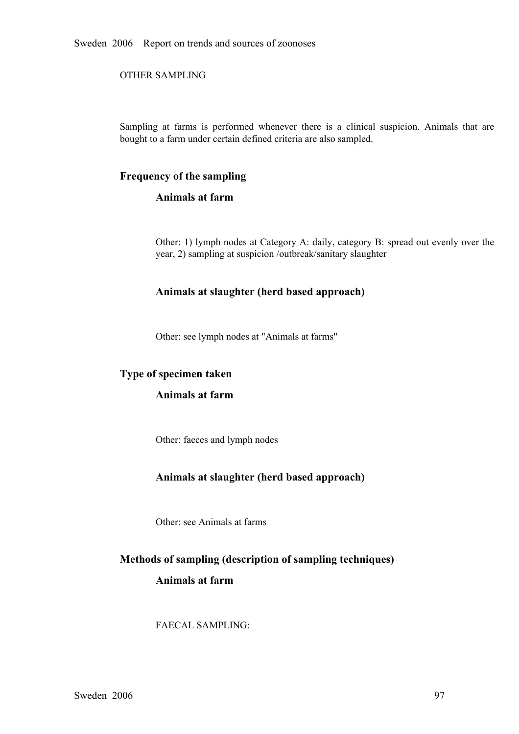Sweden 2006 Report on trends and sources of zoonoses

OTHER SAMPLING

Sampling at farms is performed whenever there is a clinical suspicion. Animals that are bought to a farm under certain defined criteria are also sampled.

## **Frequency of the sampling**

## **Animals at farm**

Other: 1) lymph nodes at Category A: daily, category B: spread out evenly over the year, 2) sampling at suspicion /outbreak/sanitary slaughter

## **Animals at slaughter (herd based approach)**

Other: see lymph nodes at "Animals at farms"

#### **Type of specimen taken**

#### **Animals at farm**

Other: faeces and lymph nodes

#### **Animals at slaughter (herd based approach)**

Other: see Animals at farms

# **Methods of sampling (description of sampling techniques)**

## **Animals at farm**

FAECAL SAMPLING: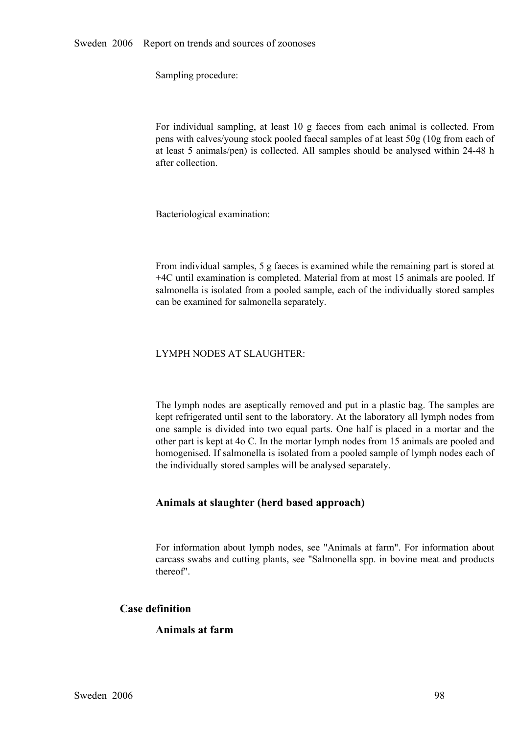Sampling procedure:

For individual sampling, at least 10 g faeces from each animal is collected. From<br>pens with calves/young stock pooled faecal samples of at least 50g (10g from each of<br>at least 5 animals/pen) is collected. All samples shoul pens with calves/young stock pooled faecal samples of at least 50g (10g from each of at least 5 animals/pen) is collected. All samples should be analysed within 2448 h after collection.

Bacteriological examination:

From individual samples, 5 g faeces is examined while the remaining part is stored at +4C until examination is completed. Material from at most 15 animals are pooled. If salmonella is isolated from a pooled sample, each of the individually stored samples can be examined for salmonella separately.

#### LYMPH NODES AT SLAUGHTER:

The lymph nodes are aseptically removed and put in a plastic bag. The samples are kept refrigerated until sent to the laboratory. At the laboratory all lymph nodes from one sample is divided into two equal parts. One half is placed in a mortar and the other part is kept at 4o C. In the mortar lymph nodes from 15 animals are pooled and homogenised. If salmonella is isolated from a pooled s other part is kept at 4o C. In the mortar lymph nodes from 15 animals are pooled and homogenised. If salmonella is isolated from a pooled sample of lymph nodes each of the individually stored samples will be analysed separately.

## **Animals at slaughter (herd based approach)**

For information about lymph nodes, see "Animals at farm". For information about carcass swabs and cutting plants, see "Salmonella spp. in bovine meat and products thereof".

## **Case definition**

#### **Animals at farm**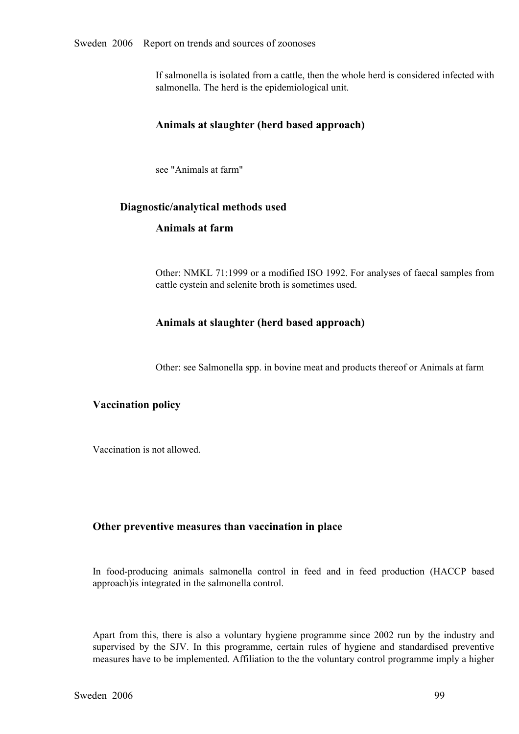#### Sweden 2006 Report on trends and sources of zoonoses

If salmonella is isolated from a cattle, then the whole herd is considered infected with salmonella. The herd is the epidemiological unit.

#### **Animals at slaughter (herd based approach)**

see "Animals at farm"

#### **Diagnostic/analytical methods used**

#### **Animals at farm**

Other: NMKL 71:1999 or a modified ISO 1992. For analyses of faecal samples from cattle cystein and selenite broth is sometimes used.

#### **Animals at slaughter (herd based approach)**

Other: see Salmonella spp. in bovine meat and products thereof or Animals at farm

## **Vaccination policy**

Vaccination is not allowed.

#### **Other preventive measures than vaccination in place**

In food-producing animals salmonella control in feed and in feed production (HACCP based approach)is integrated in the salmonella control.

Apart from this, there is also a voluntary hygiene programme since 2002 run by the industry and supervised by the SJV. In this programme, certain rules of hygiene and standardised preventive supervised by the SJV. In this programme, certain rules of hygiene and standardised preventive measures have to be implemented. Affiliation to the the voluntary control programme imply a higher measures have to be implemented. Affiliation to the the voluntary control programme imply a higher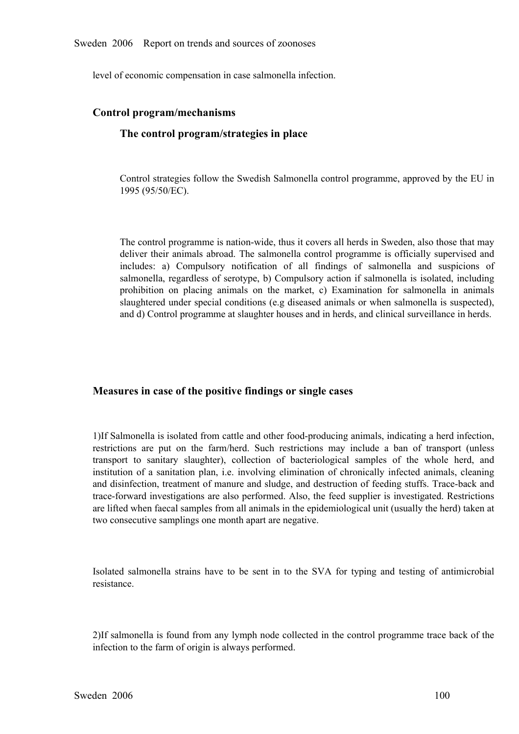level of economic compensation in case salmonella infection.

#### **Control program/mechanisms**

## **The control program/strategies in place**

Control strategies follow the Swedish Salmonella control programme, approved by the EU in 1995 (95/50/EC).

The control programme is nation-wide, thus it covers all herds in Sweden, also those that may deliver their animals abroad. The salmonella control programme is officially supervised and includes: a) Compulsory notification of all findings of salmonella and suspicions of salmonella, regardless of serotype, b) Compulsory action if salmonella is isolated, including prohibition on placing animals on the marke salmonella, regardless of serotype, b) Compulsory action if salmonella is isolated, including<br>prohibition on placing animals on the market, c) Examination for salmonella in animals<br>slaughtered under special conditions (e. prohibition on placing animals on the market, c) Examination for salmonella in animals slaughtered under special conditions (e.g diseased animals or when salmonella is suspected), and d) Control programme at slaughter hous slaughtered under special conditions (e.g diseased animals or when salmonella is suspected), and d) Control programme at slaughter houses and in herds, and clinical surveillance in herds.

#### **Measures in case of the positive findings or single cases**

1)If Salmonella is isolated from cattle and other food-producing animals, indicating a herd infection, restrictions are put on the farm/herd. Such restrictions may include a ban of transport (unless<br>transport to sanitary slaughter), collection of bacteriological samples of the whole herd, and<br>institution of a sanitation pla transport to sanitary slaughter), collection of bacteriological samples of the whole herd, and<br>institution of a sanitation plan, i.e. involving elimination of chronically infected animals, cleaning<br>and disinfection, treatm institution of a sanitation plan, i.e. involving elimination of chronically infected animals, cleaning<br>and disinfection, treatment of manure and sludge, and destruction of feeding stuffs. Trace-back and<br>trace-forward inves and disinfection, treatment of manure and sludge, and destruction of feeding stuffs. Trace-back and trace-forward investigations are also performed. Also, the feed supplier is investigated. Restrictions are lifted when faecal samples from all animals in the epidemiological unit (usually the herd) taken at two consecutive samplings one month apart are negative.

Isolated salmonella strains have to be sent in to the SVA for typing and testing of antimicrobial resistance.

2)If salmonella is found from any lymph node collected in the control programme trace back of the infection to the farm of origin is always performed.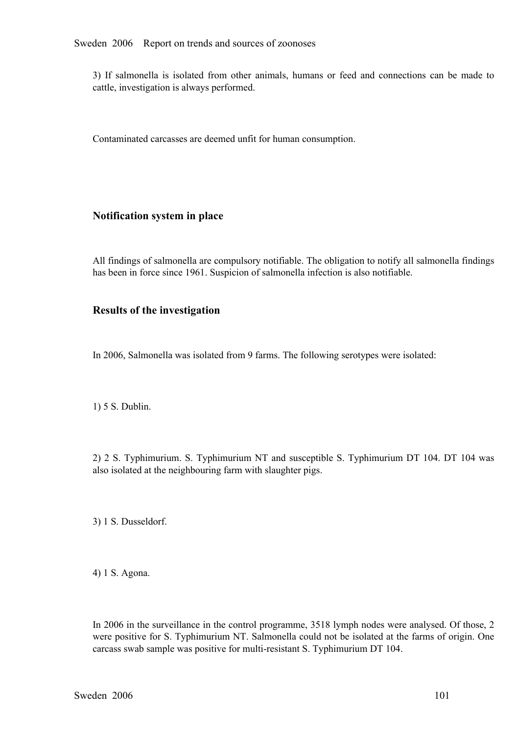3) If salmonella is isolated from other animals, humans or feed and connections can be made to cattle, investigation is always performed.

Contaminated carcasses are deemed unfit for human consumption.

## **Notification system in place**

All findings of salmonella are compulsory notifiable. The obligation to notify all salmonella findings has been in force since 1961. Suspicion of salmonella infection is also notifiable.

## **Results of the investigation**

In 2006, Salmonella was isolated from 9 farms. The following serotypes were isolated:

1) 5 S. Dublin.

2) 2 S. Typhimurium. S. Typhimurium NT and susceptible S. Typhimurium DT 104. DT 104 was also isolated at the neighbouring farm with slaughter pigs.

3) 1 S. Dusseldorf.

4) 1 S. Agona.

In 2006 in the surveillance in the control programme, 3518 lymph nodes were analysed. Of those, 2 were positive for S. Typhimurium NT. Salmonella could not be isolated at the farms of origin. One carcass swab sample was positive for multi-resistant S. Typhimurium DT 104.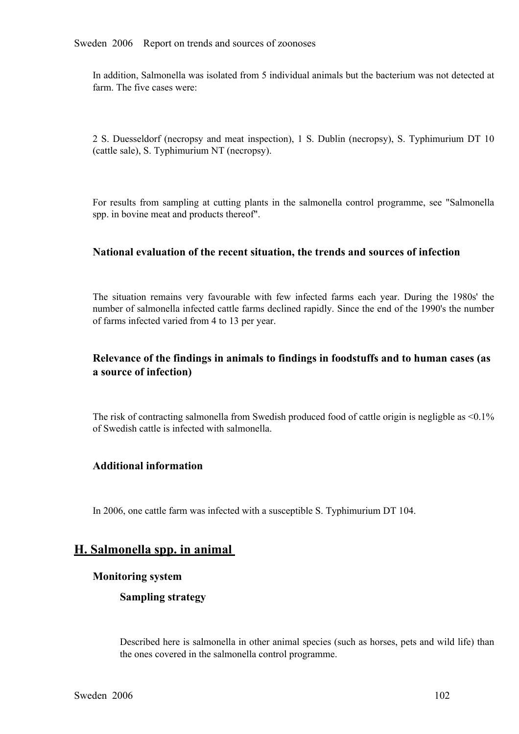In addition, Salmonella was isolated from 5 individual animals but the bacterium was not detected at farm. The five cases were:

<sup>2</sup> S. Duesseldorf (necropsy and meat inspection), <sup>1</sup> S. Dublin (necropsy), S. Typhimurium DT <sup>10</sup> (cattle sale), S. Typhimurium NT (necropsy).

For results from sampling at cutting <sup>p</sup>lants in the salmonella control programme, see "Salmonella spp. in bovine meat and products thereof".

#### **National evaluation of the recent situation, the trends and sources of infection**

The situation remains very favourable with few infected farms each year. During the 1980s' the number of salmonella infected cattle farms declined rapidly. Since the end of the 1990's the number of farms infected varied from 4 to 13 per year.

## **Relevance of the findings in animals to findings in foodstuffs and to human cases (as a source of infection)**

The risk of contracting salmonella from Swedish produced food of cattle origin is negligble as <0.1% of Swedish cattle is infected with salmonella.

#### **Additional information**

In 2006, one cattle farm was infected with a susceptible S. Typhimurium DT 104.

# **H. Salmonella spp. in animal**

#### **Monitoring system**

#### **Sampling strategy**

Described here is salmonella in other animal species (such as horses, pets and wild life) than the ones covered in the salmonella control programme.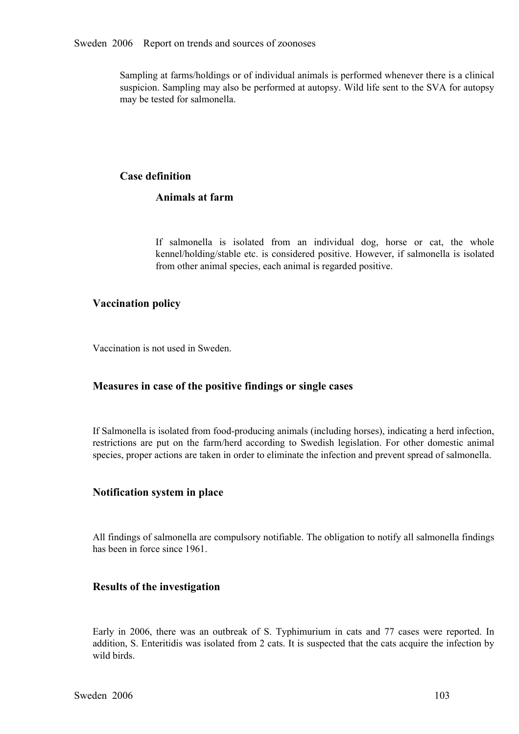Sampling at farms/holdings or of individual animals is performed whenever there is a clinical suspicion. Sampling may also be performed at autopsy. Wild life sent to the SVA for autopsy may be tested for salmonella.

## **Case definition**

## **Animals at farm**

If salmonella is isolated from an individual dog, horse or cat, the whole kennel/holding/stable etc. is considered positive. However, if salmonella is isolated from other animal species, each animal is regarded positive. kennel/holding/stable etc. is considered positive. However, if salmonella is isolated from other animal species, each animal is regarded positive. from other animal species, each animal is regarded positive.

## **Vaccination policy**

Vaccination is not used in Sweden.

## **Measures in case of the positive findings or single cases**

If Salmonella is isolated from food-producing animals (including horses), indicating a herd infection, restrictions are put on the farm/herd according to Swedish legislation. For other domestic animal species, proper actions are taken in order to eliminate the infection and prevent spread of salmonella. species, proper actions are taken in order to eliminate the infection and prevent spread of salmonella.

#### **Notification system in place**

All findings of salmonella are compulsory notifiable. The obligation to notify all salmonella findings has been in force since 1961.

#### **Results of the investigation**

Early in 2006, there was an outbreak of S. Typhimurium in cats and <sup>77</sup> cases were reported. In addition, S. Enteritidis was isolated from 2 cats. It is suspected that the cats acquire the infection by wild birds.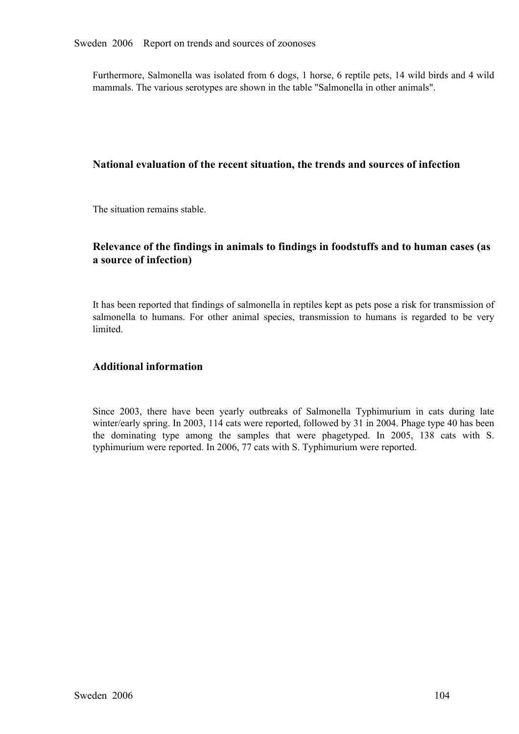Furthermore, Salmonella was isolated from 6 dogs, 1 horse, 6 reptile pets, 14 wild birds and 4 wild mammals. The various serotypes are shown in the table "Salmonella in other animals".

#### **National evaluation of the recent situation, the trends and sources of infection**

The situation remains stable.

### **Relevance of the findings in animals to findings in foodstuffs and to human cases (as a source of infection)**

It has been reported that findings of salmonella in reptiles kept as pets pose a risk for transmission of salmonella to humans. For other animal species, transmission to humans is regarded to be very **limited** 

#### **Additional information**

Since 2003, there have been yearly outbreaks of Salmonella Typhimurium in cats during late winter/early spring. In 2003, 114 cats were reported, followed by 31 in 2004. Phage type 40 has been the dominating type among the winter/early spring. In 2003, 114 cats were reported, followed by 31 in 2004. Phage type 40 has been the dominating type among the samples that were phagetyped. In 2005, 138 cats with S.<br>typhimurium were reported. In 2006, 77 cats with S. Typhimurium were reported. typhimurium were reported. In 2006, 77 cats with S. Typhimurium were reported.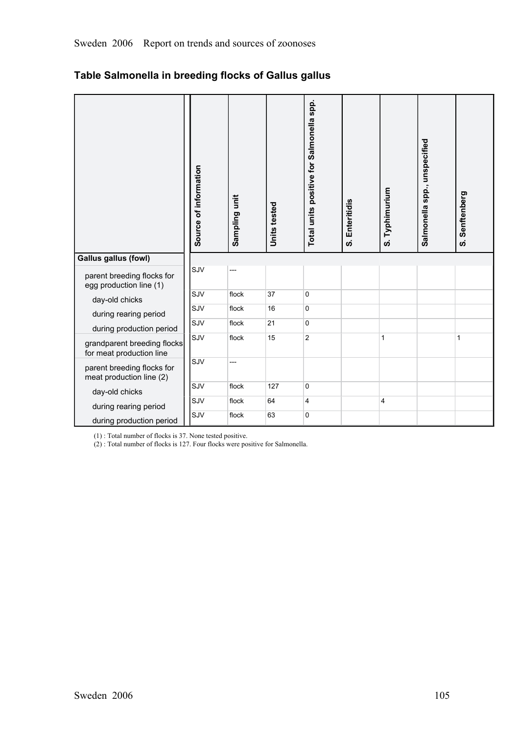|                                                         | Source of information | Sampling unit | Units tested | Total units positive for Salmonella spp. | S. Enteritidis | S. Typhimurium | Salmonella spp., unspecified | Senftenberg<br><b>ဟ</b> |
|---------------------------------------------------------|-----------------------|---------------|--------------|------------------------------------------|----------------|----------------|------------------------------|-------------------------|
| <b>Gallus gallus (fowl)</b>                             |                       |               |              |                                          |                |                |                              |                         |
| parent breeding flocks for<br>egg production line (1)   | SJV                   | ---           |              |                                          |                |                |                              |                         |
| day-old chicks                                          | SJV                   | flock         | 37           | 0                                        |                |                |                              |                         |
| during rearing period                                   | SJV                   | flock         | 16           | 0                                        |                |                |                              |                         |
| during production period                                | SJV                   | flock         | 21           | 0                                        |                |                |                              |                         |
| grandparent breeding flocks<br>for meat production line | SJV                   | flock         | 15           | $\overline{c}$                           |                | $\mathbf{1}$   |                              | $\mathbf{1}$            |
| parent breeding flocks for<br>meat production line (2)  | SJV                   | ---           |              |                                          |                |                |                              |                         |
| day-old chicks                                          | SJV                   | flock         | 127          | 0                                        |                |                |                              |                         |
| during rearing period                                   | SJV                   | flock         | 64           | 4                                        |                | $\overline{4}$ |                              |                         |
| during production period                                | SJV                   | flock         | 63           | 0                                        |                |                |                              |                         |

(1) : Total number of flocks is 37. None tested positive.

(2) : Total number of flocks is 127. Four flocks were positive for Salmonella.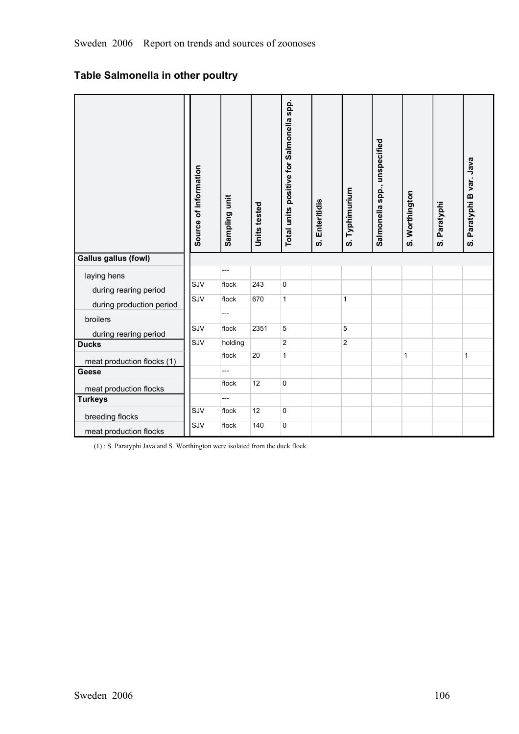# **Table Salmonella in other poultry**

|                             | Source of information | Sampling unit  | Units tested | Total units positive for Salmonella spp. | S. Enteritidis | S. Typhimurium | Salmonella spp., unspecified | S. Worthington | S. Paratyphi | S. Paratyphi B var. Java |
|-----------------------------|-----------------------|----------------|--------------|------------------------------------------|----------------|----------------|------------------------------|----------------|--------------|--------------------------|
| <b>Gallus gallus (fowl)</b> |                       |                |              |                                          |                |                |                              |                |              |                          |
| laying hens                 |                       | ---            |              |                                          |                |                |                              |                |              |                          |
| during rearing period       | SJV                   | flock          | 243          | 0                                        |                |                |                              |                |              |                          |
| during production period    | SJV                   | flock          | 670          | $\mathbf{1}$                             |                | $\mathbf{1}$   |                              |                |              |                          |
| broilers                    |                       | $\overline{a}$ |              |                                          |                |                |                              |                |              |                          |
| during rearing period       | SJV                   | flock          | 2351         | 5                                        |                | 5              |                              |                |              |                          |
| <b>Ducks</b>                | SJV                   | holding        |              | $\mathbf{2}$                             |                | $\overline{2}$ |                              |                |              |                          |
| meat production flocks (1)  |                       | flock          | 20           | $\mathbf{1}$                             |                |                |                              | $\mathbf{1}$   |              | $\mathbf{1}$             |
| <b>Geese</b>                |                       |                |              |                                          |                |                |                              |                |              |                          |
| meat production flocks      |                       | flock          | 12           | 0                                        |                |                |                              |                |              |                          |
| <b>Turkeys</b>              |                       | ---            |              |                                          |                |                |                              |                |              |                          |
| breeding flocks             | SJV                   | flock          | 12           | 0                                        |                |                |                              |                |              |                          |
| meat production flocks      | SJV                   | flock          | 140          | 0                                        |                |                |                              |                |              |                          |

(1) : S. Paratyphi Java and S. Worthington were isolated from the duck flock.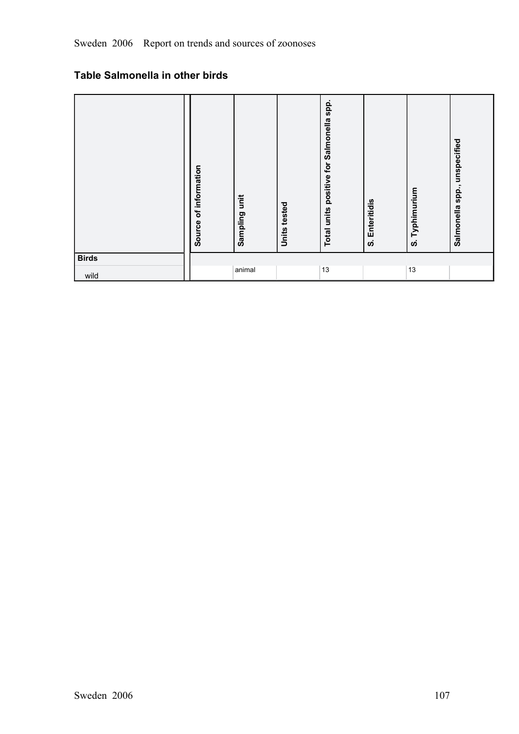# **Table Salmonella in other birds**

|                      | of information<br>Source | İ<br>Sampling | Units tested | spp.<br>Salmonella<br>Total units positive for | Enteritidis<br><b>ဟ</b> | Typhimurium<br><u>ທ່</u> | unspecified<br>spp.,<br>Salmonella |
|----------------------|--------------------------|---------------|--------------|------------------------------------------------|-------------------------|--------------------------|------------------------------------|
| <b>Birds</b><br>wild |                          | animal        |              | 13                                             |                         | 13                       |                                    |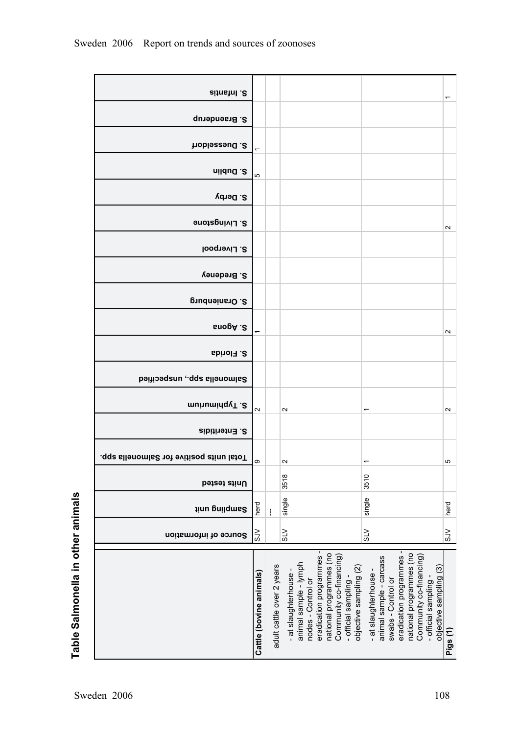| S. Infantis                               |                          |                           |                                                                                                                                                                                                        |                                                                                                                                                                                                        | ٣                   |
|-------------------------------------------|--------------------------|---------------------------|--------------------------------------------------------------------------------------------------------------------------------------------------------------------------------------------------------|--------------------------------------------------------------------------------------------------------------------------------------------------------------------------------------------------------|---------------------|
| S. Braenderup                             |                          |                           |                                                                                                                                                                                                        |                                                                                                                                                                                                        |                     |
| S. Duesseldorf                            | $\overline{\phantom{0}}$ |                           |                                                                                                                                                                                                        |                                                                                                                                                                                                        |                     |
| nildud .2                                 |                          |                           |                                                                                                                                                                                                        |                                                                                                                                                                                                        |                     |
| S. Derby                                  | Ю                        |                           |                                                                                                                                                                                                        |                                                                                                                                                                                                        |                     |
| S. Livingstone                            |                          |                           |                                                                                                                                                                                                        |                                                                                                                                                                                                        |                     |
|                                           |                          |                           |                                                                                                                                                                                                        |                                                                                                                                                                                                        | $\boldsymbol{\sim}$ |
| <b>S. Liverpool</b>                       |                          |                           |                                                                                                                                                                                                        |                                                                                                                                                                                                        |                     |
| S. Bredeney                               |                          |                           |                                                                                                                                                                                                        |                                                                                                                                                                                                        |                     |
| S. Oranienburg                            |                          |                           |                                                                                                                                                                                                        |                                                                                                                                                                                                        |                     |
| s. Agona                                  |                          |                           |                                                                                                                                                                                                        |                                                                                                                                                                                                        | $\sim$              |
| S. Florida                                |                          |                           |                                                                                                                                                                                                        |                                                                                                                                                                                                        |                     |
| Salmonella spp., unspecified              |                          |                           |                                                                                                                                                                                                        |                                                                                                                                                                                                        |                     |
| munuming v <sub>1.8</sub>                 | $\sim$                   |                           | $\sim$                                                                                                                                                                                                 | ↽                                                                                                                                                                                                      | $\sim$              |
| S. Enteritidis                            |                          |                           |                                                                                                                                                                                                        |                                                                                                                                                                                                        |                     |
| l otal units positive for Salmonella spp. | တ                        |                           | $\mathbf{\Omega}$                                                                                                                                                                                      | $\overline{\phantom{0}}$                                                                                                                                                                               | Ю                   |
| Units tested                              |                          |                           | 3518                                                                                                                                                                                                   | 3510                                                                                                                                                                                                   |                     |
| <b>Jinu prilqms2</b>                      | herd                     | ł                         | single                                                                                                                                                                                                 | single                                                                                                                                                                                                 | herd                |
| Source of information                     | $\leqslant$              |                           | $\frac{5}{10}$                                                                                                                                                                                         | $\geq$                                                                                                                                                                                                 | 5N                  |
|                                           |                          |                           |                                                                                                                                                                                                        |                                                                                                                                                                                                        |                     |
|                                           |                          |                           |                                                                                                                                                                                                        |                                                                                                                                                                                                        |                     |
|                                           |                          |                           |                                                                                                                                                                                                        |                                                                                                                                                                                                        |                     |
|                                           |                          |                           |                                                                                                                                                                                                        |                                                                                                                                                                                                        |                     |
|                                           |                          |                           | eradication programmes-<br>national programmes (no<br>Community co-financing)<br>animal sample - lymph<br>objective sampling (2)<br>- at slaughterhouse<br>- official sampling -<br>nodes - Control or | eradication programmes-<br>national programmes (no<br>Community co-financing)<br>animal sample - carcass<br>objective sampling (3)<br>- at slaughterhouse<br>swabs - Control or<br>- official sampling |                     |
|                                           | Cattle (bovine animals)  | adult cattle over 2 years |                                                                                                                                                                                                        |                                                                                                                                                                                                        | Pigs (1)            |
|                                           |                          |                           |                                                                                                                                                                                                        |                                                                                                                                                                                                        |                     |

Sweden 2006 Report on trends and sources of zoonoses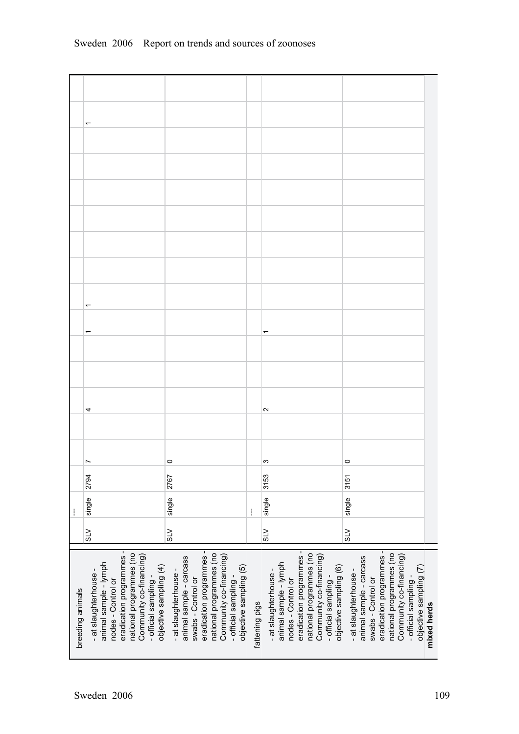|                  | 4                                                                                                                                                                                                       |                                                                                                                                                                                                             |                | $\sim$                                                                                                                                                                                                  |                                                                                                                                                                                                                            |
|------------------|---------------------------------------------------------------------------------------------------------------------------------------------------------------------------------------------------------|-------------------------------------------------------------------------------------------------------------------------------------------------------------------------------------------------------------|----------------|---------------------------------------------------------------------------------------------------------------------------------------------------------------------------------------------------------|----------------------------------------------------------------------------------------------------------------------------------------------------------------------------------------------------------------------------|
|                  |                                                                                                                                                                                                         |                                                                                                                                                                                                             |                |                                                                                                                                                                                                         |                                                                                                                                                                                                                            |
|                  | Ľ<br>2794                                                                                                                                                                                               | $\circ$<br>2767                                                                                                                                                                                             |                | S<br>3153                                                                                                                                                                                               | $\circ$<br>3151                                                                                                                                                                                                            |
|                  | single                                                                                                                                                                                                  | single                                                                                                                                                                                                      |                | single                                                                                                                                                                                                  | single                                                                                                                                                                                                                     |
| ł                | $\frac{5}{10}$                                                                                                                                                                                          | $\leq$                                                                                                                                                                                                      | ł              | $\leq$                                                                                                                                                                                                  | $\geq$                                                                                                                                                                                                                     |
|                  |                                                                                                                                                                                                         |                                                                                                                                                                                                             |                |                                                                                                                                                                                                         |                                                                                                                                                                                                                            |
| breeding animals | eradication programmes -<br>national programmes (no<br>Community co-financing)<br>animal sample - lymph<br>objective sampling (4)<br>- at slaughterhouse -<br>nodes - Control or<br>- official sampling | eradication programmes -<br>national programmes (no<br>Community co-financing)<br>animal sample - carcass<br>objective sampling (5)<br>- at slaughterhouse -<br>- official sampling -<br>swabs - Control or | fattening pigs | eradication programmes -<br>national programmes (no<br>Community co-financing)<br>animal sample - lymph<br>objective sampling (6)<br>- at slaughterhouse -<br>nodes - Control or<br>- official sampling | eradication programmes -<br>national programmes (no<br>Community co-financing)<br>animal sample - carcass<br>objective sampling (7)<br>- at slaughterhouse -<br>- official sampling -<br>swabs - Control or<br>mixed herds |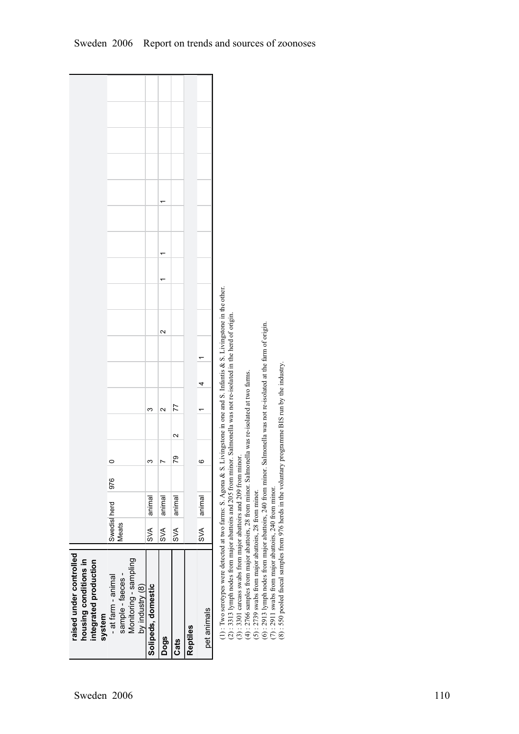| raised under controlled<br>housing conditions in<br>integrated production<br>system                                                                                                                                                                                                                                        |                      |        |     |    |                   |        |  |        |  |  |  |  |
|----------------------------------------------------------------------------------------------------------------------------------------------------------------------------------------------------------------------------------------------------------------------------------------------------------------------------|----------------------|--------|-----|----|-------------------|--------|--|--------|--|--|--|--|
| - at farm - animal                                                                                                                                                                                                                                                                                                         | Swedist<br>herd      |        | 976 | 0  |                   |        |  |        |  |  |  |  |
| Monitoring - sampling<br>sample - faeces -                                                                                                                                                                                                                                                                                 | <b>Meats</b>         |        |     |    |                   |        |  |        |  |  |  |  |
| by industry (8)                                                                                                                                                                                                                                                                                                            |                      |        |     |    |                   |        |  |        |  |  |  |  |
| Solipeds, domestic                                                                                                                                                                                                                                                                                                         | SVA                  | animal |     | ო  |                   | ო      |  |        |  |  |  |  |
| Dogs                                                                                                                                                                                                                                                                                                                       | SVA                  | animal |     |    |                   | $\sim$ |  | $\sim$ |  |  |  |  |
| Cats                                                                                                                                                                                                                                                                                                                       | SVA                  | animal |     | 79 | $\mathbf{\Omega}$ | 77     |  |        |  |  |  |  |
| Reptiles                                                                                                                                                                                                                                                                                                                   |                      |        |     |    |                   |        |  |        |  |  |  |  |
| pet animals                                                                                                                                                                                                                                                                                                                | $\frac{1}{\sqrt{2}}$ | aninal |     | ဖ  |                   |        |  |        |  |  |  |  |
| (1): Two serotypes were detected at two farms: S. Agona & S. Livingstone in one and S. Infantis & S. Livingstone in the other.<br>(2): 3313 lymph nodes from major abattoirs and 205 from minor. Salmonella was not re-isolated in the herd of origin.<br>(3): 3301 carcass swabs from major abattoirs and 209 from minor. |                      |        |     |    |                   |        |  |        |  |  |  |  |
| $(4)$ : 2766 samples from major abattoirs, 28 from minor. Salmonella was re-isolated at two farms.                                                                                                                                                                                                                         |                      |        |     |    |                   |        |  |        |  |  |  |  |
|                                                                                                                                                                                                                                                                                                                            |                      |        |     |    |                   |        |  |        |  |  |  |  |

(5) : 2739 swabs from major abattoirs, 28 from minor.

(5) : 2739 swabs from major abattoirs, 28 from minor.<br>(6) : 2913 lymph nodes from major abattoirs, 240 from minor. Salmonella was not re-isolated at the farm of origin.<br>(7) : 2911 swabs from major abattoirs, 240 from mino (6) : 2913 lymph nodes from major abattoirs, 240 from minor. Salmonella was not reisolated at the farm of origin.

(7) : 2911 swabs from major abattoirs, 240 from minor.

(8) : 550 pooled faecal samples from 976 herds in the voluntary programme BIS run by the industry.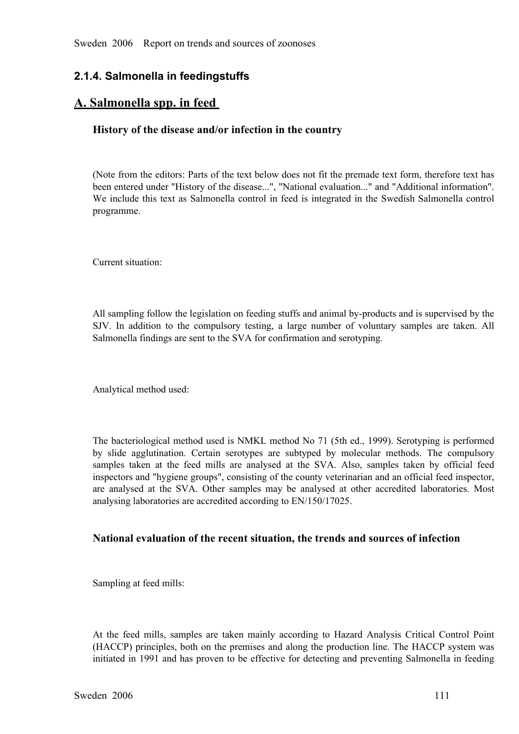## **2.1.4. Salmonella in feedingstuffs**

## **A. Salmonella spp. in feed**

#### **History of the disease and/or infection in the country**

(Note from the editors: Parts of the text below does not fit the premade text form, therefore text has been entered under "History of the disease...", "National evaluation..." and "Additional information". We include this text as Salmonella control in feed is integrated in the Swedish Salmonella control programme.

Current situation:

All sampling follow the legislation on feeding stuffs and animal by-products and is supervised by the SJV. In addition to the compulsory testing, a large number of voluntary samples are taken. All Salmonella findings are sent to the SVA for confirmation and serotyping.

Analytical method used:

The bacteriological method used is NMKL method No 71 (5th ed., 1999). Serotyping is performed by slide agglutination. Certain serotypes are subtyped by molecular methods. The compulsory samples taken at the feed mills are analysed at the SVA. Also, samples taken by official feed samples taken at the feed mills are analysed at the SVA. Also, samples taken by official feed<br>inspectors and "hygiene groups", consisting of the county veterinarian and an official feed inspector,<br>are analysed at the SVA. inspectors and "hygiene groups", consisting of the county veterinarian and an official feed inspector, are analysed at the SVA. Other samples may be analysed at other accredited laboratories. Most analysing laboratories are accredited according to EN/150/17025. analysing laboratories are accredited according to EN/150/17025.

#### **National evaluation of the recent situation, the trends and sources of infection**

Sampling at feed mills:

At the feed mills, samples are taken mainly according to Hazard Analysis Critical Control Point (HACCP) principles, both on the premises and along the production line. The HACCP system was initiated in 1991 and has proven (HACCP) principles, both on the premises and along the production line. The HACCP system was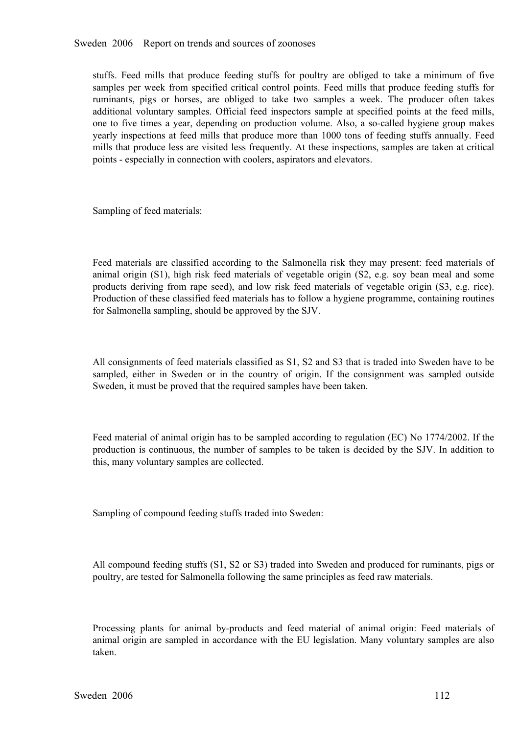stuffs. Feed mills that produce feeding stuffs for poultry are obliged to take a minimum of five samples per week from specified critical control points. Feed mills that produce feeding stuffs for ruminants, pigs or horses samples per week from specified critical control points. Feed mills that produce feeding stuffs for<br>
ruminants, pigs or horses, are obliged to take two samples a week. The producer often takes<br>
addi ruminants, pigs or horses, are obliged to take two samples a week. The producer often takes additional voluntary samples. Official feed inspectors sample at specified points at the feed mills, one to five times a year, dep one to five times a year, depending on production volume. Also, a so-called hygiene group makes yearly inspections at feed mills that produce more than 1000 tons of feeding stuffs annually. Feed yearly inspections at feed mills that produce more than 1000 tons of feeding stuffs annually. Feed mills that produce less are visited less frequently. At these inspections, samples are taken at critical points - especiall mills that produce less are visited less frequently. At these inspections, samples are taken at critical points especially in connection with coolers, aspirators and elevators.

Sampling of feed materials:

Feed materials are classified according to the Salmonella risk they may present: feed materials of animal origin (S1), high risk feed materials of vegetable origin (S2, e.g. soy bean meal and some products deriving from rape seed), and low risk feed materials of vegetable origin (S3, e.g. rice). products deriving from rape seed), and low risk feed materials of vegetable origin (S3, e.g. rice).<br>Production of these classified feed materials has to follow a hygiene programme, containing routines<br>for Salm Production of these classified feed materials has to follow a hygiene programme, containing routines for Salmonella sampling, should be approved by the SJV.

All consignments of feed materials classified as S1, S2 and S3 that is traded into Sweden have to be sampled, either in Sweden or in the country of origin. If the consignment was sampled outside Sweden, it must be proved that the required samples have been taken.

Feed material of animal origin has to be sampled according to regulation (EC) No 1774/2002. If the production is continuous, the number of samples to be taken is decided by the SJV. In addition to this, many voluntary samples are collected.

Sampling of compound feeding stuffs traded into Sweden:

All compound feeding stuffs (S1, S2 or S3) traded into Sweden and produced for ruminants, pigs or poultry, are tested for Salmonella following the same principles as feed raw materials.

Processing plants for animal by-products and feed material of animal origin: Feed materials of animal origin are sampled in accordance with the EU legislation. Many voluntary samples are also taken. animal origin are sampled in accordance with the EU legislation. Many voluntary samples are also taken.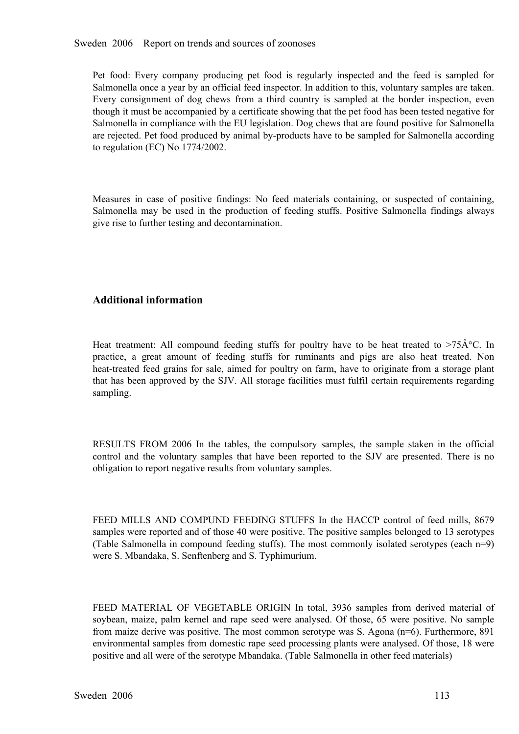Sweden 2006 Report on trends and sources of zoonoses

Pet food: Every company producing pet food is regularly inspected and the feed is sampled for Salmonella once a year by an official feed inspector. In addition to this, voluntary samples are taken.<br>Every consignment of dog Salmonella once a year by an official feed inspector. In addition to this, voluntary samples are taken. Every consignment of dog chews from a third country is sampled at the border inspection, even though it must be accompanied by a certificate showing that the pet food has been tested negative for Salmonella in compliance with the EU legislation. Dog chews that are found positive for Salmonella are rejected. Pet food produced by animal by-products have to be sampled for Salmonella according to regulation (EC) No 1774/2002.

Measures in case of positive findings: No feed materials containing, or suspected of containing, Salmonella may be used in the production of feeding stuffs. Positive Salmonella findings always give rise to further testing Salmonella may be used in the production of feeding stuffs. Positive Salmonella findings always give rise to further testing and decontamination. give rise to further testing and decontamination.

#### **Additional information**

Heat treatment: All compound feeding stuffs for poultry have to be heat treated to >75 $\hat{A}^{\circ}C$ . In practice, a great amount of feeding stuffs for ruminants and pigs are also heat treated. Non heat-treated feed grains practice, a great amount of feeding stuffs for ruminants and pigs are also heat treated. Non<br>heat-treated feed grains for sale, aimed for poultry on farm, have to originate from a storage plant<br>that has been approved by th heat-treated feed grains for sale, aimed for poultry on farm, have to originate from a storage plant<br>that has been approved by the SJV. All storage facilities must fulfil certain requirements regardin that has been approved by the SJV. All storage facilities must fulfil certain requirements regarding sampling. sampling.

RESULTS FROM 2006 In the tables, the compulsory samples, the sample staken in the official control and the voluntary samples that have been reported to the SJV are presented. There is no obligation to report negative resul control and the voluntary samples that have been reported to the SJV are presented. There is no obligation to report negative results from voluntary samples. obligation to report negative results from voluntary samples.

FEED MILLS AND COMPUND FEEDING STUFFS In the HACCP control of feed mills, 8679 samples were reported and of those 40 were positive. The positive samples belonged to 13 serotypes (Table Salmonella in compound feeding stuffs samples were reported and of those 40 were positive. The positive samples belonged to 13 serotypes were S. Mbandaka, S. Senftenberg and S. Typhimurium.

FEED MATERIAL OF VEGETABLE ORIGIN In total, 3936 samples from derived material of soybean, maize, palm kernel and rape seed were analysed. Of those, 65 were positive. No sample soybean, maize, palm kernel and rape seed were analysed. Of those, 65 were positive. No sample<br>from maize derive was positive. The most common serotype was S. Agona (n=6). Furthermore, 891<br>environmental samples from domest from maize derive was positive. The most common serotype was S. Agona (n=6). Furthermore, 891 positive and all were of the serotype Mbandaka. (Table Salmonella in other feed materials)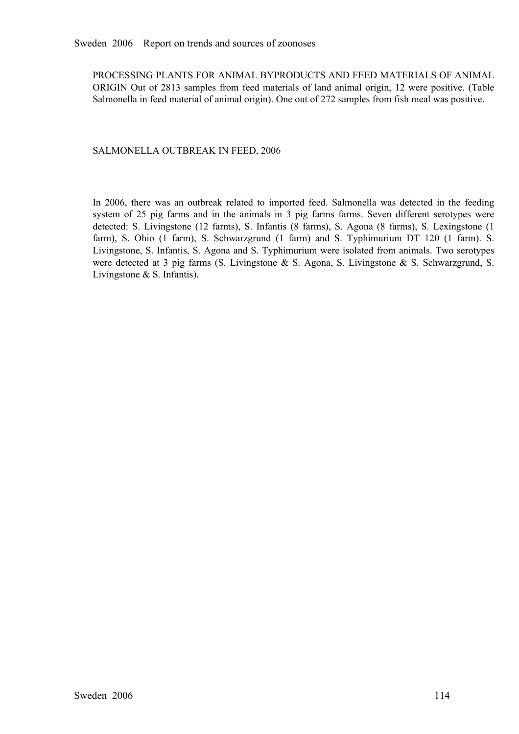PROCESSING PLANTS FOR ANIMAL BYPRODUCTS AND FEED MATERIALS OF ANIMAL ORIGIN Out of 2813 samples from feed materials of land animal origin, 12 were positive. (Table Salmonella in feed material of animal origin). One out of 272 samples from fish meal was positive. Salmonella in feed material of animal origin). One out of 272 samples from fish meal was positive.

#### SALMONELLA OUTBREAK IN FEED, 2006

In 2006, there was an outbreak related to imported feed. Salmonella was detected in the feeding system of 25 pig farms and in the animals in 3 pig farms farms. Seven different serotypes were detected: S. Livingstone (12 fa system of 25 pig farms and in the animals in 3 pig farms farms. Seven different serotypes were detected: S. Livingstone (12 farms), S. Infantis (8 farms), S. Agona (8 farms), S. Lexingstone (1 farm), S. Ohio (1 farm), S. S detected: S. Livingstone (12 farms), S. Infantis (8 farms), S. Agona (8 farms), S. Lexingstone (1 farm), S. Ohio (1 farm), S. Schwarzgrund (1 farm) and S. Typhimurium DT 120 (1 farm). S. Livingstone, S. Infant farm), S. Ohio (1 farm), S. Schwarzgrund (1 farm) and S. Typhimurium DT 120 (1 farm). S. Livingstone, S. Infantis, S. Agona and S. Typhimurium were isolated from animals. Two serotypes were detected at 3 pig farms (S. Livi Livingstone, S. Infantis, S. Agona and S. Typhimurium were isolated from animals. Two serotypes were detected at 3 pig farms (S. Livingstone & S. Agona, S. Livingstone & S. Schwarzgrund, S. Livingstone & S. Infantis).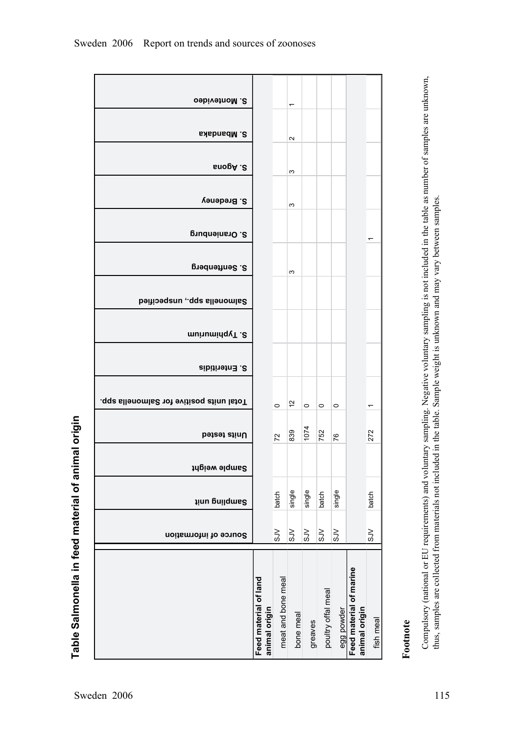|                                   | S. Mbandaka                                   |                                        |                    | $\sim$              |                          |                    |                       |                                          |                          |
|-----------------------------------|-----------------------------------------------|----------------------------------------|--------------------|---------------------|--------------------------|--------------------|-----------------------|------------------------------------------|--------------------------|
|                                   | s. Agona<br>S. Bredeney                       |                                        |                    | S<br>S              |                          |                    |                       |                                          |                          |
|                                   | S. Oranienburg                                |                                        |                    |                     |                          |                    |                       |                                          |                          |
|                                   | S. Senftenberg                                |                                        |                    | S                   |                          |                    |                       |                                          |                          |
|                                   | Salmonella spp., unspecified                  |                                        |                    |                     |                          |                    |                       |                                          |                          |
|                                   | mu'numinq vT .2<br>S. Enteritidis             |                                        |                    |                     |                          |                    |                       |                                          |                          |
|                                   | .qqs sllenomis2 not evitizoq stinu lstoT      |                                        | $\circ$            | 57                  | $\circ$                  | $\circ$            | $\circ$               |                                          | $\overline{\phantom{0}}$ |
| of animal origin                  | Units tested                                  |                                        | 72                 | 839                 | 1074                     | 752                | 76                    |                                          | 272                      |
|                                   | Sample weight                                 |                                        |                    |                     | $\underline{\mathbb{o}}$ |                    |                       |                                          |                          |
|                                   | <b>Jinu prilqms2</b><br>Source of information |                                        | batch<br>$\gtrsim$ | single<br>$\gtrsim$ | sing<br>S <sub>N</sub>   | batch<br>5JV       | single<br>$\leqslant$ |                                          | batch<br>5N              |
|                                   |                                               |                                        |                    |                     |                          |                    |                       |                                          |                          |
| Table Salmonella in feed material |                                               | Feed material of land<br>animal origin | meat and bone meal | bone meal           | greaves                  | poultry offal meal | egg powder            | Feed material of marine<br>animal origin | fish meal                |

**S. Montevideo** 

# **Footnote**

Compulsory (national or EU requirements) and voluntary sampling. Negative voluntary sampling is not included in the table as number of samples are unknown,<br>thus, samples are collected from materials not included in the tab Compulsory (national or EU requirements) and voluntary sampling. Negative voluntary sampling is not included in the table as number of samples are unknown, thus, samples are collected from materials not included in the table. Sample weight is unknown and may vary between samples.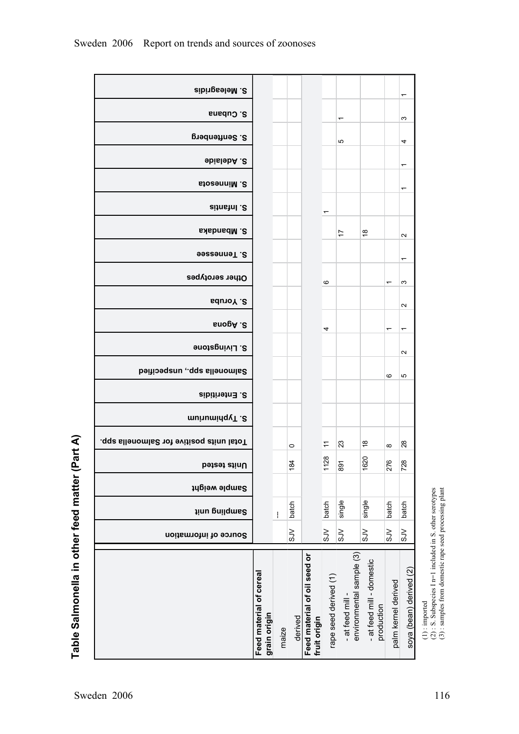| S. Meleagridis                           |                                         |       |           |                                              |                          |                                              |                                         |                     | ᠆                       |
|------------------------------------------|-----------------------------------------|-------|-----------|----------------------------------------------|--------------------------|----------------------------------------------|-----------------------------------------|---------------------|-------------------------|
| S. Cubana                                |                                         |       |           |                                              |                          | $\overline{\phantom{0}}$                     |                                         |                     | ω                       |
| S. Senftenberg                           |                                         |       |           |                                              |                          | ю                                            |                                         |                     | 4                       |
| 9bislebA.2                               |                                         |       |           |                                              |                          |                                              |                                         |                     | ↽                       |
| S. Minnesota                             |                                         |       |           |                                              |                          |                                              |                                         |                     | ᡪ                       |
| Sitnstnl.2                               |                                         |       |           |                                              |                          |                                              |                                         |                     |                         |
| S. Mbandaka                              |                                         |       |           |                                              | $\overline{\phantom{0}}$ | 17                                           | $\frac{8}{10}$                          |                     |                         |
| S. Tennesee                              |                                         |       |           |                                              |                          |                                              |                                         |                     | $\boldsymbol{\sim}$     |
| Other serotypes                          |                                         |       |           |                                              |                          |                                              |                                         |                     | ᠇                       |
| <b>S. Yoruba</b>                         |                                         |       |           |                                              | ဖ                        |                                              |                                         | ᠇                   | S                       |
| s. Agona                                 |                                         |       |           |                                              |                          |                                              |                                         |                     | $\sim$                  |
| S. Livingstone                           |                                         |       |           |                                              | 4                        |                                              |                                         | ᡪ                   | ٣                       |
| Salmonella spp., unspecified             |                                         |       |           |                                              |                          |                                              |                                         |                     | $\sim$                  |
|                                          |                                         |       |           |                                              |                          |                                              |                                         | ဖ                   | 5                       |
| S. Enteritidis                           |                                         |       |           |                                              |                          |                                              |                                         |                     |                         |
| munuming v <sub>1.</sub> 8               |                                         |       |           |                                              |                          |                                              |                                         |                     |                         |
| Total units positive for Salmonella spp. |                                         |       | $\circ$   |                                              | ÷                        | ಔ                                            | $\frac{8}{10}$                          | $\infty$            | $^{28}$                 |
| Units tested                             |                                         |       | 184       |                                              | 1128                     | 891                                          | 1620                                    | 276                 | 728                     |
| Sample weight                            |                                         |       |           |                                              |                          |                                              |                                         |                     |                         |
| <b>Jinu prilqms2</b>                     |                                         | ŧ     | batch     |                                              | batch                    | single                                       | single                                  | batch               | batch                   |
| Source of information                    |                                         |       | $\gtrsim$ |                                              | 5N                       | $\leqslant$                                  | 5N                                      | 5N                  | $\gtrsim$               |
|                                          | Feed material of cereal<br>grain origin | maize | derived   | Feed material of oil seed or<br>fruit origin | rape seed derived (1)    | environmental sample (3)<br>- at feed mill - | - at feed mill - domestic<br>production | palm kernel derived | soya (bean) derived (2) |

Table Salmonella in other feed matter (Part A) **Table Salmonella in other feed matter (Part A)**

(3) : samples from domestic rape seed processing plant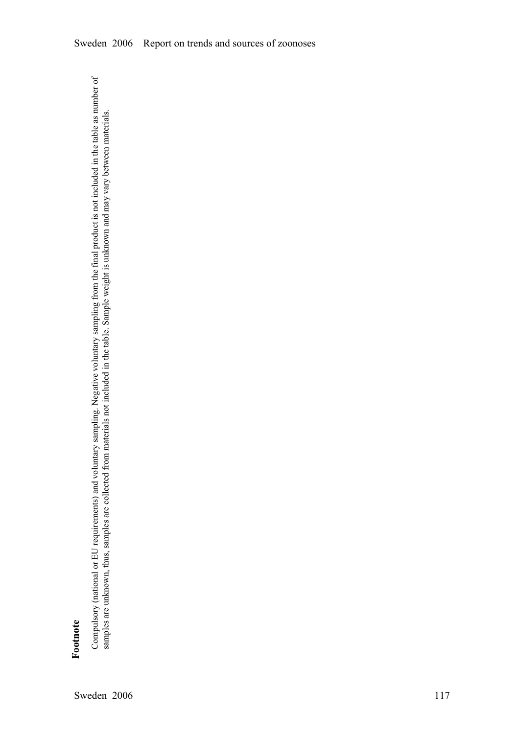**Footnote** 

Compulsory (national or EU requirements) and voluntary sampling. Negative voluntary sampling from the final product is not included in the table as number of Compulsory (national or EU requirements) and voluntary sampling. Negative voluntary sampling from the final product is not included in the table as number of samples are unknown, thus, samples are collected from materials not included in the table. Sample weight is unknown and may vary between materials. samples are unknown, thus, samples are collected from materials not included in the table. Sample weight is unknown and may vary between materials.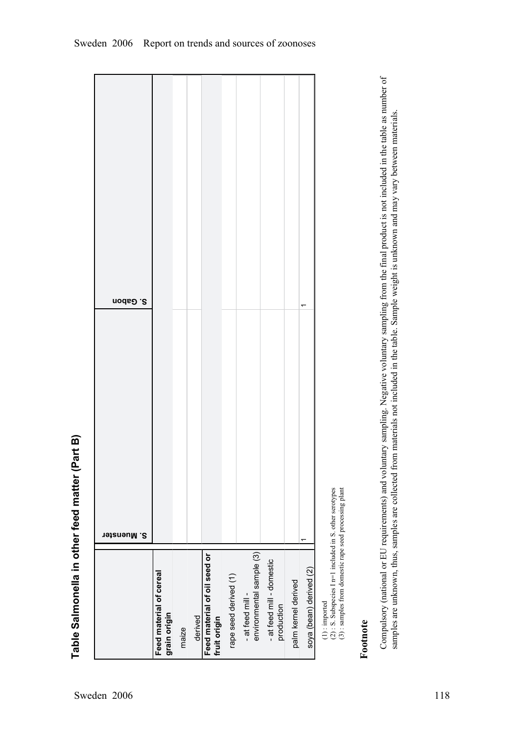| S. Muenster | Feed material of cereal |  | Feed material of oil seed or | rape seed derived (1) | environmental sample (3)<br>- at feed mill - | - at feed mill - domestic<br>production | palm kernel derived | soya (bean) derived (2) |
|-------------|-------------------------|--|------------------------------|-----------------------|----------------------------------------------|-----------------------------------------|---------------------|-------------------------|
| S. Gabon    |                         |  |                              |                       |                                              |                                         |                     | ۳                       |
|             |                         |  |                              |                       |                                              |                                         |                     |                         |

( $2$ ) : S. Subspecies I n=1 included in S. other serotypes

(1) : imported<br>
(2) : S. Subspecies I n=1 included in S. other serotypes<br>
(3) : samples from domestic rape seed processing plant (3) : samples from domestic rape seed processing plant

**Footnote** 

Compulsory (national or EU requirements) and voluntary sampling. Negative voluntary sampling from the final product is not included in the table as number of Compulsory (national or EU requirements) and voluntary sampling. Negative voluntary sampling from the final product is not included in the table as number of samples are unknown, thus, samples are collected from materials not included in the table. Sample weight is unknown and may vary between materials. samples are unknown, thus, samples are collected from materials not included in the table. Sample weight is unknown and may vary between materials.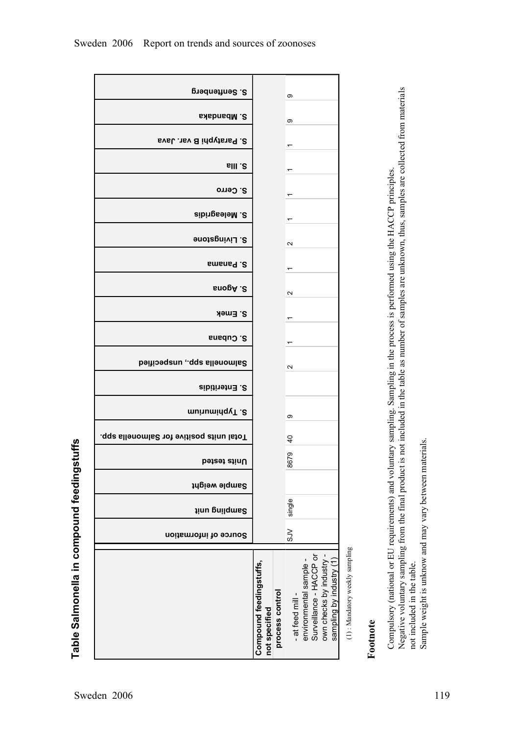**Table Salmonella in compound feedingstuffs**

Table Salmonella in compound feedingstuffs

|                                |                                                                                                      | თ                 |                 |                                          | S. Senftenberg                           |
|--------------------------------|------------------------------------------------------------------------------------------------------|-------------------|-----------------|------------------------------------------|------------------------------------------|
|                                |                                                                                                      | ၜ                 |                 |                                          | S. Mbandaka                              |
|                                |                                                                                                      |                   |                 |                                          | S. Paratyphi B var. Java                 |
|                                |                                                                                                      | ᠇                 |                 |                                          | <b>S. Illa</b>                           |
|                                |                                                                                                      |                   |                 |                                          | S. Cerro                                 |
|                                |                                                                                                      |                   |                 |                                          | S. Meleagridis                           |
|                                |                                                                                                      | $\mathbf{\Omega}$ |                 |                                          | S. Livingstone                           |
|                                |                                                                                                      |                   |                 |                                          | S. Panama                                |
|                                |                                                                                                      | $\sim$            |                 |                                          | s. Agona                                 |
|                                |                                                                                                      |                   |                 |                                          | S. Emek                                  |
|                                |                                                                                                      |                   |                 |                                          | S. Cubana                                |
|                                |                                                                                                      | $\mathbf{\Omega}$ |                 |                                          | Salmonella spp., unspecified             |
|                                |                                                                                                      |                   |                 |                                          | S. Enteritidis                           |
|                                |                                                                                                      | თ                 |                 |                                          | munuminqyT.2                             |
|                                |                                                                                                      | $\overline{a}$    |                 |                                          | Total units positive for Salmonella spp. |
|                                |                                                                                                      | 8679              |                 |                                          | <b>Dested</b> stinU                      |
|                                |                                                                                                      |                   |                 |                                          | Sample weight                            |
|                                |                                                                                                      | single            |                 |                                          | <b>Jinu prilqms2</b>                     |
|                                |                                                                                                      | $\lesssim$        |                 |                                          | Source of information                    |
| (1): Mandatory weekly sampling | Surveillance - HACCP or<br>own checks by industry<br>sampling by industry (1<br>environmental sample | - at feed mill -  | process control | Compound feedingstuffs,<br>not specified |                                          |

# **Footnote**

Negative voluntary sampling from the final product is not included in the table as number of samples are unknown, thus, samples are collected from materials Negative voluntary sampling from the final product is not included in the table as number of samples are unknown, thus, samples are collected from materials Negative voluntary sampling from the final product is not include Compulsory (national or EU requirements) and voluntary sampling. Sampling in the process is performed using the HACCP principles. Compulsory (national or EU requirements) and voluntary sampling. Sampling in the process is performed using the HACCP principles. Sample weight is unknow and may vary between materials. not included in the table.<br>Sample weight is unknow and may vary between materials. not included in the table.

٦

Г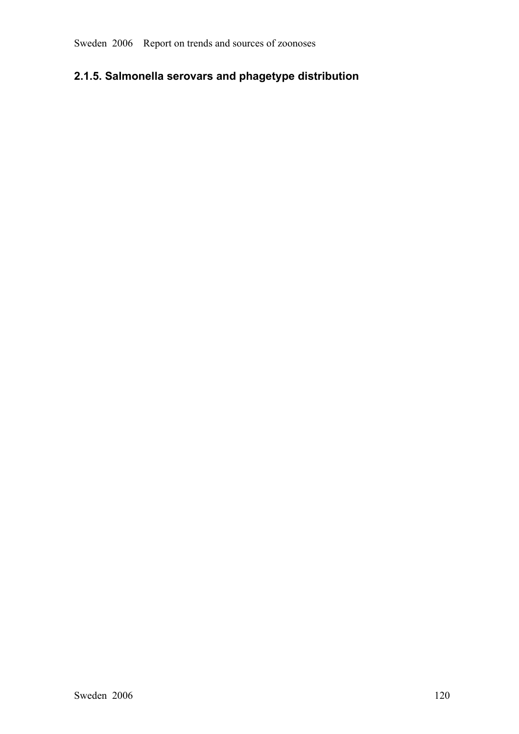# **2.1.5. Salmonella serovars and phagetype distribution**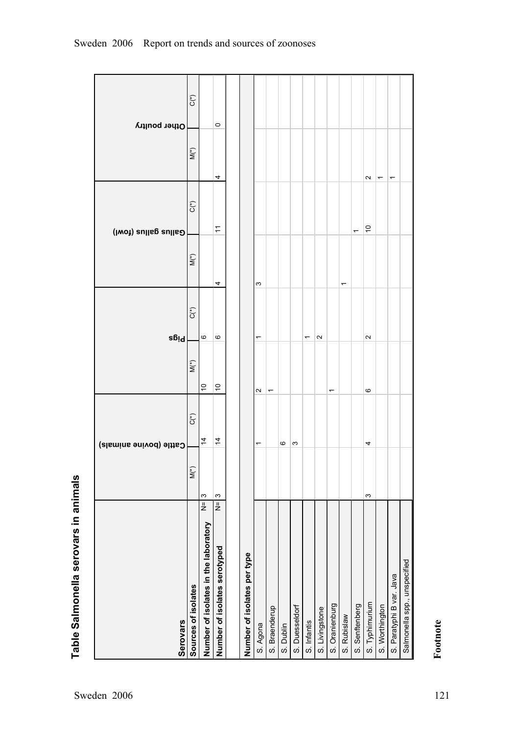|                                      |               |        | Cattle (bovine animals) |                          |                      |                          |                          | Gallus gallus (fowl)     |                     | Other poultry |  |
|--------------------------------------|---------------|--------|-------------------------|--------------------------|----------------------|--------------------------|--------------------------|--------------------------|---------------------|---------------|--|
| Serovars                             |               |        |                         |                          |                      | <b>bigs</b>              |                          |                          |                     |               |  |
| Sources of isolates                  |               | $M(*)$ | $\mathsf{C}({}^*)$      |                          | $\stackrel{*}{\leq}$ | $C(\sp{*})$              | $M(*)$                   | $C^*$                    | $M^{(*)}$           | $C(*)$        |  |
| Number of isolates in the laboratory | $\frac{1}{2}$ | ო      | $\overline{4}$          |                          | $\tilde{c}$          | $\mathbf \Omega$         |                          |                          |                     |               |  |
| Number of isolates serotyped         | $N = 3$       |        | $\overline{4}$          |                          | $\tilde{c}$          | $\circ$                  | 4                        | $\tilde{\tau}$           | 4                   | $\circ$       |  |
|                                      |               |        |                         |                          |                      |                          |                          |                          |                     |               |  |
| Number of isolates per type          |               |        |                         |                          |                      |                          |                          |                          |                     |               |  |
| S. Agona                             |               |        |                         | $\mathbf{a}$             |                      |                          | ω                        |                          |                     |               |  |
| S. Braenderup                        |               |        |                         | $\overline{\phantom{0}}$ |                      |                          |                          |                          |                     |               |  |
| S. Dublin                            |               |        | ဖ                       |                          |                      |                          |                          |                          |                     |               |  |
| S. Duesseldorf                       |               |        | S                       |                          |                      |                          |                          |                          |                     |               |  |
| S. Infantis                          |               |        |                         |                          |                      | $\overline{\phantom{0}}$ |                          |                          |                     |               |  |
| S. Livingstone                       |               |        |                         |                          |                      | $\sim$                   |                          |                          |                     |               |  |
| S. Oranienburg                       |               |        |                         | ٣                        |                      |                          |                          |                          |                     |               |  |
| S. Rubislaw                          |               |        |                         |                          |                      |                          | $\overline{\phantom{0}}$ |                          |                     |               |  |
| S. Senftenberg                       |               |        |                         |                          |                      |                          |                          | $\overline{\phantom{0}}$ |                     |               |  |
| S. Typhimurium                       |               | S      | 4                       | ဖ                        |                      | $\mathbf{\Omega}$        |                          | $\tilde{c}$              | $\boldsymbol{\sim}$ |               |  |
| S. Worthington                       |               |        |                         |                          |                      |                          |                          |                          | ᡪ                   |               |  |
| S. Paratyphi B var. Java             |               |        |                         |                          |                      |                          |                          |                          | ٣                   |               |  |
| Salmonella spp., unspecified         |               |        |                         |                          |                      |                          |                          |                          |                     |               |  |

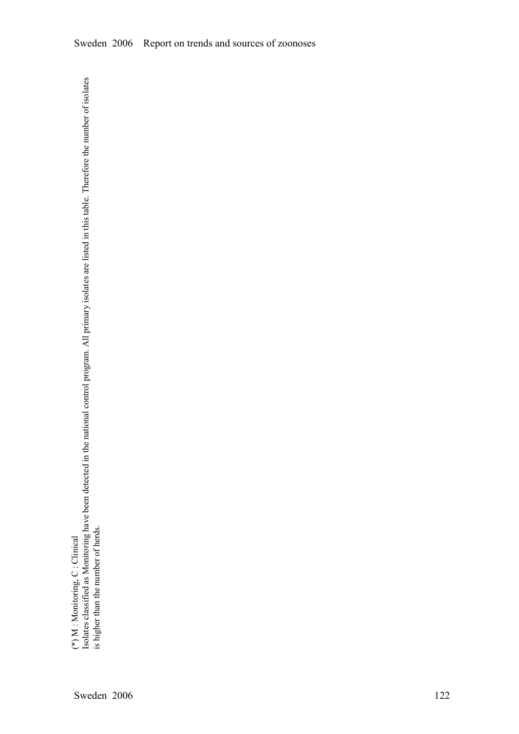(\*) M : Monitoring, C : Clinical

(\*) M : Monitoring, C : Clinical<br>Isolates classified as Monitoring have been detected in the national control program. All primary isolates are listed in this table. Therefore the number of isolates<br>is higher than the numb Isolates classified as Monitoring have been detected in the national control program. All primary isolates are listed in this table. Therefore the number of isolates is higher than the number of herds.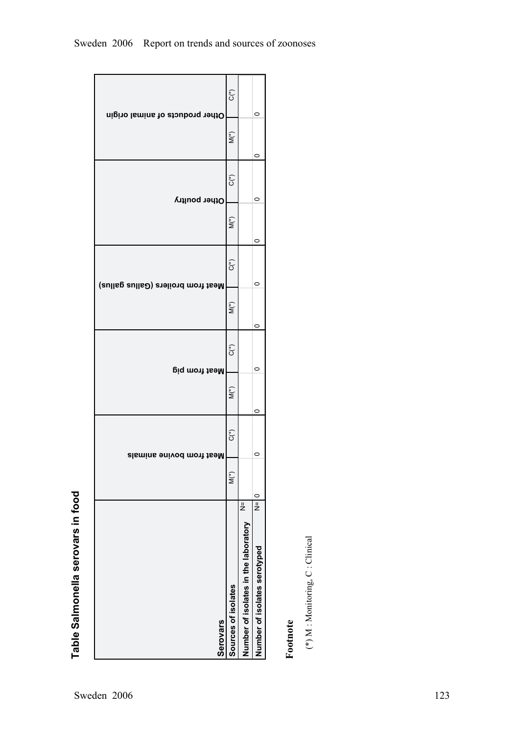

Table Salmonella serovars in food **Table Salmonella serovars in food**

**Footnote** 

 $(\ast)$ M : Monitoring, C : Clinical (\*) M : Monitoring, C : Clinical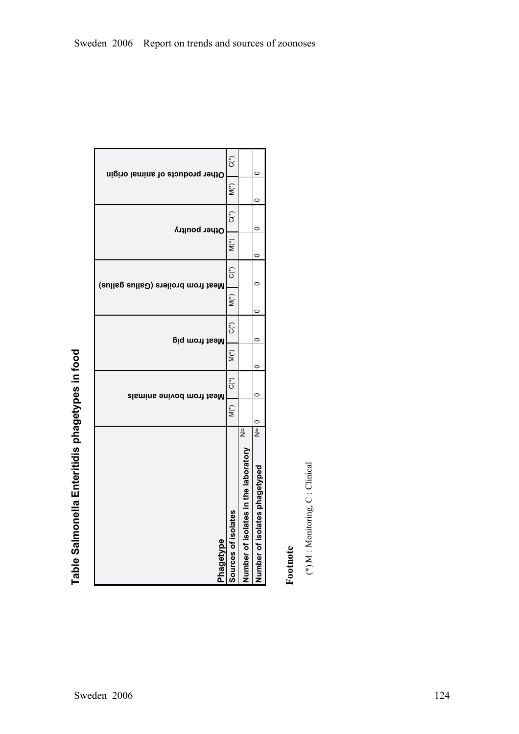| Other products of animal origin<br>$\widetilde{\mathsf{N}}(\tilde{a})$<br>$\widehat{C}^*$<br>Other poultry | $M(\stackrel{*}{\circ})$ | $C(*)$<br>Neat from broilers (Gallus gallus) | $M(*)$ | $C^*$<br><b>Neat from pig</b> | $\widetilde{\mathsf{M}}^{(*)}$ | $C^*$<br>Meat from bovine animals | $M(*)$ | ار<br>ح<br>Number of isolates in the laboratory<br>Sources of isolates<br>Phagetype |
|------------------------------------------------------------------------------------------------------------|--------------------------|----------------------------------------------|--------|-------------------------------|--------------------------------|-----------------------------------|--------|-------------------------------------------------------------------------------------|
| 0<br>0<br>c                                                                                                | 0                        | $\circ$                                      | c      | C                             | 0                              | C                                 | c      | $\frac{1}{2}$<br>Number of isolates phagetyped                                      |

**Footnote** 

 $(\ast)$  M : Monitoring, C : Clinical (\*) M : Monitoring, C : Clinical

**Table Salmonella Enteritidis phagetypes in food**

Table Salmonella Enteritidis phagetypes in food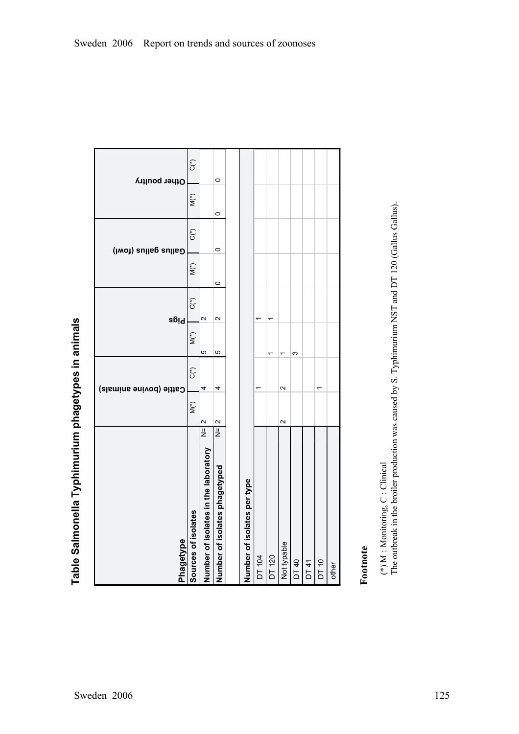| Phagetype                            |               |                    | Cattle (bovine animals) |          | Pigs   |         | Gallus gallus (fowl) |                    | Other poultry |
|--------------------------------------|---------------|--------------------|-------------------------|----------|--------|---------|----------------------|--------------------|---------------|
| Sources of isolates                  |               | $\mathsf{M}({}^*)$ | $C^*$                   | $\sum^*$ | $C^*$  | $M(*)$  | $C^*$                | $\mathsf{M}({}^*)$ | $C^{\ast}$    |
| Number of isolates in the laboratory | $\frac{1}{2}$ |                    | 4                       | Ю        | $\sim$ |         |                      |                    |               |
| Number of isolates phagetyped        | $\frac{1}{2}$ |                    | 4                       | Ю        | $\sim$ | $\circ$ | $\circ$              | $\circ$            | $\circ$       |
|                                      |               |                    |                         |          |        |         |                      |                    |               |
| Number of isolates per type          |               |                    |                         |          |        |         |                      |                    |               |
| DT 104                               |               |                    |                         |          |        |         |                      |                    |               |
| DT 120                               |               |                    |                         | ᅮ        |        |         |                      |                    |               |
| Not typable                          | $\sim$        |                    | $\sim$                  | ᡪ        |        |         |                      |                    |               |
| DT 40                                |               |                    |                         | S        |        |         |                      |                    |               |
| DT41                                 |               |                    |                         |          |        |         |                      |                    |               |
| DT 10                                |               |                    |                         |          |        |         |                      |                    |               |
| other                                |               |                    |                         |          |        |         |                      |                    |               |
|                                      |               |                    |                         |          |        |         |                      |                    |               |

Table Salmonella Typhimurium phagetypes in animals **Table Salmonella Typhimurium phagetypes in animals**

# **Footnote**

The outbreak in the broiler production was caused by S. Typhimurium NST and DT 120 (Gallus Gallus). (\*) M : Monitoring, C : Clinical<br>The outbreak in the broiler production was caused by S. Typhimurium NST and DT 120 (Gallus Gallus). (\*) M : Monitoring, C : Clinical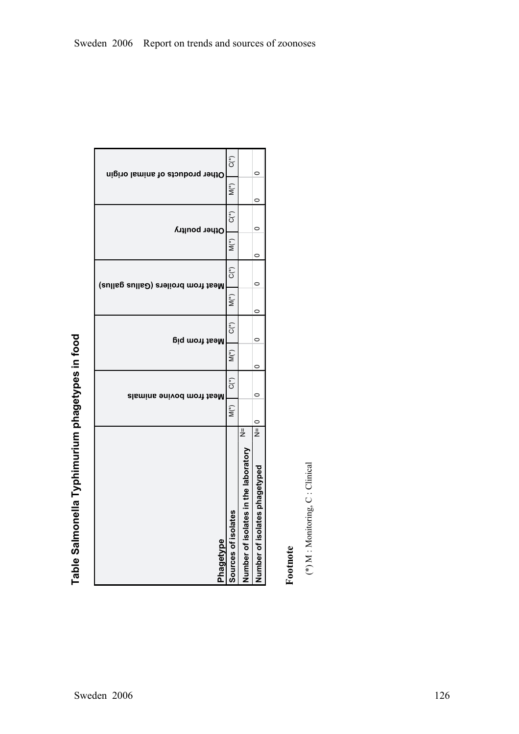| Phagetype                          | Sources of isolates                   | Number of isolates in the laboratory | Number of isolates phagetyped |
|------------------------------------|---------------------------------------|--------------------------------------|-------------------------------|
|                                    | $M(\stackrel{*}{\scriptstyle\smile})$ | ار<br>ح                              | $\circ$<br>$\frac{1}{2}$      |
| Meat from bovine animals           | C(*)                                  |                                      | 0                             |
|                                    | M(*)                                  |                                      | c                             |
| <b>Dig mont the M</b>              | $C^*$                                 |                                      | $\circ$                       |
|                                    | $\stackrel{*}{\leq}$                  |                                      | c                             |
| Meat from broilers (Gallus gallus) | C(*)                                  |                                      |                               |
|                                    | $M(\tilde{\zeta})$                    |                                      | 0                             |
| Other poultry                      | C،<br>C                               |                                      | 0                             |
|                                    | $M(\stackrel{*}{\scriptstyle\smile})$ |                                      | 0                             |
| Other products of animal origin    | $C^*$                                 |                                      | 0                             |

Table Salmonella Typhimurium phagetypes in food **Table Salmonella Typhimurium phagetypes in food**

# **Footnote**

 $(\ast)$  M : Monitoring, C : Clinical (\*) M : Monitoring, C : Clinical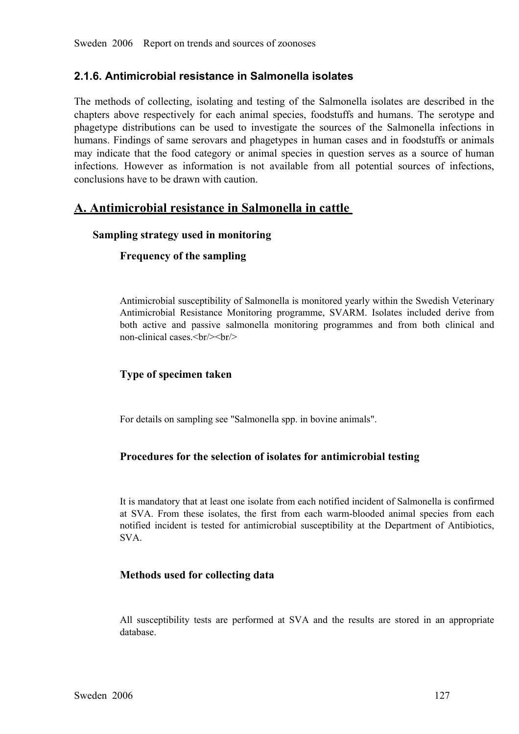## **2.1.6. Antimicrobial resistance in Salmonella isolates**

The methods of collecting, isolating and testing of the Salmonella isolates are described in the chapters above respectively for each animal species, foodstuffs and humans. The serotype and phagetype distributions can be u humans. Findings of same serovars and phagetypes in human cases and in foodstuffs or animals phagetype distributions can be used to investigate the sources of the Salmonella infections in<br>humans. Findings of same serovars and phagetypes in human cases and in foodstuffs or animals<br>may indicate that the food categor humans. Findings of same serovars and phagetypes in human cases and in foodstuffs or animals may indicate that the food category or animal species in question serves as a source of human infections. However as information may indicate that the food category or animal species in question serves as a source of human infections. However as information is not available from all potential sources of infections, conclusions have to be drawn with infections. However as information is not available from all potential sources of infections, conclusions have to be drawn with caution.

## **A. Antimicrobial resistance in Salmonella in cattle**

#### **Sampling strategy used in monitoring**

#### **Frequency of the sampling**

Antimicrobial susceptibility of Salmonella is monitored yearly within the Swedish Veterinary Antimicrobial Resistance Monitoring programme, SVARM. Isolates included derive from both active and passive salmonella monitoring programmes and from both clinical and non-clinical cases.  $\frac{1}{2}$ both active and passive salmonella monitoring programmes and from both clinical and non-clinical cases.  $\text{Br}/\text{>}\text{Br}/\text{>}$ non-clinical cases. $\langle br \rangle > \langle br \rangle$ 

### **Type of specimen taken**

For details on sampling see "Salmonella spp. in bovine animals".

#### **Procedures for the selection of isolates for antimicrobial testing**

It is mandatory that at least one isolate from each notified incident of Salmonella is confirmed at SVA. From these isolates, the first from each warm-blooded animal species from each<br>notified incident is tested for antimicrobial susceptibility at the Department of Antibiotics,<br>SVA. notified incident is tested for antimicrobial susceptibility at the Department of Antibiotics, SVA. SVA.

#### **Methods used for collecting data**

All susceptibility tests are performed at SVA and the results are stored in an appropriate database.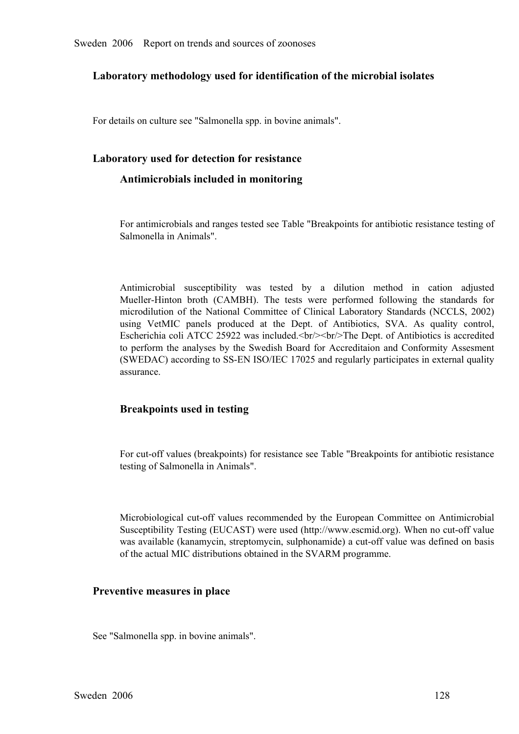#### **Laboratory methodology used for identification of the microbial isolates**

For details on culture see "Salmonella spp. in bovine animals".

#### **Laboratory used for detection for resistance**

#### **Antimicrobials included in monitoring**

For antimicrobials and ranges tested see Table "Breakpoints for antibiotic resistance testing of Salmonella in Animals".

Antimicrobial susceptibility was tested by a dilution method in cation adjusted<br>Mueller-Hinton broth (CAMBH). The tests were performed following the standards for<br>microdilution of the National Committee of Clinical Laborat Mueller-Hinton broth (CAMBH). The tests were performed following the standards for microdilution of the National Committee of Clinical Laboratory Standards (NCCLS, 2002) using VetMIC panels produced at the Dept. of Antibio microdilution of the National Committee of Clinical Laboratory Standards (NCCLS, 2002) using VetMIC panels produced at the Dept. of Antibiotics, SVA. As quality control, to perform the analyses by the Swedish Board for Accreditaion and Conformity Assesment Escherichia coli ATCC 25922 was included.<br/>stribularity Dept. of Antibiotics is accredited to perform the analyses by the Swedish Board for Accreditaion and Conformity Assesment (SWEDAC) according to SS-EN ISO/IEC 17025 and regularly participates in external quality assurance. (SWEDAC) according to SS-EN ISO/IEC 17025 and regularly participates in external quality assurance.

#### **Breakpoints used in testing**

For cut-off values (breakpoints) for resistance see Table "Breakpoints for antibiotic resistance testing of Salmonella in Animals".

Microbiological cut-off values recommended by the European Committee on Antimicrobial<br>Susceptibility Testing (EUCAST) were used (http://www.escmid.org). When no cut-off value<br>was available (kanamycin, streptomycin, sulphon Susceptibility Testing (EUCAST) were used (http://www.escmid.org). When no cutoff value of the actual MIC distributions obtained in the SVARM programme.

#### **Preventive measures in place**

See "Salmonella spp. in bovine animals".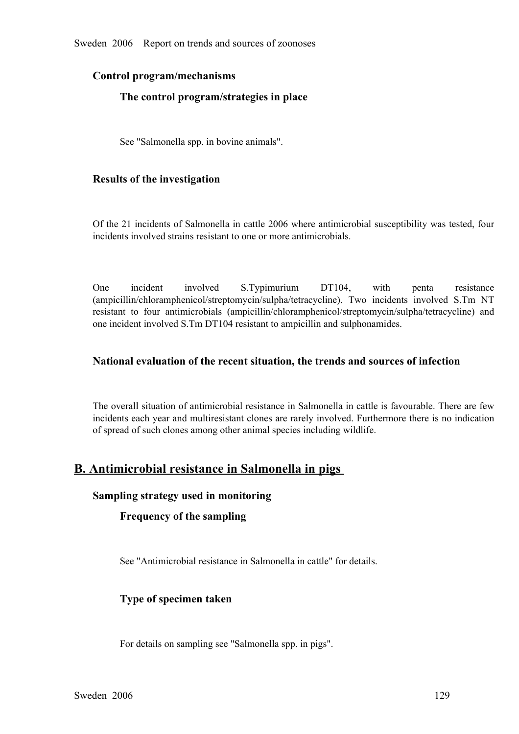#### **Control program/mechanisms**

#### **The control program/strategies in place**

See "Salmonella spp. in bovine animals".

#### **Results of the investigation**

Of the 21 incidents of Salmonella in cattle 2006 where antimicrobial susceptibility was tested, four incidents involved strains resistant to one or more antimicrobials.

One incident involved S.Typimurium DT104, with penta resistance<br>(ampicillin/chloramphenicol/streptomycin/sulpha/tetracycline). Two incidents involved S.Tm NT<br>resistant to four antimicrobials (ampicillin/chloramphenicol/str (ampicillin/chloramphenicol/streptomycin/sulpha/tetracycline). Two incidents involved S.Tm NT<br>resistant to four antimicrobials (ampicillin/chloramphenicol/streptomycin/sulpha/tetracycline) and<br>one incident involved S.Tm DT resistant to four antimicrobials (ampicillin/chloramphenicol/streptomycin/sulpha/tetracycline) and<br>one incident involved S.Tm DT104 resistant to ampicillin and sulphonamides. one incident involved S.Tm DT104 resistant to ampicillin and sulphonamides.

#### **National evaluation of the recent situation, the trends and sources of infection**

The overall situation of antimicrobial resistance in Salmonella in cattle is favourable. There are few incidents each year and multiresistant clones are rarely involved. Furthermore there is no indication of spread of such clones among other animal species including wildlife.

## **B. Antimicrobial resistance in Salmonella in pigs**

#### **Sampling strategy used in monitoring**

#### **Frequency of the sampling**

See "Antimicrobial resistance in Salmonella in cattle" for details.

#### **Type of specimen taken**

For details on sampling see "Salmonella spp. in pigs".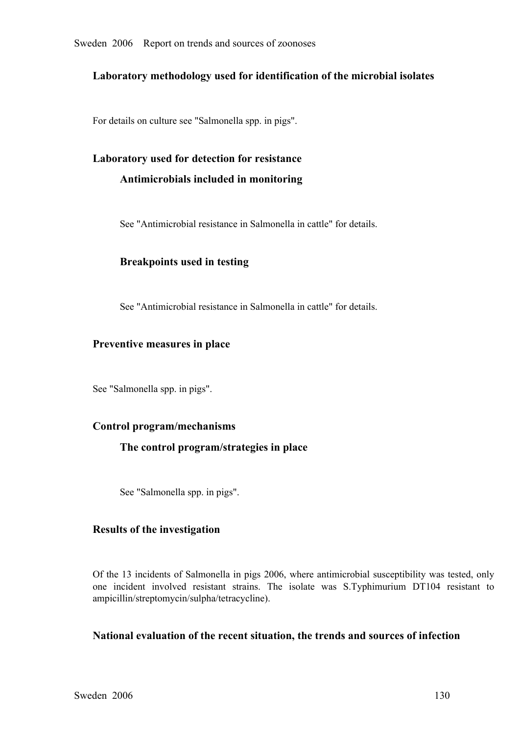#### **Laboratory methodology used for identification of the microbial isolates**

For details on culture see "Salmonella spp. in pigs".

# **Laboratory used for detection for resistance Antimicrobials included in monitoring**

See "Antimicrobial resistance in Salmonella in cattle" for details.

#### **Breakpoints used in testing**

See "Antimicrobial resistance in Salmonella in cattle" for details.

#### **Preventive measures in place**

See "Salmonella spp. in pigs".

#### **Control program/mechanisms**

#### **The control program/strategies in place**

See "Salmonella spp. in pigs".

#### **Results of the investigation**

Of the 13 incidents of Salmonella in pigs 2006, where antimicrobial susceptibility was tested, only one incident involved resistant strains. The isolate was S.Typhimurium DT104 resistant to ampicillin/streptomycin/sulpha/tetracycline).

#### **National evaluation of the recent situation, the trends and sources of infection**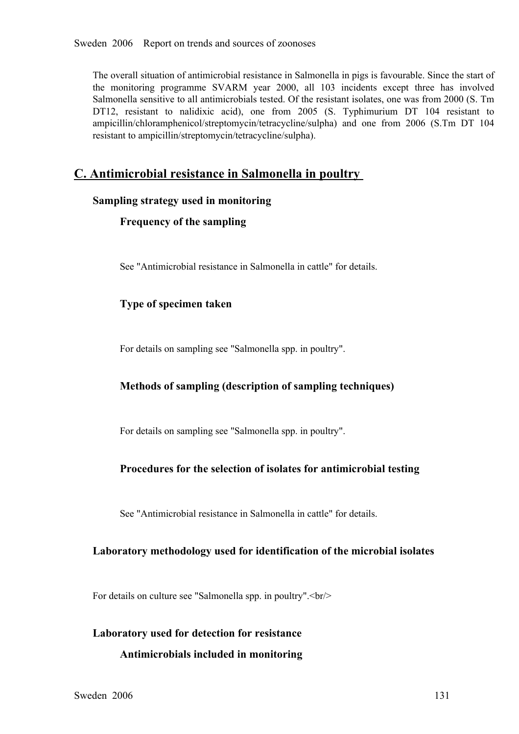The overall situation of antimicrobial resistance in Salmonella in pigs is favourable. Since the start of the monitoring programme SVARM year 2000, all 103 incidents except three has involved<br>Salmonella sensitive to all antimicrobials tested. Of the resistant isolates, one was from 2000 (S. Tm<br>DT12, resistant to nalidixic acid Salmonella sensitive to all antimicrobials tested. Of the resistant isolates, one was from 2000 (S. Tm DT12, resistant to nalidixic acid), one from 2005 (S. Typhimurium DT 104 resistant to ampicillin/chloramphenicol/streptomycin/tetracycline/sulpha) and one from 2006 (S.Tm DT 104 resistant to ampicillin/streptomycin/tetracy ampicillin/chloramphenicol/streptomycin/tetracycline/sulpha) and one from <sup>2006</sup> (S.Tm DT <sup>104</sup> resistant to ampicillin/streptomycin/tetracycline/sulpha).

## **C. Antimicrobial resistance in Salmonella in poultry**

#### **Sampling strategy used in monitoring**

#### **Frequency of the sampling**

See "Antimicrobial resistance in Salmonella in cattle" for details.

#### **Type of specimen taken**

For details on sampling see "Salmonella spp. in poultry".

#### **Methods of sampling (description of sampling techniques)**

For details on sampling see "Salmonella spp. in poultry".

#### **Procedures for the selection of isolates for antimicrobial testing**

See "Antimicrobial resistance in Salmonella in cattle" for details.

#### **Laboratory methodology used for identification of the microbial isolates**

For details on culture see "Salmonella spp. in poultry".<br/>shown

# **Laboratory used for detection for resistance Antimicrobials included in monitoring**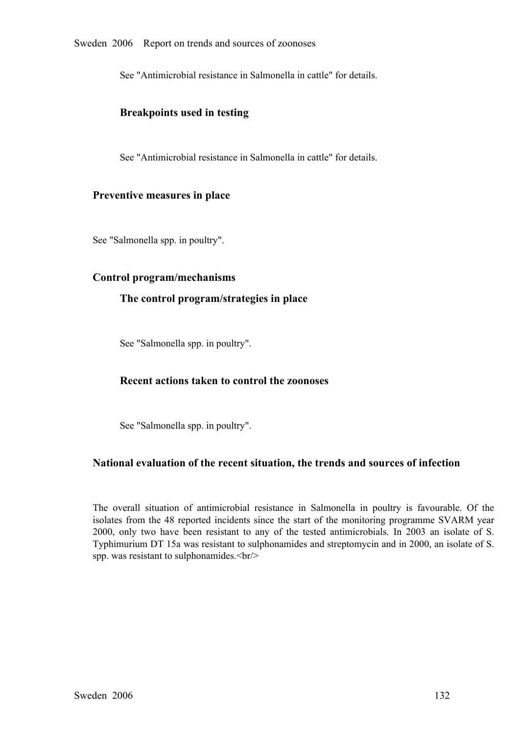See "Antimicrobial resistance in Salmonella in cattle" for details.

#### **Breakpoints used in testing**

See "Antimicrobial resistance in Salmonella in cattle" for details.

#### **Preventive measures in place**

See "Salmonella spp. in poultry".

#### **Control program/mechanisms**

#### **The control program/strategies in place**

See "Salmonella spp. in poultry".

#### **Recent actions taken to control the zoonoses**

See "Salmonella spp. in poultry".

#### **National evaluation of the recent situation, the trends and sources of infection**

The overall situation of antimicrobial resistance in Salmonella in poultry is favourable. Of the isolates from the 48 reported incidents since the start of the monitoring programme SVARM year 2000, only two have been resistant to any of the tested antimicrobials. In 2003 an isolate of S. 2000, only two have been resistant to any of the tested antimicrobials. In 2003 an isolate of S.<br>Typhimurium DT 15a was resistant to sulphonamides and streptomycin and in 2000, an isolate of S.<br>spp. was resistant to sulpho Typhimurium DT 15a was resistant to sulphonamides and streptomycin and in 2000, an isolate of S. spp. was resistant to sulphonamides.<br/>shown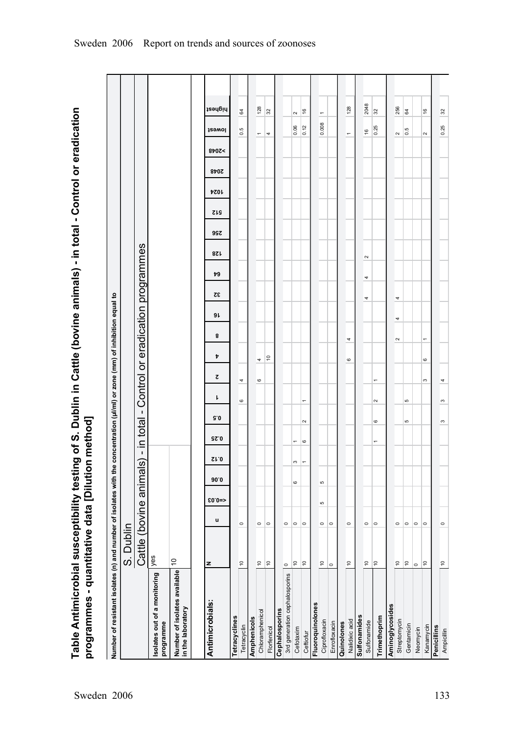Table Antimicrobial susceptibility testing of S. Dublin in Cattle (bovine animals) - in total - Control or eradication<br>programmes - quantitative data [Dilution method] **Table Antimicrobial susceptibility testing of S. Dublin in Cattle (bovine animals) in total Control or eradication programmes quantitative data [Dilution method]**

| Number of resistant isolates (n) and number of isolates with the concentration (µl/ml) or zone (mm) of inhibition equal to |                          |         |         |                  |                |                          |              |                          |                                   |                                    |          |    |    |            |     |            |             |      |       |                          |                          |
|----------------------------------------------------------------------------------------------------------------------------|--------------------------|---------|---------|------------------|----------------|--------------------------|--------------|--------------------------|-----------------------------------|------------------------------------|----------|----|----|------------|-----|------------|-------------|------|-------|--------------------------|--------------------------|
|                                                                                                                            | S. Dublin                |         |         |                  |                |                          |              |                          |                                   |                                    |          |    |    |            |     |            |             |      |       |                          |                          |
|                                                                                                                            | Cattle (bovine animals   |         |         |                  | $\mathbf I$    | in total                 | $\mathbf{I}$ |                          | Control or eradication programmes |                                    |          |    |    |            |     |            |             |      |       |                          |                          |
| solates out of a monitoring<br>programme                                                                                   | yes                      |         |         |                  |                |                          |              |                          |                                   |                                    |          |    |    |            |     |            |             |      |       |                          |                          |
| Number of isolates available<br>in the laboratory                                                                          | $\overline{c}$           |         |         |                  |                |                          |              |                          |                                   |                                    |          |    |    |            |     |            |             |      |       |                          |                          |
|                                                                                                                            |                          |         |         |                  |                |                          |              |                          |                                   |                                    |          |    |    |            |     |            |             |      |       |                          |                          |
| Antimicrobials:                                                                                                            | z                        | u       | $$0.0=$ | 90.0             | ST.0           | <b>SS.0</b>              | 9.0          | ı                        | ट                                 | Þ                                  | 9 L<br>8 | 32 | 79 | <b>821</b> | 99Z | <b>SIS</b> | <b>7201</b> | 8707 | 8707< | <b>J</b> 29WOI           | highest                  |
| Tetracyclines                                                                                                              |                          |         |         |                  |                |                          |              |                          |                                   |                                    |          |    |    |            |     |            |             |      |       |                          |                          |
| Tetracyclin                                                                                                                | $\overline{10}$          | $\circ$ |         |                  |                |                          |              | $\mathbf{\circ}$         | 4                                 |                                    |          |    |    |            |     |            |             |      |       | 0.5                      | 64                       |
| Amphenicols                                                                                                                |                          |         |         |                  |                |                          |              |                          |                                   |                                    |          |    |    |            |     |            |             |      |       |                          |                          |
| Chloramphenicol                                                                                                            | $\frac{1}{2}$            | $\circ$ |         |                  |                |                          |              |                          | $\circ$                           | 4                                  |          |    |    |            |     |            |             |      |       | $\overline{\phantom{m}}$ | 128                      |
| Florfenicol                                                                                                                | $\approx$                | $\circ$ |         |                  |                |                          |              |                          |                                   | 5                                  |          |    |    |            |     |            |             |      |       | 4                        | 32                       |
| Cephalosporins                                                                                                             |                          |         |         |                  |                |                          |              |                          |                                   |                                    |          |    |    |            |     |            |             |      |       |                          |                          |
| 3rd generation cephalosporins                                                                                              | $\circ$                  | $\circ$ |         |                  |                |                          |              |                          |                                   |                                    |          |    |    |            |     |            |             |      |       |                          |                          |
| Cefotaxim                                                                                                                  | $\frac{1}{2}$            | $\circ$ |         | $\mathbf{\circ}$ | S              | $\overline{\phantom{0}}$ |              |                          |                                   |                                    |          |    |    |            |     |            |             |      |       | 0.06                     | $\sim$                   |
| Ceftiofur                                                                                                                  | $\tilde{=}$              | $\circ$ |         |                  | $\overline{ }$ | $\mathbf{\circ}$         | $\sim$       | $\overline{\phantom{0}}$ |                                   |                                    |          |    |    |            |     |            |             |      |       | 0.12                     | $\frac{6}{2}$            |
| Fluoroquinolones                                                                                                           |                          |         |         |                  |                |                          |              |                          |                                   |                                    |          |    |    |            |     |            |             |      |       |                          |                          |
| Ciprofloxacin                                                                                                              | $\tilde{c}$              | $\circ$ | ю       | Ю                |                |                          |              |                          |                                   |                                    |          |    |    |            |     |            |             |      |       | 0.008                    | $\overline{\phantom{0}}$ |
| Enrofloxacin                                                                                                               | $\circ$                  | $\circ$ |         |                  |                |                          |              |                          |                                   |                                    |          |    |    |            |     |            |             |      |       |                          |                          |
| Quinolones                                                                                                                 |                          |         |         |                  |                |                          |              |                          |                                   |                                    |          |    |    |            |     |            |             |      |       |                          |                          |
| Nalidixic acid<br>Sulfonamides                                                                                             | $\overline{10}$          | $\circ$ |         |                  |                |                          |              |                          |                                   | 4<br>$\mathbf{\circ}$              |          |    |    |            |     |            |             |      |       | $\overline{\phantom{0}}$ | 128                      |
|                                                                                                                            |                          |         |         |                  |                |                          |              |                          |                                   |                                    |          |    |    |            |     |            |             |      |       |                          |                          |
| Sulfonamide                                                                                                                | $\tilde{c}$              | $\circ$ |         |                  |                |                          |              |                          |                                   |                                    |          | 4  | 4  | $\sim$     |     |            |             |      |       | $\frac{6}{2}$            | 2048                     |
| Trimethoprim                                                                                                               | $\frac{1}{2}$            | $\circ$ |         |                  |                | $\overline{\phantom{0}}$ | 6            | 2                        | $\overline{ }$                    |                                    |          |    |    |            |     |            |             |      |       | 0.25                     | 32                       |
| Aminoglycosides                                                                                                            |                          |         |         |                  |                |                          |              |                          |                                   |                                    |          |    |    |            |     |            |             |      |       |                          |                          |
| Streptomycin                                                                                                               | $\overline{\phantom{a}}$ | $\circ$ |         |                  |                |                          |              |                          |                                   | $\sim$                             | 4        | 4  |    |            |     |            |             |      |       | $\sim$                   | 256                      |
| Gentamicin                                                                                                                 | $\tilde{=}$              | $\circ$ |         |                  |                |                          | ъ            | ъ                        |                                   |                                    |          |    |    |            |     |            |             |      |       | 0.5                      | 64                       |
| Neomycin                                                                                                                   | $\circ$                  | $\circ$ |         |                  |                |                          |              |                          |                                   |                                    |          |    |    |            |     |            |             |      |       |                          |                          |
| Kanamycin                                                                                                                  | $\tilde{c}$              | $\circ$ |         |                  |                |                          |              |                          | S                                 | $\overline{ }$<br>$\mathbf{\circ}$ |          |    |    |            |     |            |             |      |       | $\sim$                   | $\frac{6}{2}$            |
| Penicillins                                                                                                                |                          |         |         |                  |                |                          |              |                          |                                   |                                    |          |    |    |            |     |            |             |      |       |                          |                          |
| Ampicillin                                                                                                                 | $\tilde{=}$              | $\circ$ |         |                  |                |                          | S            | S                        | 4                                 |                                    |          |    |    |            |     |            |             |      |       | 0.25                     | $32\,$                   |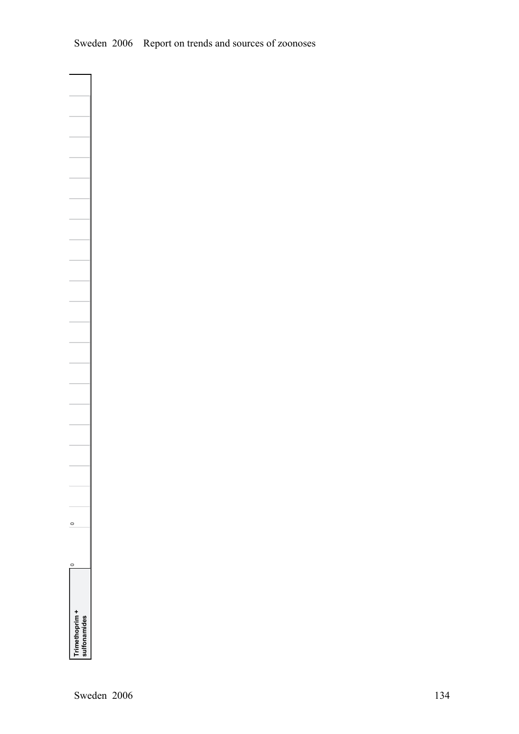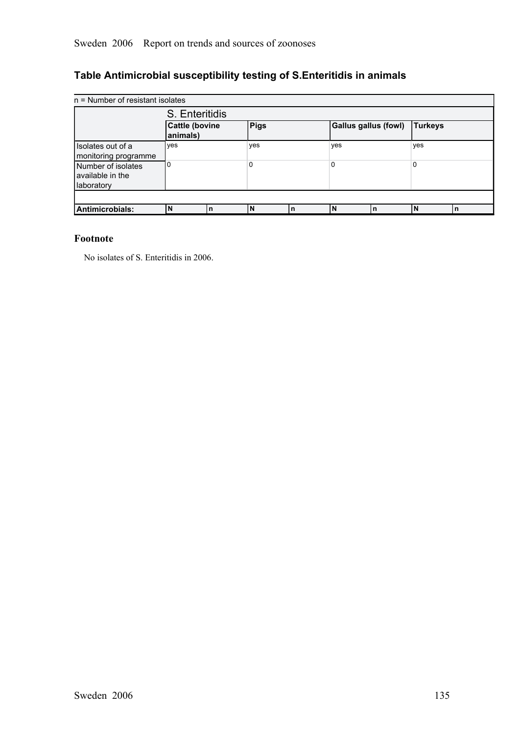# **Table Antimicrobial susceptibility testing of S.Enteritidis in animals**

| $n =$ Number of resistant isolates                   |                            |   |      |    |                      |    |                |    |
|------------------------------------------------------|----------------------------|---|------|----|----------------------|----|----------------|----|
|                                                      | S. Enteritidis             |   |      |    |                      |    |                |    |
|                                                      | Cattle (bovine<br>animals) |   | Pigs |    | Gallus gallus (fowl) |    | <b>Turkeys</b> |    |
| Isolates out of a<br>monitoring programme            | ves                        |   | yes  |    | yes                  |    | yes            |    |
| Number of isolates<br>available in the<br>laboratory | О.                         |   | 0    |    | 0                    |    | 0              |    |
|                                                      |                            |   |      |    |                      |    |                |    |
| Antimicrobials:                                      | N                          | n | ١N   | In | N                    | In |                | ۱n |

#### **Footnote**

No isolates of S. Enteritidis in 2006.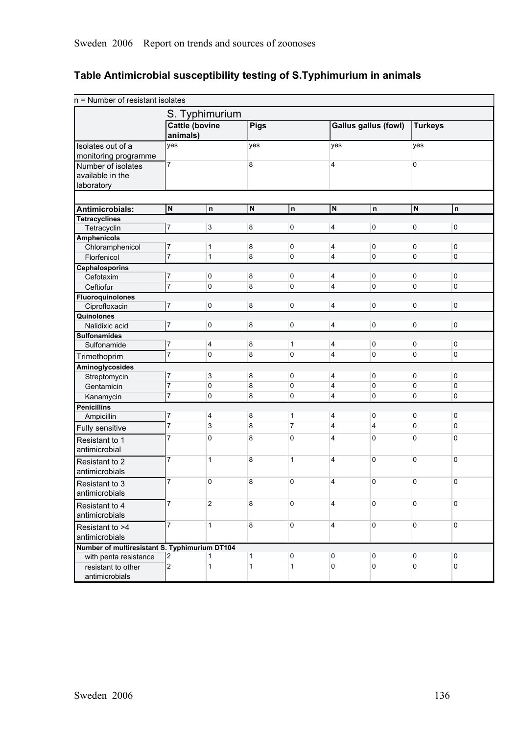# **Table Antimicrobial susceptibility testing of S.Typhimurium in animals**

| n = Number of resistant isolates              |                                   |                |              |                |                |                             |                |             |
|-----------------------------------------------|-----------------------------------|----------------|--------------|----------------|----------------|-----------------------------|----------------|-------------|
|                                               |                                   | S. Typhimurium |              |                |                |                             |                |             |
|                                               | <b>Cattle (bovine</b><br>animals) |                | Pigs         |                |                | <b>Gallus gallus (fowl)</b> | <b>Turkeys</b> |             |
| Isolates out of a                             | yes                               |                | yes          |                | yes            |                             | yes            |             |
| monitoring programme                          |                                   |                |              |                |                |                             |                |             |
| Number of isolates                            | $\overline{7}$                    |                | 8            |                | 4              |                             | 0              |             |
| available in the                              |                                   |                |              |                |                |                             |                |             |
| laboratory                                    |                                   |                |              |                |                |                             |                |             |
|                                               |                                   |                |              |                |                |                             |                |             |
| Antimicrobials:                               | N                                 | $\mathsf{n}$   | N            | $\mathsf{n}$   | N              | n                           | N              | n           |
| <b>Tetracyclines</b>                          |                                   |                |              |                |                |                             |                |             |
| Tetracyclin                                   | 7                                 | 3              | 8            | 0              | 4              | 0                           | 0              | 0           |
| <b>Amphenicols</b>                            |                                   |                |              |                |                |                             |                |             |
| Chloramphenicol                               | 7                                 | $\mathbf{1}$   | 8            | 0              | 4              | 0                           | 0              | 0           |
| Florfenicol                                   | $\overline{7}$                    | $\mathbf{1}$   | 8            | 0              | 4              | 0                           | 0              | 0           |
| <b>Cephalosporins</b>                         |                                   |                |              |                |                |                             |                |             |
| Cefotaxim                                     | 7                                 | 0              | 8            | 0              | 4              | 0                           | 0              | 0           |
| Ceftiofur                                     | $\overline{7}$                    | 0              | 8            | 0              | 4              | 0                           | 0              | 0           |
| <b>Fluoroquinolones</b>                       | 7                                 | $\mathbf 0$    | 8            | 0              | 4              | 0                           | 0              | 0           |
| Ciprofloxacin                                 |                                   |                |              |                |                |                             |                |             |
| Quinolones<br>Nalidixic acid                  | 7                                 | 0              | 8            | $\pmb{0}$      | 4              | 0                           | 0              | $\mathbf 0$ |
| <b>Sulfonamides</b>                           |                                   |                |              |                |                |                             |                |             |
| Sulfonamide                                   | 7                                 | 4              | 8            | 1              | 4              | 0                           | 0              | 0           |
| Trimethoprim                                  | $\overline{7}$                    | 0              | 8            | 0              | 4              | 0                           | 0              | 0           |
|                                               |                                   |                |              |                |                |                             |                |             |
| Aminoglycosides<br>Streptomycin               | 7                                 | 3              | 8            | 0              | 4              | 0                           | 0              | 0           |
| Gentamicin                                    | 7                                 | 0              | 8            | 0              | 4              | 0                           | 0              | 0           |
| Kanamycin                                     | $\overline{7}$                    | 0              | 8            | 0              | 4              | 0                           | 0              | 0           |
| <b>Penicillins</b>                            |                                   |                |              |                |                |                             |                |             |
| Ampicillin                                    | 7                                 | 4              | 8            | 1              | 4              | 0                           | 0              | 0           |
| Fully sensitive                               | $\overline{7}$                    | 3              | 8            | $\overline{7}$ | 4              | 4                           | 0              | 0           |
|                                               | 7                                 | 0              | 8            | 0              | 4              | 0                           | 0              | 0           |
| Resistant to 1                                |                                   |                |              |                |                |                             |                |             |
| antimicrobial                                 |                                   |                |              |                |                |                             |                |             |
| Resistant to 2                                | 7                                 | $\mathbf{1}$   | 8            | $\mathbf{1}$   | 4              | 0                           | 0              | 0           |
| antimicrobials                                |                                   |                |              |                |                |                             |                |             |
| Resistant to 3                                | 7                                 | 0              | 8            | 0              | $\overline{4}$ | 0                           | 0              | 0           |
| antimicrobials                                |                                   |                |              |                |                |                             |                |             |
| Resistant to 4                                | $\overline{7}$                    | $\overline{2}$ | 8            | $\mathbf 0$    | 4              | $\mathbf 0$                 | 0              | 0           |
| antimicrobials                                |                                   |                |              |                |                |                             |                |             |
| Resistant to >4                               | $\overline{7}$                    | $\mathbf{1}$   | 8            | 0              | 4              | $\mathbf 0$                 | 0              | 0           |
| antimicrobials                                |                                   |                |              |                |                |                             |                |             |
| Number of multiresistant S. Typhimurium DT104 |                                   |                |              |                |                |                             |                |             |
| with penta resistance                         | 2                                 | 1              | 1            | 0              | 0              | 0                           | 0              | 0           |
| resistant to other                            | $\overline{2}$                    | $\mathbf{1}$   | $\mathbf{1}$ | 1              | 0              | 0                           | 0              | 0           |
| antimicrobials                                |                                   |                |              |                |                |                             |                |             |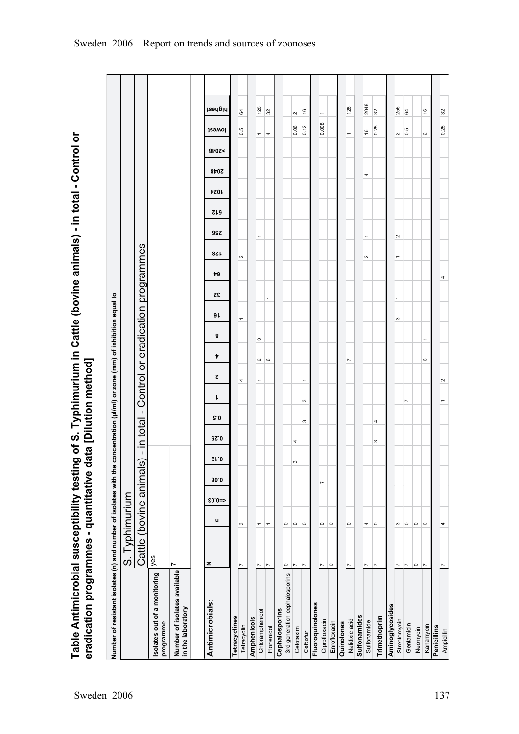Table Antimicrobial susceptibility testing of S. Typhimurium in Cattle (bovine animals) - in total - Control or<br>eradication programmes - quantitative data [Dilution method] **Table Antimicrobial susceptibility testing of S. Typhimurium in Cattle (bovine animals) in total Control or eradication programmes quantitative data [Dilution method]**

| Number of resistant isolates (n) and number of isolates with the concentration (µl/ml) or zone (mm) of inhibition equal to |                         |                          |         |      |             |            |          |                          |                          |                          |                                   |                          |    |                          |                          |            |             |      |                          |                                   |  |
|----------------------------------------------------------------------------------------------------------------------------|-------------------------|--------------------------|---------|------|-------------|------------|----------|--------------------------|--------------------------|--------------------------|-----------------------------------|--------------------------|----|--------------------------|--------------------------|------------|-------------|------|--------------------------|-----------------------------------|--|
|                                                                                                                            | S. Typhimurium          |                          |         |      |             |            |          |                          |                          |                          |                                   |                          |    |                          |                          |            |             |      |                          |                                   |  |
|                                                                                                                            | Cattle (bovine animals) |                          |         |      | $\mathbf I$ | in total - |          |                          |                          |                          | Control or eradication programmes |                          |    |                          |                          |            |             |      |                          |                                   |  |
| Isolates out of a monitoring<br>programme                                                                                  | lyes                    |                          |         |      |             |            |          |                          |                          |                          |                                   |                          |    |                          |                          |            |             |      |                          |                                   |  |
| N<br>Number of isolates available<br>in the laboratory                                                                     |                         |                          |         |      |             |            |          |                          |                          |                          |                                   |                          |    |                          |                          |            |             |      |                          |                                   |  |
| z<br>Antimicrobials:                                                                                                       |                         | u                        | $$0.0=$ | 90.0 | Sr.O        | 92.0       | 9.0      | ı                        | Þ<br>ट                   | 8                        | 9 L                               | 32                       | 79 | 8Z L                     | <b>997</b>               | <b>SIS</b> | <b>7201</b> | 8707 | <b>JSƏWOI</b><br>8707<   | highest                           |  |
|                                                                                                                            |                         |                          |         |      |             |            |          |                          |                          |                          |                                   |                          |    |                          |                          |            |             |      |                          |                                   |  |
| Tetracyclines                                                                                                              |                         |                          |         |      |             |            |          |                          |                          |                          |                                   |                          |    |                          |                          |            |             |      |                          |                                   |  |
| $\overline{ }$<br>Tetracyclin                                                                                              |                         | S                        |         |      |             |            |          | 4                        |                          |                          | $\overline{\phantom{0}}$          |                          |    | $\sim$                   |                          |            |             |      | 0.5                      | 64                                |  |
| Amphenicols                                                                                                                |                         |                          |         |      |             |            |          |                          |                          |                          |                                   |                          |    |                          |                          |            |             |      |                          |                                   |  |
| $\overline{ }$<br>Chloramphenicol                                                                                          |                         | $\overline{\phantom{0}}$ |         |      |             |            |          | $\overline{\phantom{0}}$ | $\sim$                   | S                        |                                   |                          |    |                          | $\overline{\phantom{0}}$ |            |             |      | $\overline{\phantom{0}}$ | 128                               |  |
| $\overline{ }$<br>Florfenicol                                                                                              |                         | $\overline{ }$           |         |      |             |            |          |                          | $\circ$                  |                          |                                   | $\overline{ }$           |    |                          |                          |            |             |      | 4                        | 32                                |  |
| Cephalosporins                                                                                                             |                         |                          |         |      |             |            |          |                          |                          |                          |                                   |                          |    |                          |                          |            |             |      |                          |                                   |  |
| $\circ$<br>3rd generation cephalosporins                                                                                   |                         | $\circ$                  |         |      |             |            |          |                          |                          |                          |                                   |                          |    |                          |                          |            |             |      |                          |                                   |  |
| $\overline{\phantom{a}}$<br>Cefotaxim                                                                                      |                         | $\circ$                  |         |      | S           | 4          |          |                          |                          |                          |                                   |                          |    |                          |                          |            |             |      | 0.06                     | $\sim$                            |  |
| $\overline{ }$<br>Ceftiofur                                                                                                |                         | $\circ$                  |         |      |             |            | $\infty$ | $\overline{ }$<br>S      |                          |                          |                                   |                          |    |                          |                          |            |             |      | $\frac{1}{2}$            | $\frac{6}{2}$                     |  |
| Fluoroquinolones                                                                                                           |                         |                          |         |      |             |            |          |                          |                          |                          |                                   |                          |    |                          |                          |            |             |      |                          |                                   |  |
| $\overline{ }$<br>Ciprofloxacin                                                                                            |                         | $\circ$                  |         | Z    |             |            |          |                          |                          |                          |                                   |                          |    |                          |                          |            |             |      |                          | $\overline{\phantom{0}}$<br>0.008 |  |
| $\circ$<br>Enrofloxacin                                                                                                    |                         | $\circ$                  |         |      |             |            |          |                          |                          |                          |                                   |                          |    |                          |                          |            |             |      |                          |                                   |  |
| Quinolones                                                                                                                 |                         |                          |         |      |             |            |          |                          |                          |                          |                                   |                          |    |                          |                          |            |             |      |                          |                                   |  |
| N<br>Nalidixic acid                                                                                                        |                         | $\circ$                  |         |      |             |            |          |                          | $\overline{\phantom{a}}$ |                          |                                   |                          |    |                          |                          |            |             |      | $\overline{\phantom{0}}$ | 128                               |  |
| Sulfonamides                                                                                                               |                         |                          |         |      |             |            |          |                          |                          |                          |                                   |                          |    |                          |                          |            |             |      |                          |                                   |  |
| $\overline{ }$<br>Sulfonamide                                                                                              |                         | 4                        |         |      |             |            |          |                          |                          |                          |                                   |                          |    | $\sim$                   | $\overline{\phantom{0}}$ |            |             | 4    | 16                       | 2048                              |  |
| $\overline{ }$<br>Trimethoprim                                                                                             |                         | $\circ$                  |         |      |             | $\infty$   | 4        |                          |                          |                          |                                   |                          |    |                          |                          |            |             |      | 0.25                     | 32                                |  |
| Aminoglycosides                                                                                                            |                         |                          |         |      |             |            |          |                          |                          |                          |                                   |                          |    |                          |                          |            |             |      |                          |                                   |  |
| Z<br>Streptomycin                                                                                                          |                         | S                        |         |      |             |            |          |                          |                          |                          | S                                 | $\overline{\phantom{0}}$ |    | $\overline{\phantom{0}}$ | $\sim$                   |            |             |      | $\sim$                   | 256                               |  |
| Ľ<br>Gentamicin                                                                                                            |                         | $\circ$                  |         |      |             |            |          | L                        |                          |                          |                                   |                          |    |                          |                          |            |             |      | $\frac{5}{6}$            | 64                                |  |
| $\circ$<br>Neomycin                                                                                                        |                         | $\circ$                  |         |      |             |            |          |                          |                          |                          |                                   |                          |    |                          |                          |            |             |      |                          |                                   |  |
| Z<br>Kanamycin                                                                                                             |                         | $\circ$                  |         |      |             |            |          |                          | 6                        | $\overline{\phantom{0}}$ |                                   |                          |    |                          |                          |            |             |      | $\sim$                   | $\frac{6}{5}$                     |  |
| Penicillins                                                                                                                |                         |                          |         |      |             |            |          |                          |                          |                          |                                   |                          |    |                          |                          |            |             |      |                          |                                   |  |
| Ampicillin                                                                                                                 |                         | 4                        |         |      |             |            |          | $\sim$                   |                          |                          |                                   |                          | 4  |                          |                          |            |             |      | 0.25                     | 32                                |  |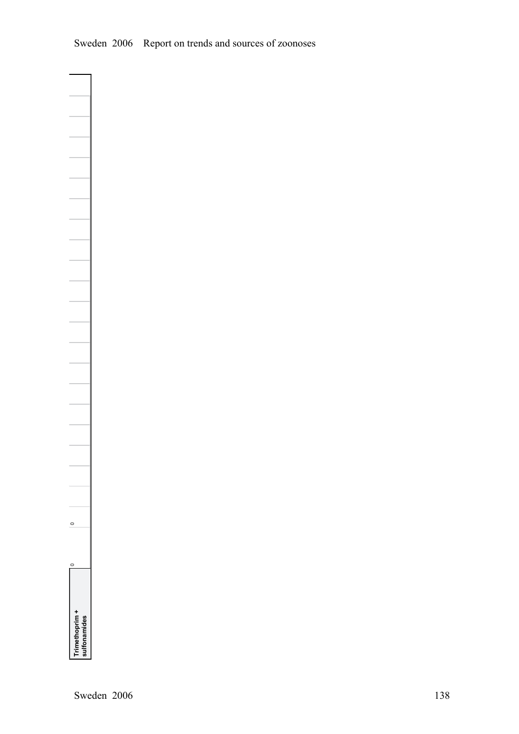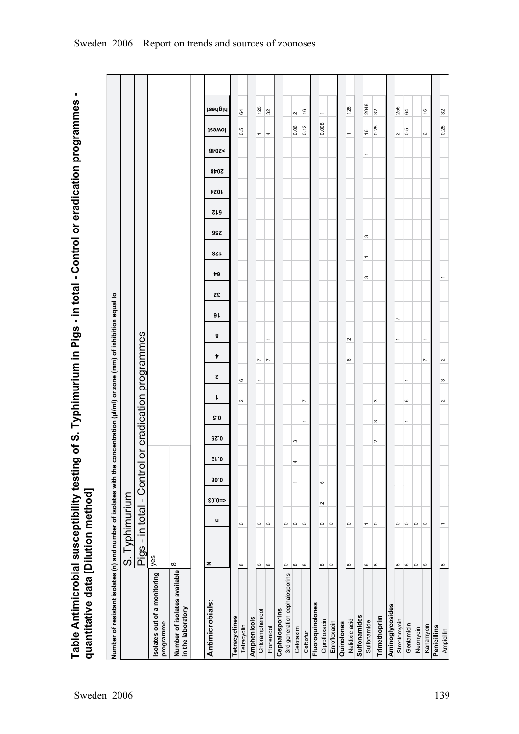Table Antimicrobial susceptibility testing of S. Typhimurium in Pigs - in total - Control or eradication programmes -<br>quantitative data [Dilution method] **Table Antimicrobial susceptibility testing of S. Typhimurium in Pigs in total Control or eradication programmes quantitative data [Dilution method]**

| Number of resistant isolates (n) and number of isolates with the concentration (µl/ml) or zone (mm) of inhibition equal to |                           |                          |         |         |              |             |                          |                        |                          |                  |                                  |           |    |                |          |            |      |      |                          |                          |                          |
|----------------------------------------------------------------------------------------------------------------------------|---------------------------|--------------------------|---------|---------|--------------|-------------|--------------------------|------------------------|--------------------------|------------------|----------------------------------|-----------|----|----------------|----------|------------|------|------|--------------------------|--------------------------|--------------------------|
|                                                                                                                            | S. Typhimurium            |                          |         |         |              |             |                          |                        |                          |                  |                                  |           |    |                |          |            |      |      |                          |                          |                          |
|                                                                                                                            | Pigs - in total - Control |                          |         |         | ŏ            |             |                          | eradication programmes |                          |                  |                                  |           |    |                |          |            |      |      |                          |                          |                          |
| solates out of a monitoring<br>programme                                                                                   | yes                       |                          |         |         |              |             |                          |                        |                          |                  |                                  |           |    |                |          |            |      |      |                          |                          |                          |
| Number of isolates available<br>in the laboratory                                                                          | ∞                         |                          |         |         |              |             |                          |                        |                          |                  |                                  |           |    |                |          |            |      |      |                          |                          |                          |
| Antimicrobials:                                                                                                            | z                         | u                        | $$0.0=$ | 90.0    | $\Omega$ 1.0 | <b>GZ.0</b> | 5.0                      | ı                      | 2                        | Þ                | 8                                | 32<br>9 L | 79 | 87L            | 99Z      | <b>SIS</b> | 1024 | 8707 | 8b0z<                    | <b>J</b> ewol            | highest                  |
| Tetracyclines                                                                                                              |                           |                          |         |         |              |             |                          |                        |                          |                  |                                  |           |    |                |          |            |      |      |                          |                          |                          |
| Tetracyclin                                                                                                                | $\infty$                  | $\circ$                  |         |         |              |             |                          | $\sim$                 | $\mathbf{\circ}$         |                  |                                  |           |    |                |          |            |      |      |                          | rù.<br>$\circ$           | 64                       |
| Amphenicols                                                                                                                |                           |                          |         |         |              |             |                          |                        |                          |                  |                                  |           |    |                |          |            |      |      |                          |                          |                          |
| Chloramphenicol                                                                                                            | $\infty$                  | $\circ$                  |         |         |              |             |                          |                        | $\overline{\phantom{a}}$ | $\overline{ }$   |                                  |           |    |                |          |            |      |      |                          | $\overline{\phantom{a}}$ | 128                      |
| Florfenicol                                                                                                                | $\infty$                  | $\circ$                  |         |         |              |             |                          |                        |                          | Z                |                                  |           |    |                |          |            |      |      |                          | 4                        | 32                       |
| Cephalosporins                                                                                                             |                           |                          |         |         |              |             |                          |                        |                          |                  |                                  |           |    |                |          |            |      |      |                          |                          |                          |
| 3rd generation cephalosporins                                                                                              | $\circ$                   | $\circ$                  |         |         |              |             |                          |                        |                          |                  |                                  |           |    |                |          |            |      |      |                          |                          |                          |
| Cefotaxim                                                                                                                  | $\infty$                  | $\circ$                  |         | T       | 4            | S           |                          |                        |                          |                  |                                  |           |    |                |          |            |      |      |                          | 0.06                     | 2                        |
| Ceftiofur                                                                                                                  | $\infty$                  | $\circ$                  |         |         |              |             | $\overline{\phantom{0}}$ | L                      |                          |                  |                                  |           |    |                |          |            |      |      |                          | 0.12                     | $\frac{6}{2}$            |
| Fluoroquinolones                                                                                                           |                           |                          |         |         |              |             |                          |                        |                          |                  |                                  |           |    |                |          |            |      |      |                          |                          |                          |
| Ciprofloxacin                                                                                                              | $\infty$                  | $\circ$                  | $\sim$  | $\circ$ |              |             |                          |                        |                          |                  |                                  |           |    |                |          |            |      |      |                          | 0.008                    | $\overline{\phantom{0}}$ |
| Enrofloxacin                                                                                                               | $\circ$                   | $\circ$                  |         |         |              |             |                          |                        |                          |                  |                                  |           |    |                |          |            |      |      |                          |                          |                          |
| Quinolones                                                                                                                 |                           |                          |         |         |              |             |                          |                        |                          |                  |                                  |           |    |                |          |            |      |      |                          |                          |                          |
| Nalidixic acid                                                                                                             | $\infty$                  | $\circ$                  |         |         |              |             |                          |                        |                          | $\mathbf{\circ}$ | $\sim$                           |           |    |                |          |            |      |      |                          | $\overline{\phantom{0}}$ | 128                      |
| <b>Sulfonamides</b>                                                                                                        |                           |                          |         |         |              |             |                          |                        |                          |                  |                                  |           |    |                |          |            |      |      |                          |                          |                          |
| Sulfonamide                                                                                                                | $\infty$                  | $\overline{\phantom{0}}$ |         |         |              |             |                          |                        |                          |                  |                                  |           | S  | $\overline{ }$ | $\infty$ |            |      |      | $\overline{\phantom{0}}$ | $\frac{6}{2}$            | 2048                     |
| Trimethoprim                                                                                                               | $\infty$                  | $\circ$                  |         |         |              | $\sim$      | S                        | S                      |                          |                  |                                  |           |    |                |          |            |      |      |                          | 0.25                     | 32                       |
| Aminoglycosides                                                                                                            |                           |                          |         |         |              |             |                          |                        |                          |                  |                                  |           |    |                |          |            |      |      |                          |                          |                          |
| Streptomycin                                                                                                               | $\infty$                  | $\circ$                  |         |         |              |             |                          |                        |                          |                  | $\overline{ }$<br>$\overline{ }$ |           |    |                |          |            |      |      |                          | $\sim$                   | 256                      |
| Gentamicin                                                                                                                 | $^\infty$                 | $\circ$                  |         |         |              |             | $\overline{ }$           | $\circ$                | $\overline{\phantom{0}}$ |                  |                                  |           |    |                |          |            |      |      |                          | 0.5                      | 64                       |
| Neomycin                                                                                                                   | $\circ$                   | $\circ$                  |         |         |              |             |                          |                        |                          |                  |                                  |           |    |                |          |            |      |      |                          |                          |                          |
| Kanamycin                                                                                                                  | $\infty$                  | $\circ$                  |         |         |              |             |                          |                        |                          | $\overline{ }$   | ÷                                |           |    |                |          |            |      |      |                          | $\sim$                   | $\frac{6}{5}$            |
| Penicillins                                                                                                                |                           |                          |         |         |              |             |                          |                        |                          |                  |                                  |           |    |                |          |            |      |      |                          |                          |                          |
| Ampicillin                                                                                                                 | $\infty$                  |                          |         |         |              |             |                          | $\sim$                 | S                        | $\sim$           |                                  |           |    |                |          |            |      |      |                          | 0.25                     | 32                       |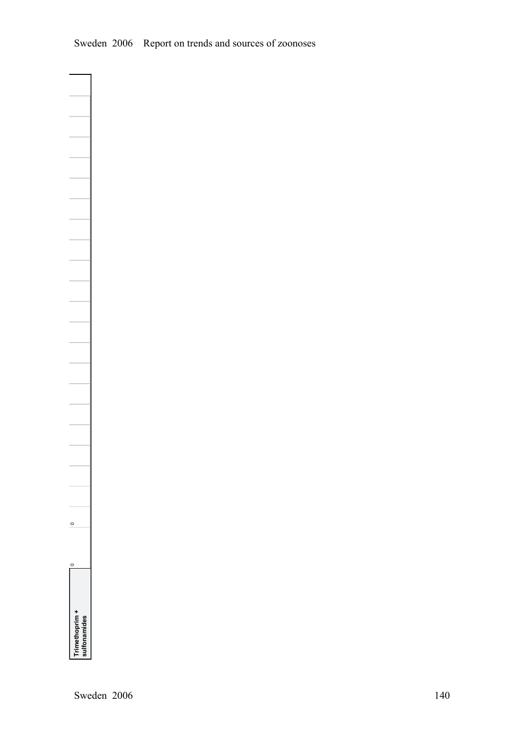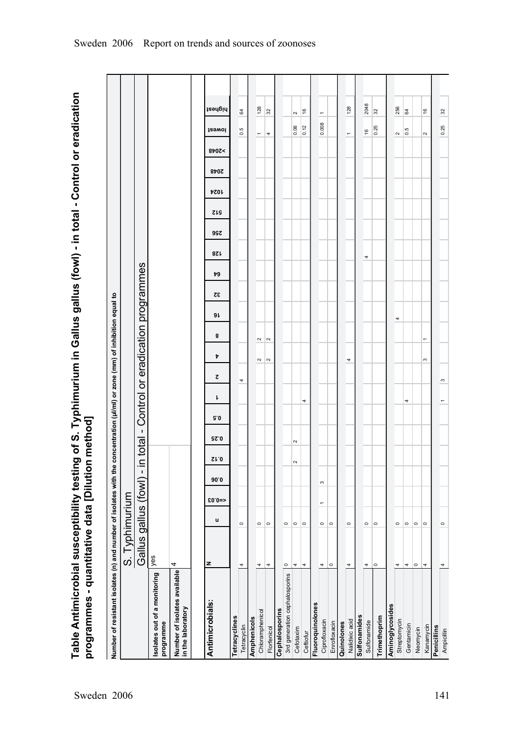Table Antimicrobial susceptibility testing of S. Typhimurium in Gallus gallus (fowl) - in total - Control or eradication<br>programmes - quantitative data [Dilution method] **Table Antimicrobial susceptibility testing of S. Typhimurium in Gallus gallus (fowl) in total Control or eradication programmes quantitative data [Dilution method]**

| Number of resistant isolates (n) and number of isolates with the concentration (µl/ml) or zone (mm) of inhibition equal to |                           |         |                |      |        |                       |     |   |        |                          |                                   |    |    |            |            |            |             |      |                          |                                   |               |
|----------------------------------------------------------------------------------------------------------------------------|---------------------------|---------|----------------|------|--------|-----------------------|-----|---|--------|--------------------------|-----------------------------------|----|----|------------|------------|------------|-------------|------|--------------------------|-----------------------------------|---------------|
|                                                                                                                            | S. Typhimurium            |         |                |      |        |                       |     |   |        |                          |                                   |    |    |            |            |            |             |      |                          |                                   |               |
|                                                                                                                            | Gallus gallus (fowl) - in |         |                |      |        | $\mathbf{I}$<br>total |     |   |        |                          | Control or eradication programmes |    |    |            |            |            |             |      |                          |                                   |               |
| Isolates out of a monitoring<br>programme                                                                                  | lyes                      |         |                |      |        |                       |     |   |        |                          |                                   |    |    |            |            |            |             |      |                          |                                   |               |
| Number of isolates available<br>in the laboratory                                                                          | 4                         |         |                |      |        |                       |     |   |        |                          |                                   |    |    |            |            |            |             |      |                          |                                   |               |
| Antimicrobials:                                                                                                            | z                         |         |                |      |        |                       |     |   |        |                          |                                   |    |    |            |            |            |             |      |                          |                                   |               |
|                                                                                                                            |                           | u       | $$0.0=$        | 90.0 | Sr.0   | 92.0                  | 9.0 | ŀ | ट      | Þ                        | 9 L<br>8                          | 32 | 79 | <b>821</b> | <b>997</b> | <b>SIS</b> | <b>7201</b> | 2048 | 8707<                    | <b>J</b><br>29WOl                 | highest       |
| Tetracyclines                                                                                                              |                           |         |                |      |        |                       |     |   |        |                          |                                   |    |    |            |            |            |             |      |                          |                                   |               |
| Tetracyclin                                                                                                                | 4                         | $\circ$ |                |      |        |                       |     |   | 4      |                          |                                   |    |    |            |            |            |             |      |                          | 0.5                               | 64            |
| Amphenicols                                                                                                                |                           |         |                |      |        |                       |     |   |        |                          |                                   |    |    |            |            |            |             |      |                          |                                   |               |
| Chloramphenicol                                                                                                            | 4                         | $\circ$ |                |      |        |                       |     |   | $\sim$ | $\sim$                   |                                   |    |    |            |            |            |             |      | $\overline{\phantom{0}}$ |                                   | 128           |
| Florfenicol                                                                                                                | 4                         | $\circ$ |                |      |        |                       |     |   | $\sim$ | $\sim$                   |                                   |    |    |            |            |            |             |      | 4                        |                                   | 32            |
| Cephalosporins                                                                                                             |                           |         |                |      |        |                       |     |   |        |                          |                                   |    |    |            |            |            |             |      |                          |                                   |               |
| 3rd generation cephalosporins                                                                                              | $\circ$                   | $\circ$ |                |      |        |                       |     |   |        |                          |                                   |    |    |            |            |            |             |      |                          |                                   |               |
| Cefotaxim                                                                                                                  | 4                         | $\circ$ |                |      | $\sim$ | $\sim$                |     |   |        |                          |                                   |    |    |            |            |            |             |      |                          | $\sim$<br>0.06                    |               |
| Ceftiofur                                                                                                                  | 4                         | $\circ$ |                |      |        |                       |     | 4 |        |                          |                                   |    |    |            |            |            |             |      |                          | 0.12                              | $\frac{6}{5}$ |
| Fluoroquinolones                                                                                                           |                           |         |                |      |        |                       |     |   |        |                          |                                   |    |    |            |            |            |             |      |                          |                                   |               |
| Ciprofloxacin                                                                                                              | 4                         | $\circ$ | $\overline{ }$ | S    |        |                       |     |   |        |                          |                                   |    |    |            |            |            |             |      |                          | $\overline{\phantom{0}}$<br>0.008 |               |
| Enrofloxacin                                                                                                               | $\circ$                   | $\circ$ |                |      |        |                       |     |   |        |                          |                                   |    |    |            |            |            |             |      |                          |                                   |               |
| Quinolones                                                                                                                 |                           |         |                |      |        |                       |     |   |        |                          |                                   |    |    |            |            |            |             |      |                          |                                   |               |
| Nalidixic acid                                                                                                             | 4                         | $\circ$ |                |      |        |                       |     |   | 4      |                          |                                   |    |    |            |            |            |             |      | $\overline{\phantom{0}}$ |                                   | 128           |
| Sulfonamides                                                                                                               |                           |         |                |      |        |                       |     |   |        |                          |                                   |    |    |            |            |            |             |      |                          |                                   |               |
| Sulfonamide                                                                                                                | 4                         | $\circ$ |                |      |        |                       |     |   |        |                          |                                   |    |    | 4          |            |            |             |      |                          | $\frac{6}{2}$                     | 2048          |
| Trimethoprim                                                                                                               | $\circ$                   | $\circ$ |                |      |        |                       |     |   |        |                          |                                   |    |    |            |            |            |             |      |                          | 0.25                              | 32            |
| Aminoglycosides                                                                                                            |                           |         |                |      |        |                       |     |   |        |                          |                                   |    |    |            |            |            |             |      |                          |                                   |               |
| Streptomycin                                                                                                               | 4                         | $\circ$ |                |      |        |                       |     |   |        |                          | 4                                 |    |    |            |            |            |             |      | $\sim$                   |                                   | 256           |
| Gentamicin                                                                                                                 | $\overline{\phantom{a}}$  | $\circ$ |                |      |        |                       |     | 4 |        |                          |                                   |    |    |            |            |            |             |      |                          | 0.5                               | 64            |
| Neomycin                                                                                                                   | $\circ$                   | $\circ$ |                |      |        |                       |     |   |        |                          |                                   |    |    |            |            |            |             |      |                          |                                   |               |
| Kanamycin                                                                                                                  | 4                         | $\circ$ |                |      |        |                       |     |   | S      | $\overline{\phantom{0}}$ |                                   |    |    |            |            |            |             |      | $\sim$                   |                                   | $\frac{6}{7}$ |
| Penicillins                                                                                                                |                           |         |                |      |        |                       |     |   |        |                          |                                   |    |    |            |            |            |             |      |                          |                                   |               |
| Ampicillin                                                                                                                 | 4                         | $\circ$ |                |      |        |                       |     |   | S      |                          |                                   |    |    |            |            |            |             |      |                          | 0.25                              | $32\,$        |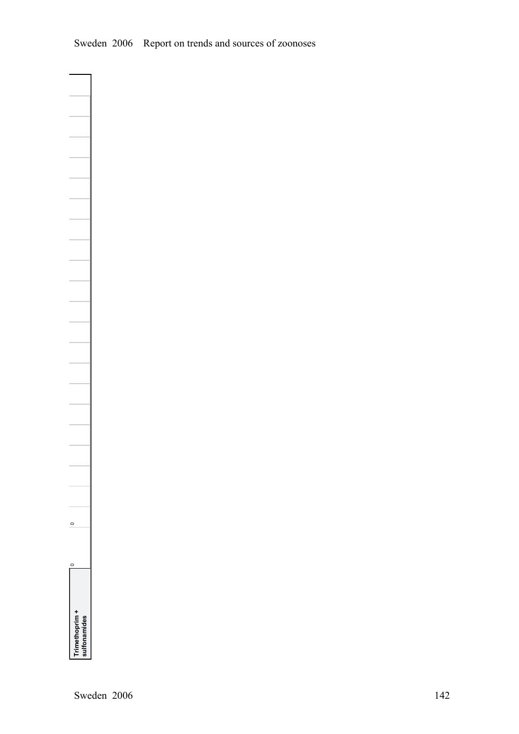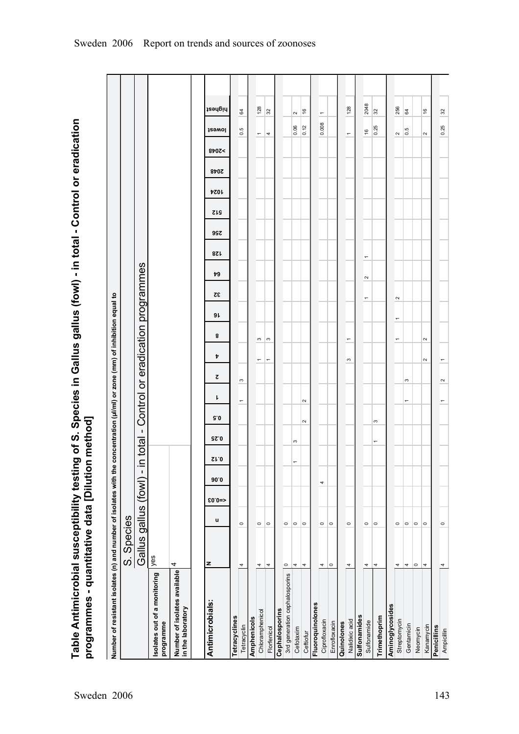Table Antimicrobial susceptibility testing of S. Species in Gallus gallus (fowl) - in total - Control or eradication<br>programmes - quantitative data [Dilution method] **Table Antimicrobial susceptibility testing of S. Species in Gallus gallus (fowl) in total Control or eradication programmes quantitative data [Dilution method]**

| Number of resistant isolates (n) and number of isolates with the concentration (µl/ml) or zone (mm) of inhibition equal to |                      |         |         |      |                           |                      |        |                |          |                               |                                   |                |        |     |            |            |             |      |                          |                         |         |
|----------------------------------------------------------------------------------------------------------------------------|----------------------|---------|---------|------|---------------------------|----------------------|--------|----------------|----------|-------------------------------|-----------------------------------|----------------|--------|-----|------------|------------|-------------|------|--------------------------|-------------------------|---------|
|                                                                                                                            | S. Species           |         |         |      |                           |                      |        |                |          |                               |                                   |                |        |     |            |            |             |      |                          |                         |         |
|                                                                                                                            | Gallus gallus (fowl) |         |         |      | $\stackrel{\cong}{\cdot}$ | $\mathbf I$<br>total |        |                |          |                               | Control or eradication programmes |                |        |     |            |            |             |      |                          |                         |         |
| solates out of a monitoring<br>programme                                                                                   | yes                  |         |         |      |                           |                      |        |                |          |                               |                                   |                |        |     |            |            |             |      |                          |                         |         |
| 4<br>Number of isolates available<br>in the laboratory                                                                     |                      |         |         |      |                           |                      |        |                |          |                               |                                   |                |        |     |            |            |             |      |                          |                         |         |
|                                                                                                                            |                      |         |         |      |                           |                      |        |                |          |                               |                                   |                |        |     |            |            |             |      |                          |                         |         |
| Antimicrobials:                                                                                                            | z                    | u       | $$0.0=$ | 90.0 | S1.0                      | <b>GZ.0</b>          | 9.0    | ŀ              | ट        | Þ                             | 9 L<br>8                          | 32             | 79     | 87L | <b>997</b> | <b>SIS</b> | <b>7201</b> | 2048 | 8707<                    | <b>J</b> ewol           | highest |
| Tetracyclines                                                                                                              |                      |         |         |      |                           |                      |        |                |          |                               |                                   |                |        |     |            |            |             |      |                          |                         |         |
| 4<br>Tetracyclin                                                                                                           |                      | $\circ$ |         |      |                           |                      |        | $\overline{ }$ | S        |                               |                                   |                |        |     |            |            |             |      | $\circ$                  | 64<br>rù.               |         |
| Amphenicols                                                                                                                |                      |         |         |      |                           |                      |        |                |          |                               |                                   |                |        |     |            |            |             |      |                          |                         |         |
| 4<br>Chloramphenicol                                                                                                       |                      | $\circ$ |         |      |                           |                      |        |                |          | S                             |                                   |                |        |     |            |            |             |      | $\overline{\phantom{a}}$ |                         | 128     |
| 4<br>Florfenicol                                                                                                           |                      | $\circ$ |         |      |                           |                      |        |                |          | S<br>$\overline{ }$           |                                   |                |        |     |            |            |             |      | 4                        | 32                      |         |
| Cephalosporins                                                                                                             |                      |         |         |      |                           |                      |        |                |          |                               |                                   |                |        |     |            |            |             |      |                          |                         |         |
| $\circ$<br>3rd generation cephalosporins                                                                                   |                      | $\circ$ |         |      |                           |                      |        |                |          |                               |                                   |                |        |     |            |            |             |      |                          |                         |         |
| 4<br>Cefotaxim                                                                                                             |                      | $\circ$ |         |      | ÷                         | S                    |        |                |          |                               |                                   |                |        |     |            |            |             |      |                          | 2<br>0.06               |         |
| 4<br>Ceftiofur                                                                                                             |                      | $\circ$ |         |      |                           |                      | $\sim$ | $\sim$         |          |                               |                                   |                |        |     |            |            |             |      |                          | $\frac{6}{2}$<br>0.12   |         |
| Fluoroquinolones                                                                                                           |                      |         |         |      |                           |                      |        |                |          |                               |                                   |                |        |     |            |            |             |      |                          |                         |         |
| 4<br>Ciprofloxacin                                                                                                         |                      | $\circ$ |         | 4    |                           |                      |        |                |          |                               |                                   |                |        |     |            |            |             |      |                          | $\overline{ }$<br>0.008 |         |
| $\circ$<br>Enrofloxacin                                                                                                    |                      | $\circ$ |         |      |                           |                      |        |                |          |                               |                                   |                |        |     |            |            |             |      |                          |                         |         |
| Quinolones                                                                                                                 |                      |         |         |      |                           |                      |        |                |          |                               |                                   |                |        |     |            |            |             |      |                          |                         |         |
| 4<br>Nalidixic acid                                                                                                        |                      | $\circ$ |         |      |                           |                      |        |                |          | $\overline{\phantom{0}}$<br>S |                                   |                |        |     |            |            |             |      | $\overline{\phantom{0}}$ |                         | 128     |
| <b>Sulfonamides</b>                                                                                                        |                      |         |         |      |                           |                      |        |                |          |                               |                                   |                |        |     |            |            |             |      |                          |                         |         |
| 4<br>Sulfonamide                                                                                                           |                      | $\circ$ |         |      |                           |                      |        |                |          |                               |                                   | $\overline{ }$ | $\sim$ | ٠   |            |            |             |      |                          | $\frac{6}{2}$           | 2048    |
| 4<br>Trimethoprim                                                                                                          |                      | $\circ$ |         |      |                           | $\overline{ }$       | S      |                |          |                               |                                   |                |        |     |            |            |             |      |                          | 32<br>0.25              |         |
| Aminoglycosides                                                                                                            |                      |         |         |      |                           |                      |        |                |          |                               |                                   |                |        |     |            |            |             |      |                          |                         |         |
| 4<br>Streptomycin                                                                                                          |                      | $\circ$ |         |      |                           |                      |        |                |          | $\overline{ }$                | $\overline{ }$                    | $\sim$         |        |     |            |            |             |      | $\sim$                   |                         | 256     |
| 4<br>Gentamicin                                                                                                            |                      | $\circ$ |         |      |                           |                      |        | $\overline{ }$ | $\infty$ |                               |                                   |                |        |     |            |            |             |      |                          | 64<br>0.5               |         |
| $\circ$<br>Neomycin                                                                                                        |                      | $\circ$ |         |      |                           |                      |        |                |          |                               |                                   |                |        |     |            |            |             |      |                          |                         |         |
| 4<br>Kanamycin                                                                                                             |                      | $\circ$ |         |      |                           |                      |        |                |          | $\sim$<br>$\sim$              |                                   |                |        |     |            |            |             |      | $\sim$                   | $\frac{6}{2}$           |         |
| Penicillins                                                                                                                |                      |         |         |      |                           |                      |        |                |          |                               |                                   |                |        |     |            |            |             |      |                          |                         |         |
| 4<br>Ampicillin                                                                                                            |                      | $\circ$ |         |      |                           |                      |        |                | $\sim$   |                               |                                   |                |        |     |            |            |             |      |                          | 32<br>0.25              |         |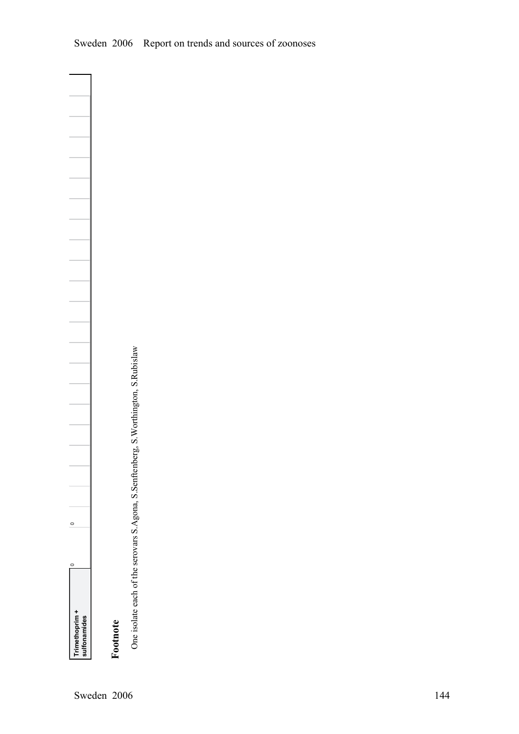٦

# **Footnote**

One isolate each of the serovars S.Agona, S.Senftenberg, S.Worthington, S.Rubislaw One isolate each of the serovars S.Agona, S.Senftenberg, S.Worthington, S.Rubislaw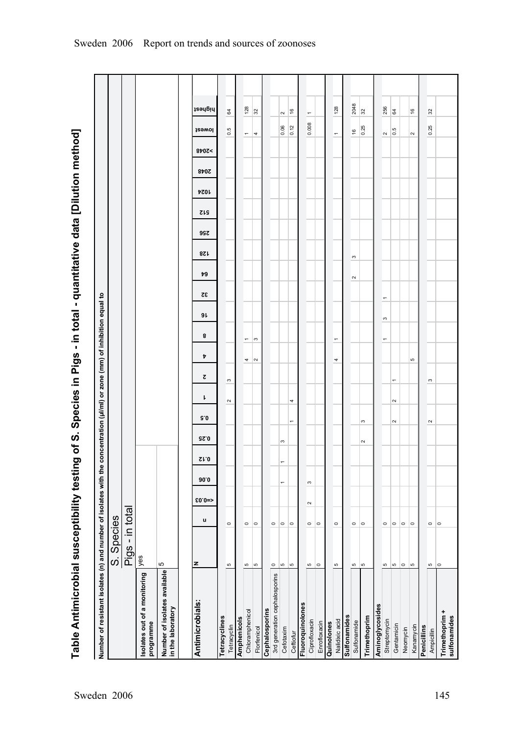| Number of resistant isolates (n) and number of isolates with the |                 |         |                     |                          |                |        |                          |                     |                       |        | concentration (ul/ml) or zone (mm) of inhibition equal to |                |                     |                 |      |            |             |      |       |                          |                          |  |
|------------------------------------------------------------------|-----------------|---------|---------------------|--------------------------|----------------|--------|--------------------------|---------------------|-----------------------|--------|-----------------------------------------------------------|----------------|---------------------|-----------------|------|------------|-------------|------|-------|--------------------------|--------------------------|--|
|                                                                  | S. Species      |         |                     |                          |                |        |                          |                     |                       |        |                                                           |                |                     |                 |      |            |             |      |       |                          |                          |  |
|                                                                  | Pigs - in total |         |                     |                          |                |        |                          |                     |                       |        |                                                           |                |                     |                 |      |            |             |      |       |                          |                          |  |
| Isolates out of a monitoring<br>programme                        | yes             |         |                     |                          |                |        |                          |                     |                       |        |                                                           |                |                     |                 |      |            |             |      |       |                          |                          |  |
| Number of isolates available<br>in the laboratory                | Ю               |         |                     |                          |                |        |                          |                     |                       |        |                                                           |                |                     |                 |      |            |             |      |       |                          |                          |  |
|                                                                  |                 |         |                     |                          |                |        |                          |                     |                       |        |                                                           |                |                     |                 |      |            |             |      |       |                          |                          |  |
| Antimicrobials:                                                  | z               | u       | $$0.0=$             | 90.0                     | S1.0           | 92.0   | G.0                      | L                   | ट                     | Þ      | 8                                                         | 32<br>9L       | 79                  | 87 <sub>k</sub> | 99 Z | <b>SIS</b> | <b>4024</b> | 840Z | >2048 | <b>J</b> ewol            | highest                  |  |
| Tetracyclines                                                    |                 |         |                     |                          |                |        |                          |                     |                       |        |                                                           |                |                     |                 |      |            |             |      |       |                          |                          |  |
| Tetracyclin                                                      | Б               | $\circ$ |                     |                          |                |        |                          | $\boldsymbol{\sim}$ | S                     |        |                                                           |                |                     |                 |      |            |             |      |       | 0.5                      | 64                       |  |
| Amphenicols                                                      |                 |         |                     |                          |                |        |                          |                     |                       |        |                                                           |                |                     |                 |      |            |             |      |       |                          |                          |  |
| Chloramphenicol                                                  | ю               | $\circ$ |                     |                          |                |        |                          |                     |                       | 4      | $\overline{\phantom{0}}$                                  |                |                     |                 |      |            |             |      |       | $\overline{\phantom{0}}$ | 128                      |  |
| Florfenicol                                                      | l۵              | $\circ$ |                     |                          |                |        |                          |                     |                       | $\sim$ | ్                                                         |                |                     |                 |      |            |             |      |       | 4                        | 32                       |  |
| Cephalosporins                                                   |                 |         |                     |                          |                |        |                          |                     |                       |        |                                                           |                |                     |                 |      |            |             |      |       |                          |                          |  |
| 3rd generation cephalosporins                                    | $\circ$         | $\circ$ |                     |                          |                |        |                          |                     |                       |        |                                                           |                |                     |                 |      |            |             |      |       |                          |                          |  |
| Cefotaxim                                                        | Ю               | $\circ$ |                     | $\overline{\phantom{0}}$ | $\overline{ }$ | S      |                          |                     |                       |        |                                                           |                |                     |                 |      |            |             |      |       | 0.06                     | $\sim$                   |  |
| Ceftiofur                                                        | lю              | $\circ$ |                     |                          |                |        | $\overline{\phantom{0}}$ | 4                   |                       |        |                                                           |                |                     |                 |      |            |             |      |       | 0.12                     | $\frac{6}{2}$            |  |
| Fluoroquinolones                                                 |                 |         |                     |                          |                |        |                          |                     |                       |        |                                                           |                |                     |                 |      |            |             |      |       |                          |                          |  |
| Ciprofloxacin                                                    | Ю               | $\circ$ | $\boldsymbol{\sim}$ | $\boldsymbol{\infty}$    |                |        |                          |                     |                       |        |                                                           |                |                     |                 |      |            |             |      |       | 0.008                    | $\overline{\phantom{0}}$ |  |
| Enrofloxacin                                                     | $\circ$         | $\circ$ |                     |                          |                |        |                          |                     |                       |        |                                                           |                |                     |                 |      |            |             |      |       |                          |                          |  |
| Quinolones                                                       |                 |         |                     |                          |                |        |                          |                     |                       |        |                                                           |                |                     |                 |      |            |             |      |       |                          |                          |  |
| Nalidixic acid                                                   | ю               | $\circ$ |                     |                          |                |        |                          |                     |                       | 4      | $\overline{\phantom{0}}$                                  |                |                     |                 |      |            |             |      |       | $\overline{\phantom{0}}$ | 128                      |  |
| Sulfonamides                                                     |                 |         |                     |                          |                |        |                          |                     |                       |        |                                                           |                |                     |                 |      |            |             |      |       |                          |                          |  |
| Sulfonamide                                                      | Ю               | $\circ$ |                     |                          |                |        |                          |                     |                       |        |                                                           |                | $\boldsymbol{\sim}$ | S               |      |            |             |      |       | $\frac{6}{2}$            | 2048                     |  |
| Trimethoprim                                                     | ю               | $\circ$ |                     |                          |                | $\sim$ | S                        |                     |                       |        |                                                           |                |                     |                 |      |            |             |      |       | 0.25                     | 32                       |  |
| Aminoglycosides                                                  |                 |         |                     |                          |                |        |                          |                     |                       |        |                                                           |                |                     |                 |      |            |             |      |       |                          |                          |  |
| Streptomycin                                                     | Ю               | $\circ$ |                     |                          |                |        |                          |                     |                       |        | $\boldsymbol{\infty}$<br>$\overline{\phantom{0}}$         | $\overline{ }$ |                     |                 |      |            |             |      |       | $\sim$                   | 256                      |  |
| Gentamicin                                                       | Ю               | $\circ$ |                     |                          |                |        | $\sim$                   | $\sim$              | $\overline{ }$        |        |                                                           |                |                     |                 |      |            |             |      |       | $\frac{5}{6}$            | 64                       |  |
| Neomycin                                                         | $\circ$         | $\circ$ |                     |                          |                |        |                          |                     |                       |        |                                                           |                |                     |                 |      |            |             |      |       |                          |                          |  |
| Kanamycin                                                        | l LO            | $\circ$ |                     |                          |                |        |                          |                     |                       | Ю      |                                                           |                |                     |                 |      |            |             |      |       | $\sim$                   | $\frac{6}{2}$            |  |
| Penicillins                                                      |                 |         |                     |                          |                |        |                          |                     |                       |        |                                                           |                |                     |                 |      |            |             |      |       |                          |                          |  |
| Ampicillin                                                       | $\mathfrak{S}$  | $\circ$ |                     |                          |                |        | $\sim$                   |                     | $\boldsymbol{\infty}$ |        |                                                           |                |                     |                 |      |            |             |      |       | 0.25                     | 32                       |  |
| Trimethoprim +<br>sulfonamides                                   | $\circ$         | $\circ$ |                     |                          |                |        |                          |                     |                       |        |                                                           |                |                     |                 |      |            |             |      |       |                          |                          |  |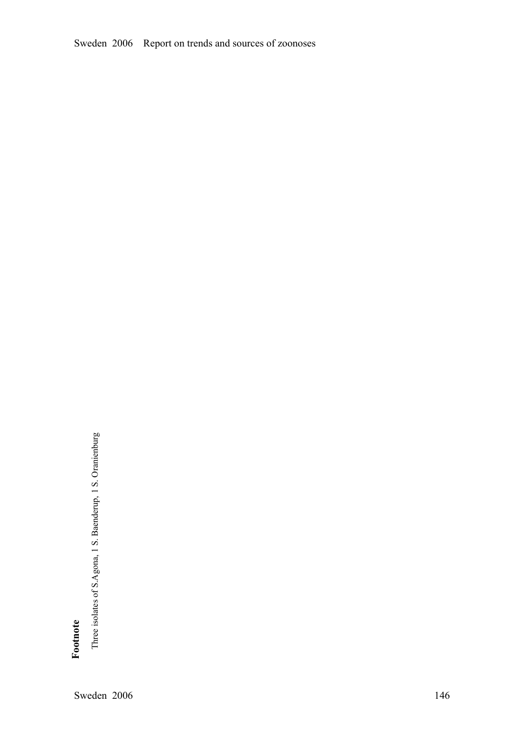Sweden 2006 Report on trends and sources of zoonoses

**Footnote** 

Three isolates of S.Agona, 1 S. Baenderup, 1 S. Oranienburg Three isolates of S.Agona, 1 S. Baenderup, 1 S. Oranienburg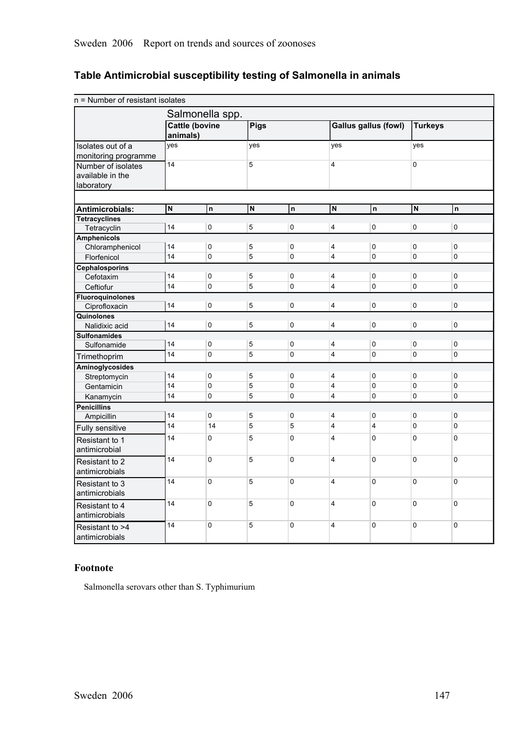| n = Number of resistant isolates  |                         |                       |                         |             |                         |                             |                         |             |
|-----------------------------------|-------------------------|-----------------------|-------------------------|-------------|-------------------------|-----------------------------|-------------------------|-------------|
|                                   |                         | Salmonella spp.       |                         |             |                         |                             |                         |             |
|                                   | animals)                | <b>Cattle (bovine</b> | Pigs                    |             |                         | <b>Gallus gallus (fowl)</b> | <b>Turkeys</b>          |             |
| Isolates out of a                 | yes                     |                       | yes                     |             | yes                     |                             | yes                     |             |
| monitoring programme              |                         |                       |                         |             |                         |                             |                         |             |
| Number of isolates                | 14                      |                       | 5                       |             | 4                       |                             | 0                       |             |
| available in the                  |                         |                       |                         |             |                         |                             |                         |             |
| laboratory                        |                         |                       |                         |             |                         |                             |                         |             |
|                                   |                         |                       |                         |             |                         |                             |                         |             |
| Antimicrobials:                   | $\overline{\mathsf{N}}$ | $\mathsf{n}$          | $\overline{\mathsf{N}}$ | n           | $\overline{\mathsf{N}}$ | n                           | $\overline{\mathsf{N}}$ | 'n          |
| <b>Tetracyclines</b>              |                         |                       |                         |             |                         |                             |                         |             |
| Tetracyclin                       | 14                      | $\mathbf 0$           | $\overline{5}$          | $\mathbf 0$ | 4                       | 0                           | 0                       | $\mathbf 0$ |
| <b>Amphenicols</b>                |                         |                       |                         |             |                         |                             |                         |             |
| Chloramphenicol                   | 14                      | 0                     | 5                       | 0           | 4                       | 0                           | 0                       | 0           |
| Florfenicol                       | 14                      | 0                     | 5                       | $\pmb{0}$   | 4                       | 0                           | 0                       | $\mathbf 0$ |
| <b>Cephalosporins</b>             |                         |                       |                         |             |                         |                             |                         |             |
| Cefotaxim                         | 14                      | $\pmb{0}$             | 5                       | $\pmb{0}$   | 4                       | 0                           | 0                       | 0           |
| Ceftiofur                         | 14                      | $\mathbf 0$           | 5                       | $\pmb{0}$   | $\overline{4}$          | 0                           | 0                       | $\mathbf 0$ |
| <b>Fluoroquinolones</b>           |                         |                       |                         |             |                         |                             |                         |             |
| Ciprofloxacin                     | 14                      | $\pmb{0}$             | $\sqrt{5}$              | $\pmb{0}$   | $\overline{\mathbf{4}}$ | 0                           | 0                       | $\pmb{0}$   |
| Quinolones                        |                         | $\mathbf 0$           |                         | $\mathbf 0$ |                         |                             | 0                       |             |
| Nalidixic acid                    | 14                      |                       | 5                       |             | $\overline{4}$          | 0                           |                         | $\mathbf 0$ |
| <b>Sulfonamides</b>               | 14                      | $\mathbf 0$           | 5                       | $\pmb{0}$   | 4                       | 0                           | 0                       | 0           |
| Sulfonamide                       | $\overline{14}$         | 0                     | 5                       | $\pmb{0}$   | 4                       | 0                           | 0                       | 0           |
| Trimethoprim                      |                         |                       |                         |             |                         |                             |                         |             |
| Aminoglycosides                   |                         |                       |                         |             |                         |                             |                         |             |
| Streptomycin                      | 14                      | $\pmb{0}$             | 5                       | $\mathsf 0$ | 4                       | 0                           | 0                       | 0           |
| Gentamicin                        | 14                      | 0                     | 5                       | $\pmb{0}$   | 4                       | 0                           | 0                       | 0           |
| Kanamycin                         | 14                      | 0                     | $\overline{5}$          | 0           | $\overline{\mathbf{4}}$ | $\Omega$                    | 0                       | $\mathbf 0$ |
| <b>Penicillins</b>                |                         |                       |                         |             |                         |                             |                         |             |
| Ampicillin                        | 14                      | $\mathbf 0$           | 5                       | $\pmb{0}$   | 4                       | 0                           | 0                       | $\mathbf 0$ |
| Fully sensitive                   | $\overline{14}$         | 14                    | 5                       | 5           | 4                       | 4                           | 0                       | $\pmb{0}$   |
| Resistant to 1<br>antimicrobial   | 14                      | 0                     | 5                       | $\mathbf 0$ | 4                       | 0                           | 0                       | $\mathbf 0$ |
| Resistant to 2<br>antimicrobials  | 14                      | 0                     | 5                       | $\mathbf 0$ | 4                       | 0                           | 0                       | $\mathbf 0$ |
| Resistant to 3<br>antimicrobials  | 14                      | $\overline{0}$        | 5                       | $\mathbf 0$ | $\overline{\mathbf{4}}$ | 0                           | 0                       | $\mathbf 0$ |
| Resistant to 4<br>antimicrobials  | 14                      | $\pmb{0}$             | 5                       | $\pmb{0}$   | 4                       | $\Omega$                    | 0                       | $\Omega$    |
| Resistant to >4<br>antimicrobials | 14                      | 0                     | 5                       | $\mathbf 0$ | 4                       | 0                           | 0                       | 0           |

## **Table Antimicrobial susceptibility testing of Salmonella in animals**

## **Footnote**

Salmonella serovars other than S. Typhimurium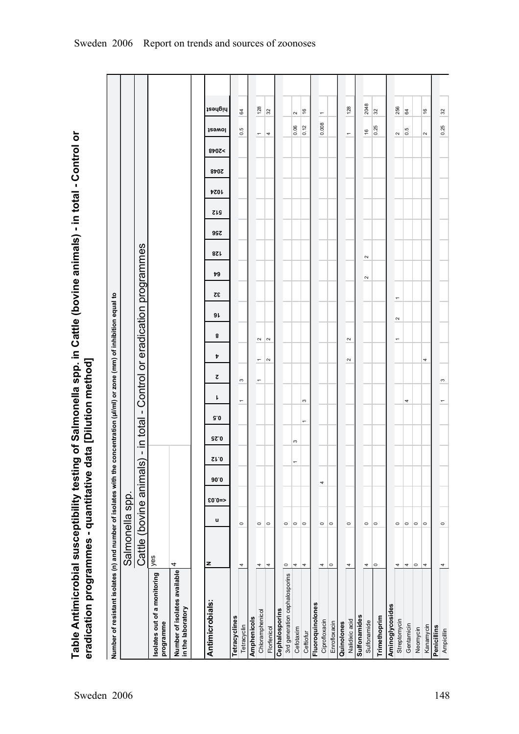Table Antimicrobial susceptibility testing of Salmonella spp. in Cattle (bovine animals) - in total - Control or **Table Antimicrobial susceptibility testing of Salmonella spp. in Cattle (bovine animals) in total Control or** eradication programmes - quantitative data [Dilution method] **eradication programmes quantitative data [Dilution method]**

| Number of resistant isolates (n) and number of isolates with the concentration (µl/ml) or zone (mm) of inhibition equal to |                         |         |         |      |                |             |                |                               |                          |                |                                   |                |        |            |     |            |             |             |        |                          |                          |  |
|----------------------------------------------------------------------------------------------------------------------------|-------------------------|---------|---------|------|----------------|-------------|----------------|-------------------------------|--------------------------|----------------|-----------------------------------|----------------|--------|------------|-----|------------|-------------|-------------|--------|--------------------------|--------------------------|--|
|                                                                                                                            | Salmonella spp          |         |         |      |                |             |                |                               |                          |                |                                   |                |        |            |     |            |             |             |        |                          |                          |  |
|                                                                                                                            | Cattle (bovine animals) |         |         |      | $\mathbf I$    | total<br>⊒. | $\mathbf{I}$   |                               |                          |                | Control or eradication programmes |                |        |            |     |            |             |             |        |                          |                          |  |
| Isolates out of a monitoring $\left  \right\rangle _{ \text{GS}}$<br>programme                                             |                         |         |         |      |                |             |                |                               |                          |                |                                   |                |        |            |     |            |             |             |        |                          |                          |  |
| Number of isolates available<br>in the laboratory                                                                          | 4                       |         |         |      |                |             |                |                               |                          |                |                                   |                |        |            |     |            |             |             |        |                          |                          |  |
| Antimicrobials:                                                                                                            | z                       | u       | $$0.0=$ | 90.0 | $\Omega$ 1.0   | <b>GZ.0</b> | 5.0            | ı                             | ट                        | 8<br>Þ         | 9 L                               | 32             | 79     | <b>821</b> | 99Z | <b>SIS</b> | <b>4024</b> | <b>8402</b> | 8p0Z < | <b>J</b><br>Jewol        | highest                  |  |
|                                                                                                                            |                         |         |         |      |                |             |                |                               |                          |                |                                   |                |        |            |     |            |             |             |        |                          |                          |  |
| Tetracyclines                                                                                                              |                         |         |         |      |                |             |                |                               |                          |                |                                   |                |        |            |     |            |             |             |        |                          |                          |  |
| Tetracyclin                                                                                                                | 4                       | $\circ$ |         |      |                |             |                | S<br>$\overline{\phantom{0}}$ |                          |                |                                   |                |        |            |     |            |             |             |        | 0.5                      | 64                       |  |
| Amphenicols                                                                                                                |                         |         |         |      |                |             |                |                               |                          |                |                                   |                |        |            |     |            |             |             |        |                          |                          |  |
| Chloramphenicol                                                                                                            | 4                       | $\circ$ |         |      |                |             |                | $\overline{\phantom{0}}$      | $\overline{\phantom{0}}$ | $\sim$         |                                   |                |        |            |     |            |             |             |        | $\overline{\phantom{m}}$ | 128                      |  |
| Florfenicol                                                                                                                | 4                       | $\circ$ |         |      |                |             |                |                               | $\sim$                   | $\sim$         |                                   |                |        |            |     |            |             |             |        | 4                        | 32                       |  |
| Cephalosporins                                                                                                             |                         |         |         |      |                |             |                |                               |                          |                |                                   |                |        |            |     |            |             |             |        |                          |                          |  |
| 3rd generation cephalosporins                                                                                              | $\circ$                 | $\circ$ |         |      |                |             |                |                               |                          |                |                                   |                |        |            |     |            |             |             |        |                          |                          |  |
| Cefotaxim                                                                                                                  | 4                       | $\circ$ |         |      | $\overline{a}$ | S           |                |                               |                          |                |                                   |                |        |            |     |            |             |             |        | 0.06                     | $\sim$                   |  |
| Ceftiofur                                                                                                                  | 4                       | $\circ$ |         |      |                |             | $\overline{ }$ | $\infty$                      |                          |                |                                   |                |        |            |     |            |             |             |        | 0.12                     | $\frac{6}{2}$            |  |
| Fluoroquinolones                                                                                                           |                         |         |         |      |                |             |                |                               |                          |                |                                   |                |        |            |     |            |             |             |        |                          |                          |  |
| Ciprofloxacin                                                                                                              | 4                       | $\circ$ |         | 4    |                |             |                |                               |                          |                |                                   |                |        |            |     |            |             |             |        | 0.008                    | $\overline{\phantom{0}}$ |  |
| Enrofloxacin                                                                                                               | $\circ$                 | $\circ$ |         |      |                |             |                |                               |                          |                |                                   |                |        |            |     |            |             |             |        |                          |                          |  |
| Quinolones                                                                                                                 |                         |         |         |      |                |             |                |                               |                          |                |                                   |                |        |            |     |            |             |             |        |                          |                          |  |
| Nalidixic acid                                                                                                             | 4                       | $\circ$ |         |      |                |             |                |                               | $\sim$                   | $\sim$         |                                   |                |        |            |     |            |             |             |        | $\overline{\phantom{0}}$ | 128                      |  |
| Sulfonamides                                                                                                               |                         |         |         |      |                |             |                |                               |                          |                |                                   |                |        |            |     |            |             |             |        |                          |                          |  |
| Sulfonamide                                                                                                                | 4                       | $\circ$ |         |      |                |             |                |                               |                          |                |                                   |                | $\sim$ | $\sim$     |     |            |             |             |        | $\frac{6}{2}$            | 2048                     |  |
| Trimethoprim                                                                                                               | $\circ$                 | $\circ$ |         |      |                |             |                |                               |                          |                |                                   |                |        |            |     |            |             |             |        | 0.25                     | 32                       |  |
| Aminoglycosides                                                                                                            |                         |         |         |      |                |             |                |                               |                          |                |                                   |                |        |            |     |            |             |             |        |                          |                          |  |
| Streptomycin                                                                                                               | 4                       | $\circ$ |         |      |                |             |                |                               |                          | $\overline{ }$ | $\sim$                            | $\overline{ }$ |        |            |     |            |             |             |        | $\sim$                   | 256                      |  |
| Gentamicin                                                                                                                 | 4                       | $\circ$ |         |      |                |             |                | 4                             |                          |                |                                   |                |        |            |     |            |             |             |        | rú<br>ö                  | 64                       |  |
| Neomycin                                                                                                                   | $\circ$                 | $\circ$ |         |      |                |             |                |                               |                          |                |                                   |                |        |            |     |            |             |             |        |                          |                          |  |
| Kanamycin                                                                                                                  | 4                       | $\circ$ |         |      |                |             |                |                               | 4                        |                |                                   |                |        |            |     |            |             |             |        | $\sim$                   | $\frac{6}{2}$            |  |
| Penicillins                                                                                                                |                         |         |         |      |                |             |                |                               |                          |                |                                   |                |        |            |     |            |             |             |        |                          |                          |  |
| Ampicillin                                                                                                                 | 4                       | $\circ$ |         |      |                |             |                | S                             |                          |                |                                   |                |        |            |     |            |             |             |        | 0.25                     | 32                       |  |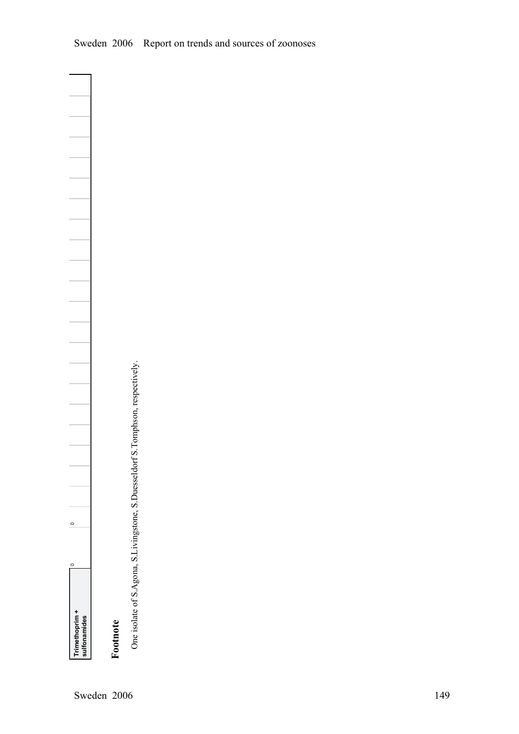**Footnote** 

**Trimethoprim + sulfonamides** 

0

 $\begin{array}{c} \n\hline\n0\n\end{array}$ 

One isolate of S.Agona, S.Livingstone, S.Duesseldorf S.Tomphson, respectively. One isolate of S.Agona, S.Livingstone, S.Duesseldorf S.Tomphson, respectively.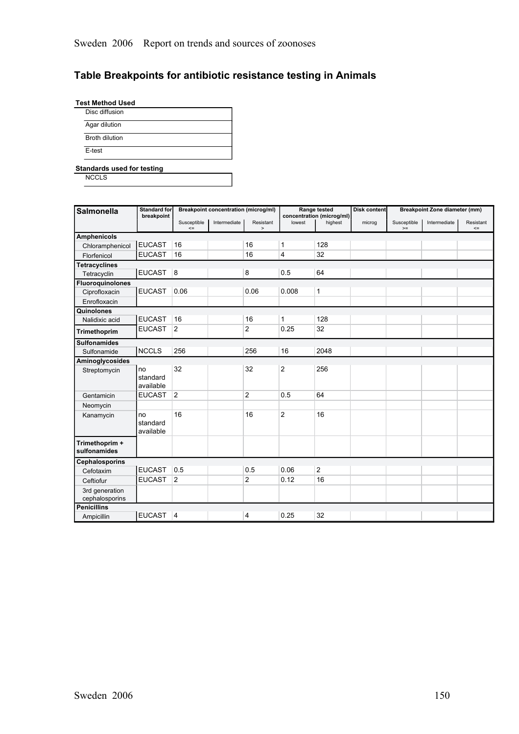## **Table Breakpoints for antibiotic resistance testing in Animals**

| <b>Test Method Used</b> |  |
|-------------------------|--|
|-------------------------|--|

| Agar dilution         |  |
|-----------------------|--|
| <b>Broth dilution</b> |  |
| E-test                |  |

#### **Standards used for testing**

**NCCLS** 

| <b>Salmonella</b>                | <b>Standard for</b>         |                       | <b>Breakpoint concentration (microg/ml)</b> |                             |                | Range tested                         | <b>Disk content</b> |                     | <b>Breakpoint Zone diameter (mm)</b> |                     |
|----------------------------------|-----------------------------|-----------------------|---------------------------------------------|-----------------------------|----------------|--------------------------------------|---------------------|---------------------|--------------------------------------|---------------------|
|                                  | breakpoint                  | Susceptible<br>$\leq$ | Intermediate                                | Resistant<br>$\overline{ }$ | lowest         | concentration (microg/ml)<br>highest | microg              | Susceptible<br>$>=$ | Intermediate                         | Resistant<br>$\leq$ |
| <b>Amphenicols</b>               |                             |                       |                                             |                             |                |                                      |                     |                     |                                      |                     |
| Chloramphenicol                  | <b>EUCAST</b>               | 16                    |                                             | 16                          | 1              | 128                                  |                     |                     |                                      |                     |
| Florfenicol                      | <b>EUCAST</b>               | 16                    |                                             | 16                          | 4              | 32                                   |                     |                     |                                      |                     |
| <b>Tetracyclines</b>             |                             |                       |                                             |                             |                |                                      |                     |                     |                                      |                     |
| Tetracyclin                      | EUCAST 8                    |                       |                                             | 8                           | 0.5            | 64                                   |                     |                     |                                      |                     |
| <b>Fluoroguinolones</b>          |                             |                       |                                             |                             |                |                                      |                     |                     |                                      |                     |
| Ciprofloxacin                    | <b>EUCAST</b>               | 0.06                  |                                             | 0.06                        | 0.008          | 1                                    |                     |                     |                                      |                     |
| Enrofloxacin                     |                             |                       |                                             |                             |                |                                      |                     |                     |                                      |                     |
| Quinolones                       |                             |                       |                                             |                             |                |                                      |                     |                     |                                      |                     |
| Nalidixic acid                   | <b>EUCAST</b>               | 16                    |                                             | 16                          | 1              | 128                                  |                     |                     |                                      |                     |
| Trimethoprim                     | <b>EUCAST</b>               | $\overline{2}$        |                                             | 2                           | 0.25           | 32                                   |                     |                     |                                      |                     |
| <b>Sulfonamides</b>              |                             |                       |                                             |                             |                |                                      |                     |                     |                                      |                     |
| Sulfonamide                      | <b>NCCLS</b>                | 256                   |                                             | 256                         | 16             | 2048                                 |                     |                     |                                      |                     |
| Aminoglycosides                  |                             |                       |                                             |                             |                |                                      |                     |                     |                                      |                     |
| Streptomycin                     | no<br>standard<br>available | 32                    |                                             | 32                          | $\overline{2}$ | 256                                  |                     |                     |                                      |                     |
| Gentamicin                       | <b>EUCAST</b>               | $\overline{2}$        |                                             | 2                           | 0.5            | 64                                   |                     |                     |                                      |                     |
| Neomycin                         |                             |                       |                                             |                             |                |                                      |                     |                     |                                      |                     |
| Kanamycin                        | no<br>standard<br>available | 16                    |                                             | 16                          | $\overline{2}$ | 16                                   |                     |                     |                                      |                     |
| Trimethoprim +<br>sulfonamides   |                             |                       |                                             |                             |                |                                      |                     |                     |                                      |                     |
| Cephalosporins                   |                             |                       |                                             |                             |                |                                      |                     |                     |                                      |                     |
| Cefotaxim                        | <b>EUCAST</b>               | 0.5                   |                                             | 0.5                         | 0.06           | $\overline{2}$                       |                     |                     |                                      |                     |
| Ceftiofur                        | <b>EUCAST</b>               | $\overline{2}$        |                                             | 2                           | 0.12           | 16                                   |                     |                     |                                      |                     |
| 3rd generation<br>cephalosporins |                             |                       |                                             |                             |                |                                      |                     |                     |                                      |                     |
| <b>Penicillins</b>               |                             |                       |                                             |                             |                |                                      |                     |                     |                                      |                     |
| Ampicillin                       | EUCAST 4                    |                       |                                             | 4                           | 0.25           | 32                                   |                     |                     |                                      |                     |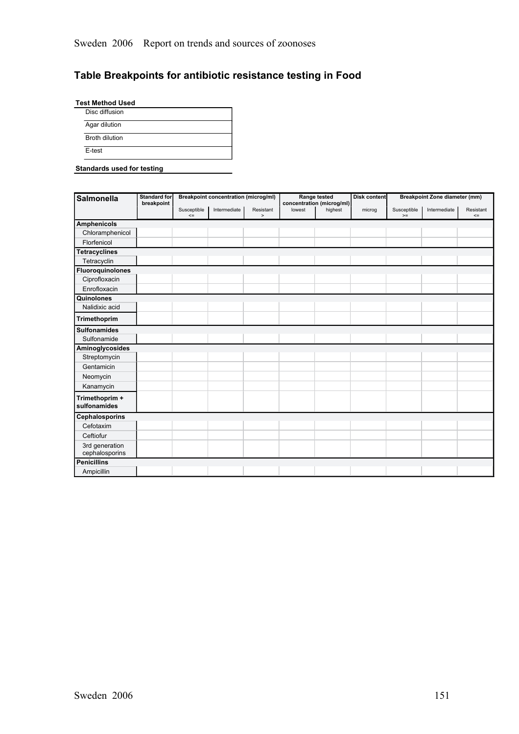## **Table Breakpoints for antibiotic resistance testing in Food**

**Test Method Used**

| Disc diffusion        |  |
|-----------------------|--|
| Agar dilution         |  |
| <b>Broth dilution</b> |  |
| E-test                |  |

#### **Standards used for testing**

| <b>Salmonella</b>   | <b>Standard for</b> |             | <b>Breakpoint concentration (microg/ml)</b> |           |        | Range tested                         | Disk content |             | <b>Breakpoint Zone diameter (mm)</b> |           |
|---------------------|---------------------|-------------|---------------------------------------------|-----------|--------|--------------------------------------|--------------|-------------|--------------------------------------|-----------|
|                     | breakpoint          | Susceptible | Intermediate                                | Resistant | lowest | concentration (microg/ml)<br>highest | microg       | Susceptible | Intermediate                         | Resistant |
|                     |                     | $\leq$      |                                             | $\,$      |        |                                      |              | $>=$        |                                      | $\leq$    |
| <b>Amphenicols</b>  |                     |             |                                             |           |        |                                      |              |             |                                      |           |
| Chloramphenicol     |                     |             |                                             |           |        |                                      |              |             |                                      |           |
| Florfenicol         |                     |             |                                             |           |        |                                      |              |             |                                      |           |
| Tetracyclines       |                     |             |                                             |           |        |                                      |              |             |                                      |           |
| Tetracyclin         |                     |             |                                             |           |        |                                      |              |             |                                      |           |
| Fluoroquinolones    |                     |             |                                             |           |        |                                      |              |             |                                      |           |
| Ciprofloxacin       |                     |             |                                             |           |        |                                      |              |             |                                      |           |
| Enrofloxacin        |                     |             |                                             |           |        |                                      |              |             |                                      |           |
| Quinolones          |                     |             |                                             |           |        |                                      |              |             |                                      |           |
| Nalidixic acid      |                     |             |                                             |           |        |                                      |              |             |                                      |           |
| Trimethoprim        |                     |             |                                             |           |        |                                      |              |             |                                      |           |
| <b>Sulfonamides</b> |                     |             |                                             |           |        |                                      |              |             |                                      |           |
| Sulfonamide         |                     |             |                                             |           |        |                                      |              |             |                                      |           |
| Aminoglycosides     |                     |             |                                             |           |        |                                      |              |             |                                      |           |
| Streptomycin        |                     |             |                                             |           |        |                                      |              |             |                                      |           |
| Gentamicin          |                     |             |                                             |           |        |                                      |              |             |                                      |           |
| Neomycin            |                     |             |                                             |           |        |                                      |              |             |                                      |           |
| Kanamycin           |                     |             |                                             |           |        |                                      |              |             |                                      |           |
| Trimethoprim +      |                     |             |                                             |           |        |                                      |              |             |                                      |           |
| sulfonamides        |                     |             |                                             |           |        |                                      |              |             |                                      |           |
| Cephalosporins      |                     |             |                                             |           |        |                                      |              |             |                                      |           |
| Cefotaxim           |                     |             |                                             |           |        |                                      |              |             |                                      |           |
| Ceftiofur           |                     |             |                                             |           |        |                                      |              |             |                                      |           |
| 3rd generation      |                     |             |                                             |           |        |                                      |              |             |                                      |           |
| cephalosporins      |                     |             |                                             |           |        |                                      |              |             |                                      |           |
| <b>Penicillins</b>  |                     |             |                                             |           |        |                                      |              |             |                                      |           |
| Ampicillin          |                     |             |                                             |           |        |                                      |              |             |                                      |           |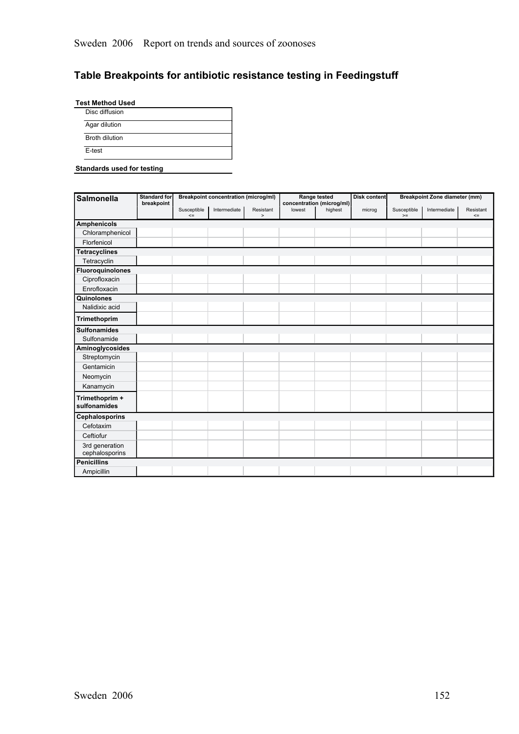## **Table Breakpoints for antibiotic resistance testing in Feedingstuff**

 $\overline{\phantom{a}}$ 

**Test Method Used** Disc diffusion

| <b>Broth dilution</b> |
|-----------------------|
|                       |

#### **Standards used for testing**

| <b>Salmonella</b>              | <b>Standard for</b> |             | <b>Breakpoint concentration (microg/ml)</b> |           |        | Range tested                         | Disk content |             | <b>Breakpoint Zone diameter (mm)</b> |           |
|--------------------------------|---------------------|-------------|---------------------------------------------|-----------|--------|--------------------------------------|--------------|-------------|--------------------------------------|-----------|
|                                | breakpoint          | Susceptible | Intermediate                                | Resistant | lowest | concentration (microg/ml)<br>highest | microg       | Susceptible | Intermediate                         | Resistant |
|                                |                     | $\leq$      |                                             | $\,$      |        |                                      |              | $>=$        |                                      | $\leq$    |
| <b>Amphenicols</b>             |                     |             |                                             |           |        |                                      |              |             |                                      |           |
| Chloramphenicol                |                     |             |                                             |           |        |                                      |              |             |                                      |           |
| Florfenicol                    |                     |             |                                             |           |        |                                      |              |             |                                      |           |
| <b>Tetracyclines</b>           |                     |             |                                             |           |        |                                      |              |             |                                      |           |
| Tetracyclin                    |                     |             |                                             |           |        |                                      |              |             |                                      |           |
| <b>Fluoroquinolones</b>        |                     |             |                                             |           |        |                                      |              |             |                                      |           |
| Ciprofloxacin                  |                     |             |                                             |           |        |                                      |              |             |                                      |           |
| Enrofloxacin                   |                     |             |                                             |           |        |                                      |              |             |                                      |           |
| Quinolones                     |                     |             |                                             |           |        |                                      |              |             |                                      |           |
| Nalidixic acid                 |                     |             |                                             |           |        |                                      |              |             |                                      |           |
| Trimethoprim                   |                     |             |                                             |           |        |                                      |              |             |                                      |           |
| <b>Sulfonamides</b>            |                     |             |                                             |           |        |                                      |              |             |                                      |           |
| Sulfonamide                    |                     |             |                                             |           |        |                                      |              |             |                                      |           |
| Aminoglycosides                |                     |             |                                             |           |        |                                      |              |             |                                      |           |
| Streptomycin                   |                     |             |                                             |           |        |                                      |              |             |                                      |           |
| Gentamicin                     |                     |             |                                             |           |        |                                      |              |             |                                      |           |
| Neomycin                       |                     |             |                                             |           |        |                                      |              |             |                                      |           |
| Kanamycin                      |                     |             |                                             |           |        |                                      |              |             |                                      |           |
| Trimethoprim +<br>sulfonamides |                     |             |                                             |           |        |                                      |              |             |                                      |           |
| <b>Cephalosporins</b>          |                     |             |                                             |           |        |                                      |              |             |                                      |           |
| Cefotaxim                      |                     |             |                                             |           |        |                                      |              |             |                                      |           |
| Ceftiofur                      |                     |             |                                             |           |        |                                      |              |             |                                      |           |
| 3rd generation                 |                     |             |                                             |           |        |                                      |              |             |                                      |           |
| cephalosporins                 |                     |             |                                             |           |        |                                      |              |             |                                      |           |
| <b>Penicillins</b>             |                     |             |                                             |           |        |                                      |              |             |                                      |           |
| Ampicillin                     |                     |             |                                             |           |        |                                      |              |             |                                      |           |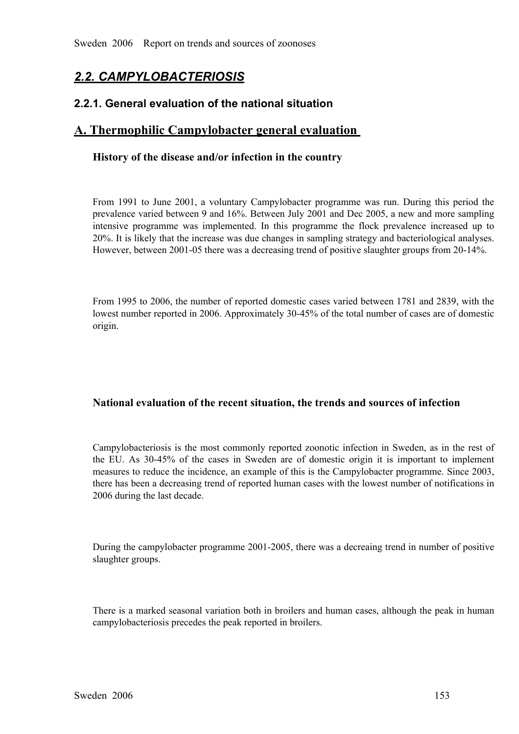# *2.2. CAMPYLOBACTERIOSIS*

## **2.2.1. General evaluation of the national situation**

## **A. Thermophilic Campylobacter general evaluation**

#### **History of the disease and/or infection in the country**

From 1991 to June 2001, a voluntary Campylobacter programme was run. During this period the prevalence varied between 9 and 16%. Between July 2001 and Dec 2005, a new and more sampling intensive programme was implemented. prevalence varied between 9 and 16%. Between July 2001 and Dec 2005, a new and more sampling intensive programme was implemented. In this programme the flock prevalence increased up to 20%. It is likely that the increase was due changes in sampling strategy and bacteriological analyses. However, between 2001-05 th 20%. It is likely that the increase was due changes in sampling strategy and bacteriological analyses. However, between 2001-05 there was a decreasing trend of positive slaughter groups from 20-14%.

From 1995 to 2006, the number of reported domestic cases varied between 1781 and 2839, with the lowest number reported in 2006. Approximately 30-45% of the total number of cases are of domestic origin.

#### **National evaluation of the recent situation, the trends and sources of infection**

Campylobacteriosis is the most commonly reported zoonotic infection in Sweden, as in the rest of the EU. As 30-45% of the cases in Sweden are of domestic origin it is important to implement measures to reduce the incidence the EU. As 30-45% of the cases in Sweden are of domestic origin it is important to implement<br>measures to reduce the incidence, an example of this is the Campylobacter programme. Since 2003,<br>there has been a decreasing tren measures to reduce the incidence, an example of this is the Campylobacter programme. Since 2003, there has been a decreasing trend of reported human cases with the lowest number of notifications in 2006 during the last decade.

During the campylobacter programme 2001-2005, there was a decreaing trend in number of positive slaughter groups.

There is a marked seasonal variation both in broilers and human cases, although the peak in human campylobacteriosis precedes the peak reported in broilers.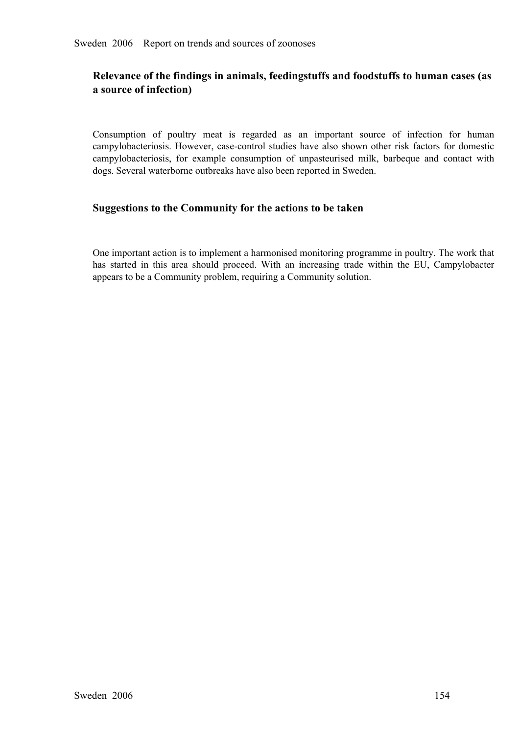## **Relevance of the findings in animals, feedingstuffs and foodstuffs to human cases (as a source of infection)**

Consumption of poultry meat is regarded as an important source of infection for human campylobacteriosis. However, case-control studies have also shown other risk factors for domestic campylobacteriosis. However, case-control studies have also shown other risk factors for domestic<br>campylobacteriosis, for example consumption of unpasteurised milk, barbeque and contact with<br>dogs. Several waterborne outbre campylobacteriosis, for example consumption of unpasteurised milk, barbeque and contact with dogs. Several waterborne outbreaks have also been reported in Sweden. dogs. Several waterborne outbreaks have also been reported in Sweden.

#### **Suggestions to the Community for the actions to be taken**

One important action is to implement a harmonised monitoring programme in poultry. The work that has started in this area should proceed. With an increasing trade within the EU, Campylobacter appears to be a Community problem, requiring a Community solution.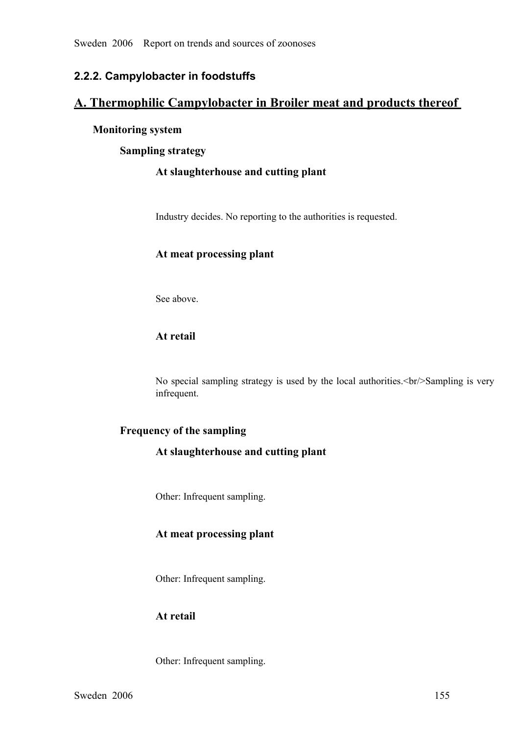## **2.2.2. Campylobacter in foodstuffs**

## **A. Thermophilic Campylobacter in Broiler meat and products thereof**

#### **Monitoring system**

**Sampling strategy**

#### **At slaughterhouse and cutting plant**

Industry decides. No reporting to the authorities is requested.

#### **At meat processing plant**

See above.

#### **At retail**

No special sampling strategy is used by the local authorities.<br/>Sampling is very infrequent.

#### **Frequency of the sampling**

#### **At slaughterhouse and cutting plant**

Other: Infrequent sampling.

#### **At meat processing plant**

Other: Infrequent sampling.

## **At retail**

Other: Infrequent sampling.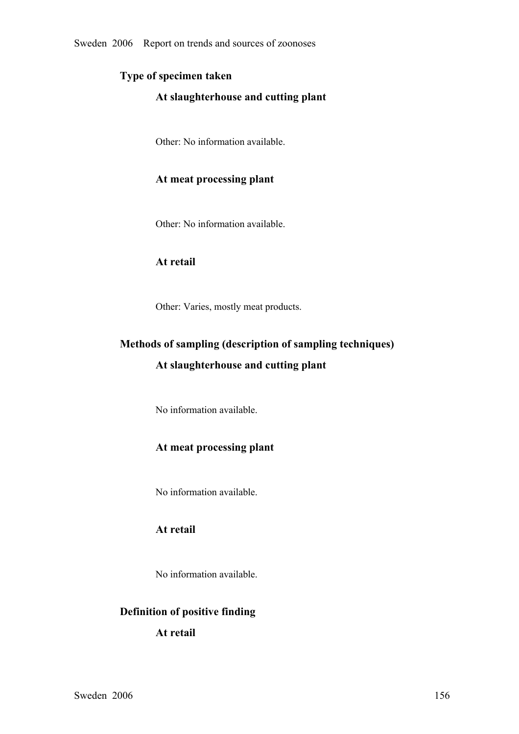## **Type of specimen taken**

#### **At slaughterhouse and cutting plant**

Other: No information available.

#### **At meat processing plant**

Other: No information available.

#### **At retail**

Other: Varies, mostly meat products.

# **Methods of sampling (description of sampling techniques) At slaughterhouse and cutting plant**

No information available.

## **At meat processing plant**

No information available.

## **At retail**

No information available.

## **Definition of positive finding**

#### **At retail**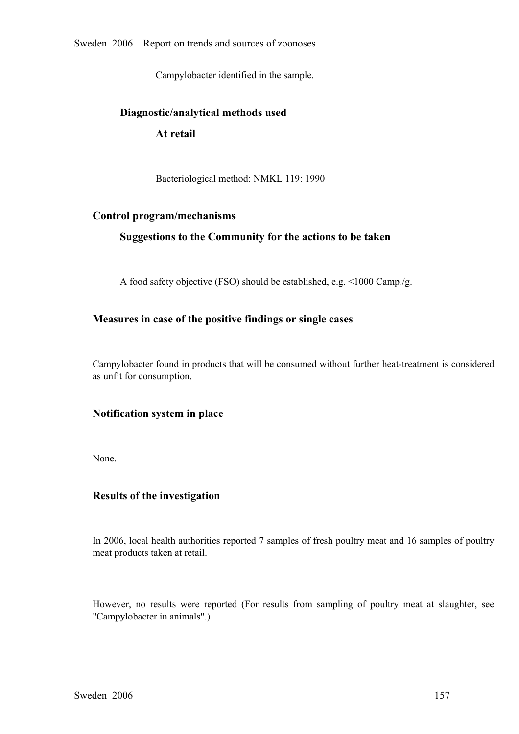Sweden 2006 Report on trends and sources of zoonoses

Campylobacter identified in the sample.

# **Diagnostic/analytical methods used At retail**

Bacteriological method: NMKL 119: 1990

#### **Control program/mechanisms**

#### **Suggestions to the Community for the actions to be taken**

A food safety objective (FSO) should be established, e.g. <1000 Camp./g.

#### **Measures in case of the positive findings or single cases**

Campylobacter found in products that will be consumed without further heat-treatment is considered as unfit for consumption.

#### **Notification system in place**

None.

#### **Results of the investigation**

In 2006, local health authorities reported 7 samples of fresh poultry meat and 16 samples of poultry meat products taken at retail.

However, no results were reported (For results from sampling of poultry meat at slaughter, see "Campylobacter in animals".)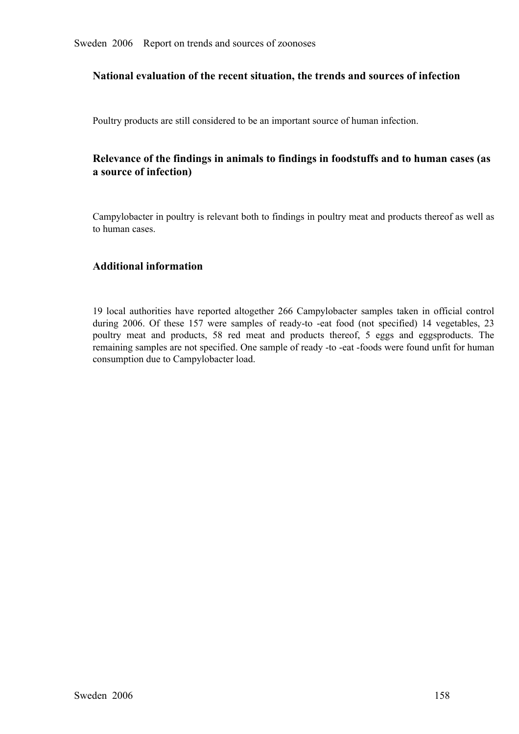#### **National evaluation of the recent situation, the trends and sources of infection**

Poultry products are still considered to be an important source of human infection.

## **Relevance of the findings in animals to findings in foodstuffs and to human cases (as a source of infection)**

Campylobacter in poultry is relevant both to findings in poultry meat and products thereof as well as to human cases.

#### **Additional information**

19 local authorities have reported altogether 266 Campylobacter samples taken in official control during 2006. Of these 157 were samples of ready-to -eat food (not specified) 14 vegetables, 23 poultry meat and products, 58 red meat and products thereof, 5 eggs and eggsproducts. The poultry meat and products, 58 red meat and products thereof, 5 eggs and eggsproducts. The remaining samples are not specified. One sample of ready -to -eat -foods were found unfit for human consumption due to Campylobacter remaining samples are not specified. One sample of ready -to -eat -foods were found unfit for human consumption due to Campylobacter load.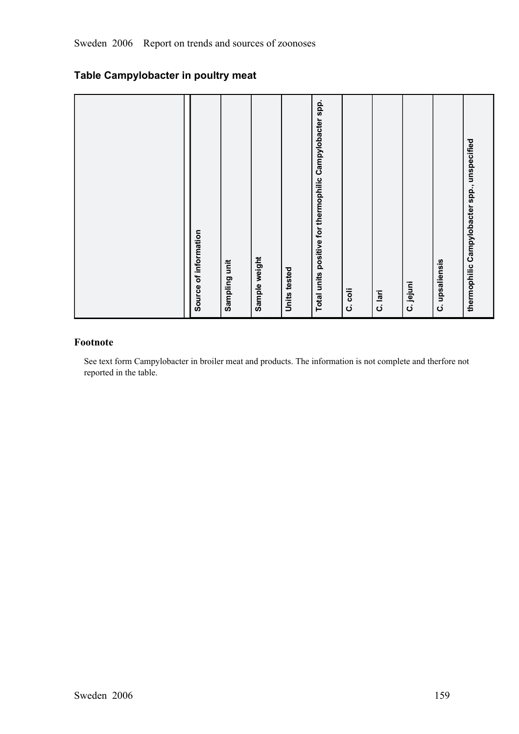| Source of information                                    |
|----------------------------------------------------------|
| Sampling unit                                            |
| Sample weight                                            |
| Units tested                                             |
| Total units positive for thermophilic Campylobacter spp. |
| C. coli                                                  |
| C. lari                                                  |
| C. jejuni                                                |
| C. upsaliensis                                           |
| thermophilic Campylobacter spp., unspecified             |

## **Table Campylobacter in poultry meat**

## **Footnote**

See text form Campylobacter in broiler meat and products. The information is not complete and therfore not reported in the table.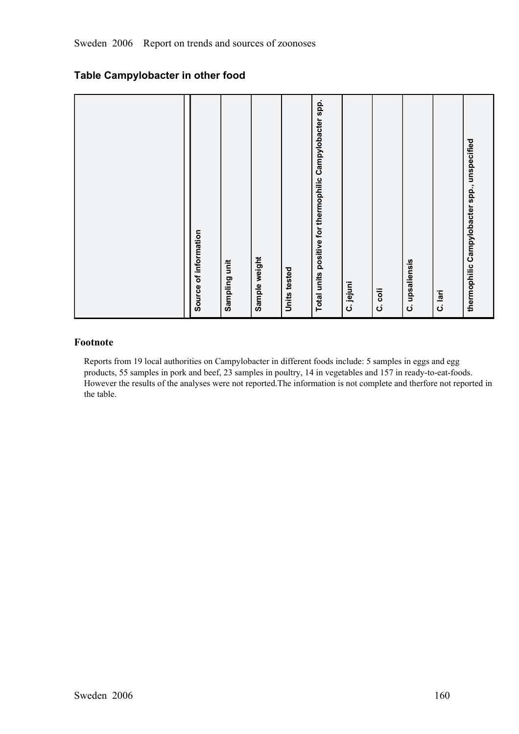## **Table Campylobacter in other food**

| Source of information                                    |
|----------------------------------------------------------|
| Sampling unit                                            |
| Sample weight                                            |
| Units tested                                             |
| Total units positive for thermophilic Campylobacter spp. |
| C. jejuni                                                |
| C. coli                                                  |
| C. upsaliensis                                           |
| C. lari                                                  |
| thermophilic Campylobacter spp., unspecified             |

## **Footnote**

Reports from 19 local authorities on Campylobacter in different foods include: 5 samples in eggs and egg products, 55 samples in pork and beef, 23 samples in poultry, 14 in vegetables and 157 in ready-to-eat-foods. However the results of the analyses were not reported.The information is not complete and therfore not reported in the table.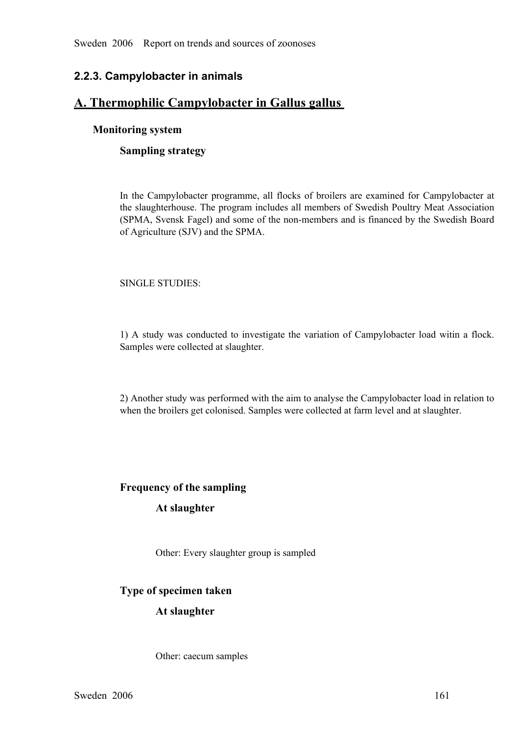## **2.2.3. Campylobacter in animals**

## **A. Thermophilic Campylobacter in Gallus gallus**

#### **Monitoring system**

#### **Sampling strategy**

In the Campylobacter programme, all flocks of broilers are examined for Campylobacter at<br>the slaughterhouse. The program includes all members of Swedish Poultry Meat Association<br>(SPMA, Svensk Fagel) and some of the non-mem the slaughterhouse. The program includes all members of Swedish Poultry Meat Association (SPMA, Svensk Fagel) and some of the non-members and is financed by the Swedish Board of Agriculture (SJV) and the SPMA.

#### SINGLE STUDIES:

1) A study was conducted to investigate the variation of Campylobacter load witin <sup>a</sup> flock. Samples were collected at slaughter.

2) Another study was performed with the aim to analyse the Campylobacter load in relation to when the broilers get colonised. Samples were collected at farm level and at slaughter.

#### **Frequency of the sampling**

#### **At slaughter**

Other: Every slaughter group is sampled

#### **Type of specimen taken**

#### **At slaughter**

Other: caecum samples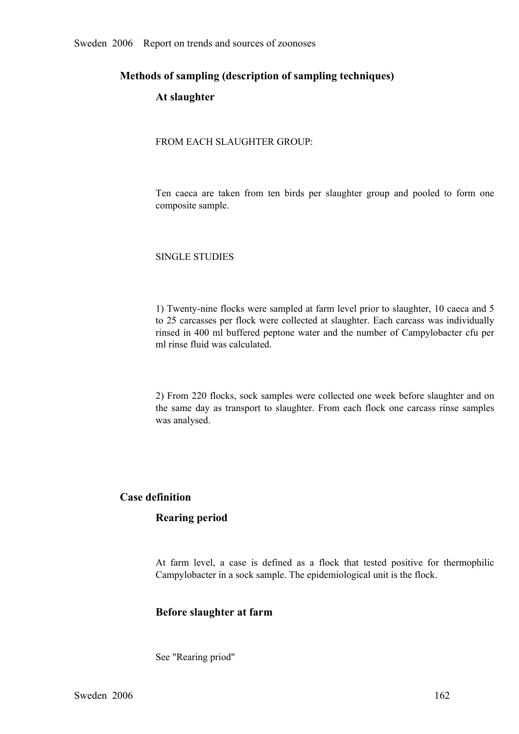#### **Methods of sampling (description of sampling techniques)**

#### **At slaughter**

FROM EACH SLAUGHTER GROUP:

Ten caeca are taken from ten birds per slaughter group and pooled to form one composite sample.

#### SINGLE STUDIES

1) Twenty-nine flocks were sampled at farm level prior to slaughter, 10 caeca and 5 to 25 carcasses per flock were collected at slaughter. Each carcass was individually rinsed in 400 ml buffered peptone water and the number of Campylobacter cfu per ml rinse fluid was calculated.

2) From 220 flocks, sock samples were collected one week before slaughter and on the same day as transport to slaughter. From each flock one carcass rinse samples was analysed.

#### **Case definition**

#### **Rearing period**

At farm level, <sup>a</sup> case is defined as <sup>a</sup> flock that tested positive for thermophilic Campylobacter in a sock sample. The epidemiological unit is the flock.

#### **Before slaughter at farm**

See "Rearing priod"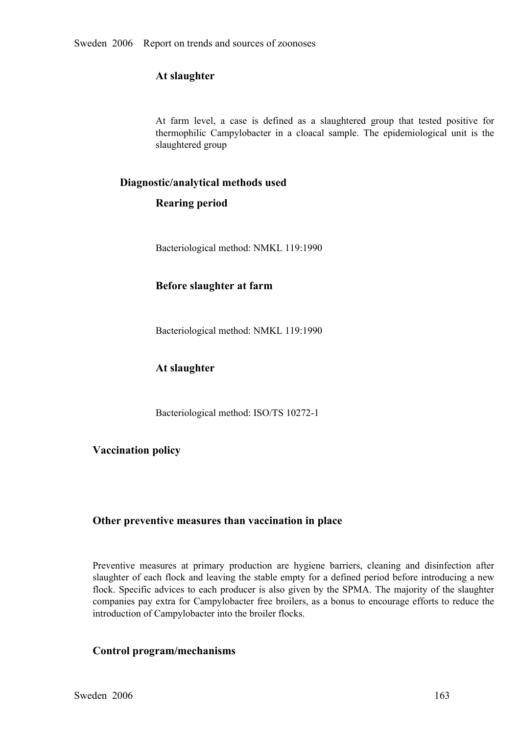#### **At slaughter**

At farm level, a case is defined as a slaughtered group that tested positive for thermophilic Campylobacter in a cloacal sample. The epidemiological unit is the slaughtered group thermophilic Campylobacter in a cloacal sample. The epidemiological unit is the slaughtered group slaughtered group

#### **Diagnostic/analytical methods used**

#### **Rearing period**

Bacteriological method: NMKL 119:1990

#### **Before slaughter at farm**

Bacteriological method: NMKL 119:1990

#### **At slaughter**

Bacteriological method: ISO/TS 10272-1

#### **Vaccination policy**

#### **Other preventive measures than vaccination in place**

Preventive measures at primary production are hygiene barriers, cleaning and disinfection after slaughter of each flock and leaving the stable empty for a defined period before introducing a new slaughter of each flock and leaving the stable empty for a defined period before introducing a new<br>flock. Specific advices to each producer is also given by the SPMA. The majority of the slaughter<br>companies pay extra for C flock. Specific advices to each producer is also given by the SPMA. The majority of the slaughter introduction of Campylobacter into the broiler flocks.

#### **Control program/mechanisms**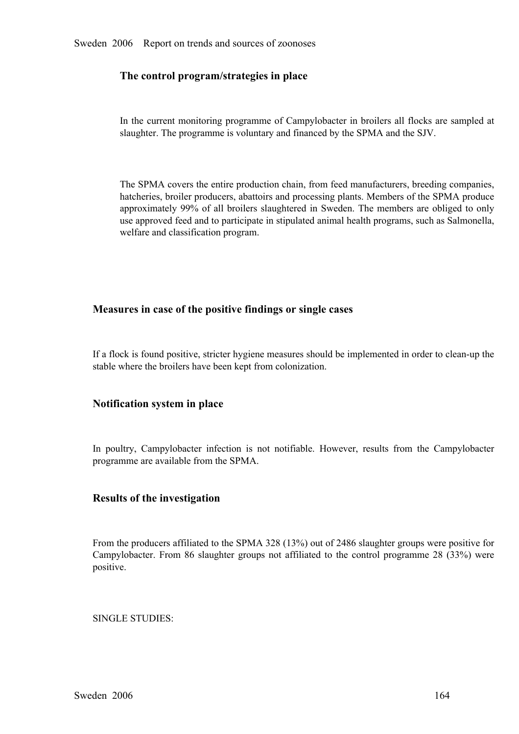#### **The control program/strategies in place**

In the current monitoring programme of Campylobacter in broilers all flocks are sampled at slaughter. The programme is voluntary and financed by the SPMA and the SJV.

The SPMA covers the entire production chain, from feed manufacturers, breeding companies, hatcheries, broiler producers, abattoirs and processing plants. Members of the SPMA produce approximately 99% of all broilers slaughtered in Sweden. The members are obliged to only<br>use approved feed and to participate in stipulated animal health programs, such as Salmonella,<br>welfare and classification program. use approved feed and to participate in stipulated animal health programs, such as Salmonella, welfare and classification program.

#### **Measures in case of the positive findings or single cases**

If a flock is found positive, stricter hygiene measures should be implemented in order to clean-up the stable where the broilers have been kept from colonization.

#### **Notification system in place**

In poultry, Campylobacter infection is not notifiable. However, results from the Campylobacter programme are available from the SPMA.

#### **Results of the investigation**

From the producers affiliated to the SPMA 328 (13%) out of 2486 slaughter groups were positive for Campylobacter. From <sup>86</sup> slaughter groups not affiliated to the control programme <sup>28</sup> (33%) were positive.

#### SINGLE STUDIES: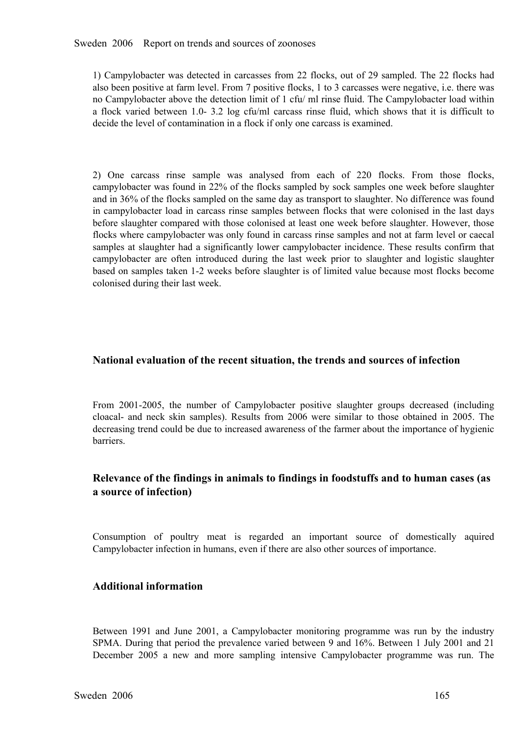1) Campylobacter was detected in carcasses from 22 flocks, out of 29 sampled. The 22 flocks had<br>also been positive at farm level. From 7 positive flocks, 1 to 3 carcasses were negative, i.e. there was<br>no Campylobacter abov also been positive at farm level. From 7 positive flocks, 1 to 3 carcasses were negative, i.e. there was <sup>a</sup> flock varied between 1.0 3.2 log cfu/ml carcass rinse fluid, which shows that it is difficult to decide the level of contamination in a flock if only one carcass is examined.

2) One carcass rinse sample was analysed from each of 220 flocks. From those flocks, campylobacter was found in 22% of the flocks sampled by sock samples one week before slaughter and in 36% of the flocks sampled on the sa campylobacter was found in 22% of the flocks sampled by sock samples one week before slaughter in campylobacter load in carcass rinse samples between flocks that were colonised in the last days before slaughter compared with those colonised at least one week before slaughter. However, those flocks where campylobacter was only found in carcass rinse samples and not at farm level or caecal samples at slaughter had a significantly lower campylobacter incidence. These results confirm that<br>campylobacter are often introduced during the last week prior to slaughter and logistic slaughter<br>based on samples taken 1campylobacter are often introduced during the last week prior to slaughter and logistic slaughter<br>based on samples taken 1-2 weeks before slaughter is of limited value because most flocks become<br>colonised during their last based on samples taken 12 weeks before slaughter is of limited value because most flocks become colonised during their last week.

#### **National evaluation of the recent situation, the trends and sources of infection**

From 2001-2005, the number of Campylobacter positive slaughter groups decreased (including cloacal- and neck skin samples). Results from 2006 were similar to those obtained in 2005. The cloacal- and neck skin samples). Results from 2006 were similar to those obtained in 2005. The decreasing trend could be due to increased awareness of the farmer about the importance of hygienic barriers. decreasing trend could be due to increased awareness of the farmer about the importance of hygienic barriers.

#### **Relevance of the findings in animals to findings in foodstuffs and to human cases (as a source of infection)**

Consumption of poultry meat is regarded an important source of domestically aquired Campylobacter infection in humans, even if there are also other sources of importance.

#### **Additional information**

Between 1991 and June 2001, a Campylobacter monitoring programme was run by the industry SPMA. During that period the prevalence varied between 9 and 16%. Between 1 July 2001 and 21 December 2005 a new and more sampling in SPMA. During that period the prevalence varied between 9 and 16%. Between 1 July 2001 and 21 December <sup>2005</sup> <sup>a</sup> new and more sampling intensive Campylobacter programme was run. The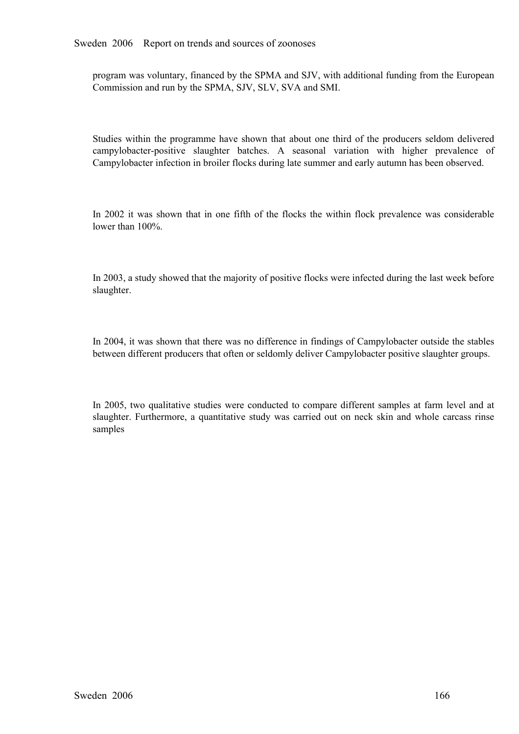program was voluntary, financed by the SPMA and SJV, with additional funding from the European Commission and run by the SPMA, SJV, SLV, SVA and SMI.

Studies within the programme have shown that about one third of the producers seldom delivered campylobacter-positive slaughter batches. A seasonal variation with higher prevalence of Campylobacter infection i campylobacter-positive slaughter batches. A seasonal variation with higher prevalence of Campylobacter infection in broiler flocks during late summer and early autumn has been observed. Campylobacter infection in broiler flocks during late summer and early autumn has been observed.

In 2002 it was shown that in one fifth of the flocks the within flock prevalence was considerable lower than 100%.

In 2003, a study showed that the majority of positive flocks were infected during the last week before slaughter.

In 2004, it was shown that there was no difference in findings of Campylobacter outside the stables between different producers that often or seldomly deliver Campylobacter positive slaughter groups.

In 2005, two qualitative studies were conducted to compare different samples at farm level and at slaughter. Furthermore, a quantitative study was carried out on neck skin and whole carcass rinse samples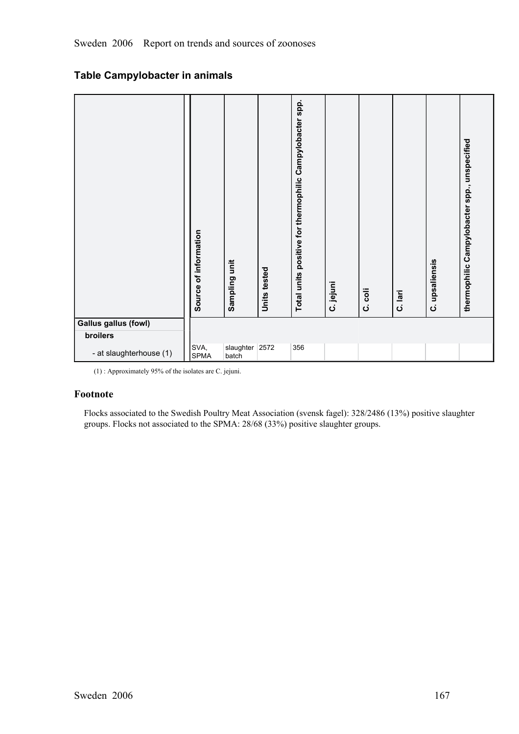## **Table Campylobacter in animals**

|                                         | Source of information | Sampling unit | Units tested | Total units positive for thermophilic Campylobacter spp. | C. jejuni | coli<br>$\dot{\mathbf{o}}$ | C. lari | C. upsaliensis | thermophilic Campylobacter spp., unspecified |
|-----------------------------------------|-----------------------|---------------|--------------|----------------------------------------------------------|-----------|----------------------------|---------|----------------|----------------------------------------------|
| <b>Gallus gallus (fowl)</b><br>broilers |                       |               |              |                                                          |           |                            |         |                |                                              |
|                                         | SVA,                  | slaughter     | 2572         | 356                                                      |           |                            |         |                |                                              |
| - at slaughterhouse (1)                 | <b>SPMA</b>           | batch         |              |                                                          |           |                            |         |                |                                              |

(1) : Approximately 95% of the isolates are C. jejuni.

#### **Footnote**

Flocks associated to the Swedish Poultry Meat Association (svensk fagel): 328/2486 (13%) positive slaughter groups. Flocks not associated to the SPMA: 28/68 (33%) positive slaughter groups.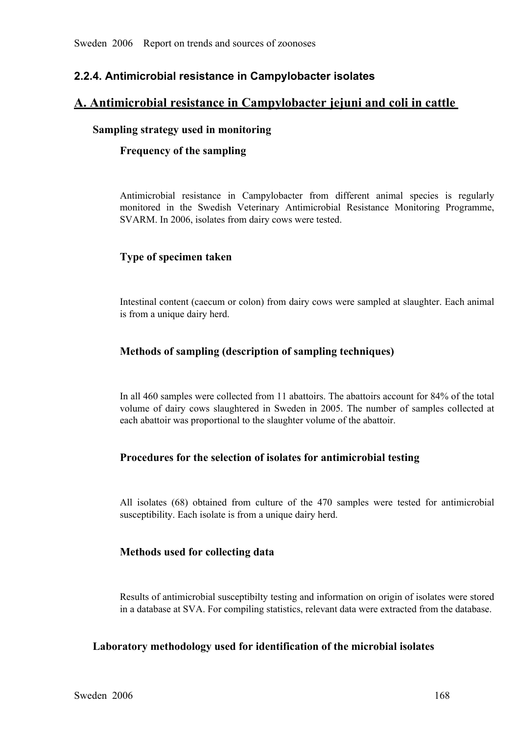## **2.2.4. Antimicrobial resistance in Campylobacter isolates**

#### **A. Antimicrobial resistance in Campylobacter jejuni and coli in cattle**

#### **Sampling strategy used in monitoring**

#### **Frequency of the sampling**

Antimicrobial resistance in Campylobacter from different animal species is regularly monitored in the Swedish Veterinary Antimicrobial Resistance Monitoring Programme, SVARM. In 2006, isolates from dairy cows were tested.

#### **Type of specimen taken**

Intestinal content (caecum or colon) from dairy cows were sampled at slaughter. Each animal is from a unique dairy herd.

#### **Methods of sampling (description of sampling techniques)**

In all 460 samples were collected from 11 abattoirs. The abattoirs account for 84% of the total volume of dairy cows slaughtered in Sweden in 2005. The number of samples collected at each abattoir was proportional to the slaughter volume of the abattoir.

#### **Procedures for the selection of isolates for antimicrobial testing**

All isolates (68) obtained from culture of the <sup>470</sup> samples were tested for antimicrobial susceptibility. Each isolate is from a unique dairy herd.

#### **Methods used for collecting data**

Results of antimicrobial susceptibilty testing and information on origin of isolates were stored in a database at SVA. For compiling statistics, relevant data were extracted from the database.

#### **Laboratory methodology used for identification of the microbial isolates**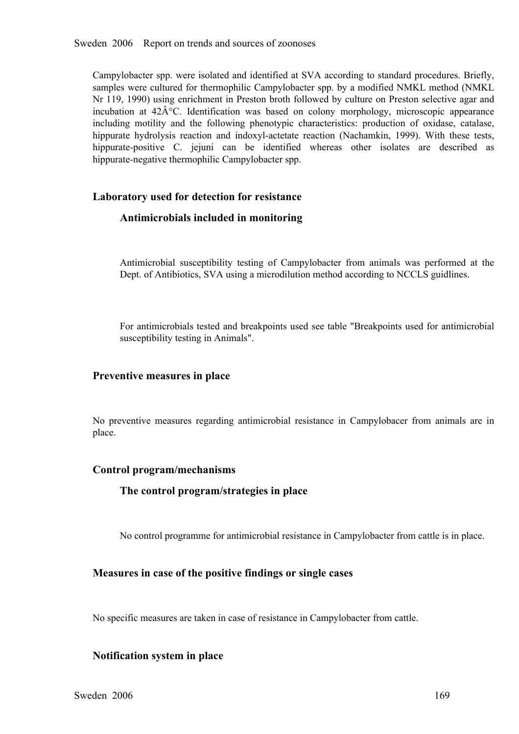Campylobacter spp. were isolated and identified at SVA according to standard procedures. Briefly, samples were cultured for thermophilic Campylobacter spp. by a modified NMKL method (NMKL Nr 119, 1990) using enrichment in Preston broth followed by culture on Preston selective agar and incubation at  $42\hat{A}^{\circ}C$ . Identification was based on colony morphology, microscopic appearance including motility and the following phenotypic characteristics: production of oxidase, catalase, hippurate hydrolysis reaction and indoxyl-actetate reaction (Nachamkin, 1999). With these tests, hippurate hydrolysis reaction and indoxyl-actetate reaction (Nachamkin, 1999). With these tests, hippurate-positive C. jejuni can be identified whereas other isolates are described as hippurate-negative thermophilic Campyl hippurate-positive C. jejuni can be identified whereas other isolates are described as hippurate-negative thermophilic Campylobacter spp. hippurate-negative thermophilic Campylobacter spp.

#### **Laboratory used for detection for resistance**

#### **Antimicrobials included in monitoring**

Antimicrobial susceptibility testing of Campylobacter from animals was performed at the Dept. of Antibiotics, SVA using a microdilution method according to NCCLS guidlines.

For antimicrobials tested and breakpoints used see table "Breakpoints used for antimicrobial susceptibility testing in Animals".

#### **Preventive measures in place**

No preventive measures regarding antimicrobial resistance in Campylobacer from animals are in place.

#### **Control program/mechanisms**

#### **The control program/strategies in place**

No control programme for antimicrobial resistance in Campylobacter from cattle is in place.

#### **Measures in case of the positive findings or single cases**

No specific measures are taken in case of resistance in Campylobacter from cattle.

#### **Notification system in place**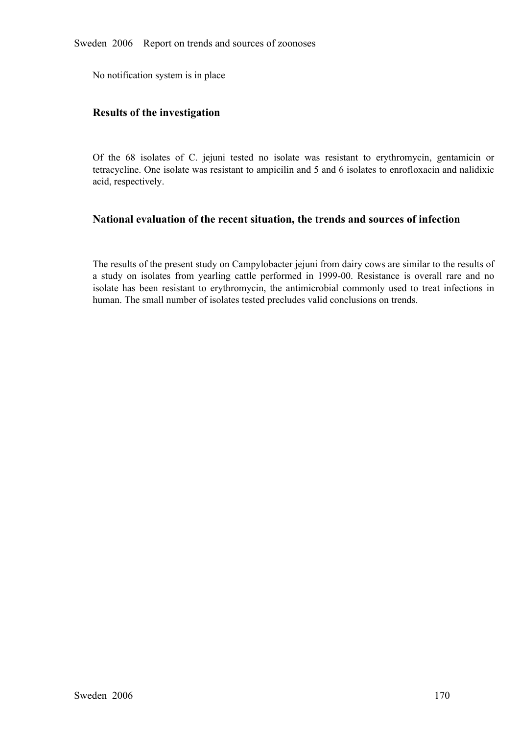No notification system is in place

#### **Results of the investigation**

Of the 68 isolates of C. jejuni tested no isolate was resistant to erythromycin, gentamicin or tetracycline. One isolate was resistant to ampicilin and 5 and 6 isolates to enrofloxacin and nalidixic acid, respectively. tetracycline. One isolate was resistant to ampicilin and 5 and 6 isolates to enrofloxacin and nalidixic acid, respectively.

#### **National evaluation of the recent situation, the trends and sources of infection**

The results of the present study on Campylobacter jejuni from dairy cows are similar to the results of a study on isolates from yearling cattle performed in 1999-00. Resistance is overall rare and no isolate has been resistant to erythromycin, the antimicrobial commonly used to treat infections in human. The sma isolate has been resistant to erythromycin, the antimicrobial commonly used to treat infections in human. The small number of isolates tested precludes valid conclusions on trends. human. The small number of isolates tested precludes valid conclusions on trends.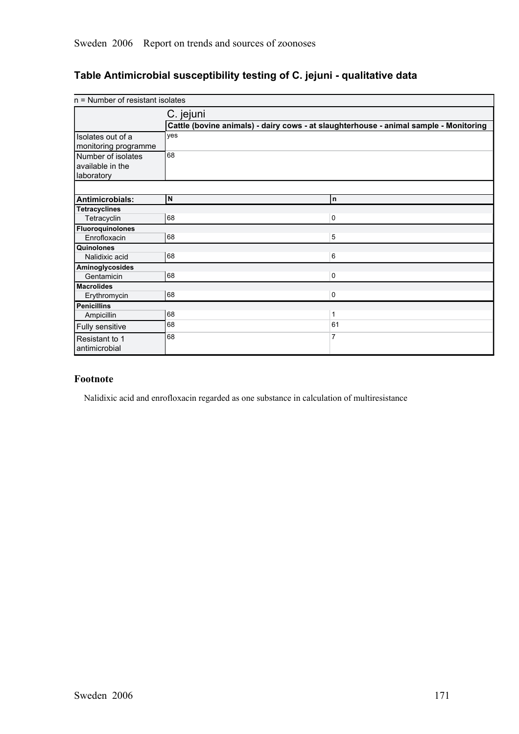## **Table Antimicrobial susceptibility testing of C. jejuni qualitative data**

| n = Number of resistant isolates |                                                                                       |              |
|----------------------------------|---------------------------------------------------------------------------------------|--------------|
|                                  | C. jejuni                                                                             |              |
|                                  | Cattle (bovine animals) - dairy cows - at slaughterhouse - animal sample - Monitoring |              |
| Isolates out of a                | yes                                                                                   |              |
| monitoring programme             |                                                                                       |              |
| Number of isolates               | 68                                                                                    |              |
| available in the                 |                                                                                       |              |
| laboratory                       |                                                                                       |              |
|                                  |                                                                                       |              |
| Antimicrobials:                  | N                                                                                     | n.           |
| <b>Tetracyclines</b>             |                                                                                       |              |
| Tetracyclin                      | 68                                                                                    | 0            |
| <b>Fluoroquinolones</b>          |                                                                                       |              |
| Enrofloxacin                     | 68                                                                                    | 5            |
| Quinolones                       |                                                                                       |              |
| Nalidixic acid                   | 68                                                                                    | 6            |
| Aminoglycosides                  |                                                                                       |              |
| Gentamicin                       | 68                                                                                    | 0            |
| <b>Macrolides</b>                |                                                                                       |              |
| Erythromycin                     | 68                                                                                    | $\mathbf 0$  |
| <b>Penicillins</b>               |                                                                                       |              |
| Ampicillin                       | 68                                                                                    | $\mathbf{1}$ |
| Fully sensitive                  | 68                                                                                    | 61           |
| Resistant to 1<br>antimicrobial  | 68                                                                                    | 7            |

#### **Footnote**

Nalidixic acid and enrofloxacin regarded as one substance in calculation of multiresistance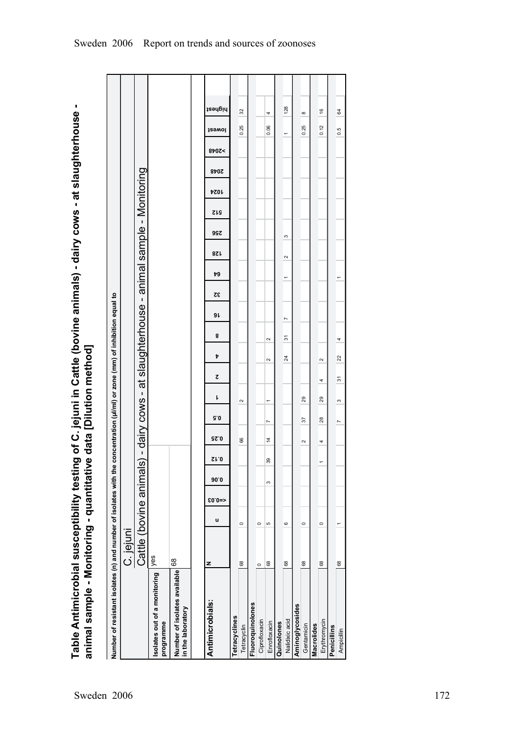Table Antimicrobial susceptibility testing of C. jejuni in Cattle (bovine animals) - dairy cows - at slaughterhouse -<br>animal sample - Monitoring - quantitative data [Dilution method] **Table Antimicrobial susceptibility testing of C. jejuni in Cattle (bovine animals) dairy cows at slaughterhouse animal sample Monitoring quantitative data [Dilution method]**

| Number of resistant isolates (n) and number of isolates with the |                        |         |            |      |      |        |                |        |             |                                 | concentration (µl/ml) or zone (mm) of inhibition equal to     |    |    |            |     |            |             |             |       |                      |               |
|------------------------------------------------------------------|------------------------|---------|------------|------|------|--------|----------------|--------|-------------|---------------------------------|---------------------------------------------------------------|----|----|------------|-----|------------|-------------|-------------|-------|----------------------|---------------|
|                                                                  | C. jejuni              |         |            |      |      |        |                |        |             |                                 |                                                               |    |    |            |     |            |             |             |       |                      |               |
|                                                                  | Cattle (bovine animals |         |            |      |      |        |                |        |             |                                 | - dairy cows - at slaughterhouse - animal sample - Monitoring |    |    |            |     |            |             |             |       |                      |               |
| Isolates out of a monitoring<br>programme                        | yes                    |         |            |      |      |        |                |        |             |                                 |                                                               |    |    |            |     |            |             |             |       |                      |               |
| Number of isolates available<br>in the laboratory                | 68                     |         |            |      |      |        |                |        |             |                                 |                                                               |    |    |            |     |            |             |             |       |                      |               |
|                                                                  |                        |         |            |      |      |        |                |        |             |                                 |                                                               |    |    |            |     |            |             |             |       |                      |               |
| Antimicrobials:                                                  | z                      | u       | $$0.0 = >$ | 90.0 | Sr.0 | 92.0   | 5.0            | ı      | Z           | Þ                               | 9 L<br>8                                                      | 32 | 79 | <b>821</b> | 99Z | <b>SIS</b> | <b>4024</b> | <b>8707</b> | >2048 | lewet                | highest       |
| Tetracyclines                                                    |                        |         |            |      |      |        |                |        |             |                                 |                                                               |    |    |            |     |            |             |             |       |                      |               |
| Tetracyclin                                                      | 68                     | $\circ$ |            |      |      | 66     |                | $\sim$ |             |                                 |                                                               |    |    |            |     |            |             |             |       | 0.25                 | 32            |
| Fluoroquinolones                                                 |                        |         |            |      |      |        |                |        |             |                                 |                                                               |    |    |            |     |            |             |             |       |                      |               |
| Ciprofloxacin                                                    | $\circ$                | $\circ$ |            |      |      |        |                |        |             |                                 |                                                               |    |    |            |     |            |             |             |       |                      |               |
| Enrofloxacin                                                     | 68                     | မာ      |            | S    | 39   | 4      | r              | ÷      | $\sim$      | $\sim$                          |                                                               |    |    |            |     |            |             |             |       | 4<br>0.06            |               |
| Quinolones                                                       |                        |         |            |      |      |        |                |        |             |                                 |                                                               |    |    |            |     |            |             |             |       |                      |               |
| Nalidixic acid                                                   | 68                     | $\circ$ |            |      |      |        |                |        |             | 5<br>$\overline{\mathcal{A}}$   | $\overline{ }$                                                |    | ↽  | $\sim$     | S   |            |             |             | ↽     |                      | 128           |
| Aminoglycosides                                                  |                        |         |            |      |      |        |                |        |             |                                 |                                                               |    |    |            |     |            |             |             |       |                      |               |
| Gentamicin                                                       | 68                     | $\circ$ |            |      |      | $\sim$ | 57             | 29     |             |                                 |                                                               |    |    |            |     |            |             |             |       | ${}^{\circ}$<br>0.25 |               |
| Macrolides                                                       |                        |         |            |      |      |        |                |        |             |                                 |                                                               |    |    |            |     |            |             |             |       |                      |               |
| Erythromycin                                                     | 68                     | $\circ$ |            |      |      | 4      | 28             | 29     | $\sim$<br>4 |                                 |                                                               |    |    |            |     |            |             |             |       | 0.12                 | $\frac{6}{5}$ |
| Penicillins                                                      |                        |         |            |      |      |        |                |        |             |                                 |                                                               |    |    |            |     |            |             |             |       |                      |               |
| Ampicillin                                                       | 68                     |         |            |      |      |        | $\overline{ }$ | S      | 5           | 4<br>$\boldsymbol{\mathcal{Z}}$ |                                                               |    |    |            |     |            |             |             |       | 0.5                  | 64            |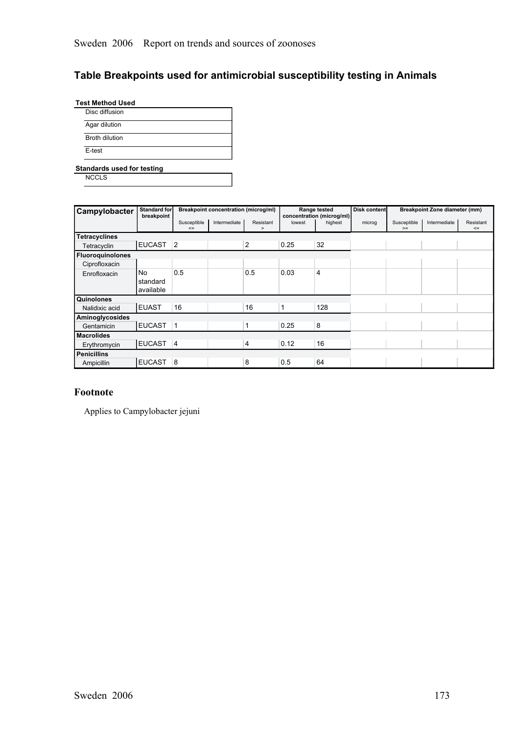## **Table Breakpoints used for antimicrobial susceptibility testing in Animals**

| <b>Test Method Used</b> |  |
|-------------------------|--|
| Disc diffusion          |  |
| Agar dilution           |  |
| <b>Broth dilution</b>   |  |
| E-test                  |  |

**Standards used for testing**

**NCCLS** 

| Campylobacter           | <b>Standard for</b><br>breakpoint |                       |              | Breakpoint concentration (microg/ml) |              | Range tested<br>concentration (microg/ml) | Disk content |                     | Breakpoint Zone diameter (mm) |                     |
|-------------------------|-----------------------------------|-----------------------|--------------|--------------------------------------|--------------|-------------------------------------------|--------------|---------------------|-------------------------------|---------------------|
|                         |                                   | Susceptible<br>$\leq$ | Intermediate | Resistant<br>$\geq$                  | lowest       | highest                                   | microg       | Susceptible<br>$>=$ | Intermediate                  | Resistant<br>$\leq$ |
| <b>Tetracyclines</b>    |                                   |                       |              |                                      |              |                                           |              |                     |                               |                     |
| Tetracyclin             | <b>EUCAST</b>                     | $\overline{2}$        |              | $\overline{2}$                       | 0.25         | 32                                        |              |                     |                               |                     |
| <b>Fluoroquinolones</b> |                                   |                       |              |                                      |              |                                           |              |                     |                               |                     |
| Ciprofloxacin           |                                   |                       |              |                                      |              |                                           |              |                     |                               |                     |
| Enrofloxacin            | No<br>standard<br>available       | 0.5                   |              | 0.5                                  | 0.03         | 4                                         |              |                     |                               |                     |
| Quinolones              |                                   |                       |              |                                      |              |                                           |              |                     |                               |                     |
| Nalidixic acid          | <b>EUAST</b>                      | 16                    |              | 16                                   | $\mathbf{1}$ | 128                                       |              |                     |                               |                     |
| Aminoglycosides         |                                   |                       |              |                                      |              |                                           |              |                     |                               |                     |
| Gentamicin              | <b>EUCAST</b>                     | $\mathbf{1}$          |              | 1                                    | 0.25         | 8                                         |              |                     |                               |                     |
| <b>Macrolides</b>       |                                   |                       |              |                                      |              |                                           |              |                     |                               |                     |
| Erythromycin            | EUCAST 4                          |                       |              | 4                                    | 0.12         | 16                                        |              |                     |                               |                     |
| <b>Penicillins</b>      |                                   |                       |              |                                      |              |                                           |              |                     |                               |                     |
| Ampicillin              | <b>EUCAST</b>                     | 8                     |              | 8                                    | 0.5          | 64                                        |              |                     |                               |                     |

#### **Footnote**

Applies to Campylobacter jejuni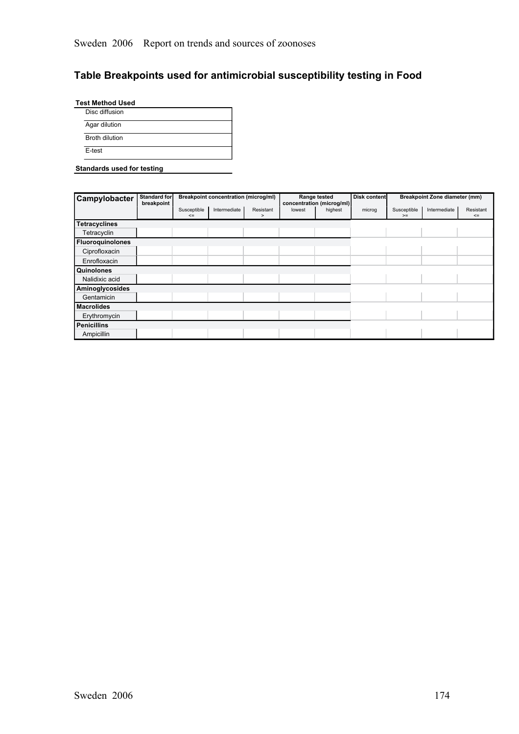# **Table Breakpoints used for antimicrobial susceptibility testing in Food**

|        | <b>Test Method Used</b> |  |  |
|--------|-------------------------|--|--|
|        | Disc diffusion          |  |  |
|        | Agar dilution           |  |  |
|        | Broth dilution          |  |  |
| F-test |                         |  |  |

#### **Standards used for testing**

| Campylobacter           | <b>Standard for</b><br>breakpoint |                       | <b>Breakpoint concentration (microg/ml)</b> |                |        | Range tested<br>concentration (microg/ml) | Disk content |                     | Breakpoint Zone diameter (mm) |                     |
|-------------------------|-----------------------------------|-----------------------|---------------------------------------------|----------------|--------|-------------------------------------------|--------------|---------------------|-------------------------------|---------------------|
|                         |                                   | Susceptible<br>$\leq$ | Intermediate                                | Resistant<br>> | lowest | highest                                   | microg       | Susceptible<br>$>=$ | Intermediate                  | Resistant<br>$\leq$ |
| <b>Tetracyclines</b>    |                                   |                       |                                             |                |        |                                           |              |                     |                               |                     |
| Tetracyclin             |                                   |                       |                                             |                |        |                                           |              |                     |                               |                     |
| <b>Fluoroguinolones</b> |                                   |                       |                                             |                |        |                                           |              |                     |                               |                     |
| Ciprofloxacin           |                                   |                       |                                             |                |        |                                           |              |                     |                               |                     |
| Enrofloxacin            |                                   |                       |                                             |                |        |                                           |              |                     |                               |                     |
| Quinolones              |                                   |                       |                                             |                |        |                                           |              |                     |                               |                     |
| Nalidixic acid          |                                   |                       |                                             |                |        |                                           |              |                     |                               |                     |
| Aminoglycosides         |                                   |                       |                                             |                |        |                                           |              |                     |                               |                     |
| Gentamicin              |                                   |                       |                                             |                |        |                                           |              |                     |                               |                     |
| <b>Macrolides</b>       |                                   |                       |                                             |                |        |                                           |              |                     |                               |                     |
| Erythromycin            |                                   |                       |                                             |                |        |                                           |              |                     |                               |                     |
| <b>Penicillins</b>      |                                   |                       |                                             |                |        |                                           |              |                     |                               |                     |
| Ampicillin              |                                   |                       |                                             |                |        |                                           |              |                     |                               |                     |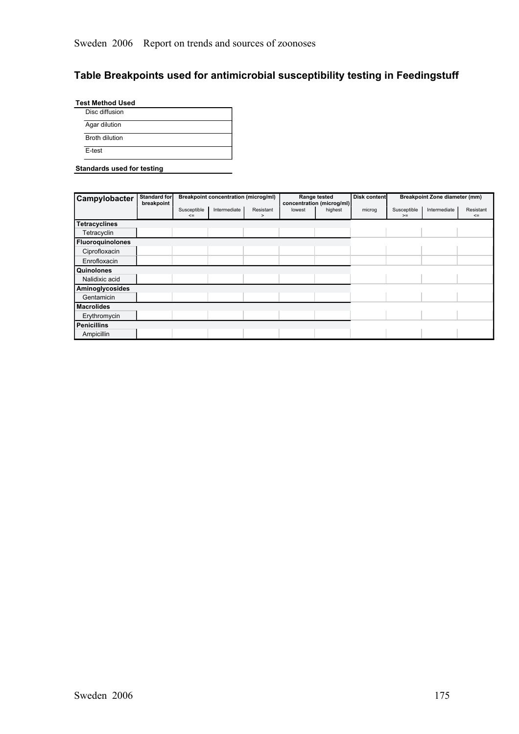# **Table Breakpoints used for antimicrobial susceptibility testing in Feedingstuff**

| Agar dilution  |
|----------------|
|                |
| Broth dilution |

#### **Standards used for testing**

| Campylobacter           | Standard for<br>breakpoint |                       | <b>Breakpoint concentration (microg/ml)</b> |                   |        | Range tested<br>concentration (microg/ml) | Disk content |                     | <b>Breakpoint Zone diameter (mm)</b> |                     |
|-------------------------|----------------------------|-----------------------|---------------------------------------------|-------------------|--------|-------------------------------------------|--------------|---------------------|--------------------------------------|---------------------|
|                         |                            | Susceptible<br>$\leq$ | Intermediate                                | Resistant<br>$\,$ | lowest | highest                                   | microg       | Susceptible<br>$>=$ | Intermediate                         | Resistant<br>$\leq$ |
| <b>Tetracyclines</b>    |                            |                       |                                             |                   |        |                                           |              |                     |                                      |                     |
| Tetracyclin             |                            |                       |                                             |                   |        |                                           |              |                     |                                      |                     |
| <b>Fluoroquinolones</b> |                            |                       |                                             |                   |        |                                           |              |                     |                                      |                     |
| Ciprofloxacin           |                            |                       |                                             |                   |        |                                           |              |                     |                                      |                     |
| Enrofloxacin            |                            |                       |                                             |                   |        |                                           |              |                     |                                      |                     |
| Quinolones              |                            |                       |                                             |                   |        |                                           |              |                     |                                      |                     |
| Nalidixic acid          |                            |                       |                                             |                   |        |                                           |              |                     |                                      |                     |
| Aminoglycosides         |                            |                       |                                             |                   |        |                                           |              |                     |                                      |                     |
| Gentamicin              |                            |                       |                                             |                   |        |                                           |              |                     |                                      |                     |
| <b>Macrolides</b>       |                            |                       |                                             |                   |        |                                           |              |                     |                                      |                     |
| Erythromycin            |                            |                       |                                             |                   |        |                                           |              |                     |                                      |                     |
| <b>Penicillins</b>      |                            |                       |                                             |                   |        |                                           |              |                     |                                      |                     |
| Ampicillin              |                            |                       |                                             |                   |        |                                           |              |                     |                                      |                     |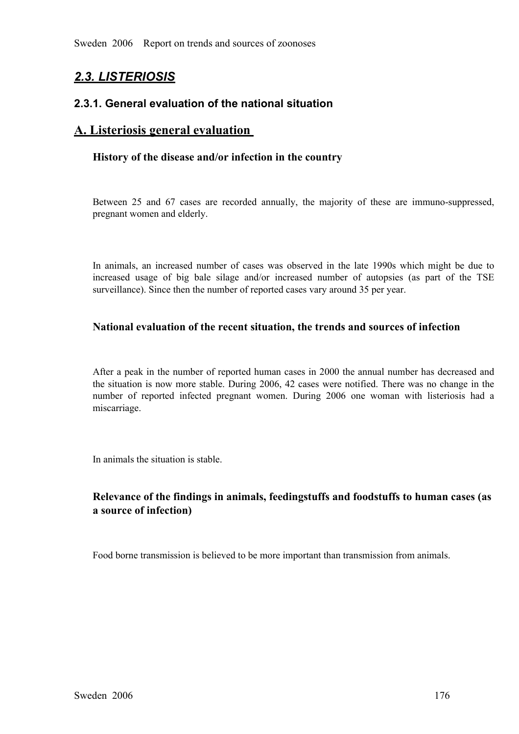# *2.3. LISTERIOSIS*

# **2.3.1. General evaluation of the national situation**

# **A. Listeriosis general evaluation**

# **History of the disease and/or infection in the country**

Between 25 and 67 cases are recorded annually, the majority of these are immuno-suppressed, pregnant women and elderly.

In animals, an increased number of cases was observed in the late 1990s which might be due to increased usage of big bale silage and/or increased number of autopsies (as part of the TSE surveillance). Since then the number increased usage of big bale silage and/or increased number of autopsies (as part of the TSE surveillance). Since then the number of reported cases vary around 35 per year. surveillance). Since then the number of reported cases vary around 35 per year.

# **National evaluation of the recent situation, the trends and sources of infection**

After a peak in the number of reported human cases in 2000 the annual number has decreased and<br>the situation is now more stable. During 2006, 42 cases were notified. There was no change in the<br>number of reported infected the situation is now more stable. During 2006, 42 cases were notified. There was no change in the number of reported infected pregnant women. During 2006 one woman with listeriosis had a miscarriage. miscarriage.

In animals the situation is stable.

# **Relevance of the findings in animals, feedingstuffs and foodstuffs to human cases (as a source of infection)**

Food borne transmission is believed to be more important than transmission from animals.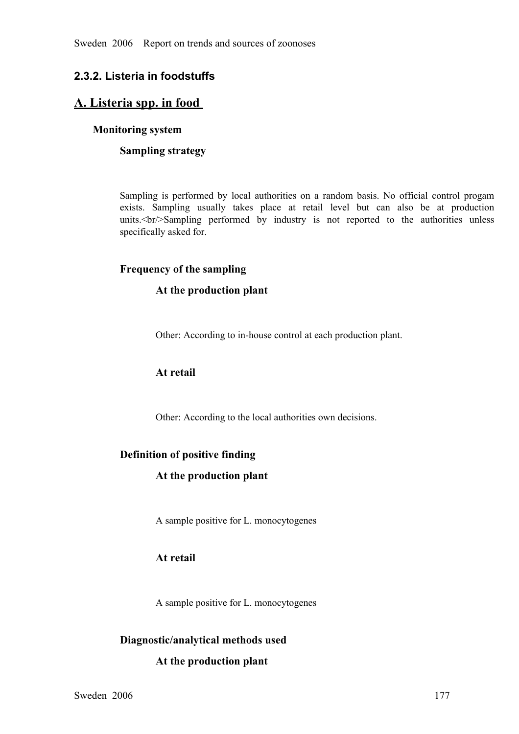# **2.3.2. Listeria in foodstuffs**

# **A. Listeria spp. in food**

# **Monitoring system**

# **Sampling strategy**

Sampling is performed by local authorities on a random basis. No official control progam exists. Sampling usually takes place at retail level but can also be at production units.  $\text{Str/}\text{Sampling}$  performed by industry is not exists. Sampling usually takes place at retail level but can also be at production units.  $\text{Br}/\text{Sampling}}$  performed by industry is not reported to the authorities unless specifically asked for. units.<br/>Sampling performed by industry is not reported to the authorities unless specifically asked for. specifically asked for.

# **Frequency of the sampling**

# **At the production plant**

Other: According to in-house control at each production plant.

# **At retail**

Other: According to the local authorities own decisions.

# **Definition of positive finding**

# **At the production plant**

A sample positive for L. monocytogenes

# **At retail**

A sample positive for L. monocytogenes

# **Diagnostic/analytical methods used**

# **At the production plant**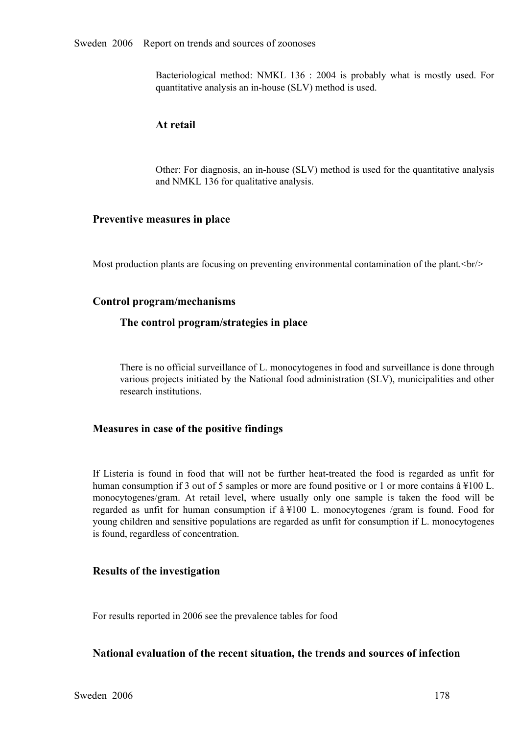Bacteriological method: NMKL <sup>136</sup> : <sup>2004</sup> is probably what is mostly used. For quantitative analysis an in-house (SLV) method is used.

#### **At retail**

Other: For diagnosis, an in-house (SLV) method is used for the quantitative analysis and NMKL 136 for qualitative analysis.

#### **Preventive measures in place**

Most production plants are focusing on preventing environmental contamination of the plant. $\langle br \rangle$ 

#### **Control program/mechanisms**

#### **The control program/strategies in place**

There is no official surveillance of L. monocytogenes in food and surveillance is done through various projects initiated by the National food administration (SLV), municipalities and other research institutions.

# **Measures in case of the positive findings**

If Listeria is found in food that will not be further heat-treated the food is regarded as unfit for human consumption if 3 out of 5 samples or more are found positive or 1 or more contains  $\hat{a} \neq 100$  L. monocytogenes human consumption if 3 out of 5 samples or more are found positive or 1 or more contains â ¥100 L. regarded as unfit for human consumption if  $\hat{a} \times 100$  L. monocytogenes /gram is found. Food for regarded as unfit for human consumption if  $\hat{a} \neq 100$  L. monocytogenes /gram is found. Food for young children and sensitive populations are regarded as unfit for consumption if L. monocytogenes is found, regardless of young children and sensitive populations are regarded as unfit for consumption if L. monocytogenes is found, regardless of concentration.

#### **Results of the investigation**

For results reported in 2006 see the prevalence tables for food

#### **National evaluation of the recent situation, the trends and sources of infection**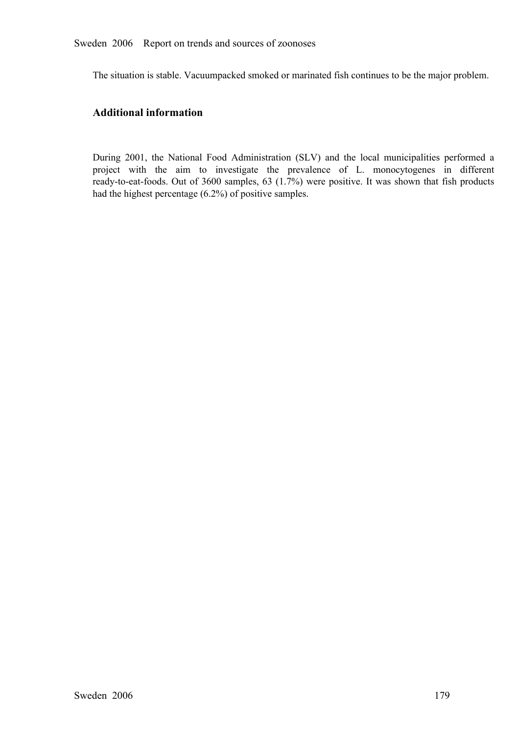The situation is stable. Vacuumpacked smoked or marinated fish continues to be the major problem.

# **Additional information**

During 2001, the National Food Administration (SLV) and the local municipalities performed a project with the aim to investigate the prevalence of L. monocytogenes in different ready-to-eat-foods. Out of 3600 samples, 63 ( project with the aim to investigate the prevalence of L. monocytogenes in different ready-to-eat-foods. Out of 3600 samples, 63 (1.7%) were positive. It was shown that fish products had the highest percentage (6.2%) of pos ready-to-eat-foods. Out of 3600 samples, 63 (1.7%) were positive. It was shown that fish products had the highest percentage  $(6.2\%)$  of positive samples. had the highest percentage (6.2%) of positive samples.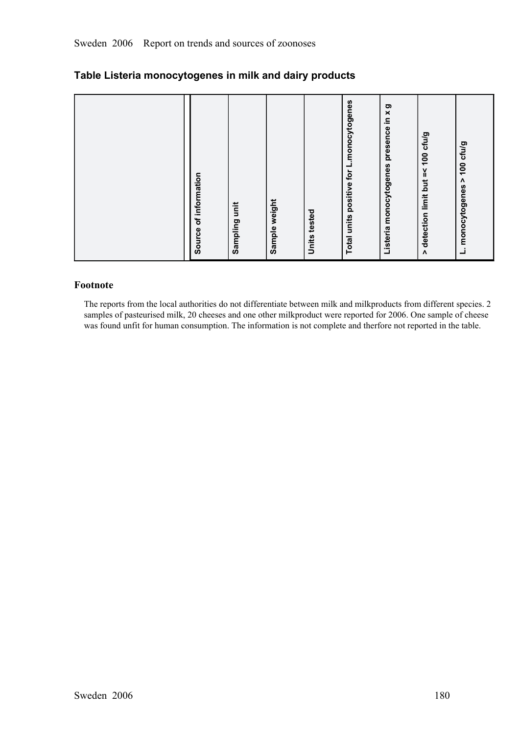| 100 cfu/g<br>$\boldsymbol{\Lambda}$<br>monocytogenes<br>ن |
|-----------------------------------------------------------|
|                                                           |

# **Table Listeria monocytogenes in milk and dairy products**

# **Footnote**

The reports from the local authorities do not differentiate between milk and milkproducts from different species. 2 samples of pasteurised milk, 20 cheeses and one other milkproduct were reported for 2006. One sample of cheese was found unfit for human consumption. The information is not complete and therfore not reported in the table.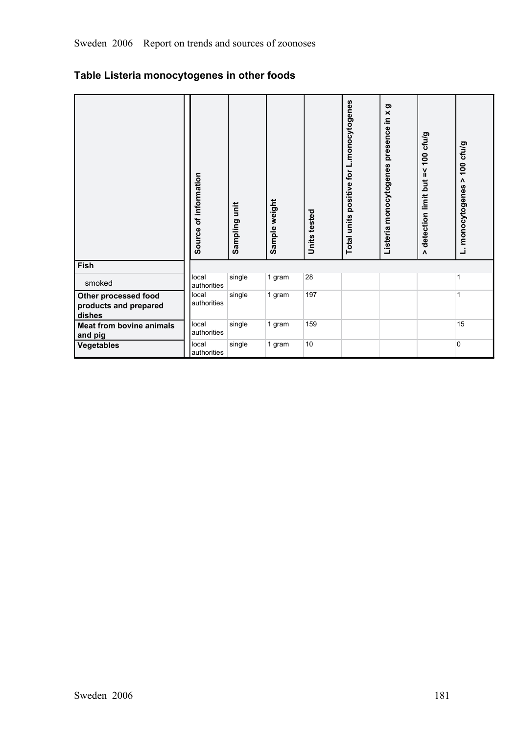# **Table Listeria monocytogenes in other foods**

|                                                         | Source of information | Sampling unit | Sample weight | Units tested | Total units positive for L.monocytogenes | ත<br>Listeria monocytogenes presence in x | 100 cfu/g<br>ň<br>detection limit but<br>$\Lambda$ | 100 cfu/g<br>٨<br>L. monocytogenes |
|---------------------------------------------------------|-----------------------|---------------|---------------|--------------|------------------------------------------|-------------------------------------------|----------------------------------------------------|------------------------------------|
| Fish                                                    |                       |               |               |              |                                          |                                           |                                                    |                                    |
| smoked                                                  | local<br>authorities  | single        | 1 gram        | 28           |                                          |                                           |                                                    | 1                                  |
| Other processed food<br>products and prepared<br>dishes | local<br>authorities  | single        | 1 gram        | 197          |                                          |                                           |                                                    | 1                                  |
| <b>Meat from bovine animals</b><br>and pig              | local<br>authorities  | single        | 1 gram        | 159          |                                          |                                           |                                                    | 15                                 |
| <b>Vegetables</b>                                       | local<br>authorities  | single        | 1 gram        | 10           |                                          |                                           |                                                    | $\mathbf{0}$                       |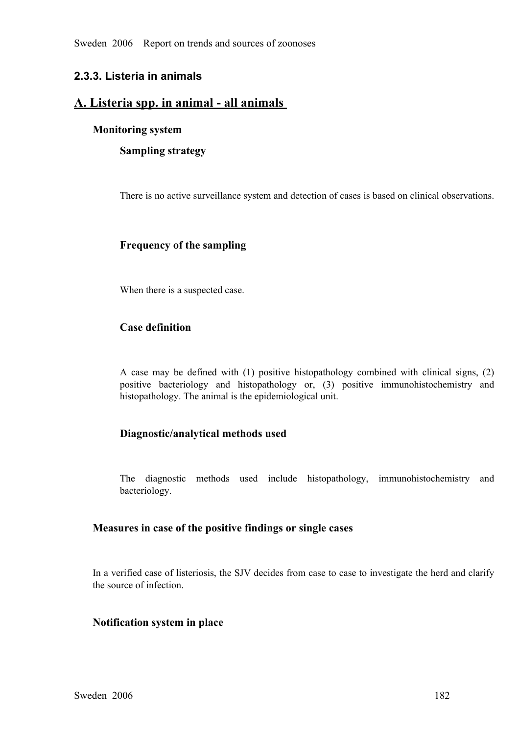Sweden 2006 Report on trends and sources of zoonoses

# **2.3.3. Listeria in animals**

# A. Listeria spp. in animal - all animals

# **Monitoring system**

**Sampling strategy**

There is no active surveillance system and detection of cases is based on clinical observations.

# **Frequency of the sampling**

When there is a suspected case.

# **Case definition**

<sup>A</sup> case may be defined with (1) positive histopathology combined with clinical signs, (2) positive bacteriology and histopathology or, (3) positive immunohistochemistry and histopathology. The animal is the epidemiological unit.

# **Diagnostic/analytical methods used**

The diagnostic methods used include histopathology, immunohistochemistry and bacteriology.

#### **Measures in case of the positive findings or single cases**

In a verified case of listeriosis, the SJV decides from case to case to investigate the herd and clarify the source of infection.

#### **Notification system in place**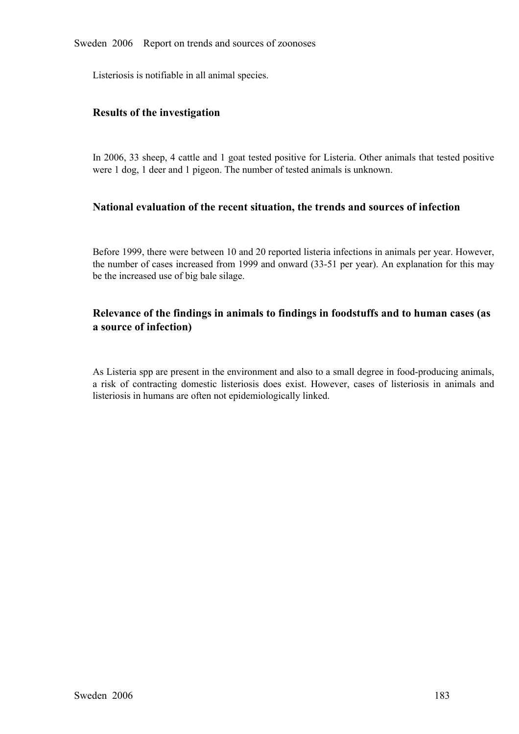Listeriosis is notifiable in all animal species.

# **Results of the investigation**

In 2006, 33 sheep, 4 cattle and 1 goat tested positive for Listeria. Other animals that tested positive were 1 dog, 1 deer and 1 pigeon. The number of tested animals is unknown.

# **National evaluation of the recent situation, the trends and sources of infection**

Before 1999, there were between 10 and 20 reported listeria infections in animals per year. However, the number of cases increased from 1999 and onward (33-51 per year). An explanation for this may be the increased use of big bale silage.

# **Relevance of the findings in animals to findings in foodstuffs and to human cases (as a source of infection)**

As Listeria spp are present in the environment and also to a small degree in food-producing animals, <sup>a</sup> risk of contracting domestic listeriosis does exist. However, cases of listeriosis in animals and listeriosis in humans are often not epidemiologically linked.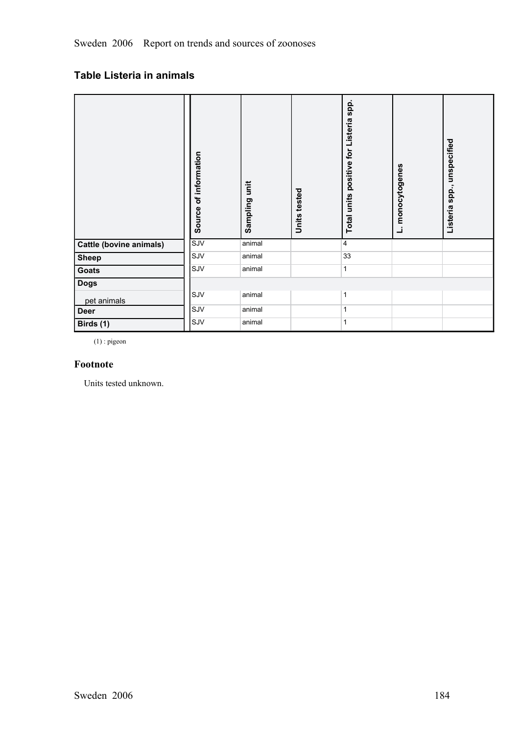# **Table Listeria in animals**

|                                | Source of information | Sampling unit | Units tested | positive for Listeria spp.<br>Total units | L. monocytogenes | Listeria spp., unspecified |  |
|--------------------------------|-----------------------|---------------|--------------|-------------------------------------------|------------------|----------------------------|--|
| <b>Cattle (bovine animals)</b> | SJV                   | animal        |              | 4                                         |                  |                            |  |
| <b>Sheep</b>                   | SJV                   | animal        |              | 33                                        |                  |                            |  |
| <b>Goats</b>                   | SJV                   | animal        |              | 1                                         |                  |                            |  |
| <b>Dogs</b>                    |                       |               |              |                                           |                  |                            |  |
| pet animals                    | SJV                   | animal        |              | 1                                         |                  |                            |  |
| <b>Deer</b>                    | SJV                   | animal        |              | $\mathbf{1}$                              |                  |                            |  |
| Birds (1)                      | SJV                   | animal        |              | 1                                         |                  |                            |  |

(1) : pigeon

# **Footnote**

Units tested unknown.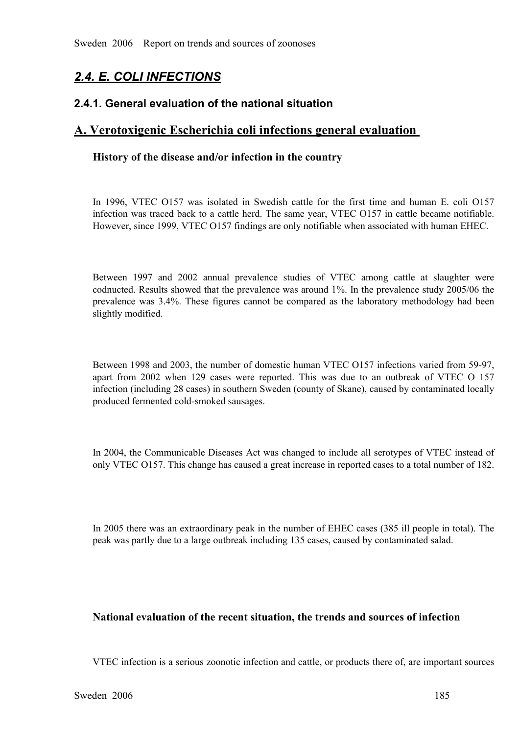# *2.4. E. COLI INFECTIONS*

# **2.4.1. General evaluation of the national situation**

# **A. Verotoxigenic Escherichia coli infections general evaluation**

# **History of the disease and/or infection in the country**

In 1996, VTEC 0157 was isolated in Swedish cattle for the first time and human E. coli 0157 infection was traced back to a cattle herd. The same year, VTEC 0157 in cattle became notifiable.<br>However, since 1999, VTEC 0157 f infection was traced back to a cattle herd. The same year, VTEC O157 in cattle became notifiable. However, since 1999, VTEC O157 findings are only notifiable when associated with human EHEC.

Between <sup>1997</sup> and <sup>2002</sup> annual prevalence studies of VTEC among cattle at slaughter were codnucted. Results showed that the prevalence was around 1%. In the prevalence study 2005/06 the prevalence was 3.4%. These figures cannot be compared as the laboratory methodology had been slightly modified.

Between 1998 and 2003, the number of domestic human VTEC O157 infections varied from 59-97, apart from 2002 when 129 cases were reported. This was due to an outbreak of VTEC O 157 infection (including 28 cases) in southern Sweden (county of Skane), caused by contaminated locally produced fermented cold-smoked sau infection (including 28 cases) in southern Sweden (county of Skane), caused by contaminated locally produced fermented cold-smoked sausages.

In 2004, the Communicable Diseases Act was changed to include all serotypes of VTEC instead of only VTEC O157. This change has caused a great increase in reported cases to a total number of 182.

In 2005 there was an extraordinary peak in the number of EHEC cases (385 ill people in total). The peak was partly due to a large outbreak including 135 cases, caused by contaminated salad.

# **National evaluation of the recent situation, the trends and sources of infection**

VTEC infection is a serious zoonotic infection and cattle, or products there of, are important sources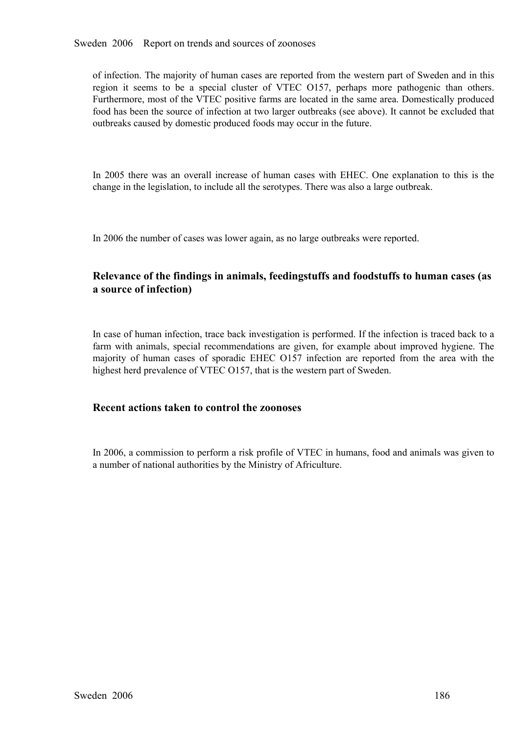Sweden 2006 Report on trends and sources of zoonoses

of infection. The majority of human cases are reported from the western part of Sweden and in this region it seems to be a special cluster of VTEC O157, perhaps more pathogenic than others. Furthermore, most of the VTEC positive farms are located in the same area. Domestically produced food has been the source of infection at two larger outbreaks (see above). It cannot be excluded that outbreaks caused by domestic produced foods may occur in the future.

In 2005 there was an overall increase of human cases with EHEC. One explanation to this is the change in the legislation, to include all the serotypes. There was also a large outbreak.

In 2006 the number of cases was lower again, as no large outbreaks were reported.

# **Relevance of the findings in animals, feedingstuffs and foodstuffs to human cases (as a source of infection)**

In case of human infection, trace back investigation is performed. If the infection is traced back to a farm with animals, special recommendations are given, for example about improved hygiene. The majority of human cases of sporadic EHEC O157 infection are reported from the area with the highest herd prevalence of majority of human cases of sporadic EHEC 0157 infection are reported from the area with the highest herd prevalence of VTEC 0157, that is the western part of Sweden. highest herd prevalence of VTEC O157, that is the western part of Sweden.

# **Recent actions taken to control the zoonoses**

In 2006, a commission to perform a risk profile of VTEC in humans, food and animals was given to a number of national authorities by the Ministry of Africulture.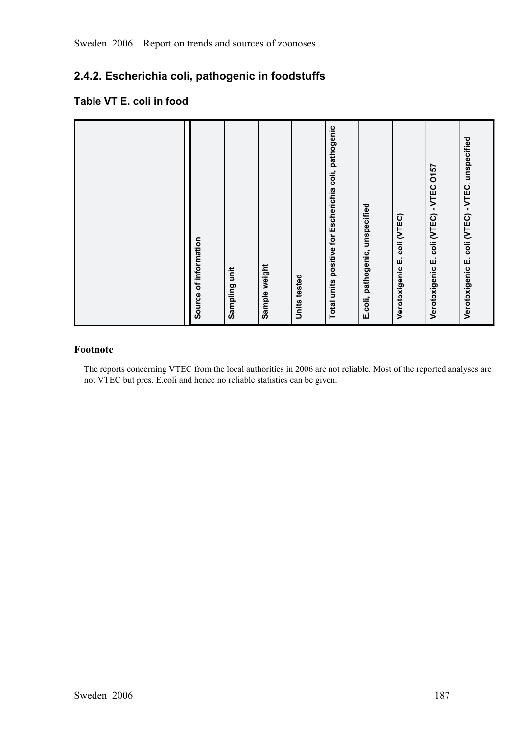# **2.4.2. Escherichia coli, pathogenic in foodstuffs**

# **Table VT E. coli in food**

| Total units positive for Escherichia coli, pathogenic<br>E.coli, pathogenic, unspecified<br>Verotoxigenic E. coli (VTEC) |
|--------------------------------------------------------------------------------------------------------------------------|
| Verotoxigenic E. coli (VTEC) - VTEC 0157                                                                                 |
| Verotoxigenic E. coli (VTEC) - VTEC, unspecified                                                                         |

# **Footnote**

The reports concerning VTEC from the local authorities in 2006 are not reliable. Most of the reported analyses are not VTEC but pres. E.coli and hence no reliable statistics can be given.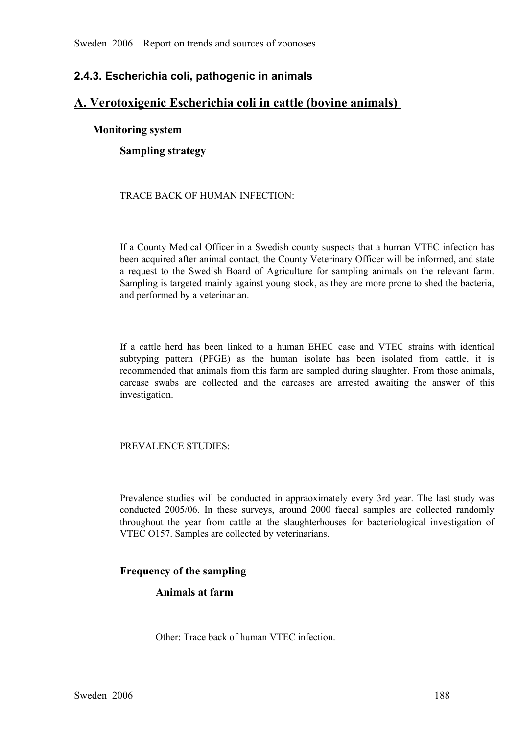# **2.4.3. Escherichia coli, pathogenic in animals**

# **A. Verotoxigenic Escherichia coli in cattle (bovine animals)**

# **Monitoring system**

**Sampling strategy**

# TRACE BACK OF HUMAN INFECTION:

If a County Medical Officer in a Swedish county suspects that a human VTEC infection has been acquired after animal contact, the County Veterinary Officer will be informed, and state a request to the Swedish Board of Agriculture for sampling animals on the relevant farm.<br>Sampling is targeted mainly against young stock, as they are more prone to shed the bacteria, and performed by a veterinarian. Sampling is targeted mainly against young stock, as they are more prone to shed the bacteria, and performed by a veterinarian.

If a cattle herd has been linked to a human EHEC case and VTEC strains with identical subtyping pattern (PFGE) as the human isolate has been isolated from cattle, it is subtyping pattern (PFGE) as the human isolate has been isolated from cattle, it is<br>recommended that animals from this farm are sampled during slaughter. From those animals,<br>carcase swabs are collected and the carcases are recommended that animals from this farm are sampled during slaughter. From those animals, carcase swabs are collected and the carcases are arrested awaiting the answer of this investigation.

# PREVALENCE STUDIES:

Prevalence studies will be conducted in appraoximately every 3rd year. The last study was conducted 2005/06. In these surveys, around 2000 faecal samples are collected randomly conducted 2005/06. In these surveys, around 2000 faecal samples are collected randomly throughout the year from cattle at the slaughterhouses for bacteriological investigation of VTEC O157. Samples are collected by veterin throughout the year from cattle at the slaughterhouses for bacteriological investigation of VTEC O157. Samples are collected by veterinarians. VTEC O157. Samples are collected by veterinarians.

# **Frequency of the sampling**

# **Animals at farm**

Other: Trace back of human VTEC infection.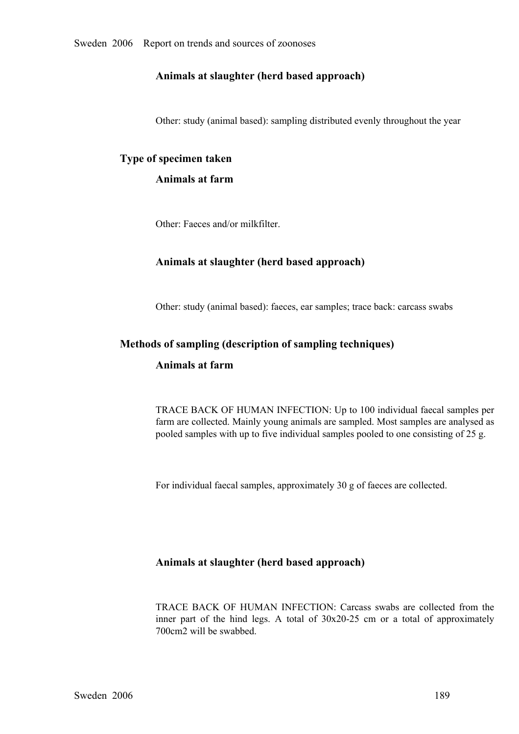# **Animals at slaughter (herd based approach)**

Other: study (animal based): sampling distributed evenly throughout the year

# **Type of specimen taken**

# **Animals at farm**

Other: Faeces and/or milkfilter.

# **Animals at slaughter (herd based approach)**

Other: study (animal based): faeces, ear samples; trace back: carcass swabs

# **Methods of sampling (description of sampling techniques)**

#### **Animals at farm**

TRACE BACK OF HUMAN INFECTION: Up to 100 individual faecal samples per farm are collected. Mainly young animals are sampled. Most samples are analysed as pooled samples with up to five individual samples pooled to one consisting of 25 g.

For individual faecal samples, approximately 30 g of faeces are collected.

# **Animals at slaughter (herd based approach)**

TRACE BACK OF HUMAN INFECTION: Carcass swabs are collected from the inner part of the hind legs. A total of 30x20-25 cm or a total of approximately 700cm2 will be swabbed. inner part of the hind legs. A total of  $30x20-25$  cm or a total of approximately 700cm2 will be swabbed. 700cm2 will be swabbed.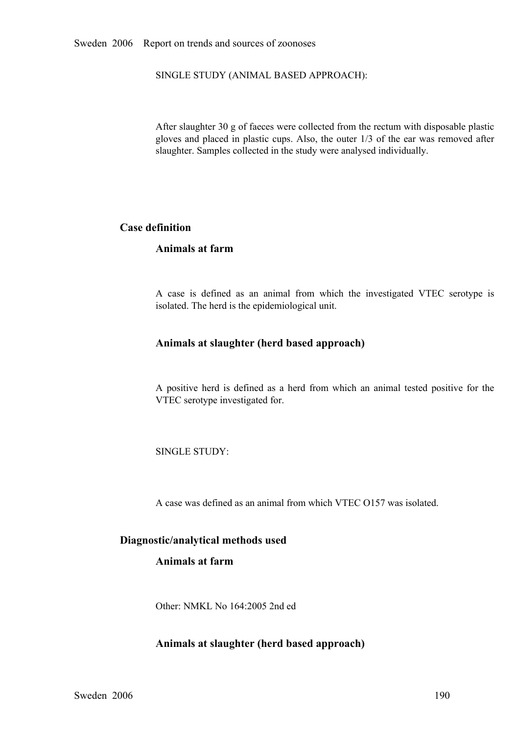SINGLE STUDY (ANIMAL BASED APPROACH):

After slaughter 30 g of faeces were collected from the rectum with disposable plastic <sup>g</sup>loves and <sup>p</sup>laced in <sup>p</sup>lastic cups. Also, the outer 1/3 of the ear was removed after slaughter. Samples collected in the study were analysed individually.

# **Case definition**

# **Animals at farm**

<sup>A</sup> case is defined as an animal from which the investigated VTEC serotype is isolated. The herd is the epidemiological unit.

# **Animals at slaughter (herd based approach)**

<sup>A</sup> positive herd is defined as <sup>a</sup> herd from which an animal tested positive for the VTEC serotype investigated for.

SINGLE STUDY:

A case was defined as an animal from which VTEC O157 was isolated.

# **Diagnostic/analytical methods used**

# **Animals at farm**

Other: NMKL No 164:2005 2nd ed

# **Animals at slaughter (herd based approach)**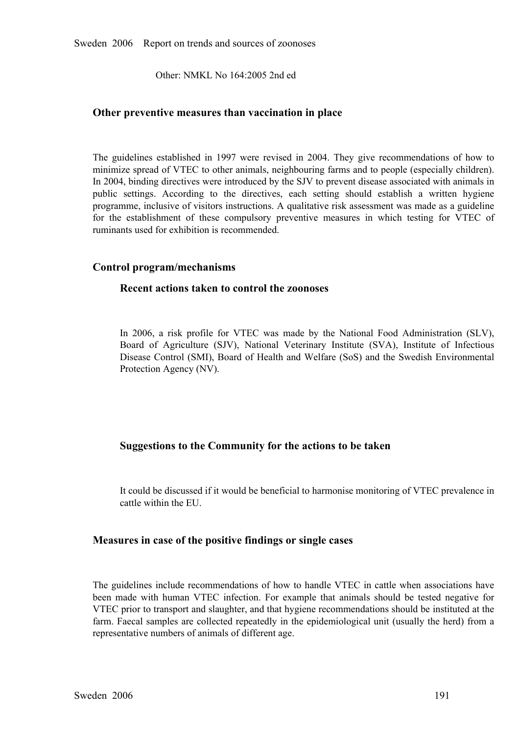Other: NMKL No 164:2005 2nd ed

# **Other preventive measures than vaccination in place**

The guidelines established in 1997 were revised in 2004. They give recommendations of how to minimize spread of VTEC to other animals, neighbouring farms and to people (especially children). In 2004, binding directives wer minimize spread of VTEC to other animals, neighbouring farms and to people (especially children). In 2004, binding directives were introduced by the SJV to prevent disease associated with animals in public settings. According to the directives, each setting should establish a written hygiene<br>programme, inclusive of visitors instructions. A qualitative risk assessment was made as a guideline<br>for the establishment of th programme, inclusive of visitors instructions. A qualitative risk assessment was made as a guideline for the establishment of these compulsory preventive measures in which testing for VTEC of ruminants used for exhibition is recommended.

# **Control program/mechanisms**

# **Recent actions taken to control the zoonoses**

In 2006, a risk profile for VTEC was made by the National Food Administration (SLV), Board of Agriculture (SJV), National Veterinary Institute (SVA), Institute of Infectious Disease Control (SMI), Board of Health and Welfa Board of Agriculture (SJV), National Veterinary Institute (SVA), Institute of Infectious<br>Disease Control (SMI), Board of Health and Welfare (SoS) and the Swedish Environmental<br>Protection Agency (NV). Disease Control (SMI), Board of Health and Welfare (SoS) and the Swedish Environmental<br>Protection Agency (NV). Protection Agency (NV).

# **Suggestions to the Community for the actions to be taken**

It could be discussed if it would be beneficial to harmonise monitoring of VTEC prevalence in cattle within the EU.

# **Measures in case of the positive findings or single cases**

The guidelines include recommendations of how to handle VTEC in cattle when associations have been made with human VTEC infection. For example that animals should be tested negative for been made with human VTEC infection. For example that animals should be tested negative for VTEC prior to transport and slaughter, and that hygiene recommendations should be instituted at the farm. Faecal samples are colle VTEC prior to transport and slaughter, and that hygiene recommendations should be instituted at the farm. Faecal samples are collected repeatedly in the epidemiological unit (usually the herd) from a representative numbers of animals of different age. representative numbers of animals of different age.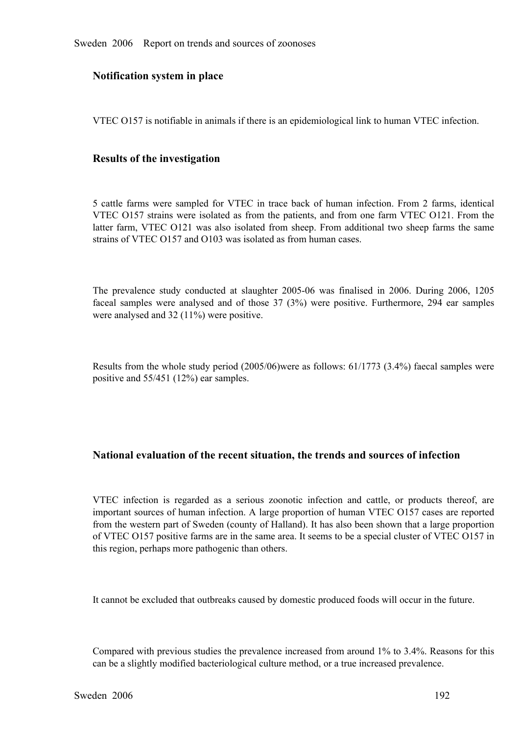# **Notification system in place**

VTEC O157 is notifiable in animals if there is an epidemiological link to human VTEC infection.

# **Results of the investigation**

5 cattle farms were sampled for VTEC in trace back of human infection. From 2 farms, identical VTEC O157 strains were isolated as from the patients, and from one farm VTEC O121. From the VTEC 0157 strains were isolated as from the patients, and from one farm VTEC 0121. From the latter farm, VTEC 0121 was also isolated from sheep. From additional two sheep farms the same strains of VTEC 0157 and 0103 was is latter farm, VTEC O121 was also isolated from sheep. From additional two sheep farms the same strains of VTEC O157 and O103 was isolated as from human cases. strains of VTEC O157 and O103 was isolated as from human cases.

The prevalence study conducted at slaughter 2005-06 was finalised in 2006. During 2006, 1205 faceal samples were analysed and of those 37 (3%) were positive. Furthermore, 294 ear samples were analysed and  $32$  (11%) were faceal samples were analysed and of those 37 (3%) were positive. Furthermore, 294 ear samples were analysed and 32 (11%) were positive. were analysed and 32 (11%) were positive.

Results from the whole study period (2005/06)were as follows: 61/1773 (3.4%) faecal samples were positive and 55/451 (12%) ear samples.

# **National evaluation of the recent situation, the trends and sources of infection**

VTEC infection is regarded as a serious zoonotic infection and cattle, or products thereof, are important sources of human infection. A large proportion of human VTEC O157 cases are reported from the western part of Sweden important sources of human infection. A large proportion of human VTEC O157 cases are reported from the western part of Sweden (county of Halland). It has also been shown that a large proportion of VTEC O157 positive farms are in the same area. It seems to be a special cluster of VTEC O157 in this region, perhaps more pathogenic than others.

It cannot be excluded that outbreaks caused by domestic produced foods will occur in the future.

Compared with previous studies the prevalence increased from around 1% to 3.4%. Reasons for this can be a slightly modified bacteriological culture method, or a true increased prevalence.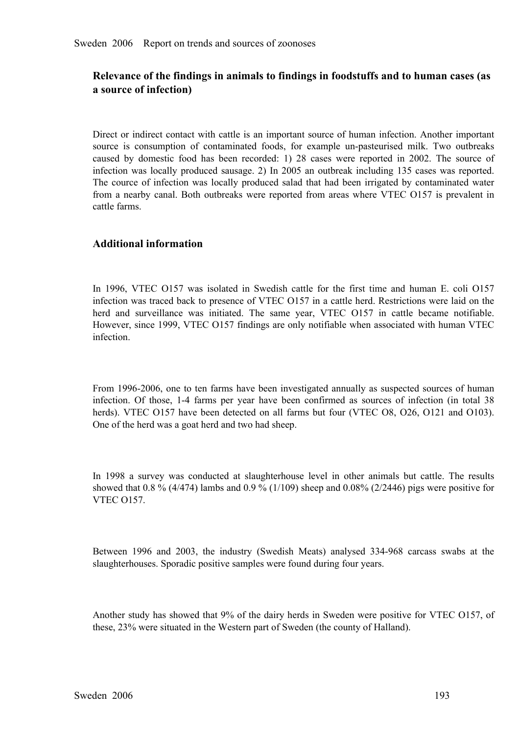# **Relevance of the findings in animals to findings in foodstuffs and to human cases (as a source of infection)**

Direct or indirect contact with cattle is an important source of human infection. Another important source is consumption of contaminated foods, for example un-pasteurised milk. Two outbreaks caused by domestic food has been recorded: 1) 28 cases were reported in 2002. The source of infection was locally produced sausage caused by domestic food has been recorded: 1) 28 cases were reported in 2002. The source of infection was locally produced sausage. 2) In 2005 an outbreak including 135 cases was reported. The cource of infection was local The cource of infection was locally produced salad that had been irrigated by contaminated water The cource of infection was locally produced salad that had been irrigated by contaminated water from a nearby canal. Both outbreaks were reported from areas where VTEC 0157 is prevalent in cattle farms. from a nearby canal. Both outbreaks were reported from areas where VTEC O157 is prevalent in cattle farms. cattle farms.

# **Additional information**

In 1996, VTEC 0157 was isolated in Swedish cattle for the first time and human E. coli 0157 infection was traced back to presence of VTEC 0157 in a cattle herd. Restrictions were laid on the herd and surveillance was initi infection was traced back to presence of VTEC O157 in a cattle herd. Restrictions were laid on the herd and surveillance was initiated. The same year, VTEC 0157 in cattle became notifiable.<br>However, since 1999, VTEC 0157 findings are only notifiable when associated with human VTEC<br>infection. However, since 1999, VTEC O157 findings are only notifiable when associated with human VTEC infection.

From 1996-2006, one to ten farms have been investigated annually as suspected sources of human infection. Of those, 1-4 farms per year have been confirmed as sources of infection (in total 38 infection. Of those, 1-4 farms per year have been confirmed as sources of infection (in total 38 herds). VTEC 0157 have been detected on all farms but four (VTEC 08, 026, 0121 and 0103). One of the herd was a goat herd and herds). VTEC 0157 have been detected on all farms but four (VTEC 08, 026, 0121 and 0103).<br>One of the herd was a goat herd and two had sheep. One of the herd was a goat herd and two had sheep.

In 1998 a survey was conducted at slaughterhouse level in other animals but cattle. The results showed that  $0.8\%$  (4/474) lambs and  $0.9\%$  (1/109) sheep and  $0.08\%$  (2/2446) pigs were positive for VTEC 0157. showed that 0.8 % (4/474) lambs and 0.9 % (1/109) sheep and 0.08% (2/2446) pigs were positive for VTEC O157.

Between <sup>1996</sup> and 2003, the industry (Swedish Meats) analysed 334968 carcass swabs at the slaughterhouses. Sporadic positive samples were found during four years.

Another study has showed that 9% of the dairy herds in Sweden were positive for VTEC O157, of these, 23% were situated in the Western part of Sweden (the county of Halland).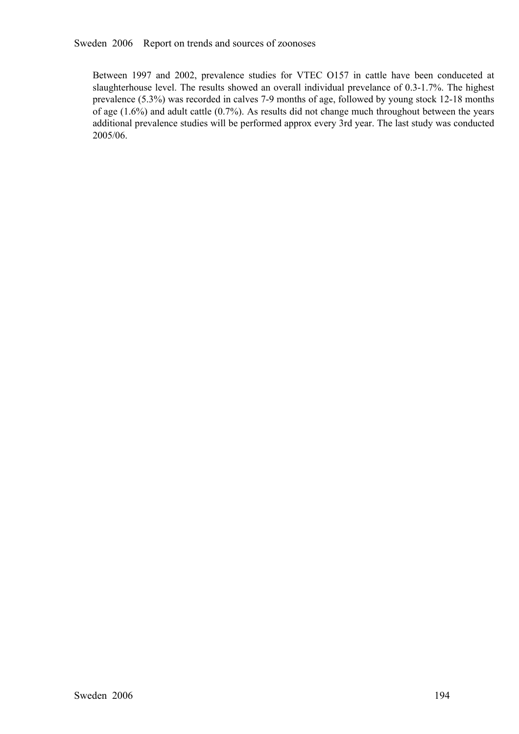Between 1997 and 2002, prevalence studies for VTEC O157 in cattle have been conduceted at slaughterhouse level. The results showed an overall individual prevelance of 0.3-1.7%. The highest prevalence (5.3%) was recorded in slaughterhouse level. The results showed an overall individual prevelance of 0.3-1.7%. The highest of age (1.6%) and adult cattle (0.7%). As results did not change much throughout between the years additional prevalence studies will be performed approx every 3rd year. The last study was conducted 2005/06.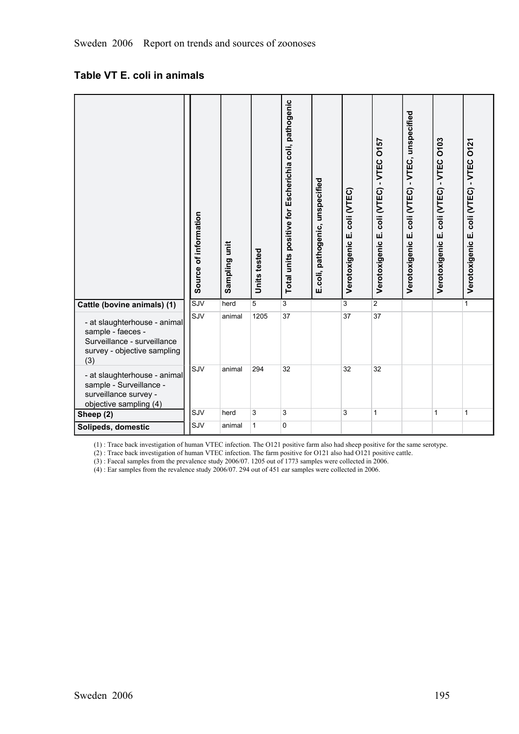# **Table VT E. coli in animals**

|                                                                                                                        | Source of information | Sampling unit | Units tested | Total units positive for Escherichia coli, pathogenic | E.coli, pathogenic, unspecified | coli (VTEC)<br>Verotoxigenic E. | coli (VTEC) - VTEC 0157<br>Verotoxigenic E. | Verotoxigenic E. coli (VTEC) - VTEC, unspecified | coli (VTEC) - VTEC 0103<br>Verotoxigenic E. | Verotoxigenic E. coli (VTEC) - VTEC 0121 |
|------------------------------------------------------------------------------------------------------------------------|-----------------------|---------------|--------------|-------------------------------------------------------|---------------------------------|---------------------------------|---------------------------------------------|--------------------------------------------------|---------------------------------------------|------------------------------------------|
| Cattle (bovine animals) (1)                                                                                            | SJV                   | herd          | 5            | 3                                                     |                                 | 3                               | $\overline{2}$                              |                                                  |                                             | $\mathbf{1}$                             |
| - at slaughterhouse - animal<br>sample - faeces -<br>Surveillance - surveillance<br>survey - objective sampling<br>(3) | SJV                   | animal        | 1205         | 37                                                    |                                 | 37                              | 37                                          |                                                  |                                             |                                          |
| - at slaughterhouse - animal<br>sample - Surveillance -<br>surveillance survey -<br>objective sampling (4)             | SJV                   | animal        | 294          | 32                                                    |                                 | 32                              | 32                                          |                                                  |                                             |                                          |
| Sheep (2)                                                                                                              | SJV                   | herd          | 3            | 3                                                     |                                 | 3                               | $\mathbf{1}$                                |                                                  | 1                                           | 1                                        |
| Solipeds, domestic                                                                                                     | SJV                   | animal        | 1            | 0                                                     |                                 |                                 |                                             |                                                  |                                             |                                          |

(1) : Trace back investigation of human VTEC infection. The O121 positive farm also had sheep positive for the same serotype.

(2) : Trace back investigation of human VTEC infection. The farm positive for O121 also had O121 positive cattle.

(3) : Faecal samples from the prevalence study 2006/07. 1205 out of 1773 samples were collected in 2006.

(4) : Ear samples from the revalence study 2006/07. 294 out of 451 ear samples were collected in 2006.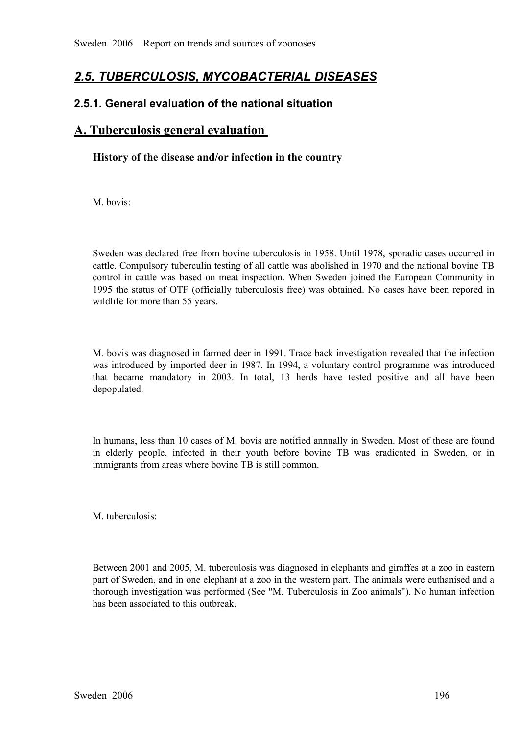# *2.5. TUBERCULOSIS, MYCOBACTERIAL DISEASES*

# **2.5.1. General evaluation of the national situation**

# **A. Tuberculosis general evaluation**

# **History of the disease and/or infection in the country**

M. bovis:

Sweden was declared free from bovine tuberculosis in 1958. Until 1978, sporadic cases occurred in cattle. Compulsory tuberculin testing of all cattle was abolished in 1970 and the national bovine TB control in cattle was based on meat inspection. When Sweden joined the European Community in 1995 the status of OTF (officially tuberculosis free) was obtained. No cases have been repored in wildlife for more than 55 years.

M. bovis was diagnosed in farmed deer in 1991. Trace back investigation revealed that the infection was introduced by imported deer in 1987. In 1994, a voluntary control programme was introduced that became mandatory in 2003. In total, 13 herds have tested positive and all have been depopulated. that became mandatory in 2003. In total, 13 herds have tested positive and all have been depopulated. depopulated.

In humans, less than 10 cases of M. bovis are notified annually in Sweden. Most of these are found in elderly people, infected in their youth before bovine TB was eradicated in Sweden, or in immigrants from areas where bovine TB is still common.

M tuberculosis:

Between 2001 and 2005, M. tuberculosis was diagnosed in elephants and giraffes at a zoo in eastern part of Sweden, and in one elephant at a zoo in the western part. The animals were euthanised and a thorough investigation was performed (See "M. Tuberculosis in Zoo animals"). No human infection has been associated to this outbreak.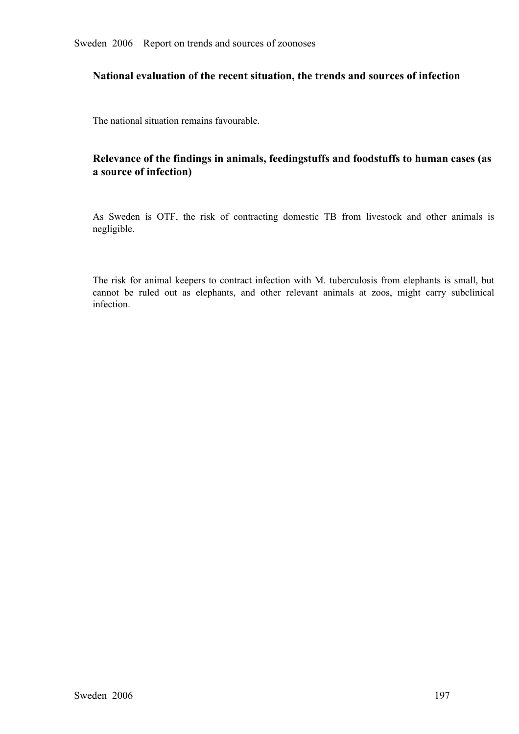# **National evaluation of the recent situation, the trends and sources of infection**

The national situation remains favourable.

# **Relevance of the findings in animals, feedingstuffs and foodstuffs to human cases (as a source of infection)**

As Sweden is OTF, the risk of contracting domestic TB from livestock and other animals is negligible.

The risk for animal keepers to contract infection with M. tuberculosis from elephants is small, but cannot be ruled out as elephants, and other relevant animals at zoos, might carry subclinical infection. cannot be ruled out as elephants, and other relevant animals at zoos, might carry subclinical infection. infection.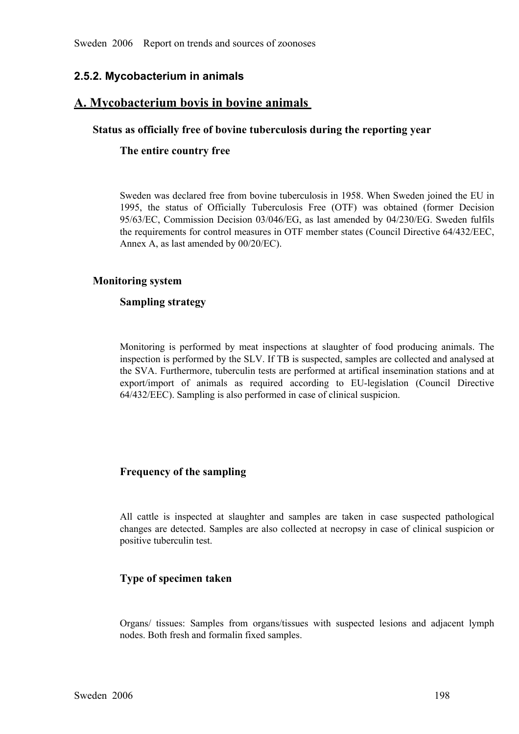# **2.5.2. Mycobacterium in animals**

# **A. Mycobacterium bovis in bovine animals**

# **Status as officially free of bovine tuberculosis during the reporting year**

# **The entire country free**

Sweden was declared free from bovine tuberculosis in 1958. When Sweden joined the EU in 1995, the status of Officially Tuberculosis Free (OTF) was obtained (former Decision 95/63/EC, Commission Decision 03/046/EG, as last amended by 04/230/EG. Sweden fulfils the requirements for control measures in OTF member 95/63/EC, Commission Decision 03/046/EG, as last amended by 04/230/EG. Sweden fulfils<br>the requirements for control measures in OTF member states (Council Directive 64/432/EEC,<br>Annex A, as last amended by 00/20/EC). the requirements for control measures in OTF member states (Council Directive 64/432/EEC, Annex A, as last amended by 00/20/EC).

# **Monitoring system**

# **Sampling strategy**

Monitoring is performed by meat inspections at slaughter of food producing animals. The inspection is performed by the SLV. If TB is suspected, samples are collected and analysed at the SVA. Furthermore, tuberculin tests a inspection is performed by the SLV. If TB is suspected, samples are collected and analysed at export/import of animals as required according to EU-legislation (Council Directive 64/432/EEC). Sampling is also performed in case of clinical suspicion.

# **Frequency of the sampling**

All cattle is inspected at slaughter and samples are taken in case suspected pathological changes are detected. Samples are also collected at necropsy in case of clinical suspicion or positive tuberculin test. changes are detected. Samples are also collected at necropsy in case of clinical suspicion or positive tuberculin test.

# **Type of specimen taken**

Organs/ tissues: Samples from organs/tissues with suspected lesions and adjacent lymph nodes. Both fresh and formalin fixed samples.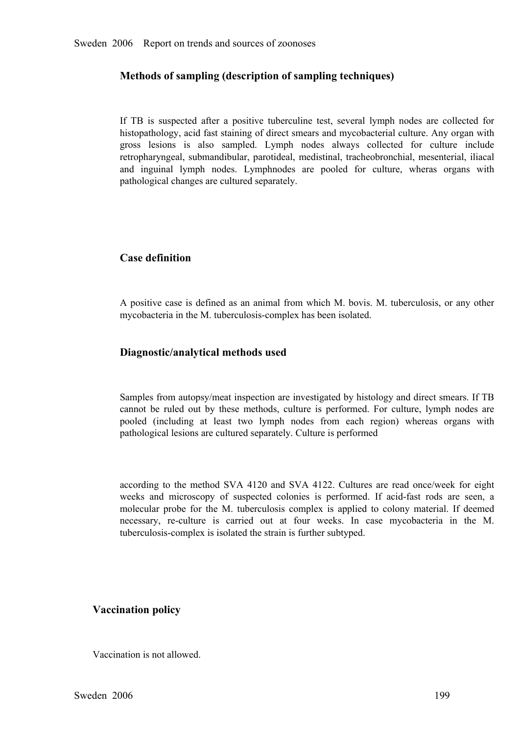# **Methods of sampling (description of sampling techniques)**

If TB is suspected after a positive tuberculine test, several lymph nodes are collected for histopathology, acid fast staining of direct smears and mycobacterial culture. Any organ with gross lesions is also sampled. Lymph histopathology, acid fast staining of direct smears and mycobacterial culture. Any organ with gross lesions is also sampled. Lymph nodes always collected for culture include<br>retropharyngeal, submandibular, parotideal, medistinal, tracheobronchial, mesenterial, iliacal<br>and inguinal lymph nodes. Lymphnodes are pooled retropharyngeal, submandibular, parotideal, medistinal, tracheobronchial, mesenterial, iliacal<br>and inguinal lymph nodes. Lymphnodes are pooled for culture, wheras organs with<br>pathological changes are cultured separately. and inguinal lymph nodes. Lymphnodes are pooled for culture, wheras organs with pathological changes are cultured separately. pathological changes are cultured separately.

# **Case definition**

<sup>A</sup> positive case is defined as an animal from which M. bovis. M. tuberculosis, or any other mycobacteria in the M. tuberculosis-complex has been isolated.

# **Diagnostic/analytical methods used**

Samples from autopsy/meat inspection are investigated by histology and direct smears. If TB cannot be ruled out by these methods, culture is performed. For culture, lymph nodes are pooled (including at least two lymph nodes from each region) whereas organs with pathological lesions are cultured separately. Cultur pooled (including at least two lymph nodes from each region) whereas organs with pathological lesions are cultured separately. Culture is performed pathological lesions are cultured separately. Culture is performed

according to the method SVA 4120 and SVA 4122. Cultures are read once/week for eight weeks and microscopy of suspected colonies is performed. If acid-fast rods are seen, a weeks and microscopy of suspected colonies is performed. If acid-fast rods are seen, a molecular probe for the M. tuberculosis complex is applied to colony material. If deemed necessary, re-culture is carried out at four w molecular probe for the M. tuberculosis complex is applied to colony material. If deemed<br>necessary, re-culture is carried out at four weeks. In case mycobacteria in the M.<br>tuberculosis-complex is isolated the strain is fur necessary, reculture is carried out at four weeks. In case mycobacteria in the M. tuberculosis-complex is isolated the strain is further subtyped.

# **Vaccination policy**

Vaccination is not allowed.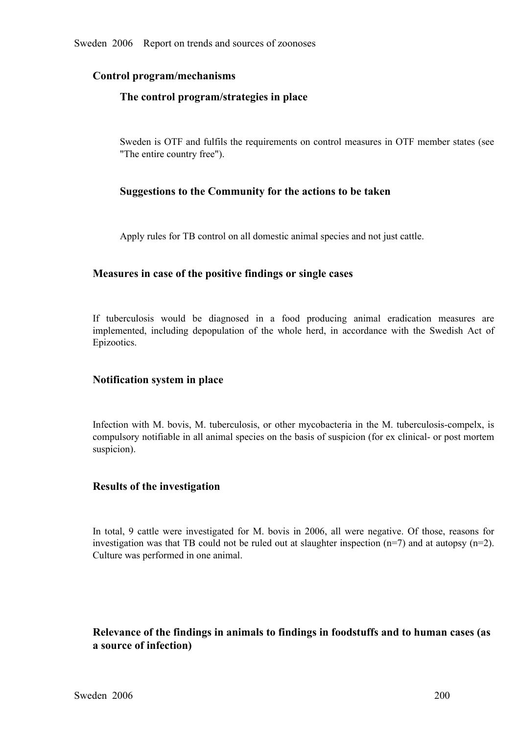# **Control program/mechanisms**

# **The control program/strategies in place**

Sweden is OTF and fulfils the requirements on control measures in OTF member states (see "The entire country free").

# **Suggestions to the Community for the actions to be taken**

Apply rules for TB control on all domestic animal species and not just cattle.

# **Measures in case of the positive findings or single cases**

If tuberculosis would be diagnosed in <sup>a</sup> food producing animal eradication measures are implemented, including depopulation of the whole herd, in accordance with the Swedish Act of Epizootics.

# **Notification system in place**

Infection with M. bovis, M. tuberculosis, or other mycobacteria in the M. tuberculosis-compelx, is compulsory notifiable in all animal species on the basis of suspicion (for ex clinical- or post mortem suspicion).

# **Results of the investigation**

In total, 9 cattle were investigated for M. bovis in 2006, all were negative. Of those, reasons for investigation was that TB could not be ruled out at slaughter inspection  $(n=7)$  and at autopsy  $(n=2)$ . Culture was perfo investigation was that TB could not be ruled out at slaughter inspection (n=7) and at autopsy (n=2). Culture was performed in one animal.

# **Relevance of the findings in animals to findings in foodstuffs and to human cases (as a source of infection)**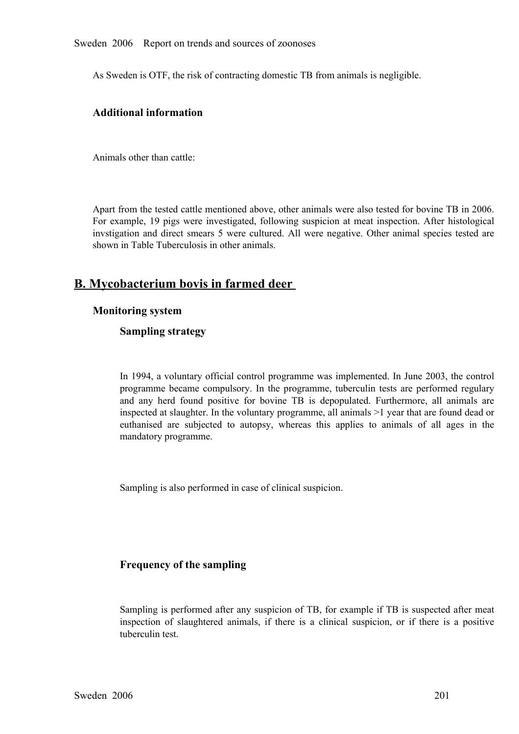Sweden 2006 Report on trends and sources of zoonoses

As Sweden is OTF, the risk of contracting domestic TB from animals is negligible.

# **Additional information**

Animals other than cattle:

Apart from the tested cattle mentioned above, other animals were also tested for bovine TB in 2006. For example, 19 pigs were investigated, following suspicion at meat inspection. After histological invstigation and direct smears 5 were cultured. All were negative. Other animal species tested are shown in Table Tuberculo invstigation and direct smears 5 were cultured. All were negative. Other animal species tested are shown in Table Tuberculosis in other animals. shown in Table Tuberculosis in other animals.

# **B. Mycobacterium bovis in farmed deer**

# **Monitoring system**

# **Sampling strategy**

In 1994, a voluntary official control programme was implemented. In June 2003, the control programme became compulsory. In the programme, tuberculin tests are performed regulary and any herd found positive for bovine TB is depopulated. Furthermore, all animals are and any herd found positive for bovine TB is depopulated. Furthermore, all animals are inspected at slaughter. In the voluntary programme, all animals >1 year that are found dead or euthanised are subjected to autopsy, whe inspected at slaughter. In the voluntary programme, all animals >1 year that are found dead or euthanised are subjected to autopsy, whereas this applies to animals of all ages in the mandatory programme. mandatory programme.

Sampling is also performed in case of clinical suspicion.

# **Frequency of the sampling**

Sampling is performed after any suspicion of TB, for example if TB is suspected after meat inspection of slaughtered animals, if there is a clinical suspicion, or if there is a positive tuberculin test.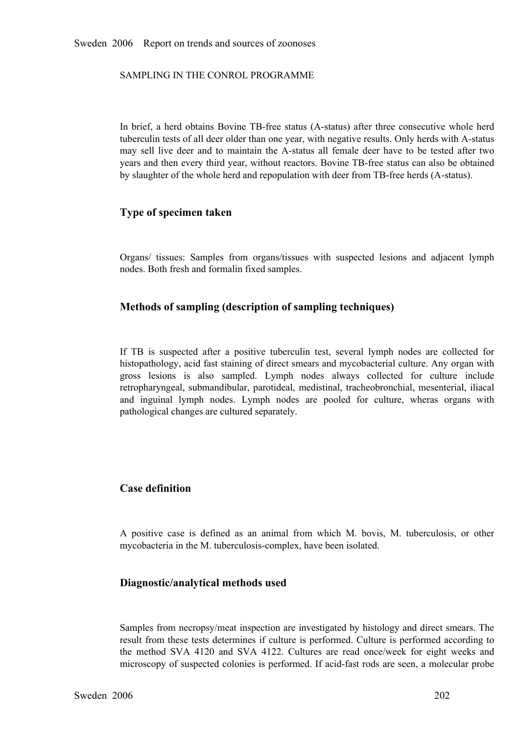SAMPLING IN THE CONROL PROGRAMME

In brief, a herd obtains Bovine TB-free status (A-status) after three consecutive whole herd tuberculin tests of all deer older than one year, with negative results. Only herds with A-status may sell live deer and to maint tuberculin tests of all deer older than one year, with negative results. Only herds with A-status may sell live deer and to maintain the A-status all female deer have to be tested after two<br>years and then every third year, without reactors. Bovine TB-free status can also be obtained<br>by slaughter of the whole herd and r years and then every third year, without reactors. Bovine TB-free status can also be obtained by slaughter of the whole herd and repopulation with deer from TB-free herds (A-status).

# **Type of specimen taken**

Organs/ tissues: Samples from organs/tissues with suspected lesions and adjacent lymph nodes. Both fresh and formalin fixed samples.

# **Methods of sampling (description of sampling techniques)**

If TB is suspected after a positive tuberculin test, several lymph nodes are collected for histopathology, acid fast staining of direct smears and mycobacterial culture. Any organ with gross lesions is also sampled. Lymph histopathology, acid fast staining of direct smears and mycobacterial culture. Any organ with gross lesions is also sampled. Lymph nodes always collected for culture include retropharyngeal, submandibular, parotideal, medistinal, tracheobronchial, mesenterial, iliacal retropharyngeal, submandibular, parotideal, medistinal, tracheobronchial, mesenterial, iliacal<br>and inguinal lymph nodes. Lymph nodes are pooled for culture, wheras organs with<br>pathological changes are cultured separately and inguinal lymph nodes. Lymph nodes are pooled for culture, wheras organs with pathological changes are cultured separately. pathological changes are cultured separately.

# **Case definition**

<sup>A</sup> positive case is defined as an animal from which M. bovis, M. tuberculosis, or other mycobacteria in the M. tuberculosis-complex, have been isolated.

# **Diagnostic/analytical methods used**

Samples from necropsy/meat inspection are investigated by histology and direct smears. The result from these tests determines if culture is performed. Culture is performed according to<br>the method SVA 4120 and SVA 4122. Cultures are read once/week for eight weeks and<br>microscopy of suspected colonies is performed. the method SVA 4120 and SVA 4122. Cultures are read once/week for eight weeks and microscopy of suspected colonies is performed. If acid-fast rods are seen, a molecular probe microscopy of suspected colonies is performed. If acid-fast rods are seen, a molecular probe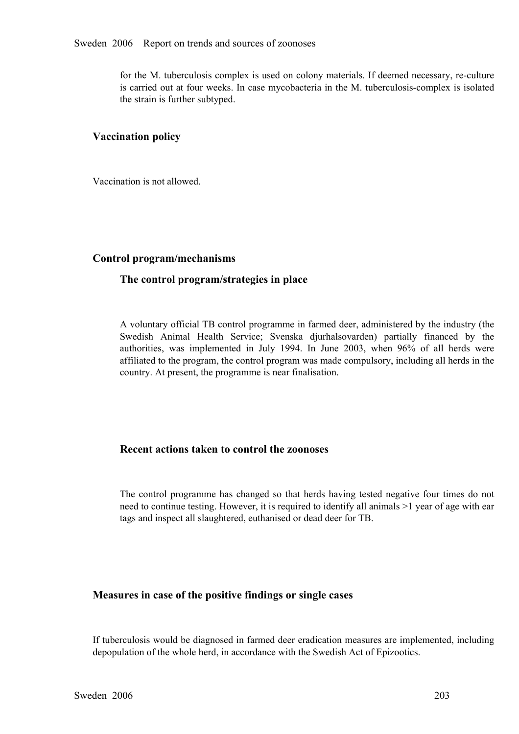for the M. tuberculosis complex is used on colony materials. If deemed necessary, re-culture is carried out at four weeks. In case mycobacteria in the M. tuberculosis-complex is isolated the strain is further subtyped.

# **Vaccination policy**

Vaccination is not allowed.

# **Control program/mechanisms**

# **The control program/strategies in place**

A voluntary official TB control programme in farmed deer, administered by the industry (the Swedish Animal Health Service; Svenska djurhalsovarden) partially financed by the authorities, was implemented in July 1994. In June 2003, when 96% of all herds were authorities, was implemented in July 1994. In June 2003, when 96% of all herds were affiliated to the program, the control program was made compulsory, including all herds in the country. At present, the programme is near affiliated to the program, the control program was made compulsory, including all herds in the country. At present, the programme is near finalisation.

# **Recent actions taken to control the zoonoses**

The control programme has changed so that herds having tested negative four times do not need to continue testing. However, it is required to identify all animals >1 year of age with ear tags and inspect all slaughtered, e need to continue testing. However, it is required to identify all animals >1 year of age with ear tags and inspect all slaughtered, euthanised or dead deer for TB.

# **Measures in case of the positive findings or single cases**

If tuberculosis would be diagnosed in farmed deer eradication measures are implemented, including depopulation of the whole herd, in accordance with the Swedish Act of Epizootics.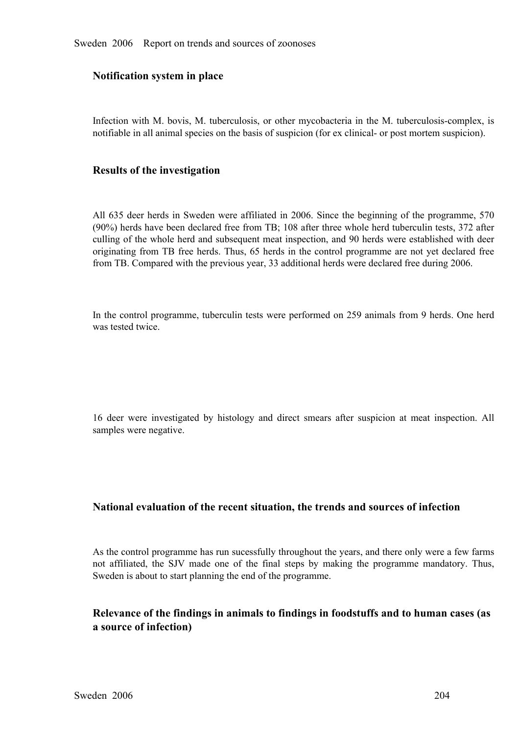# **Notification system in place**

Infection with M. bovis, M. tuberculosis, or other mycobacteria in the M. tuberculosis-complex, is notifiable in all animal species on the basis of suspicion (for ex clinical- or post mortem suspicion).

# **Results of the investigation**

All 635 deer herds in Sweden were affiliated in 2006. Since the beginning of the programme, 570 (90%) herds have been declared free from TB; 108 after three whole herd tuberculin tests, 372 after culling of the whole herd and subsequent meat inspection, and 90 herds were established with deer originating from TB free herds. Thus, 65 herds in the control programme are not yet declared free from TB. Compared with the previous year, 33 additional herds were declared free during 2006. from TB. Compared with the previous year, 33 additional herds were declared free during 2006.

In the control programme, tuberculin tests were performed on 259 animals from 9 herds. One herd was tested twice.

<sup>16</sup> deer were investigated by histology and direct smears after suspicion at meat inspection. All samples were negative.

# **National evaluation of the recent situation, the trends and sources of infection**

As the control programme has run sucessfully throughout the years, and there only were a few farms not affiliated, the SJV made one of the final steps by making the programme mandatory. Thus, Sweden is about to start planning the end of the programme.

# **Relevance of the findings in animals to findings in foodstuffs and to human cases (as a source of infection)**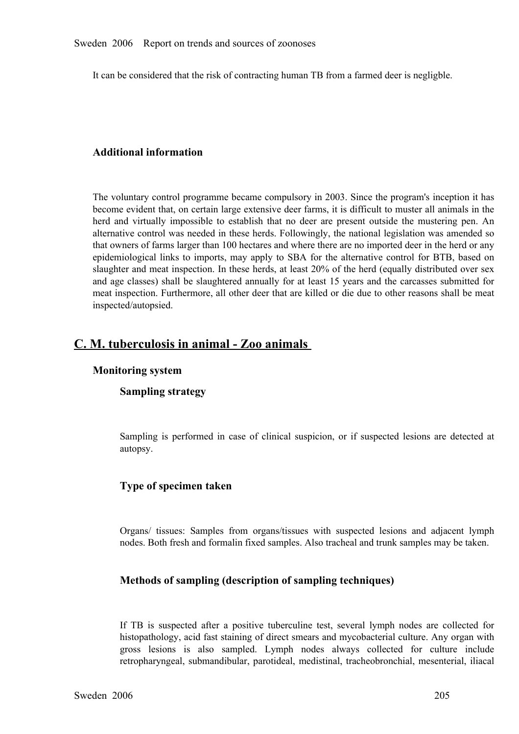It can be considered that the risk of contracting human TB from a farmed deer is negligble.

# **Additional information**

The voluntary control programme became compulsory in 2003. Since the program's inception it has become evident that, on certain large extensive deer farms, it is difficult to muster all animals in the herd and virtually impossible to establish that no deer are present outside the mustering pen. An alternative control was needed in these herds. Followingly, the national legislation was amended so that owners of farms lar alternative control was needed in these herds. Followingly, the national legislation was amended so that owners of farms larger than 100 hectares and where there are no imported deer in the herd or any epidemiological links to imports, may apply to SBA for the alternative control for BTB, based on slaughter and meat inspection. In these herds, at least 20% of the herd (equally distributed over sex and age classes) shall slaughter and meat inspection. In these herds, at least 20% of the herd (equally distributed over sex and age classes) shall be slaughtered annually for at least 15 years and the carcasses submitted for meat inspection. Furthermore, all other deer that are killed or die due to other reasons shall be meat inspected/autopsied.

# C. M. tuberculosis in animal - Zoo animals

# **Monitoring system**

# **Sampling strategy**

Sampling is performed in case of clinical suspicion, or if suspected lesions are detected at autopsy.

# **Type of specimen taken**

Organs/ tissues: Samples from organs/tissues with suspected lesions and adjacent lymph nodes. Both fresh and formalin fixed samples. Also tracheal and trunk samples may be taken.

# **Methods of sampling (description of sampling techniques)**

If TB is suspected after a positive tuberculine test, several lymph nodes are collected for histopathology, acid fast staining of direct smears and mycobacterial culture. Any organ with gross lesions is also sampled. Lymph histopathology, acid fast staining of direct smears and mycobacterial culture. Any organ with gross lesions is also sampled. Lymph nodes always collected for culture include retropharyngeal, submandibular, parotideal, medistinal, tracheobronchial, mesenterial, iliacal retropharyngeal, submandibular, parotideal, medistinal, tracheobronchial, mesenterial, iliacal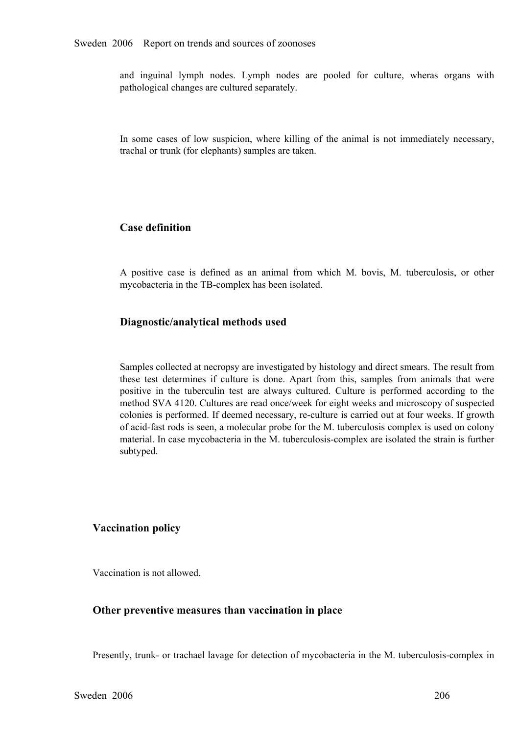and inguinal lymph nodes. Lymph nodes are pooled for culture, wheras organs with pathological changes are cultured separately.

In some cases of low suspicion, where killing of the animal is not immediately necessary, trachal or trunk (for elephants) samples are taken.

# **Case definition**

<sup>A</sup> positive case is defined as an animal from which M. bovis, M. tuberculosis, or other mycobacteria in the TB-complex has been isolated.

# **Diagnostic/analytical methods used**

Samples collected at necropsy are investigated by histology and direct smears. The result from these test determines if culture is done. Apart from this, samples from animals that were positive in the tuberculin test are always cultured. Culture is performed according to the positive in the tuberculin test are always cultured. Culture is performed according to the method SVA 4120. Cultures are read once/week for eight weeks and microscopy of suspected colonies is performed. If deemed necessary method SVA 4120. Cultures are read once/week for eight weeks and microscopy of suspected of acid-fast rods is seen, a molecular probe for the M. tuberculosis complex is used on colony material. In case mycobacteria in the M. tuberculosis-complex are isolated the strain is further subtyped.

# **Vaccination policy**

Vaccination is not allowed.

#### **Other preventive measures than vaccination in place**

Presently, trunk- or trachael lavage for detection of mycobacteria in the M. tuberculosis-complex in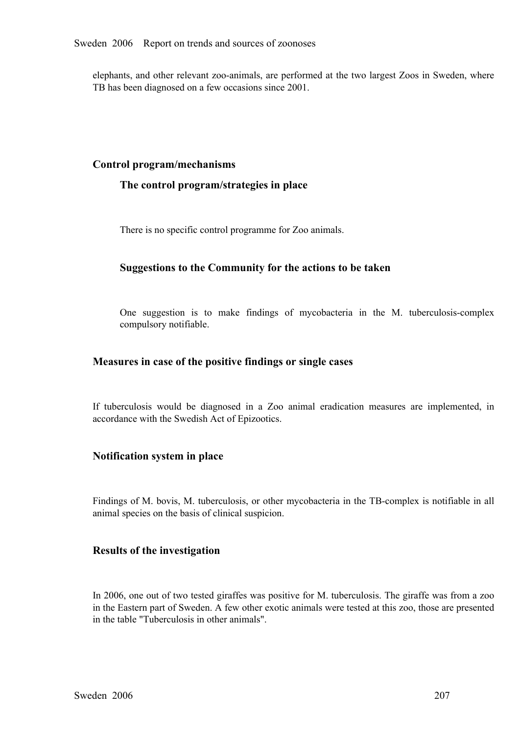elephants, and other relevant zoo-animals, are performed at the two largest Zoos in Sweden, where TB has been diagnosed on a few occasions since 2001.

# **Control program/mechanisms**

# **The control program/strategies in place**

There is no specific control programme for Zoo animals.

# **Suggestions to the Community for the actions to be taken**

One suggestion is to make findings of mycobacteria in the M. tuberculosis-complex compulsory notifiable.

#### **Measures in case of the positive findings or single cases**

If tuberculosis would be diagnosed in <sup>a</sup> Zoo animal eradication measures are implemented, in accordance with the Swedish Act of Epizootics.

#### **Notification system in place**

Findings of M. bovis, M. tuberculosis, or other mycobacteria in the TB-complex is notifiable in all animal species on the basis of clinical suspicion.

# **Results of the investigation**

In 2006, one out of two tested giraffes was positive for M. tuberculosis. The giraffe was from a zoo in the Eastern part of Sweden. A few other exotic animals were tested at this zoo, those are presented in the table "Tuberculosis in other animals".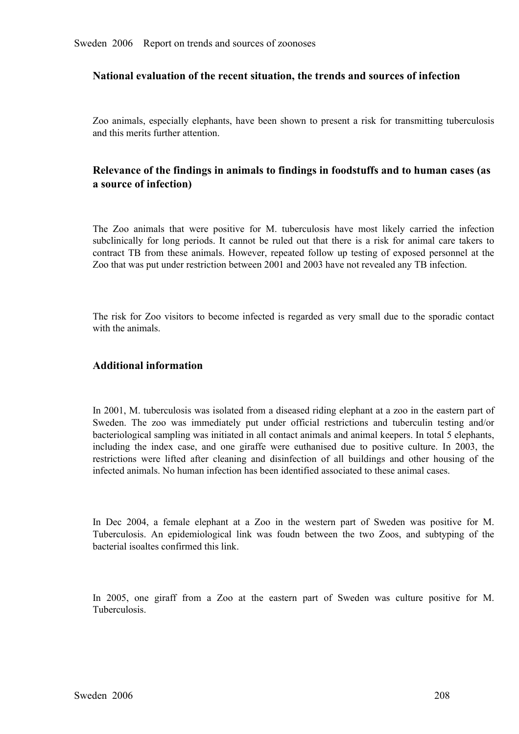# **National evaluation of the recent situation, the trends and sources of infection**

Zoo animals, especially elephants, have been shown to presen<sup>t</sup> <sup>a</sup> risk for transmitting tuberculosis and this merits further attention.

# **Relevance of the findings in animals to findings in foodstuffs and to human cases (as a source of infection)**

The Zoo animals that were positive for M. tuberculosis have most likely carried the infection subclinically for long periods. It cannot be ruled out that there is a risk for animal care takers to contract TB from these ani subclinically for long periods. It cannot be ruled out that there is a risk for animal care takers to contract TB from these animals. However, repeated follow up testing of exposed personnel at the Zoo that was put under r contract TB from these animals. However, repeated follow up testing of exposed personnel at the Zoo that was put under restriction between 2001 and 2003 have not revealed any TB infection. Zoo that was put under restriction between 2001 and 2003 have not revealed any TB infection.

The risk for Zoo visitors to become infected is regarded as very small due to the sporadic contact with the animals

#### **Additional information**

In 2001, M. tuberculosis was isolated from a diseased riding elephant at a zoo in the eastern part of Sweden. The zoo was immediately put under official restrictions and tuberculin testing and/or bacteriological sampling was initiated in all contact animals and animal keepers. In total 5 elephants, including the index case bacteriological sampling was initiated in all contact animals and animal keepers. In total 5 elephants, including the index case, and one giraffe were euthanised due to positive culture. In 2003, the restrictions were lifted after cleaning and disinfection of all buildings and other housing of the infected animals. No human restrictions were lifted after cleaning and disinfection of all buildings and other housing of the infected animals. No human infection has been identified associated to these animal cases.

In Dec 2004, a female elephant at a Zoo in the western part of Sweden was positive for M.<br>Tuberculosis. An epidemiological link was foudn between the two Zoos, and subtyping of the<br>bacterial isoaltes confirmed this link. Tuberculosis. An epidemiological link was foudn between the two Zoos, and subtyping of the bacterial isoaltes confirmed this link. bacterial isoaltes confirmed this link.

In 2005, one giraff from a Zoo at the eastern part of Sweden was culture positive for M. Tuberculosis.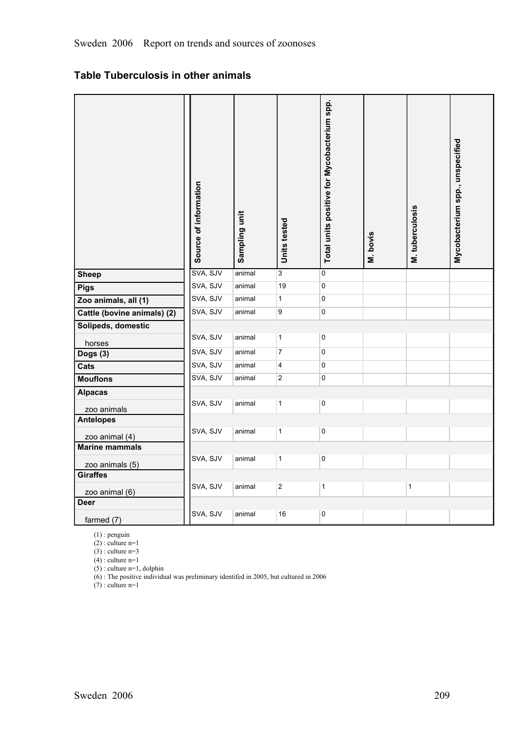# **Table Tuberculosis in other animals**

|                             | Source of information | Sampling unit | Units tested            | Total units positive for Mycobacterium spp. | M. bovis | M. tuberculosis | Mycobacterium spp., unspecified |
|-----------------------------|-----------------------|---------------|-------------------------|---------------------------------------------|----------|-----------------|---------------------------------|
| <b>Sheep</b>                | SVA, SJV              | animal        | 3                       | 0                                           |          |                 |                                 |
| <b>Pigs</b>                 | SVA, SJV              | animal        | 19                      | 0                                           |          |                 |                                 |
| Zoo animals, all (1)        | SVA, SJV              | animal        | $\mathbf{1}$            | 0                                           |          |                 |                                 |
| Cattle (bovine animals) (2) | SVA, SJV              | animal        | 9                       | 0                                           |          |                 |                                 |
| Solipeds, domestic          |                       |               |                         |                                             |          |                 |                                 |
| horses                      | SVA, SJV              | animal        | $\mathbf{1}$            | $\mathsf 0$                                 |          |                 |                                 |
| Dogs (3)                    | SVA, SJV              | animal        | $\overline{7}$          | 0                                           |          |                 |                                 |
| Cats                        | SVA, SJV              | animal        | $\overline{\mathbf{4}}$ | 0                                           |          |                 |                                 |
| <b>Mouflons</b>             | SVA, SJV              | animal        | 2                       | $\overline{\text{o}}$                       |          |                 |                                 |
| <b>Alpacas</b>              |                       |               |                         |                                             |          |                 |                                 |
| zoo animals                 | SVA, SJV              | animal        | $\mathbf{1}$            | $\pmb{0}$                                   |          |                 |                                 |
| <b>Antelopes</b>            |                       |               |                         |                                             |          |                 |                                 |
| zoo animal (4)              | SVA, SJV              | animal        | $\mathbf{1}$            | 0                                           |          |                 |                                 |
| <b>Marine mammals</b>       |                       |               |                         |                                             |          |                 |                                 |
| zoo animals (5)             | SVA, SJV              | animal        | $\mathbf{1}$            | $\pmb{0}$                                   |          |                 |                                 |
| <b>Giraffes</b>             |                       |               |                         |                                             |          |                 |                                 |
| zoo animal (6)              | SVA, SJV              | animal        | $\overline{2}$          | $\mathbf{1}$                                |          | $\mathbf{1}$    |                                 |
| <b>Deer</b>                 |                       |               |                         |                                             |          |                 |                                 |
| farmed (7)                  | SVA, SJV              | animal        | 16                      | 0                                           |          |                 |                                 |

(1) : penguin (2) : culture n=1

(3) : culture n=3

 $(4)$ : culture n=1

(5) : culture n=1, dolphin

(6) : The positive individual was preliminary identifed in 2005, but cultured in 2006

 $(7)$ : culture n=1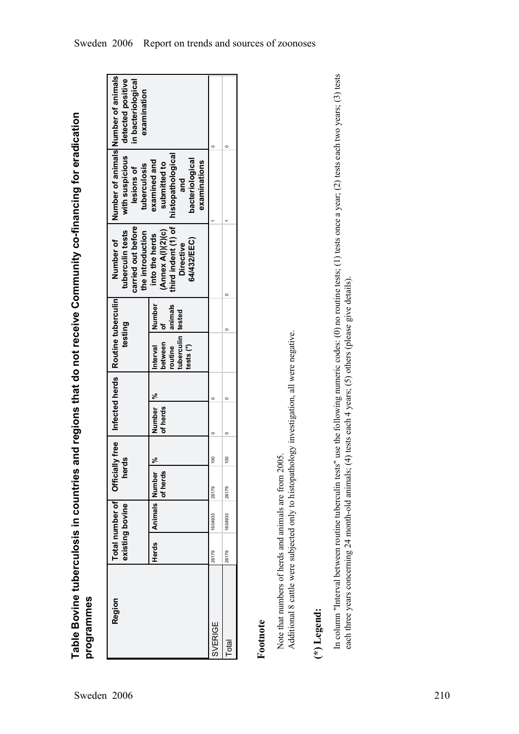| Region         | Herds | Total number of Official<br><b>Animals Number</b><br>existing bovine | herds<br>of herds | వ్              | Number  %<br>of herds | lly free   Infected herds   Routine tuberculin<br>tuberculin tested<br>testing<br>between<br>routine<br>tests <sup>(*)</sup><br>Interval | Number<br>animals<br>ō | third indent (1) of<br>carried out before<br>tuberculin tests<br>(Annex A(I)(2)(c)<br>the introduction<br>into the herds<br>Number of<br>64/432/EEC)<br><b>Directive</b> | Number of animals Number of animals<br>with suspicious<br>histopathological<br>bacteriological<br>examined and<br>examinations<br>submitted to<br>tuberculosis<br>lesions of<br>and | detected positive<br>in bacteriological<br>examination |
|----------------|-------|----------------------------------------------------------------------|-------------------|-----------------|-----------------------|------------------------------------------------------------------------------------------------------------------------------------------|------------------------|--------------------------------------------------------------------------------------------------------------------------------------------------------------------------|-------------------------------------------------------------------------------------------------------------------------------------------------------------------------------------|--------------------------------------------------------|
| <b>SVERIGE</b> | 26179 | 1604933                                                              | 26179             | 100             |                       |                                                                                                                                          |                        |                                                                                                                                                                          |                                                                                                                                                                                     |                                                        |
| Total          | 26179 | 1604933                                                              | 26179             | $\frac{8}{100}$ |                       |                                                                                                                                          |                        |                                                                                                                                                                          |                                                                                                                                                                                     |                                                        |

**Table Bovine tuberculosis in countries and regions that do not receive Community cofinancing for eradication** Table Bovine tuberculosis in countries and regions that do not receive Community co-financing for eradication<br>programmes

# **Footnote**

Additional 8 cattle were subjected only to histopathology investigation, all were negative. Additional 8 cattle were subjected only to histopathology investigation, all were negative. Note that numbers of herds and animals are from 2005. Note that numbers of herds and animals are from 2005.

# **(\*) Legend:**

In column "Interval between routine tuberculin tests" use the following numeric codes: (0) no routine tests; (1) tests once a year; (2) tests each two years; (3) tests In column "Interval between routine tuberculin tests" use the following numeric codes: (0) no routine tests; (1) tests once a year; (2) tests each two years; (3) tests each three years concerning 24 month-old animals; (4) tests each 4 years; (5) others (please give details). each three years concerning 24 month-old animals; (4) tests each 4 years; (5) others (please give details).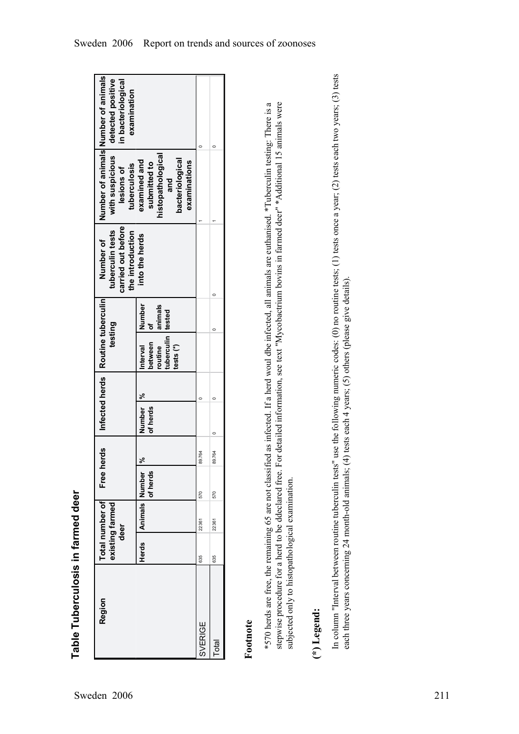| Number of animals Number of animals<br>with suspicious   detected positive<br>in bacteriological<br>examination<br>tuberculosis<br>lesions of<br>carried out before<br>tuberculin tests<br>the introduction<br>Number of<br>Infected herds   Routine tuberculin<br>testing | histopathological<br>bacteriological<br>examined and<br>examinations<br>submitted to<br>and<br>into the herds<br>Number<br>animals<br>tuberculin tested<br>between<br>nterval<br>routine<br>tests <sup>(*)</sup> |                | $\circ$      |
|----------------------------------------------------------------------------------------------------------------------------------------------------------------------------------------------------------------------------------------------------------------------------|------------------------------------------------------------------------------------------------------------------------------------------------------------------------------------------------------------------|----------------|--------------|
|                                                                                                                                                                                                                                                                            | Number  %<br>of herds                                                                                                                                                                                            |                |              |
| herds<br>Free                                                                                                                                                                                                                                                              | °%<br>of herds                                                                                                                                                                                                   | 89.764         | 89.764       |
| Total number of<br>existing farmed<br>deer                                                                                                                                                                                                                                 | Herds Animals Number                                                                                                                                                                                             | 570<br>22361   | 570<br>22361 |
|                                                                                                                                                                                                                                                                            |                                                                                                                                                                                                                  | 635            | 635          |
| Region                                                                                                                                                                                                                                                                     |                                                                                                                                                                                                                  | <b>SVERIGE</b> | <b>Total</b> |

**Table Tuberculosis in farmed deer** Table Tuberculosis in farmed deer

# **Footnote**

\*570 herds are free, the remaining 65 are not classified as infected. If a herd woul dbe infected, all animals are euthanised. \*Tuberculin testing: There is a stepwise procedure for a herd to be ddeclared free. For detailed information, see text "Mycobactrium bovins in farmed deer" \*Additional 15 animals were \*570 herds are free, the remaining 65 are not classified as infected. If a herd woul dbe infected, all animals are euthanised. \*Tuberculin testing: There is a stepwise procedure for a herd to be ddeclared free. For detailed information, see text "Mycobactrium bovins in farmed deer" \*Additional 15 animals were<br>stepwise procedure for a herd to be ddeclared free. For detailed infor subjected only to histopathological examination. subjected only to histopathological examination.

# **(\*) Legend:**

In column "Interval between routine tuberculin tests" use the following numeric codes: (0) no routine tests; (1) tests once a year; (2) tests each two years; (3) tests In column "Interval between routine tuberculin tests" use the following numeric codes: (0) no routine tests; (1) tests once a year; (2) tests each two years; (3) tests each three years concerning 24 month-old animals; (4) tests each 4 years; (5) others (please give details). each three years concerning 24 month-old animals; (4) tests each 4 years; (5) others (please give details).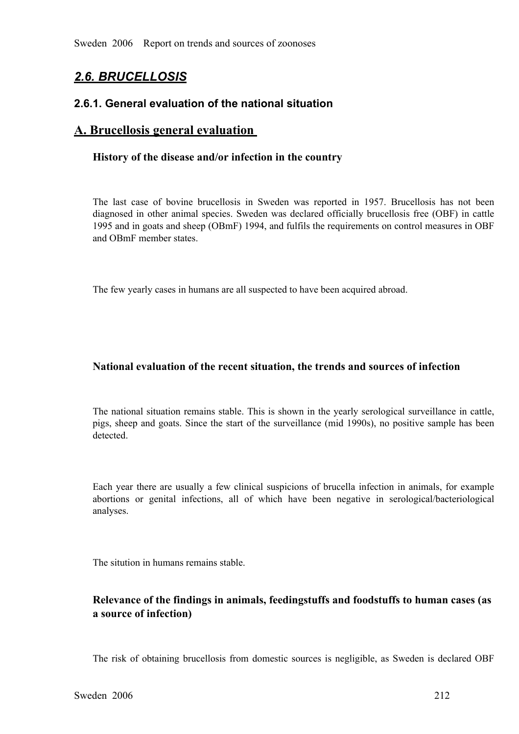# *2.6. BRUCELLOSIS*

# **2.6.1. General evaluation of the national situation**

# **A. Brucellosis general evaluation**

## **History of the disease and/or infection in the country**

The last case of bovine brucellosis in Sweden was reported in 1957. Brucellosis has not been diagnosed in other animal species. Sweden was declared officially brucellosis free (OBF) in cattle diagnosed in other animal species. Sweden was declared officially brucellosis free (OBF) in cattle 1995 and in goats and sheep (OBmF) 1994, and fulfils the requirements on control measures in OBF and OBmF member states. 1995 and in goats and sheep (OBmF) 1994, and fulfils the requirements on control measures in OBF and OBmF member states.

The few yearly cases in humans are all suspected to have been acquired abroad.

# **National evaluation of the recent situation, the trends and sources of infection**

The national situation remains stable. This is shown in the yearly serological surveillance in cattle, pigs, sheep and goats. Since the start of the surveillance (mid 1990s), no positive sample has been detected. pigs, sheep and goats. Since the start of the surveillance (mid 1990s), no positive sample has been detected. detected.

Each year there are usually a few clinical suspicions of brucella infection in animals, for example abortions or genital infections, all of which have been negative in serological/bacteriological analyses.

The sitution in humans remains stable.

# **Relevance of the findings in animals, feedingstuffs and foodstuffs to human cases (as a source of infection)**

The risk of obtaining brucellosis from domestic sources is negligible, as Sweden is declared OBF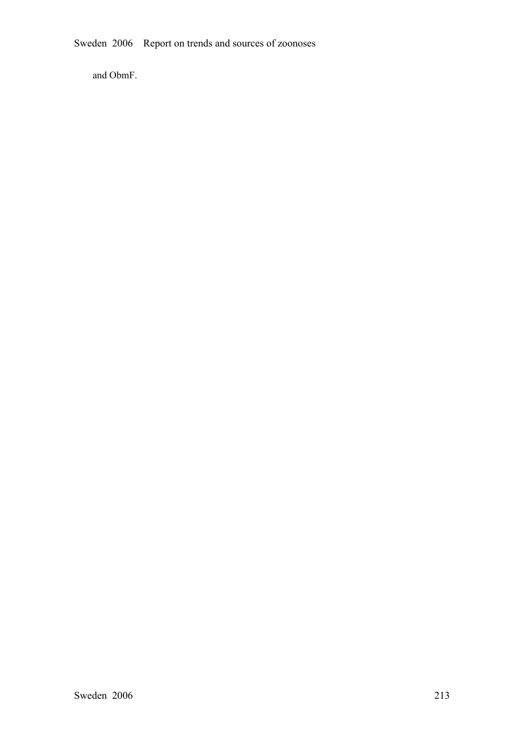Sweden 2006 Report on trends and sources of zoonoses

and ObmF.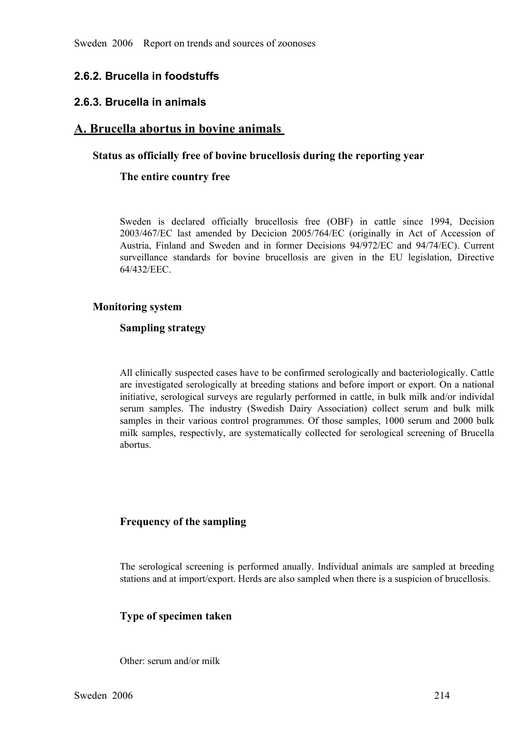# **2.6.2. Brucella in foodstuffs**

## **2.6.3. Brucella in animals**

# **A. Brucella abortus in bovine animals**

## **Status as officially free of bovine brucellosis during the reporting year**

## **The entire country free**

Sweden is declared officially brucellosis free (OBF) in cattle since 1994, Decision 2003/467/EC last amended by Decision 2005/764/EC (originally in Act of Accession of Austria, Finland and Sweden and in former Decisions  $94/972/EC$  and  $94/74/EC$ ). Current Austria, Finland and Sweden and in former Decisions 94/972/EC and 94/74/EC). Current surveillance standards for bovine brucellosis are given in the EU legislation, Directive 64/432/EEC. surveillance standards for bovine brucellosis are given in the EU legislation, Directive 64/432/EEC. 64/432/EEC.

## **Monitoring system**

## **Sampling strategy**

All clinically suspected cases have to be confirmed serologically and bacteriologically. Cattle are investigated serologically at breeding stations and before import or export. On a national initiative, serological surveys are regularly performed in cattle, in bulk milk and/or individal serum samples. The industry (Swedish Dairy Association) collect serum and bulk milk samples in their various control programmes. Of those samples, 1000 serum and 2000 bulk milk samples, respectivly, are systematically coll samples in their various control programmes. Of those samples, 1000 serum and 2000 bulk<br>milk samples, respectivly, are systematically collected for serological screening of Brucella<br>abortus. milk samples, respectivly, are systematically collected for serological screening of Brucella abortus.

## **Frequency of the sampling**

The serological screening is performed anually. Individual animals are sampled at breeding stations and at import/export. Herds are also sampled when there is a suspicion of brucellosis. stations and at import/export. Herds are also sampled when there is a suspicion of brucellosis.

## **Type of specimen taken**

Other: serum and/or milk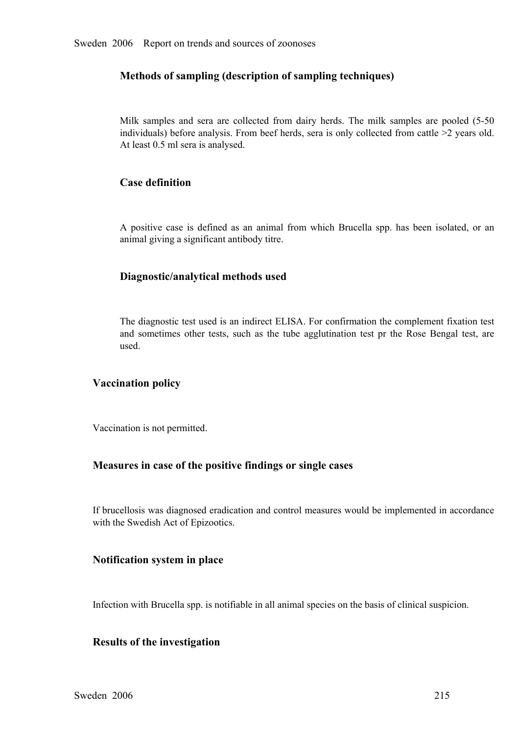# **Methods of sampling (description of sampling techniques)**

Milk samples and sera are collected from dairy herds. The milk samples are pooled  $(5-50$  individuals) before analysis. From beef herds, sera is only collected from cattle  $>2$  years old. At least 0.5 ml sera is analysed. individuals) before analysis. From beef herds, sera is only collected from cattle >2 years old. At least 0.5 ml sera is analysed.

# **Case definition**

<sup>A</sup> positive case is defined as an animal from which Brucella spp. has been isolated, or an animal giving a significant antibody titre.

# **Diagnostic/analytical methods used**

The diagnostic test used is an indirect ELISA. For confirmation the complement fixation test and sometimes other tests, such as the tube agglutination test pr the Rose Bengal test, are used.

# **Vaccination policy**

Vaccination is not permitted.

## **Measures in case of the positive findings or single cases**

If brucellosis was diagnosed eradication and control measures would be implemented in accordance with the Swedish Act of Epizootics.

# **Notification system in place**

Infection with Brucella spp. is notifiable in all animal species on the basis of clinical suspicion.

# **Results of the investigation**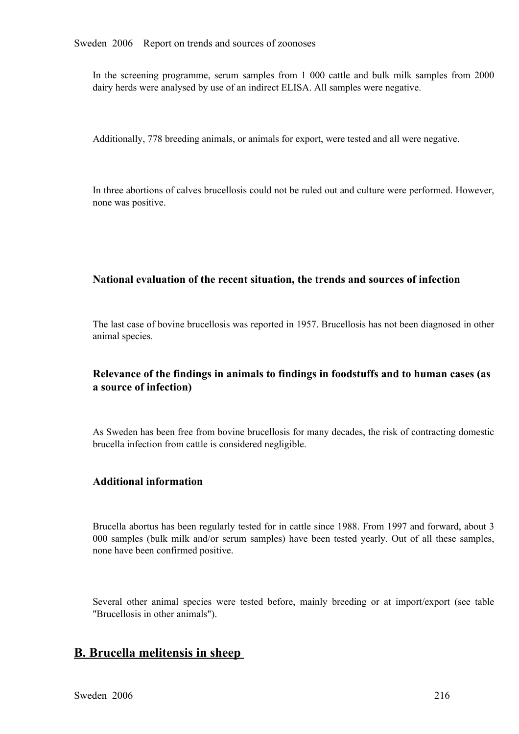In the screening programme, serum samples from 1 000 cattle and bulk milk samples from 2000 dairy herds were analysed by use of an indirect ELISA. All samples were negative.

Additionally, 778 breeding animals, or animals for export, were tested and all were negative.

In three abortions of calves brucellosis could not be ruled out and culture were performed. However, none was positive.

## **National evaluation of the recent situation, the trends and sources of infection**

The last case of bovine brucellosis was reported in 1957. Brucellosis has not been diagnosed in other animal species.

# **Relevance of the findings in animals to findings in foodstuffs and to human cases (as a source of infection)**

As Sweden has been free from bovine brucellosis for many decades, the risk of contracting domestic brucella infection from cattle is considered negligible.

## **Additional information**

Brucella abortus has been regularly tested for in cattle since 1988. From 1997 and forward, about 3 <sup>000</sup> samples (bulk milk and/or serum samples) have been tested yearly. Out of all these samples, none have been confirmed positive.

Several other animal species were tested before, mainly breeding or at import/export (see table "Brucellosis in other animals").

# **B. Brucella melitensis in sheep**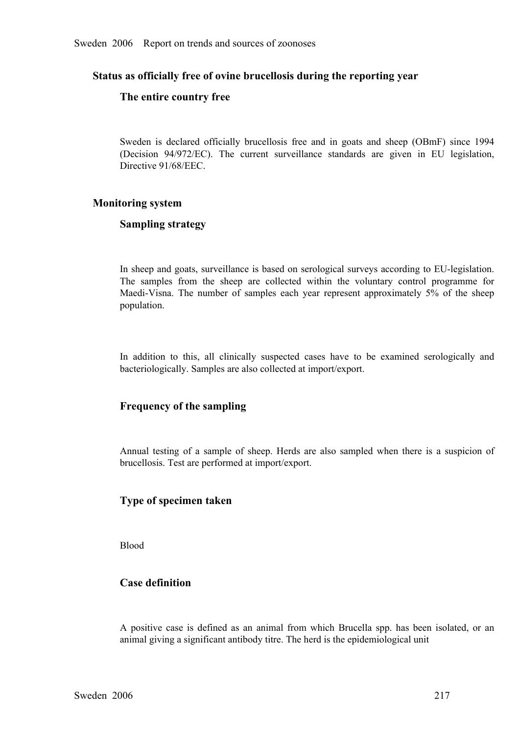## **Status as officially free of ovine brucellosis during the reporting year**

#### **The entire country free**

Sweden is declared officially brucellosis free and in goats and sheep (OBmF) since 1994<br>(Decision 94/972/EC). The current surveillance standards are given in EU legislation,<br>Directive 91/68/EEC. (Decision 94/972/EC). The current surveillance standards are given in EU legislation, Directive 91/68/EEC. Directive 91/68/EEC.

#### **Monitoring system**

## **Sampling strategy**

In sheep and goats, surveillance is based on serological surveys according to EU-legislation. The samples from the sheep are collected within the voluntary control programme for Maedi-Visna. The number of samples each year represent approximately 5% of the sheep population. Maedi-Visna. The number of samples each year represent approximately 5% of the sheep population. population.

In addition to this, all clinically suspected cases have to be examined serologically and bacteriologically. Samples are also collected at import/export.

## **Frequency of the sampling**

Annual testing of <sup>a</sup> sample of sheep. Herds are also sampled when there is <sup>a</sup> suspicion of brucellosis. Test are performed at import/export.

## **Type of specimen taken**

Blood

## **Case definition**

<sup>A</sup> positive case is defined as an animal from which Brucella spp. has been isolated, or an animal giving a significant antibody titre. The herd is the epidemiological unit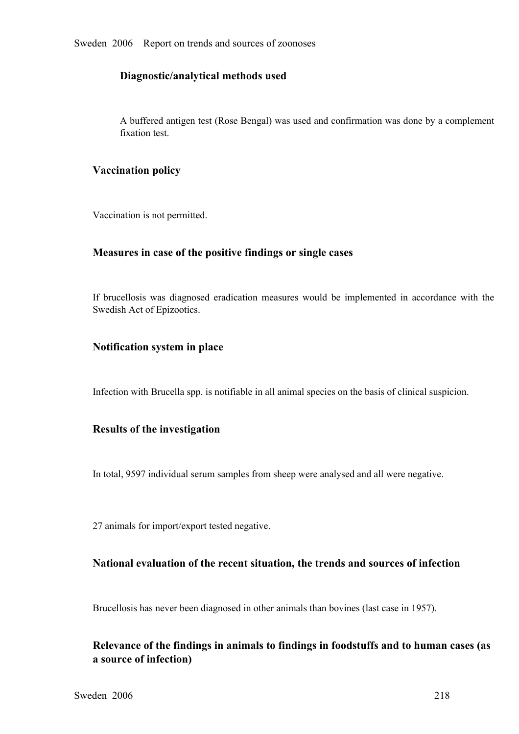## **Diagnostic/analytical methods used**

A buffered antigen test (Rose Bengal) was used and confirmation was done by a complement fixation test.

## **Vaccination policy**

Vaccination is not permitted.

## **Measures in case of the positive findings or single cases**

If brucellosis was diagnosed eradication measures would be implemented in accordance with the Swedish Act of Epizootics.

## **Notification system in place**

Infection with Brucella spp. is notifiable in all animal species on the basis of clinical suspicion.

## **Results of the investigation**

In total, 9597 individual serum samples from sheep were analysed and all were negative.

27 animals for import/export tested negative.

## **National evaluation of the recent situation, the trends and sources of infection**

Brucellosis has never been diagnosed in other animals than bovines (last case in 1957).

# **Relevance of the findings in animals to findings in foodstuffs and to human cases (as a source of infection)**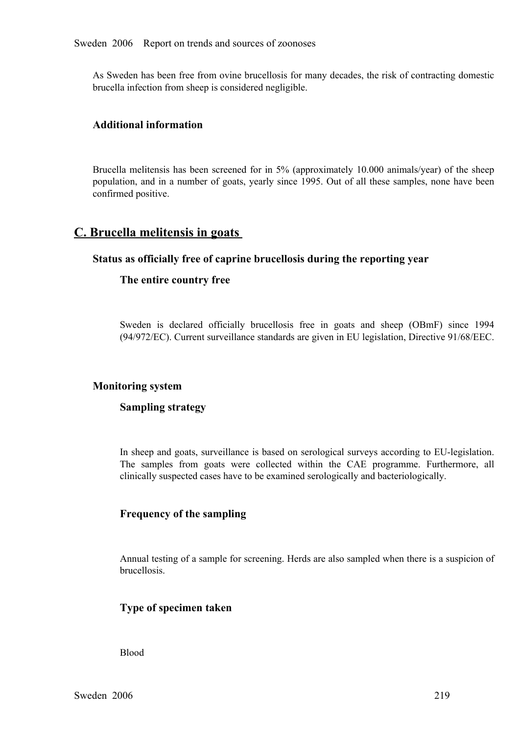As Sweden has been free from ovine brucellosis for many decades, the risk of contracting domestic brucella infection from sheep is considered negligible.

# **Additional information**

Brucella melitensis has been screened for in 5% (approximately 10.000 animals/year) of the sheep population, and in a number of goats, yearly since 1995. Out of all these samples, none have been confirmed positive.

# **C. Brucella melitensis in goats**

## **Status as officially free of caprine brucellosis during the reporting year**

## **The entire country free**

Sweden is declared officially brucellosis free in goats and sheep (OBmF) since 1994<br>(94/972/EC). Current surveillance standards are given in EU legislation, Directive 91/68/EEC. (94/972/EC). Current surveillance standards are given in EU legislation, Directive 91/68/EEC.

## **Monitoring system**

# **Sampling strategy**

In sheep and goats, surveillance is based on serological surveys according to EU-legislation. The samples from goats were collected within the CAE programme. Furthermore, all clinically suspected cases have to be examined serologically and bacteriologically.

## **Frequency of the sampling**

Annual testing of a sample for screening. Herds are also sampled when there is a suspicion of brucellosis.

## **Type of specimen taken**

Blood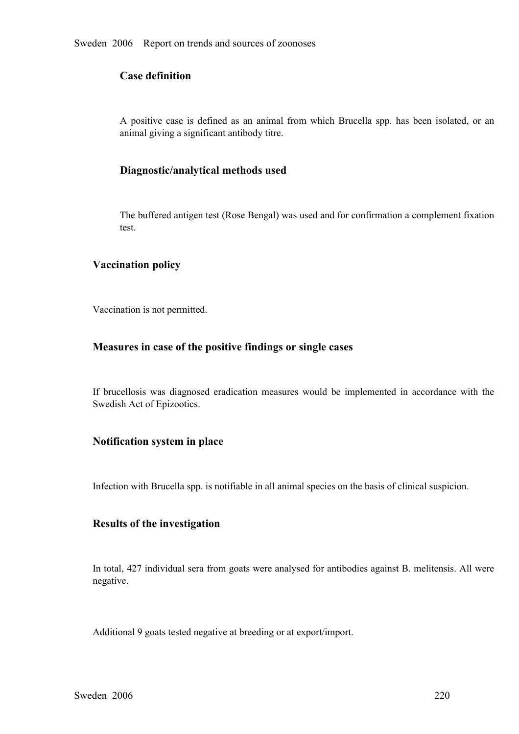# **Case definition**

<sup>A</sup> positive case is defined as an animal from which Brucella spp. has been isolated, or an animal giving a significant antibody titre.

## **Diagnostic/analytical methods used**

The buffered antigen test (Rose Bengal) was used and for confirmation a complement fixation test.

## **Vaccination policy**

Vaccination is not permitted.

## **Measures in case of the positive findings or single cases**

If brucellosis was diagnosed eradication measures would be implemented in accordance with the Swedish Act of Epizootics.

# **Notification system in place**

Infection with Brucella spp. is notifiable in all animal species on the basis of clinical suspicion.

## **Results of the investigation**

In total, 427 individual sera from goats were analysed for antibodies against B. melitensis. All were negative.

Additional 9 goats tested negative at breeding or at export/import.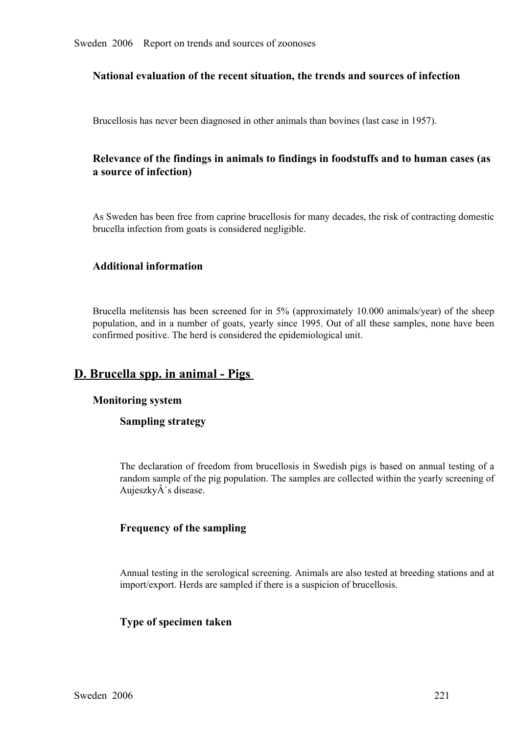## **National evaluation of the recent situation, the trends and sources of infection**

Brucellosis has never been diagnosed in other animals than bovines (last case in 1957).

# **Relevance of the findings in animals to findings in foodstuffs and to human cases (as a source of infection)**

As Sweden has been free from caprine brucellosis for many decades, the risk of contracting domestic brucella infection from goats is considered negligible.

# **Additional information**

Brucella melitensis has been screened for in 5% (approximately 10.000 animals/year) of the sheep population, and in a number of goats, yearly since 1995. Out of all these samples, none have been confirmed positive. The her population, and in a number of goats, yearly since 1995. Out of all these samples, none have been confirmed positive. The herd is considered the epidemiological unit.

# **D. Brucella spp. in animal - Pigs**

#### **Monitoring system**

## **Sampling strategy**

The declaration of freedom from brucellosis in Swedish pigs is based on annual testing of a<br>random sample of the pig population. The samples are collected within the yearly screening of<br>AujeszkyÂ's disease. random sample of the pig population. The samples are collected within the yearly screening of Aujeszky $\hat{A}$ 's disease.

## **Frequency of the sampling**

Annual testing in the serological screening. Animals are also tested at breeding stations and at import/export. Herds are sampled if there is a suspicion of brucellosis.

## **Type of specimen taken**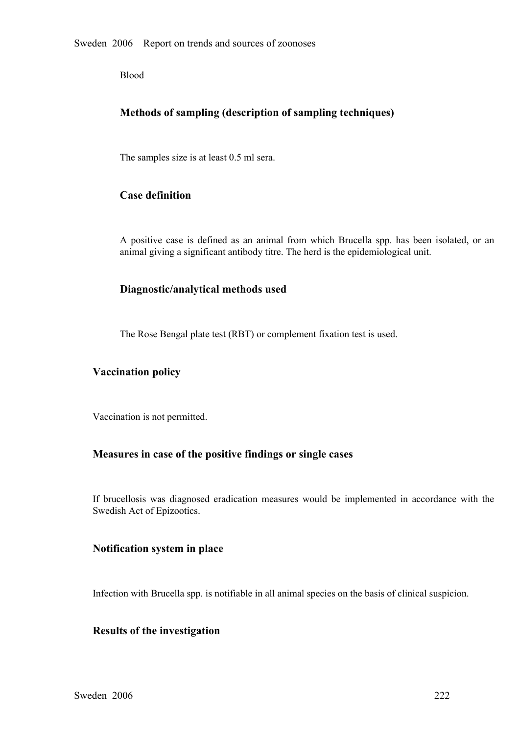Blood

# **Methods of sampling (description of sampling techniques)**

The samples size is at least 0.5 ml sera.

# **Case definition**

<sup>A</sup> positive case is defined as an animal from which Brucella spp. has been isolated, or an animal giving a significant antibody titre. The herd is the epidemiological unit.

# **Diagnostic/analytical methods used**

The Rose Bengal plate test (RBT) or complement fixation test is used.

## **Vaccination policy**

Vaccination is not permitted.

## **Measures in case of the positive findings or single cases**

If brucellosis was diagnosed eradication measures would be implemented in accordance with the Swedish Act of Epizootics.

## **Notification system in place**

Infection with Brucella spp. is notifiable in all animal species on the basis of clinical suspicion.

## **Results of the investigation**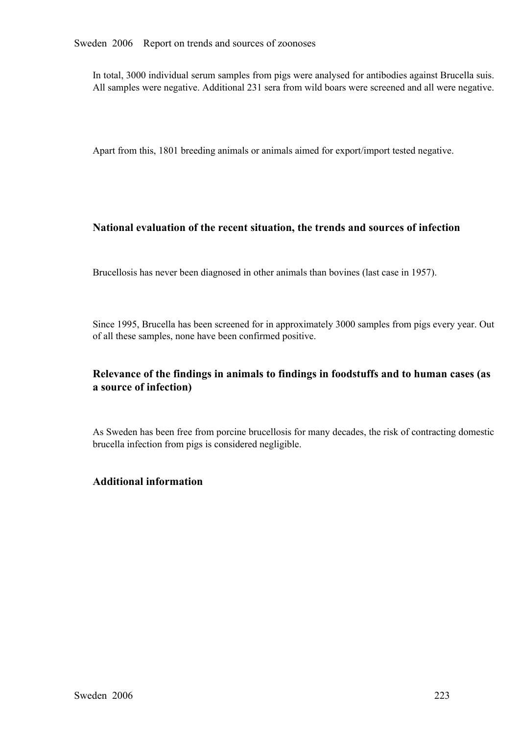In total, 3000 individual serum samples from pigs were analysed for antibodies against Brucella suis. All samples were negative. Additional 231 sera from wild boars were screened and all were negative.

Apart from this, 1801 breeding animals or animals aimed for export/import tested negative.

# **National evaluation of the recent situation, the trends and sources of infection**

Brucellosis has never been diagnosed in other animals than bovines (last case in 1957).

Since 1995, Brucella has been screened for in approximately 3000 samples from pigs every year. Out of all these samples, none have been confirmed positive.

# **Relevance of the findings in animals to findings in foodstuffs and to human cases (as a source of infection)**

As Sweden has been free from porcine brucellosis for many decades, the risk of contracting domestic brucella infection from pigs is considered negligible.

# **Additional information**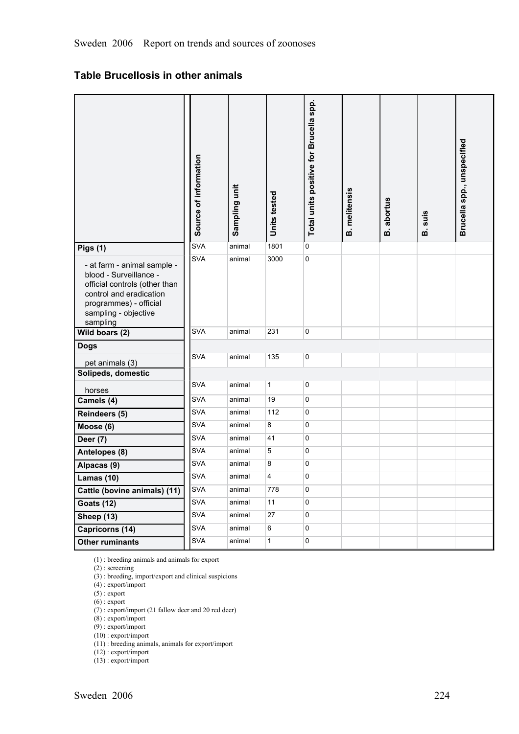# **Table Brucellosis in other animals**

|                                                                                                                                                                                 | Source of information | Sampling unit | Units tested | Total units positive for Brucella spp. | <b>B.</b> melitensis | <b>B.</b> abortus | suis<br>ø | Brucella spp., unspecified |
|---------------------------------------------------------------------------------------------------------------------------------------------------------------------------------|-----------------------|---------------|--------------|----------------------------------------|----------------------|-------------------|-----------|----------------------------|
| Pigs (1)                                                                                                                                                                        | <b>SVA</b>            | animal        | 1801         | 0                                      |                      |                   |           |                            |
| - at farm - animal sample -<br>blood - Surveillance -<br>official controls (other than<br>control and eradication<br>programmes) - official<br>sampling - objective<br>sampling | <b>SVA</b>            | animal        | 3000         | 0                                      |                      |                   |           |                            |
| Wild boars (2)                                                                                                                                                                  | <b>SVA</b>            | animal        | 231          | 0                                      |                      |                   |           |                            |
| <b>Dogs</b>                                                                                                                                                                     |                       |               |              |                                        |                      |                   |           |                            |
| pet animals (3)                                                                                                                                                                 | <b>SVA</b>            | animal        | 135          | 0                                      |                      |                   |           |                            |
| Solipeds, domestic                                                                                                                                                              |                       |               |              |                                        |                      |                   |           |                            |
| horses                                                                                                                                                                          | <b>SVA</b>            | animal        | $\mathbf{1}$ | 0                                      |                      |                   |           |                            |
| Camels (4)                                                                                                                                                                      | <b>SVA</b>            | animal        | 19           | 0                                      |                      |                   |           |                            |
| Reindeers (5)                                                                                                                                                                   | <b>SVA</b>            | animal        | 112          | 0                                      |                      |                   |           |                            |
| $M$ oose $(6)$                                                                                                                                                                  | <b>SVA</b>            | animal        | 8            | 0                                      |                      |                   |           |                            |
| Deer (7)                                                                                                                                                                        | <b>SVA</b>            | animal        | 41           | 0                                      |                      |                   |           |                            |
| Antelopes (8)                                                                                                                                                                   | <b>SVA</b>            | animal        | 5            | 0                                      |                      |                   |           |                            |
| Alpacas (9)                                                                                                                                                                     | <b>SVA</b>            | animal        | 8            | 0                                      |                      |                   |           |                            |
| <b>Lamas (10)</b>                                                                                                                                                               | <b>SVA</b>            | animal        | 4            | 0                                      |                      |                   |           |                            |
| Cattle (bovine animals) (11)                                                                                                                                                    | SVA                   | animal        | 778          | 0                                      |                      |                   |           |                            |
| <b>Goats (12)</b>                                                                                                                                                               | <b>SVA</b>            | animal        | 11           | 0                                      |                      |                   |           |                            |
| <b>Sheep (13)</b>                                                                                                                                                               | SVA                   | animal        | $27\,$       | $\pmb{0}$                              |                      |                   |           |                            |
| Capricorns (14)                                                                                                                                                                 | <b>SVA</b>            | animal        | 6            | 0                                      |                      |                   |           |                            |
| <b>Other ruminants</b>                                                                                                                                                          | <b>SVA</b>            | animal        | $\mathbf{1}$ | 0                                      |                      |                   |           |                            |

(1) : breeding animals and animals for export

(2) : screening

(3) : breeding, import/export and clinical suspicions

(4) : export/import

 $(5)$ : export

 $(6)$ : export

(7) : export/import (21 fallow deer and 20 red deer)

(8) : export/import

(9) : export/import

(10) : export/import

(11) : breeding animals, animals for export/import

 $(12)$ : export/import

(13) : export/import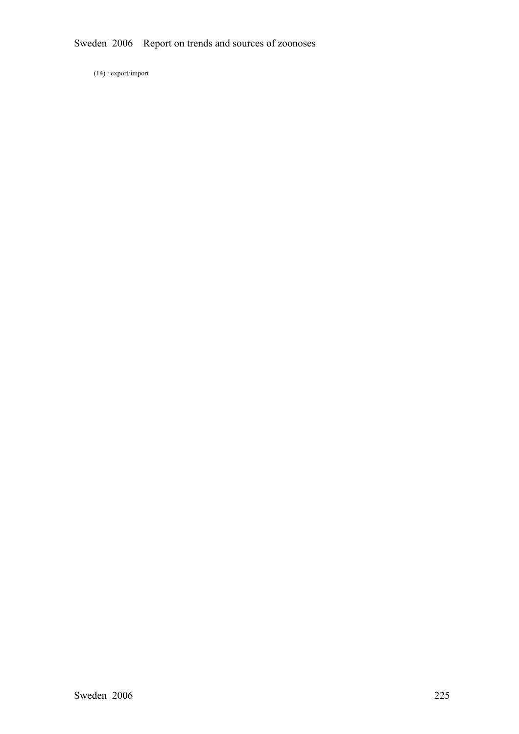(14) : export/import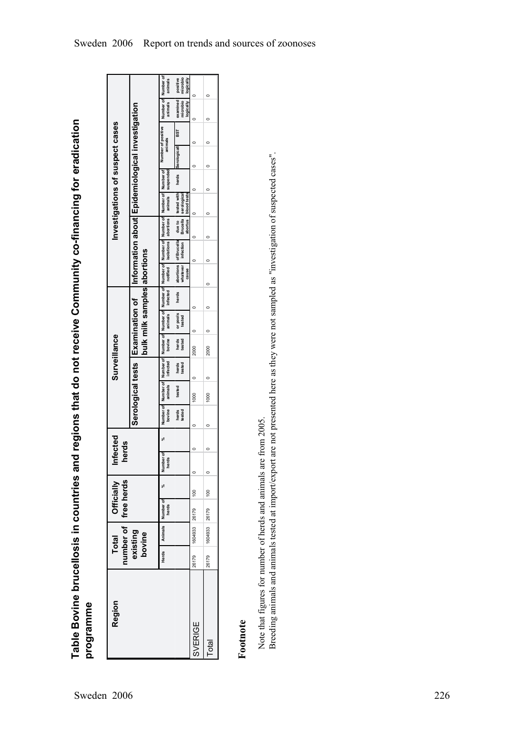**Table Bovine brucellosis in countries and regions that do not receive Community cofinancing for eradication** Table Bovine brucellosis in countries and regions that do not receive Community co-financing for eradication<br>programme

| Region         | Total Officially<br>number of free herds<br>existing<br>bovine |               |                   |                            | Infected<br>herds     |                 |         |                 | Surveillance                |                    |         |                                                 |                                    |                               |                                           |       | Investigations of suspect cases                                                                                                                                  |     |                                   |                                   |
|----------------|----------------------------------------------------------------|---------------|-------------------|----------------------------|-----------------------|-----------------|---------|-----------------|-----------------------------|--------------------|---------|-------------------------------------------------|------------------------------------|-------------------------------|-------------------------------------------|-------|------------------------------------------------------------------------------------------------------------------------------------------------------------------|-----|-----------------------------------|-----------------------------------|
|                |                                                                |               |                   |                            |                       |                 |         |                 | bulk milk samples abortions |                    |         |                                                 |                                    |                               |                                           |       | Serological tests [Examination of ] Information about [Epidemiological investigation                                                                             |     |                                   |                                   |
|                | Herds                                                          |               | Animals Number of |                            | mber of<br>herds<br>₹ | bovine          | animals | infected        | bovine                      | animals Infected   |         | notified isolations abortions animals suspended |                                    |                               |                                           |       | Number of Number of Number of Number of Number of Number of Number of Number of Number of Number of Number of Number of Number of Number of Number of<br>animals |     | animals                           | animals                           |
|                |                                                                |               |                   |                            |                       | herds<br>tested | tested  | herds<br>tested | herds<br>tested             | or pools<br>tested | herds   | vhatever<br>cause                               | abortions of Brucella<br>infection | due to<br>Brucella<br>abortus | tested with<br>blood tests<br>serological | herds | Serologically                                                                                                                                                    | BST | examined<br>microbio<br>logically | microbio<br>positive<br>logically |
| <b>SVERIGE</b> | 26179                                                          | 1604933 26179 |                   | 100                        | $\circ$               |                 | 1000    |                 | 2000                        |                    | 0       |                                                 |                                    |                               |                                           |       |                                                                                                                                                                  |     |                                   |                                   |
| Total          | 26179                                                          | 1604933 26179 |                   | $\circ$<br>$\frac{8}{100}$ | $\mathbf{C}$          |                 | 1000    |                 | 2000                        |                    | $\circ$ | c                                               | $\subset$                          |                               | c                                         |       |                                                                                                                                                                  | c   |                                   |                                   |

# **Footnote**

Note that figures for number of herds and animals are from 2005. Note that figures for number of herds and animals are from 2005.

Breeding animals and animals tested at import/export are not presented here as they were not sampled as "investigation of suspected cases". Breeding animals and animals tested at import/export are not presented here as they were not sampled as "investigation of suspected cases".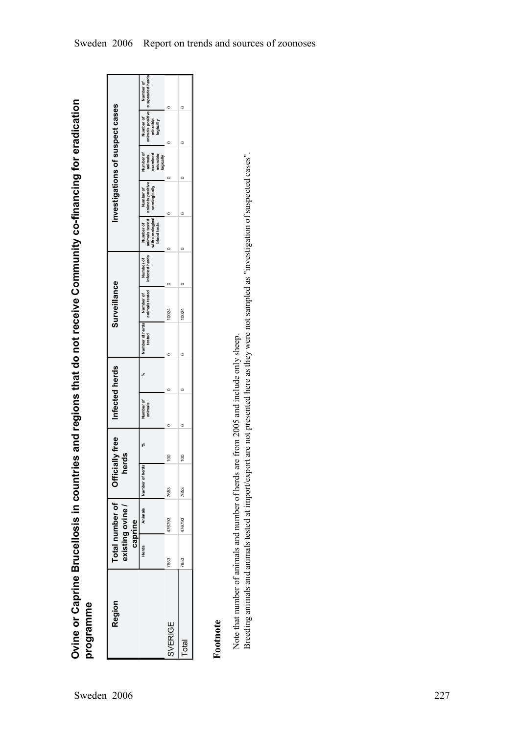**Ovine or Caprine Brucellosis in countries and regions that do not receive Community cofinancing for eradication** Ovine or Caprine Brucellosis in countries and regions that do not receive Community co-financing for eradication<br>programme

| Region         |       | Total number of   Officially free<br>sxisting ovine<br>caprine | herds                     |     | Infected herds       |        | Surveillance              |                               |                                                                                   | Investigations of suspect cases |                                                           |                                                                                        |
|----------------|-------|----------------------------------------------------------------|---------------------------|-----|----------------------|--------|---------------------------|-------------------------------|-----------------------------------------------------------------------------------|---------------------------------|-----------------------------------------------------------|----------------------------------------------------------------------------------------|
|                | Herds |                                                                | Animals   Number of herds |     | Number of<br>animals | tested | Number of herds Number of | animals tested infected herds | Number of Number of Number of<br>animals tested   animals positive<br>blood tests | with serological serologically  | Number of<br>examined<br>microbio<br>logically<br>animals | animals positive   suspended herds<br>  microbio<br>  logically<br>Number of Number of |
| <b>SVERIGE</b> | 7653  | 476793                                                         | 7653                      | 100 |                      |        | 0024                      |                               |                                                                                   |                                 |                                                           |                                                                                        |
| <b>Total</b>   | 7653  | 476793                                                         | 7653                      | 100 |                      |        | 10024                     |                               |                                                                                   |                                 |                                                           |                                                                                        |

# **Footnote**

Breeding animals and animals tested at import/export are not presented here as they were not sampled as "investigation of suspected cases". Breeding animals and animals tested at import/export are not presented here as they were not sampled as "investigation of suspected cases". Note that number of animals and number of herds are from 2005 and include only sheep. Note that number of animals and number of herds are from 2005 and include only sheep.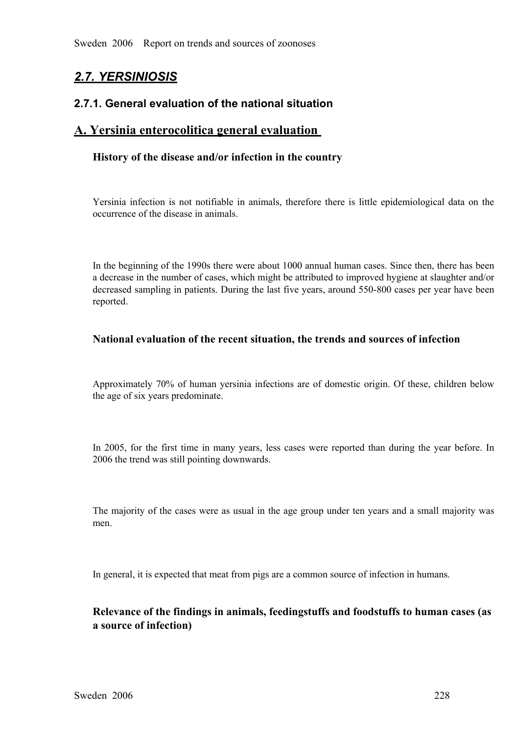# *2.7. YERSINIOSIS*

# **2.7.1. General evaluation of the national situation**

# **A. Yersinia enterocolitica general evaluation**

# **History of the disease and/or infection in the country**

Yersinia infection is not notifiable in animals, therefore there is little epidemiological data on the occurrence of the disease in animals.

In the beginning of the 1990s there were about 1000 annual human cases. Since then, there has been a decrease in the number of cases, which might be attributed to improved hygiene at slaughter and/or decreased sampling in patients. During the last five years, around 550-800 cases per year have been reported.

# **National evaluation of the recent situation, the trends and sources of infection**

Approximately 70% of human yersinia infections are of domestic origin. Of these, children below the age of six years predominate.

In 2005, for the first time in many years, less cases were reported than during the year before. In 2006 the trend was still pointing downwards.

The majority of the cases were as usual in the age group under ten years and a small majority was men.

In general, it is expected that meat from pigs are a common source of infection in humans.

# **Relevance of the findings in animals, feedingstuffs and foodstuffs to human cases (as a source of infection)**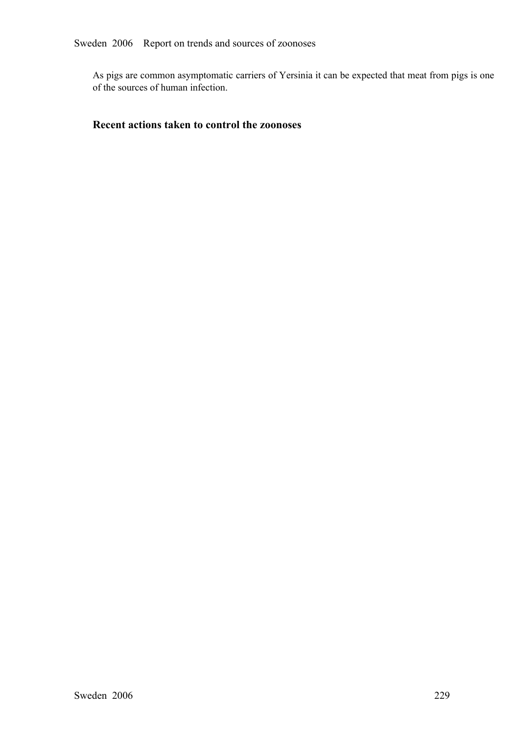As pigs are common asymptomatic carriers of Yersinia it can be expected that meat from pigs is one of the sources of human infection.

# **Recent actions taken to control the zoonoses**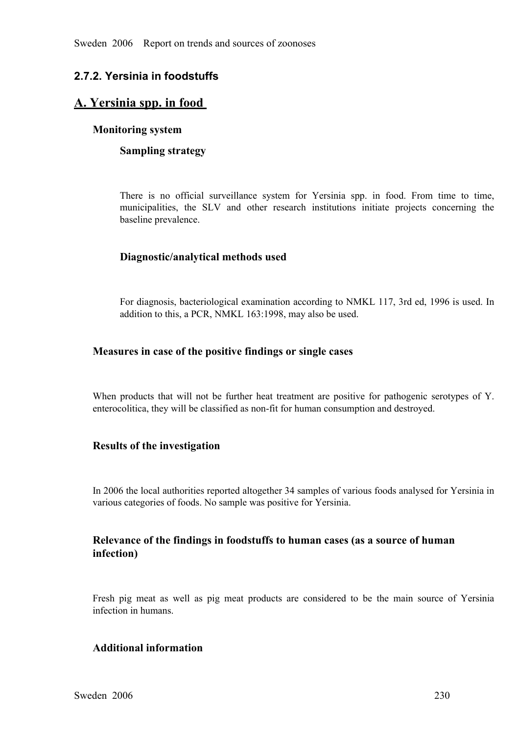# **2.7.2. Yersinia in foodstuffs**

# **A. Yersinia spp. in food**

## **Monitoring system**

## **Sampling strategy**

There is no official surveillance system for Yersinia spp. in food. From time to time, municipalities, the SLV and other research institutions initiate projects concerning the baseline prevalence. municipalities, the SLV and other research institutions initiate projects concerning the baseline prevalence. baseline prevalence.

# **Diagnostic/analytical methods used**

For diagnosis, bacteriological examination according to NMKL 117, 3rd ed, 1996 is used. In addition to this, a PCR, NMKL 163:1998, may also be used.

## **Measures in case of the positive findings or single cases**

When products that will not be further heat treatment are positive for pathogenic serotypes of Y. enterocolitica, they will be classified as non-fit for human consumption and destroyed.

## **Results of the investigation**

In 2006 the local authorities reported altogether 34 samples of various foods analysed for Yersinia in various categories of foods. No sample was positive for Yersinia.

# **Relevance of the findings in foodstuffs to human cases (as a source of human infection)**

Fresh pig meat as well as pig meat products are considered to be the main source of Yersinia infection in humans.

# **Additional information**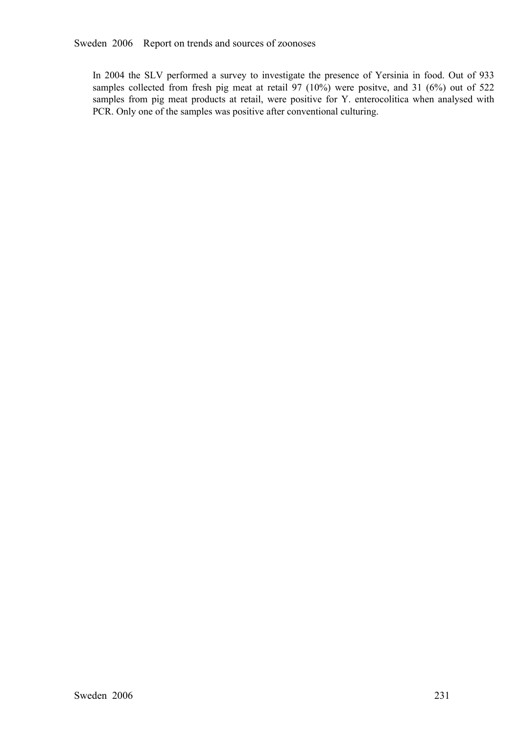In 2004 the SLV performed a survey to investigate the presence of Yersinia in food. Out of 933 samples collected from fresh pig meat at retail 97 (10%) were positve, and 31 (6%) out of 522 samples from pig meat products at samples collected from fresh pig meat at retail 97 (10%) were positve, and 31 (6%) out of 522 samples from pig meat products at retail, were positive for Y. enterocolitica when analysed with PCR. Only one of the samples wa samples from pig meat products at retail, were positive for Y. enterocolitica when analysed with PCR. Only one of the samples was positive after conventional culturing.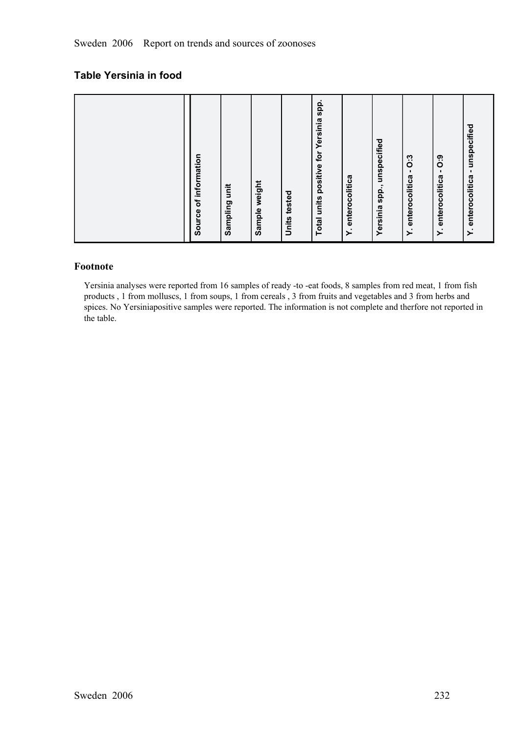# **Table Yersinia in food**

|  |  | of information<br>Source | Sampling unit | weight<br>Sample y | tested<br>Units | Total units positive for Yersinia spp. | Y. enterocolitica | unspecified<br>spp.,<br>Yersinia | 0:3<br>Y. enterocolitica - | 0:9<br>$\mathbf{I}$<br>enterocolitica<br>$\ddot{ }$ | - unspecified<br>Y. enterocolitica |
|--|--|--------------------------|---------------|--------------------|-----------------|----------------------------------------|-------------------|----------------------------------|----------------------------|-----------------------------------------------------|------------------------------------|
|--|--|--------------------------|---------------|--------------------|-----------------|----------------------------------------|-------------------|----------------------------------|----------------------------|-----------------------------------------------------|------------------------------------|

## **Footnote**

Yersinia analyses were reported from 16 samples of ready -to -eat foods, 8 samples from red meat, 1 from fish products , 1 from molluscs, 1 from soups, 1 from cereals , 3 from fruits and vegetables and 3 from herbs and spices. No Yersiniapositive samples were reported. The information is not complete and therfore not reported in the table.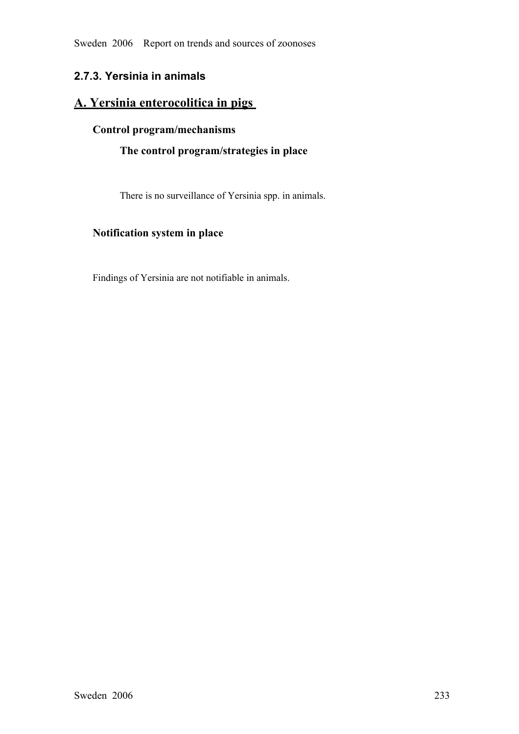Sweden 2006 Report on trends and sources of zoonoses

# **2.7.3. Yersinia in animals**

# **A. Yersinia enterocolitica in pigs**

# **Control program/mechanisms**

# **The control program/strategies in place**

There is no surveillance of Yersinia spp. in animals.

# **Notification system in place**

Findings of Yersinia are not notifiable in animals.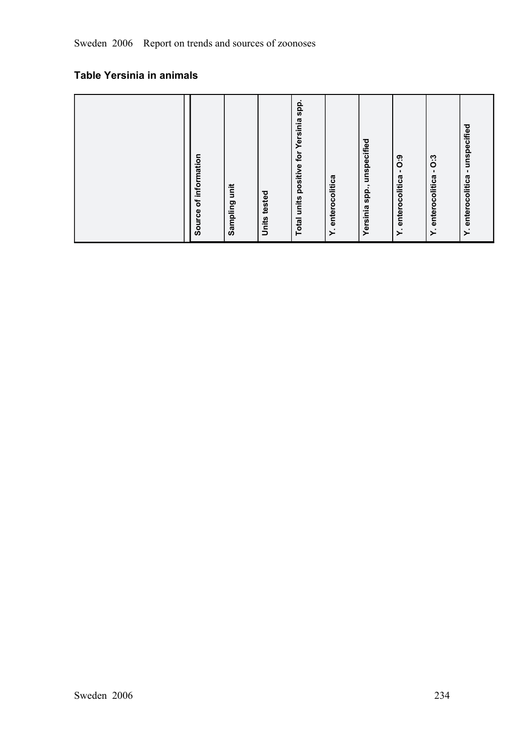# **Table Yersinia in animals**

| Yersinia spp., unspecified<br>Y. enterocolitica<br>Y. enterocolitica<br>Y. enterocolitica<br>Y. enterocolitica<br><b>Total units</b><br>Sampling<br>Source<br><b>Units</b> |
|----------------------------------------------------------------------------------------------------------------------------------------------------------------------------|
|----------------------------------------------------------------------------------------------------------------------------------------------------------------------------|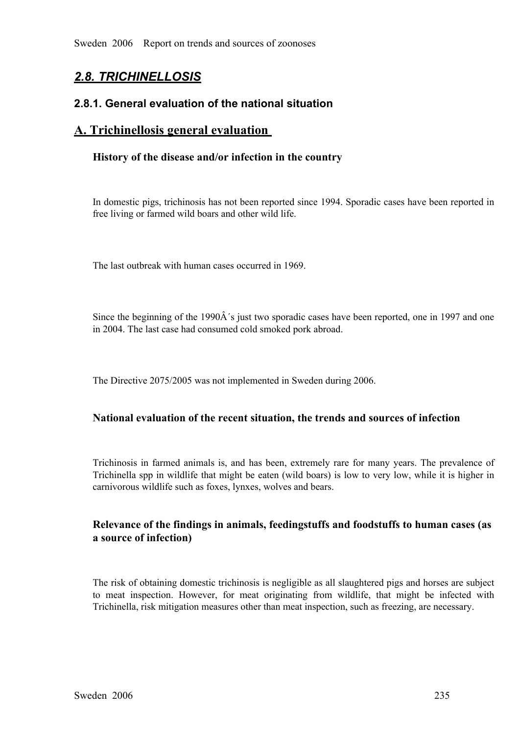Sweden 2006 Report on trends and sources of zoonoses

# *2.8. TRICHINELLOSIS*

# **2.8.1. General evaluation of the national situation**

# **A. Trichinellosis general evaluation**

## **History of the disease and/or infection in the country**

In domestic pigs, trichinosis has not been reported since 1994. Sporadic cases have been reported in free living or farmed wild boars and other wild life.

The last outbreak with human cases occurred in 1969.

Since the beginning of the 1990 $\hat{A}$ 's just two sporadic cases have been reported, one in 1997 and one in 2004. The last case had consumed cold smoked pork abroad.

The Directive 2075/2005 was not implemented in Sweden during 2006.

# **National evaluation of the recent situation, the trends and sources of infection**

Trichinosis in farmed animals is, and has been, extremely rare for many years. The prevalence of Trichinella spp in wildlife that might be eaten (wild boars) is low to very low, while it is higher in carnivorous wildlife s Trichinella spp in wildlife that might be eaten (wild boars) is low to very low, while it is higher in carnivorous wildlife such as foxes, lynxes, wolves and bears.

# **Relevance of the findings in animals, feedingstuffs and foodstuffs to human cases (as a source of infection)**

The risk of obtaining domestic trichinosis is negligible as all slaughtered pigs and horses are subject to meat inspection. However, for meat originating from wildlife, that might be infected with Trichinella, risk mitigation measures other than meat inspection, such as freezing, are necessary.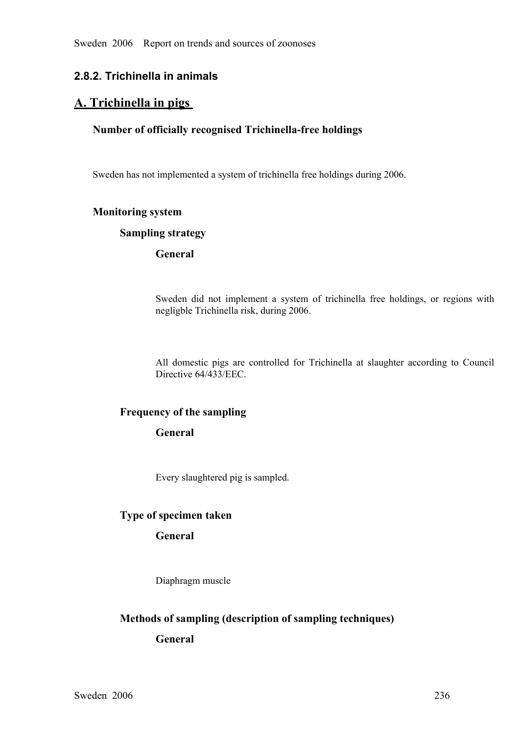# **2.8.2. Trichinella in animals**

# **A. Trichinella in pigs**

## **Number of officially recognised Trichinella-free holdings**

Sweden has not implemented a system of trichinella free holdings during 2006.

## **Monitoring system**

#### **Sampling strategy**

# **General**

Sweden did not implement <sup>a</sup> system of trichinella free holdings, or regions with negligble Trichinella risk, during 2006.

All domestic <sup>p</sup>igs are controlled for Trichinella at slaughter according to Council Directive 64/433/EEC.

## **Frequency of the sampling**

## **General**

Every slaughtered pig is sampled.

## **Type of specimen taken**

# **General**

Diaphragm muscle

## **Methods of sampling (description of sampling techniques)**

## **General**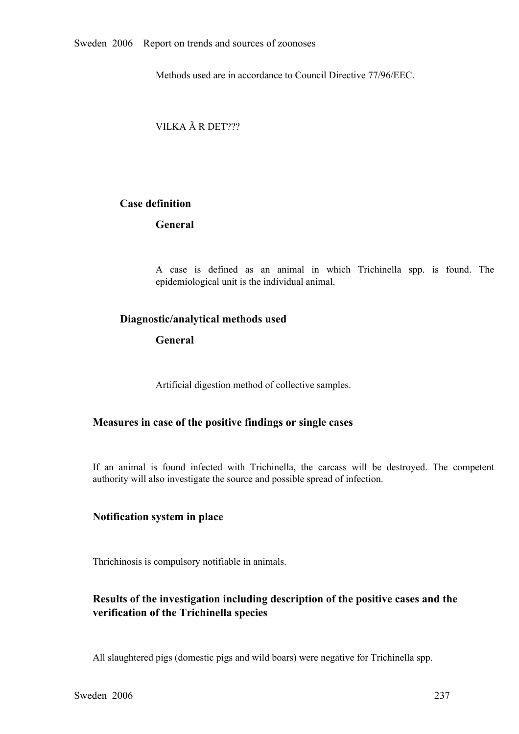Methods used are in accordance to Council Directive 77/96/EEC.

VILKA Ã R DET???

## **Case definition**

# **General**

<sup>A</sup> case is defined as an animal in which Trichinella spp. is found. The epidemiological unit is the individual animal.

## **Diagnostic/analytical methods used**

# **General**

Artificial digestion method of collective samples.

## **Measures in case of the positive findings or single cases**

If an animal is found infected with Trichinella, the carcass will be destroyed. The competent authority will also investigate the source and possible spread of infection.

## **Notification system in place**

Thrichinosis is compulsory notifiable in animals.

# **Results of the investigation including description of the positive cases and the verification of the Trichinella species**

All slaughtered pigs (domestic pigs and wild boars) were negative for Trichinella spp.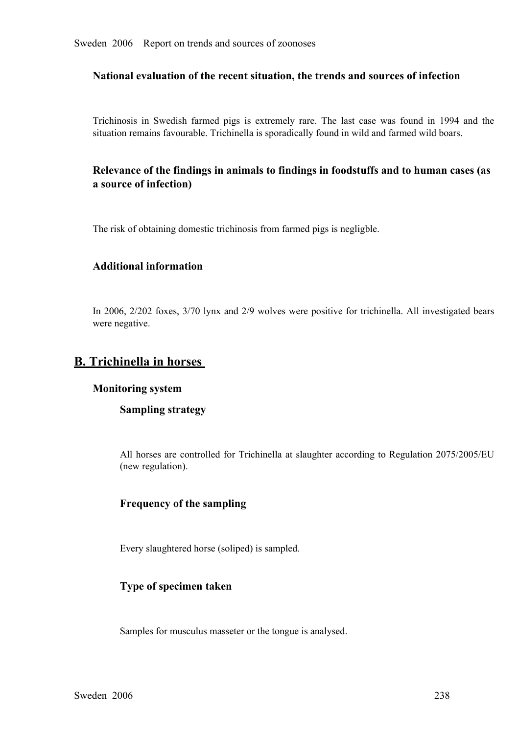## **National evaluation of the recent situation, the trends and sources of infection**

Trichinosis in Swedish farmed <sup>p</sup>igs is extremely rare. The last case was found in <sup>1994</sup> and the situation remains favourable. Trichinella is sporadically found in wild and farmed wild boars.

# **Relevance of the findings in animals to findings in foodstuffs and to human cases (as a source of infection)**

The risk of obtaining domestic trichinosis from farmed pigs is negligble.

# **Additional information**

In 2006, 2/202 foxes, 3/70 lynx and 2/9 wolves were positive for trichinella. All investigated bears were negative.

# **B. Trichinella in horses**

#### **Monitoring system**

## **Sampling strategy**

All horses are controlled for Trichinella at slaughter according to Regulation 2075/2005/EU (new regulation).

## **Frequency of the sampling**

Every slaughtered horse (soliped) is sampled.

## **Type of specimen taken**

Samples for musculus masseter or the tongue is analysed.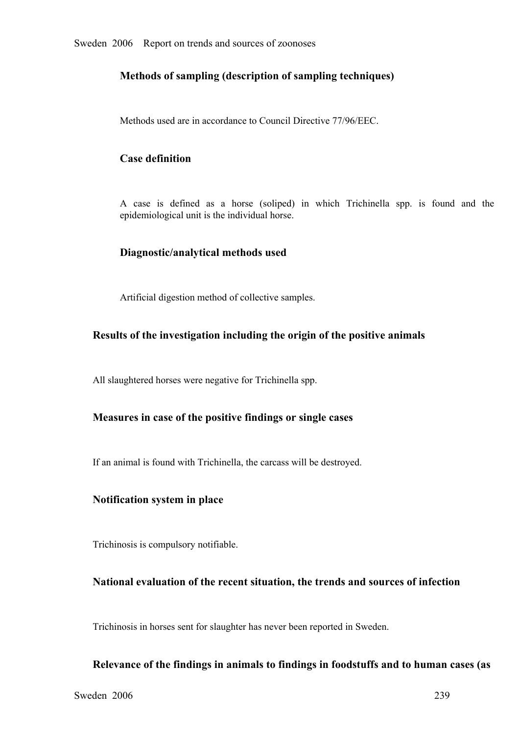# **Methods of sampling (description of sampling techniques)**

Methods used are in accordance to Council Directive 77/96/EEC.

# **Case definition**

<sup>A</sup> case is defined as <sup>a</sup> horse (soliped) in which Trichinella spp. is found and the epidemiological unit is the individual horse.

## **Diagnostic/analytical methods used**

Artificial digestion method of collective samples.

# **Results of the investigation including the origin of the positive animals**

All slaughtered horses were negative for Trichinella spp.

## **Measures in case of the positive findings or single cases**

If an animal is found with Trichinella, the carcass will be destroyed.

## **Notification system in place**

Trichinosis is compulsory notifiable.

## **National evaluation of the recent situation, the trends and sources of infection**

Trichinosis in horses sent for slaughter has never been reported in Sweden.

## **Relevance of the findings in animals to findings in foodstuffs and to human cases (as**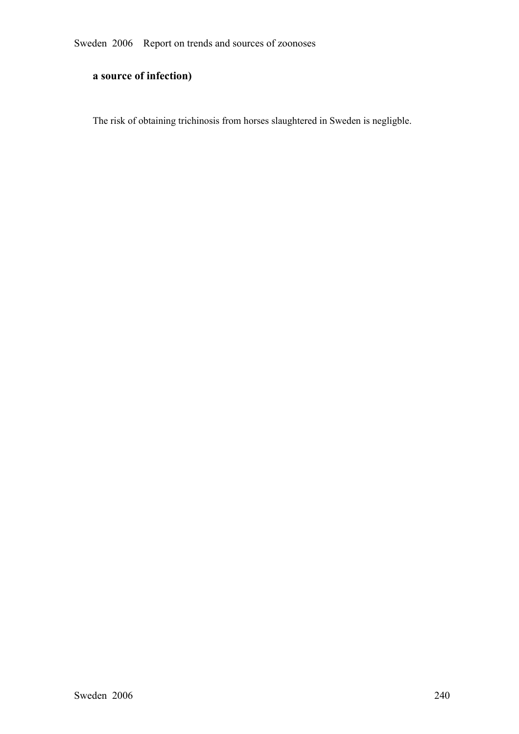# **a source of infection)**

The risk of obtaining trichinosis from horses slaughtered in Sweden is negligble.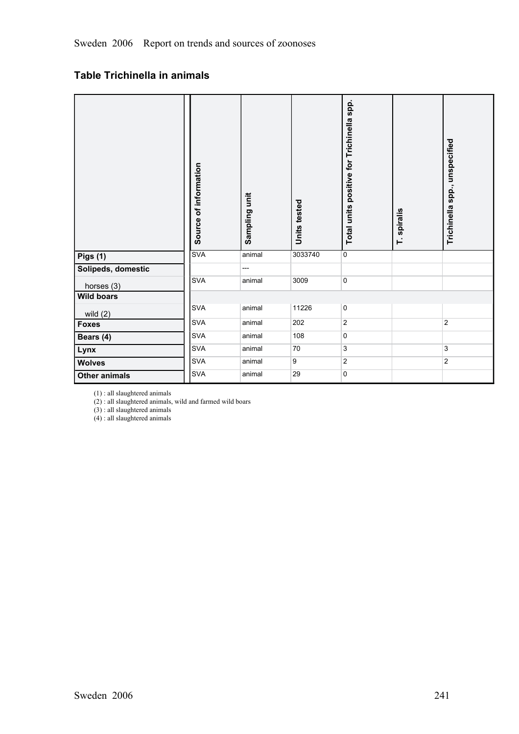# **Table Trichinella in animals**

|                      | Source of information | Sampling unit | Units tested | Total units positive for Trichinella spp. | T. spiralis | Trichinella spp., unspecified |  |
|----------------------|-----------------------|---------------|--------------|-------------------------------------------|-------------|-------------------------------|--|
| <b>Pigs (1)</b>      | <b>SVA</b>            | animal        | 3033740      | $\overline{0}$                            |             |                               |  |
| Solipeds, domestic   |                       | ---           |              |                                           |             |                               |  |
| horses (3)           | <b>SVA</b>            | animal        | 3009         | $\overline{0}$                            |             |                               |  |
| <b>Wild boars</b>    |                       |               |              |                                           |             |                               |  |
| wild $(2)$           | <b>SVA</b>            | animal        | 11226        | $\mathbf 0$                               |             |                               |  |
| <b>Foxes</b>         | <b>SVA</b>            | animal        | 202          | $\overline{2}$                            |             | $\overline{2}$                |  |
| Bears (4)            | <b>SVA</b>            | animal        | 108          | $\overline{0}$                            |             |                               |  |
| Lynx                 | <b>SVA</b>            | animal        | 70           | 3                                         |             | 3                             |  |
| <b>Wolves</b>        | <b>SVA</b>            | animal        | 9            | $\overline{2}$                            |             | $\overline{2}$                |  |
| <b>Other animals</b> | SVA                   | animal        | 29           | $\mathbf 0$                               |             |                               |  |

(1) : all slaughtered animals

(2) : all slaughtered animals, wild and farmed wild boars

(3) : all slaughtered animals

 $(4)$ : all slaughtered animals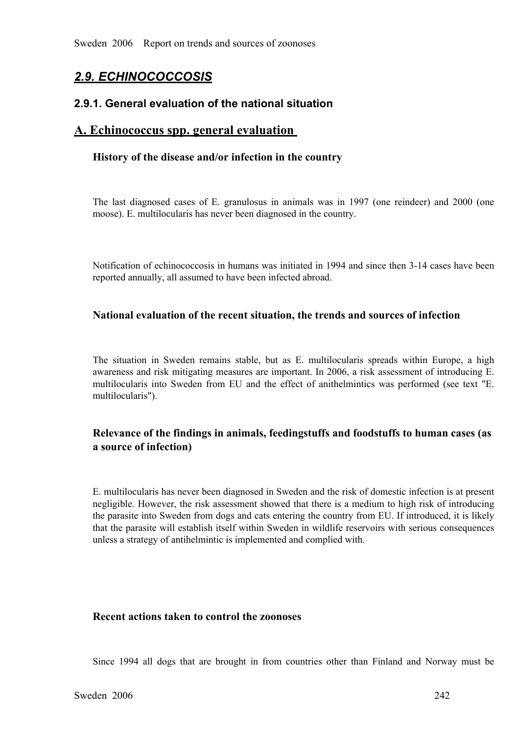# *2.9. ECHINOCOCCOSIS*

## **2.9.1. General evaluation of the national situation**

# **A. Echinococcus spp. general evaluation**

## **History of the disease and/or infection in the country**

The last diagnosed cases of E. granulosus in animals was in 1997 (one reindeer) and 2000 (one moose). E. multilocularis has never been diagnosed in the country.

Notification of echinococcosis in humans was initiated in 1994 and since then 3-14 cases have been reported annually, all assumed to have been infected abroad.

## **National evaluation of the recent situation, the trends and sources of infection**

The situation in Sweden remains stable, but as E. multilocularis spreads within Europe, a high awareness and risk mitigating measures are important. In 2006, a risk assessment of introducing E. multilocularis into Sweden from EU and the effect of anithelmintics was performed (see text "E. multilocularis").

# **Relevance of the findings in animals, feedingstuffs and foodstuffs to human cases (as a source of infection)**

E. multilocularis has never been diagnosed in Sweden and the risk of domestic infection is at present negligible. However, the risk assessment showed that there is a medium to high risk of introducing the parasite into Sweden from dogs and cats entering the country from EU. If introduced, it is likely that the parasite will establish itself within Sweden in wildlife reservoirs with serious consequences unless a strategy of antihelmintic is implemented and complied with.

## **Recent actions taken to control the zoonoses**

Since 1994 all dogs that are brought in from countries other than Finland and Norway must be<br>den 2006 242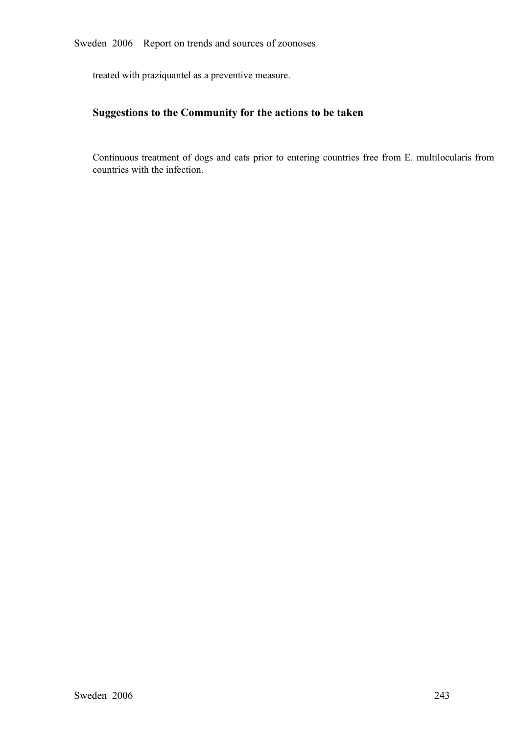treated with praziquantel as a preventive measure.

# **Suggestions to the Community for the actions to be taken**

Continuous treatment of dogs and cats prior to entering countries free from E. multilocularis from countries with the infection.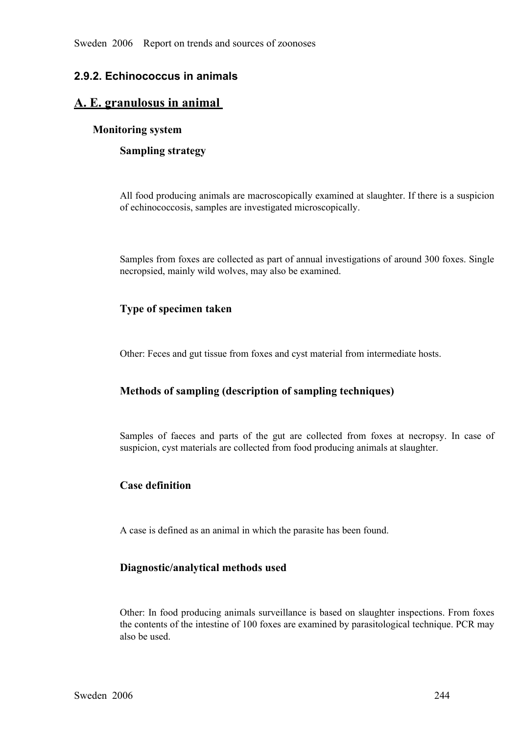# **2.9.2. Echinococcus in animals**

# **A. E. granulosus in animal**

# **Monitoring system**

**Sampling strategy**

All food producing animals are macroscopically examined at slaughter. If there is a suspicion of echinococcosis, samples are investigated microscopically.

Samples from foxes are collected as part of annual investigations of around 300 foxes. Single necropsied, mainly wild wolves, may also be examined.

# **Type of specimen taken**

Other: Feces and gut tissue from foxes and cyst material from intermediate hosts.

# **Methods of sampling (description of sampling techniques)**

Samples of faeces and parts of the gut are collected from foxes at necropsy. In case of suspicion, cyst materials are collected from food producing animals at slaughter.

# **Case definition**

A case is defined as an animal in which the parasite has been found.

# **Diagnostic/analytical methods used**

Other: In food producing animals surveillance is based on slaughter inspections. From foxes the contents of the intestine of 100 foxes are examined by parasitological technique. PCR may also be used.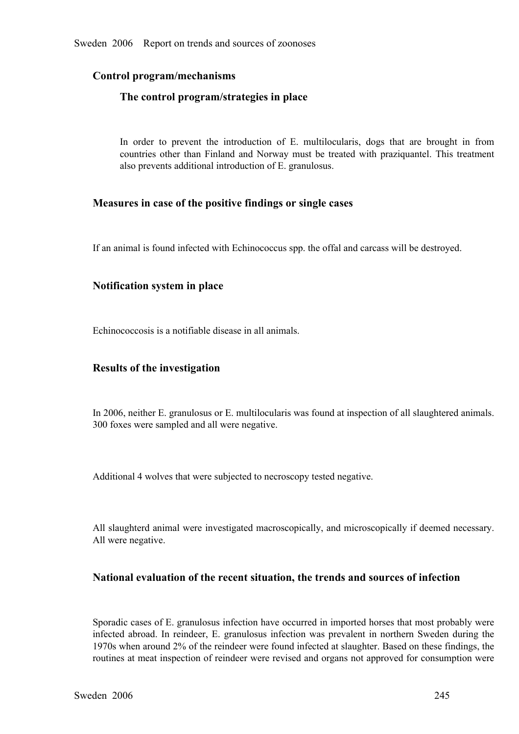# **Control program/mechanisms**

## **The control program/strategies in place**

In order to prevent the introduction of E. multilocularis, dogs that are brought in from countries other than Finland and Norway must be treated with praziquantel. This treatment also prevents additional introduction of E. countries other than Finland and Norway must be treated with praziquantel. This treatment also prevents additional introduction of E. granulosus. also prevents additional introduction of E. granulosus.

## **Measures in case of the positive findings or single cases**

If an animal is found infected with Echinococcus spp. the offal and carcass will be destroyed.

## **Notification system in place**

Echinococcosis is a notifiable disease in all animals.

## **Results of the investigation**

In 2006, neither E. granulosus or E. multilocularis was found at inspection of all slaughtered animals. 300 foxes were sampled and all were negative.

Additional 4 wolves that were subjected to necroscopy tested negative.

All slaughterd animal were investigated macroscopically, and microscopically if deemed necessary. All were negative.

# **National evaluation of the recent situation, the trends and sources of infection**

Sporadic cases of E. granulosus infection have occurred in imported horses that most probably were infected abroad. In reindeer, E. granulosus infection was prevalent in northern Sweden during the 1970s when around 2% of the reindeer were found infected at slaughter. Based on these findings, the routines at meat inspect 1970s when around 2% of the reindeer were found infected at slaughter. Based on these findings, the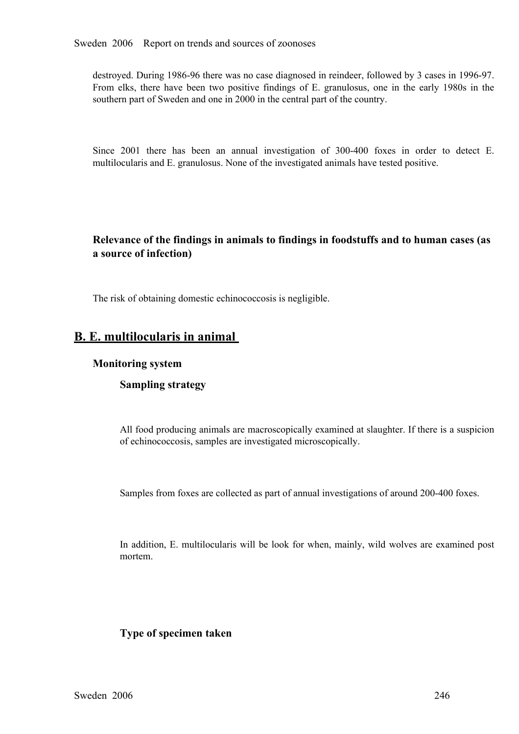destroyed. During 1986-96 there was no case diagnosed in reindeer, followed by 3 cases in 1996-97. From elks, there have been two positive findings of E. granulosus, one in the early 1980s in the southern part of Sweden and one in 2000 in the central part of the country.

Since 2001 there has been an annual investigation of 300-400 foxes in order to detect E. multilocularis and E. granulosus. None of the investigated animals have tested positive.

# **Relevance of the findings in animals to findings in foodstuffs and to human cases (as a source of infection)**

The risk of obtaining domestic echinococcosis is negligible.

# **B. E. multilocularis in animal**

#### **Monitoring system**

## **Sampling strategy**

All food producing animals are macroscopically examined at slaughter. If there is a suspicion of echinococcosis, samples are investigated microscopically.

Samples from foxes are collected as part of annual investigations of around 200-400 foxes.

In addition, E. multilocularis will be look for when, mainly, wild wolves are examined post mortem.

## **Type of specimen taken**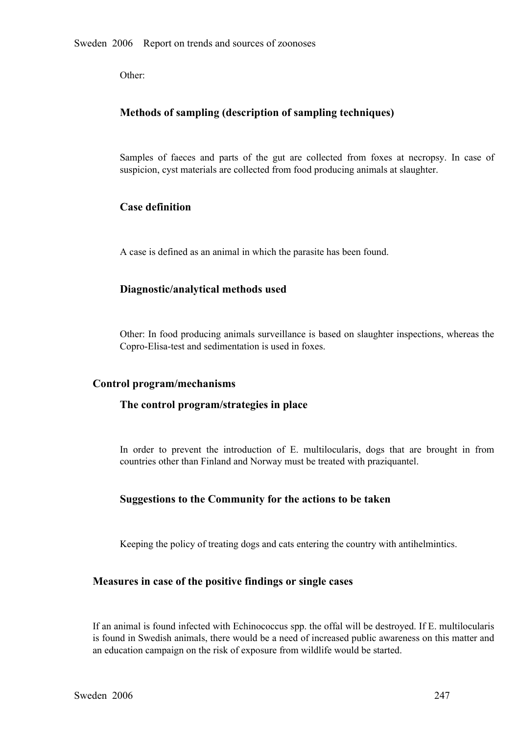Other:

# **Methods of sampling (description of sampling techniques)**

Samples of faeces and parts of the gut are collected from foxes at necropsy. In case of suspicion, cyst materials are collected from food producing animals at slaughter. suspicion, cyst materials are collected from food producing animals at slaughter.

# **Case definition**

A case is defined as an animal in which the parasite has been found.

# **Diagnostic/analytical methods used**

Other: In food producing animals surveillance is based on slaughter inspections, whereas the Copro-Elisa-test and sedimentation is used in foxes.

## **Control program/mechanisms**

## **The control program/strategies in place**

In order to prevent the introduction of E. multilocularis, dogs that are brought in from countries other than Finland and Norway must be treated with praziquantel.

## **Suggestions to the Community for the actions to be taken**

Keeping the policy of treating dogs and cats entering the country with antihelmintics.

## **Measures in case of the positive findings or single cases**

If an animal is found infected with Echinococcus spp. the offal will be destroyed. If E. multilocularis is found in Swedish animals, there would be a need of increased public awareness on this matter and an education campaign on the risk of exposure from wildlife would be started.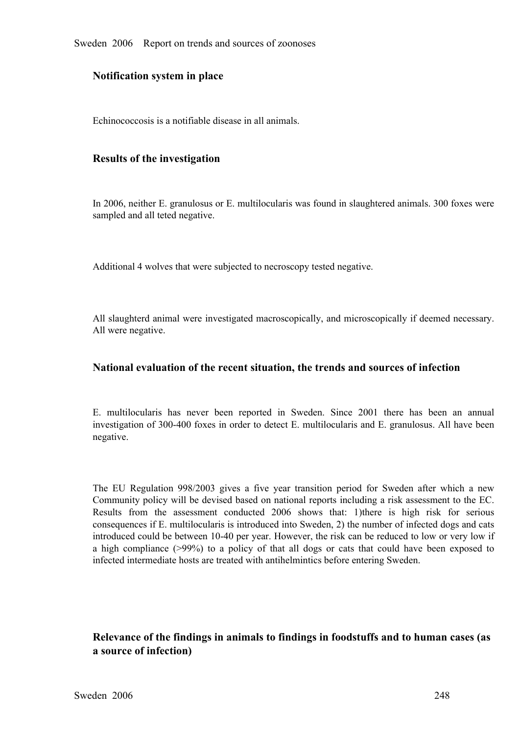Sweden 2006 Report on trends and sources of zoonoses

#### **Notification system in place**

Echinococcosis is a notifiable disease in all animals.

#### **Results of the investigation**

In 2006, neither E. granulosus or E. multilocularis was found in slaughtered animals. 300 foxes were sampled and all teted negative.

Additional 4 wolves that were subjected to necroscopy tested negative.

All slaughterd animal were investigated macroscopically, and microscopically if deemed necessary. All were negative.

#### **National evaluation of the recent situation, the trends and sources of infection**

E. multilocularis has never been reported in Sweden. Since 2001 there has been an annual investigation of 300-400 foxes in order to detect E. multilocularis and E. granulosus. All have been negative. investigation of 300400 foxes in order to detect E. multilocularis and E. granulosus. All have been negative.

The EU Regulation 998/2003 gives a five year transition period for Sweden after which a new<br>Community policy will be devised based on national reports including a risk assessment to the EC.<br>Results from the assessment cond Community policy will be devised based on national reports including a risk assessment to the EC. Results from the assessment conducted 2006 shows that: 1) there is high risk for serious consequences if E. multilocularis is introduced into Sweden, 2) the number of infected dogs and cats introduced could be between 10-4 consequences if E. multilocularis is introduced into Sweden, 2) the number of infected dogs and cats introduced could be between 1040 per year. However, the risk can be reduced to low or very low if a high compliance (>99%) to a policy of that all dogs or cats that could have been exposed to infected intermediate hosts are treated with antihelmintics before entering Sweden.

# **Relevance of the findings in animals to findings in foodstuffs and to human cases (as a source of infection)**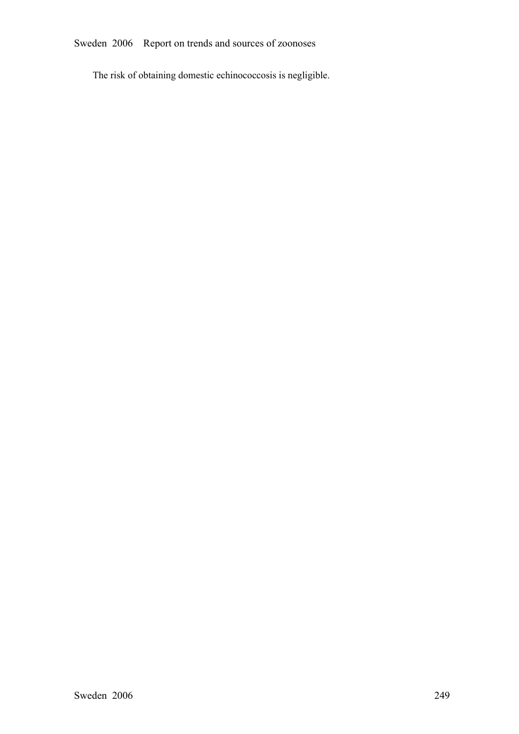Sweden 2006 Report on trends and sources of zoonoses

The risk of obtaining domestic echinococcosis is negligible.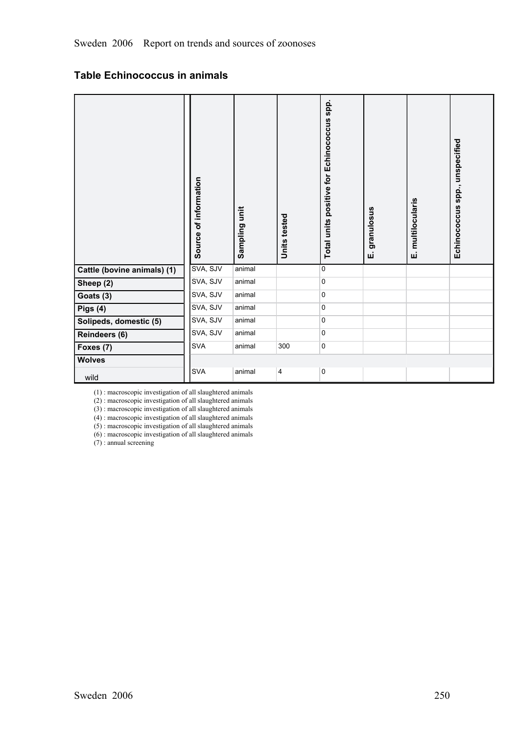# **Table Echinococcus in animals**

|                             | Source of information | Sampling unit | Units tested            | Total units positive for Echinococcus spp. | granulosus<br>шi | multilocularis<br>шi | spp., unspecified<br>Echinococcus |
|-----------------------------|-----------------------|---------------|-------------------------|--------------------------------------------|------------------|----------------------|-----------------------------------|
| Cattle (bovine animals) (1) | SVA, SJV              | animal        |                         | $\mathbf 0$                                |                  |                      |                                   |
| Sheep (2)                   | SVA, SJV              | animal        |                         | $\mathbf 0$                                |                  |                      |                                   |
| Goats (3)                   | SVA, SJV              | animal        |                         | 0                                          |                  |                      |                                   |
| Pigs (4)                    | SVA, SJV              | animal        |                         | $\mathbf 0$                                |                  |                      |                                   |
| Solipeds, domestic (5)      | SVA, SJV              | animal        |                         | $\mathbf 0$                                |                  |                      |                                   |
| Reindeers (6)               | SVA, SJV              | animal        |                         | $\mathbf 0$                                |                  |                      |                                   |
| Foxes (7)                   | <b>SVA</b>            | animal        | 300                     | $\mathbf 0$                                |                  |                      |                                   |
| <b>Wolves</b>               |                       |               |                         |                                            |                  |                      |                                   |
| wild                        | <b>SVA</b>            | animal        | $\overline{\mathbf{4}}$ | $\pmb{0}$                                  |                  |                      |                                   |

(1) : macroscopic investigation of all slaughtered animals

(2) : macroscopic investigation of all slaughtered animals

(3) : macroscopic investigation of all slaughtered animals

(4) : macroscopic investigation of all slaughtered animals

(5) : macroscopic investigation of all slaughtered animals (6) : macroscopic investigation of all slaughtered animals

 $(7)$ : annual screening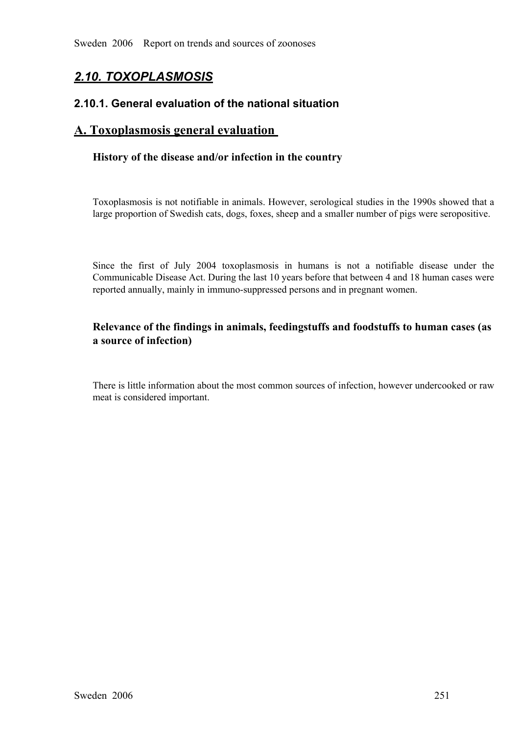# *2.10. TOXOPLASMOSIS*

# **2.10.1. General evaluation of the national situation**

# **A. Toxoplasmosis general evaluation**

# **History of the disease and/or infection in the country**

Toxoplasmosis is not notifiable in animals. However, serological studies in the 1990s showed that a large proportion of Swedish cats, dogs, foxes, sheep and a smaller number of pigs were seropositive.

Since the first of July 2004 toxoplasmosis in humans is not a notifiable disease under the Communicable Disease Act. During the last 10 years before that between 4 and 18 human cases were reported annually, mainly in immun Communicable Disease Act. During the last 10 years before that between 4 and 18 human cases were reported annually, mainly in immuno-suppressed persons and in pregnant women.

# **Relevance of the findings in animals, feedingstuffs and foodstuffs to human cases (as a source of infection)**

There is little information about the most common sources of infection, however undercooked or raw meat is considered important.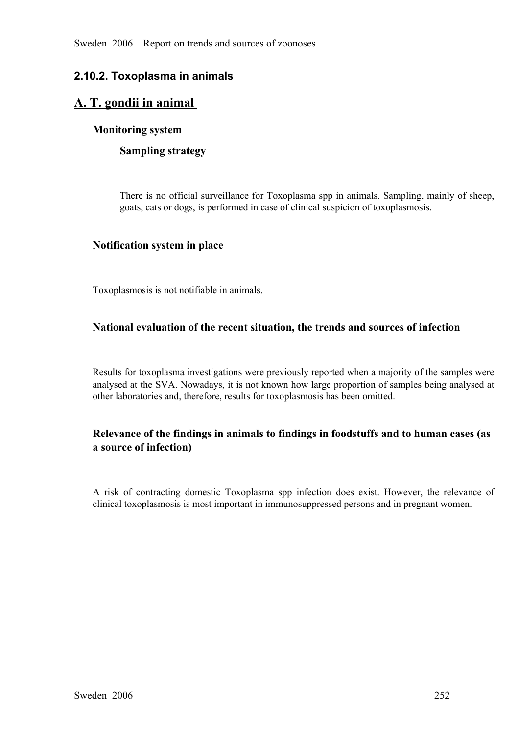# **2.10.2. Toxoplasma in animals**

# **A. T. gondii in animal**

# **Monitoring system**

# **Sampling strategy**

There is no official surveillance for Toxoplasma spp in animals. Sampling, mainly of sheep, goats, cats or dogs, is performed in case of clinical suspicion of toxoplasmosis.

## **Notification system in place**

Toxoplasmosis is not notifiable in animals.

# **National evaluation of the recent situation, the trends and sources of infection**

Results for toxoplasma investigations were previously reported when a majority of the samples were analysed at the SVA. Nowadays, it is not known how large proportion of samples being analysed at other laboratories and, therefore, results for toxoplasmosis has been omitted.

# **Relevance of the findings in animals to findings in foodstuffs and to human cases (as a source of infection)**

<sup>A</sup> risk of contracting domestic Toxoplasma spp infection does exist. However, the relevance of clinical toxoplasmosis is most important in immunosuppressed persons and in pregnant women.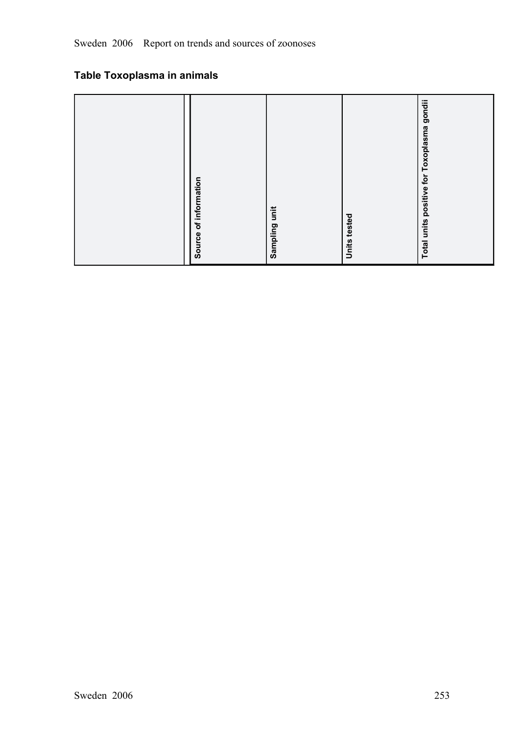# **Table Toxoplasma in animals**

| Source of information |  | Sampling unit | Units tested | gondii<br>positive for Toxoplasma<br><b>Total units</b> |
|-----------------------|--|---------------|--------------|---------------------------------------------------------|
|-----------------------|--|---------------|--------------|---------------------------------------------------------|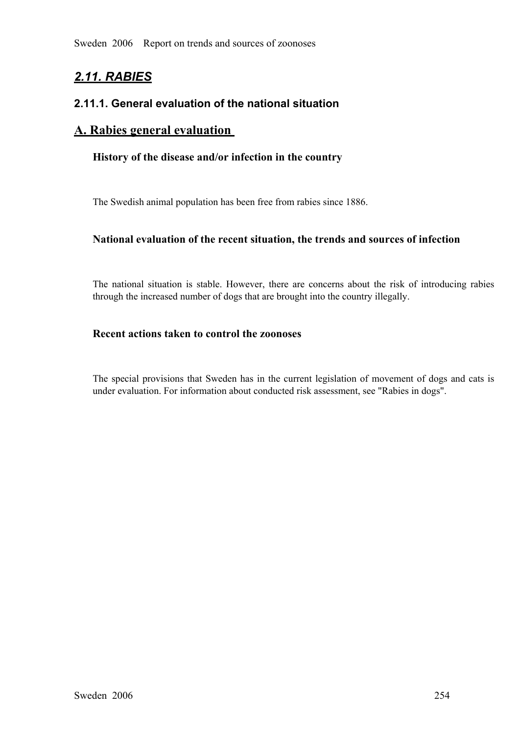Sweden 2006 Report on trends and sources of zoonoses

# *2.11. RABIES*

# **2.11.1. General evaluation of the national situation**

# **A. Rabies general evaluation**

#### **History of the disease and/or infection in the country**

The Swedish animal population has been free from rabies since 1886.

#### **National evaluation of the recent situation, the trends and sources of infection**

The national situation is stable. However, there are concerns about the risk of introducing rabies through the increased number of dogs that are brought into the country illegally.

# **Recent actions taken to control the zoonoses**

The special provisions that Sweden has in the current legislation of movement of dogs and cats is under evaluation. For information about conducted risk assessment, see "Rabies in dogs".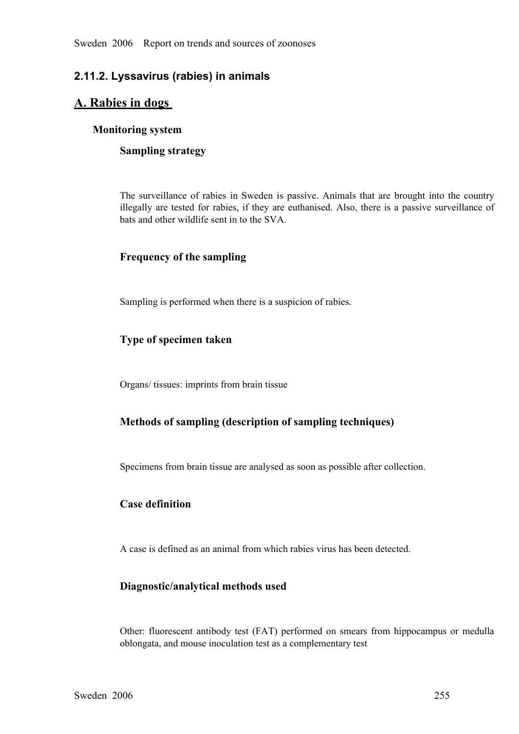# **2.11.2. Lyssavirus (rabies) in animals**

# **A. Rabies in dogs**

#### **Monitoring system**

#### **Sampling strategy**

The surveillance of rabies in Sweden is passive. Animals that are brought into the country illegally are tested for rabies, if they are euthanised. Also, there is a passive surveillance of bats and other wildlife sent in t illegally are tested for rabies, if they are euthanised. Also, there is a passive surveillance of bats and other wildlife sent in to the SVA. bats and other wildlife sent in to the SVA.

# **Frequency of the sampling**

Sampling is performed when there is a suspicion of rabies.

## **Type of specimen taken**

Organs/ tissues: imprints from brain tissue

## **Methods of sampling (description of sampling techniques)**

Specimens from brain tissue are analysed as soon as possible after collection.

## **Case definition**

A case is defined as an animal from which rabies virus has been detected.

## **Diagnostic/analytical methods used**

Other: fluorescent antibody test (FAT) performed on smears from hippocampus or medulla oblongata, and mouse inoculation test as a complementary test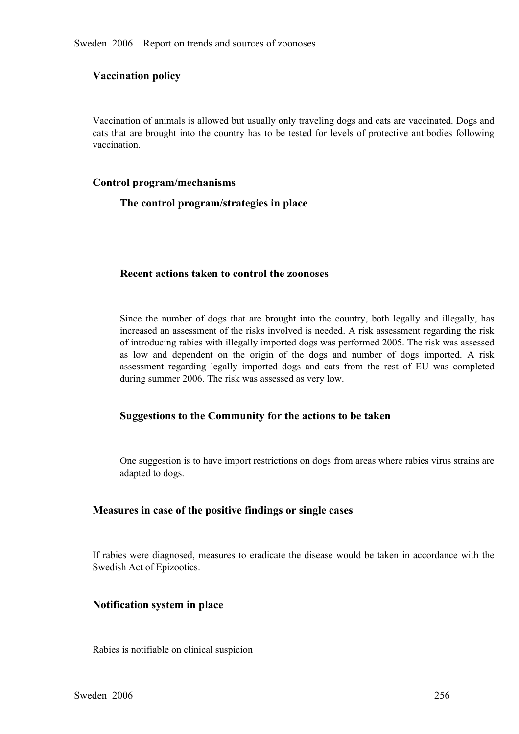# **Vaccination policy**

Vaccination of animals is allowed but usually only traveling dogs and cats are vaccinated. Dogs and cats that are brought into the country has to be tested for levels of protective antibodies following vaccination.

#### **Control program/mechanisms**

#### **The control program/strategies in place**

#### **Recent actions taken to control the zoonoses**

Since the number of dogs that are brought into the country, both legally and illegally, has increased an assessment of the risks involved is needed. A risk assessment regarding the risk of introducing rabies with illegally imported dogs was performed 2005. The risk was assessed as low and dependent on the origin of the dogs and number of dogs imported. A risk<br>assessment regarding legally imported dogs and cats from the rest of EU was completed<br>during summer 2006. The risk was assessed as very low assessment regarding legally imported dogs and cats from the rest of EU was completed during summer 2006. The risk was assessed as very low. during summer 2006. The risk was assessed as very low.

#### **Suggestions to the Community for the actions to be taken**

One suggestion is to have import restrictions on dogs from areas where rabies virus strains are adapted to dogs.

#### **Measures in case of the positive findings or single cases**

If rabies were diagnosed, measures to eradicate the disease would be taken in accordance with the Swedish Act of Epizootics.

#### **Notification system in place**

Rabies is notifiable on clinical suspicion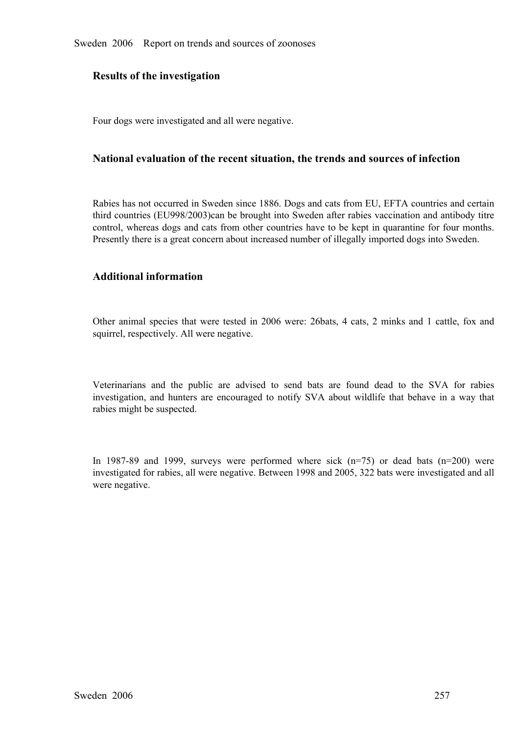#### **Results of the investigation**

Four dogs were investigated and all were negative.

#### **National evaluation of the recent situation, the trends and sources of infection**

Rabies has not occurred in Sweden since 1886. Dogs and cats from EU, EFTA countries and certain third countries (EU998/2003)can be brought into Sweden after rabies vaccination and antibody titre control, whereas dogs and cats from other countries have to be kept in quarantine for four months.<br>Presently there is a great concern about increased number of illegally imported dogs into Sweden. Presently there is a great concern about increased number of illegally imported dogs into Sweden.

#### **Additional information**

Other animal species that were tested in <sup>2006</sup> were: 26bats, <sup>4</sup> cats, 2 minks and <sup>1</sup> cattle, fox and squirrel, respectively. All were negative.

Veterinarians and the public are advised to send bats are found dead to the SVA for rabies investigation, and hunters are encouraged to notify SVA about wildlife that behave in a way that rabies might be suspected. investigation, and hunters are encouraged to notify SVA about wildlife that behave in a way that rabies might be suspected. rabies might be suspected.

In 1987-89 and 1999, surveys were performed where sick  $(n=75)$  or dead bats  $(n=200)$  were investigated for rabies, all were negative. Between 1998 and 2005, 322 bats were investigated and all were negative. investigated for rabies, all were negative. Between 1998 and 2005, 322 bats were investigated and all were negative.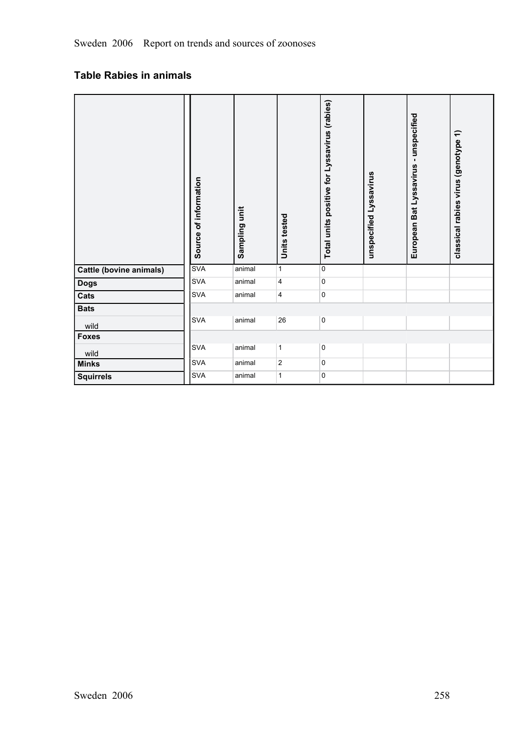# **Table Rabies in animals**

|                                | Source of information | Sampling unit | <b>Units tested</b>     | Total units positive for Lyssavirus (rabies) | unspecified Lyssavirus | -unspecified<br>Bat Lyssavirus<br>European | classical rabies virus (genotype 1) |
|--------------------------------|-----------------------|---------------|-------------------------|----------------------------------------------|------------------------|--------------------------------------------|-------------------------------------|
| <b>Cattle (bovine animals)</b> | <b>SVA</b>            | animal        | $\mathbf{1}$            | 0                                            |                        |                                            |                                     |
| <b>Dogs</b>                    | <b>SVA</b>            | animal        | 4                       | 0                                            |                        |                                            |                                     |
| Cats                           | <b>SVA</b>            | animal        | 4                       | 0                                            |                        |                                            |                                     |
| <b>Bats</b>                    |                       |               |                         |                                              |                        |                                            |                                     |
| wild                           | <b>SVA</b>            | animal        | $26\,$                  | $\mathsf 0$                                  |                        |                                            |                                     |
| <b>Foxes</b>                   |                       |               |                         |                                              |                        |                                            |                                     |
| wild                           | <b>SVA</b>            | animal        | $\mathbf{1}$            | 0                                            |                        |                                            |                                     |
| <b>Minks</b>                   | <b>SVA</b>            | animal        | $\overline{\mathbf{c}}$ | 0                                            |                        |                                            |                                     |
| <b>Squirrels</b>               | <b>SVA</b>            | animal        | $\mathbf{1}$            | 0                                            |                        |                                            |                                     |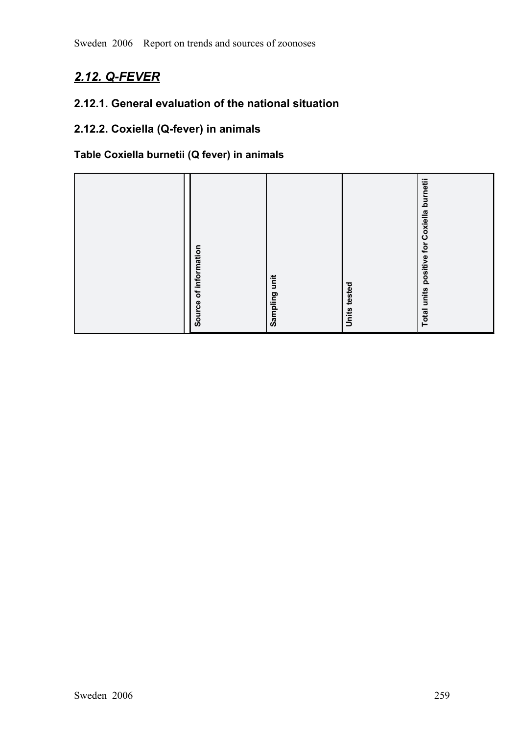# 2.12. Q-FEVER

# **2.12.1. General evaluation of the national situation**

# **2.12.2. Coxiella (Q-fever) in animals**

# **Table Coxiella burnetii (Q fever) in animals**

| of information<br>Source | Sampling unit | tested<br><b>Units</b> | positive for Coxiella burnetii<br><b>Total units</b> |
|--------------------------|---------------|------------------------|------------------------------------------------------|
|                          |               |                        |                                                      |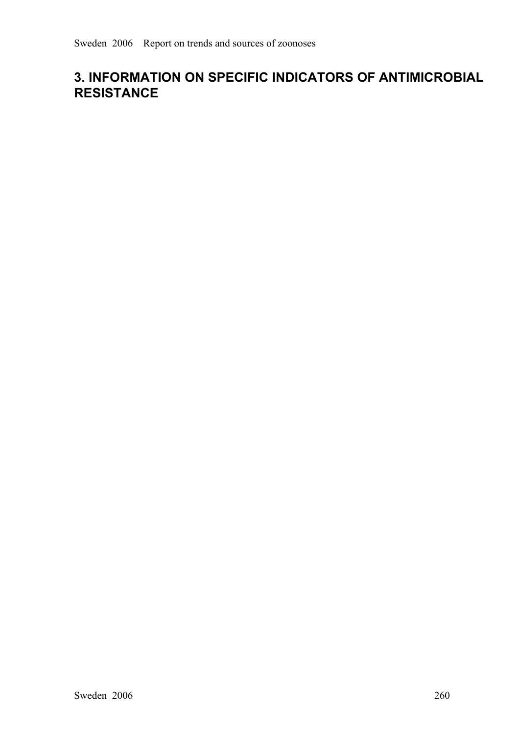# **3. INFORMATION ON SPECIFIC INDICATORS OF ANTIMICROBIAL RESISTANCE**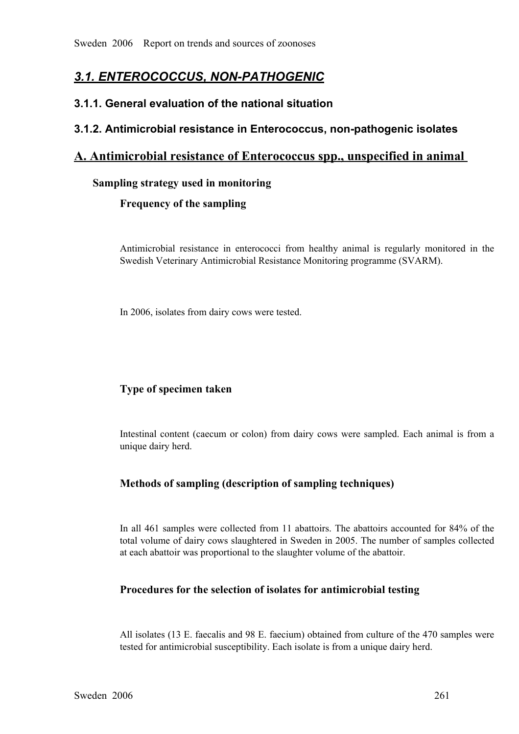# *3.1. ENTEROCOCCUS, NONPATHOGENIC*

# **3.1.1. General evaluation of the national situation**

# **3.1.2. Antimicrobial resistance in Enterococcus, non-pathogenic isolates**

# **A. Antimicrobial resistance of Enterococcus spp., unspecified in animal**

## **Sampling strategy used in monitoring**

## **Frequency of the sampling**

Antimicrobial resistance in enterococci from healthy animal is regularly monitored in the Swedish Veterinary Antimicrobial Resistance Monitoring programme (SVARM).

In 2006, isolates from dairy cows were tested.

# **Type of specimen taken**

Intestinal content (caecum or colon) from dairy cows were sampled. Each animal is from a unique dairy herd.

# **Methods of sampling (description of sampling techniques)**

In all 461 samples were collected from 11 abattoirs. The abattoirs accounted for 84% of the total volume of dairy cows slaughtered in Sweden in 2005. The number of samples collected at each abattoir was proportional to the slaughter volume of the abattoir.

## **Procedures for the selection of isolates for antimicrobial testing**

All isolates (13 E. faecalis and 98 E. faecium) obtained from culture of the 470 samples were tested for antimicrobial susceptibility. Each isolate is from a unique dairy herd.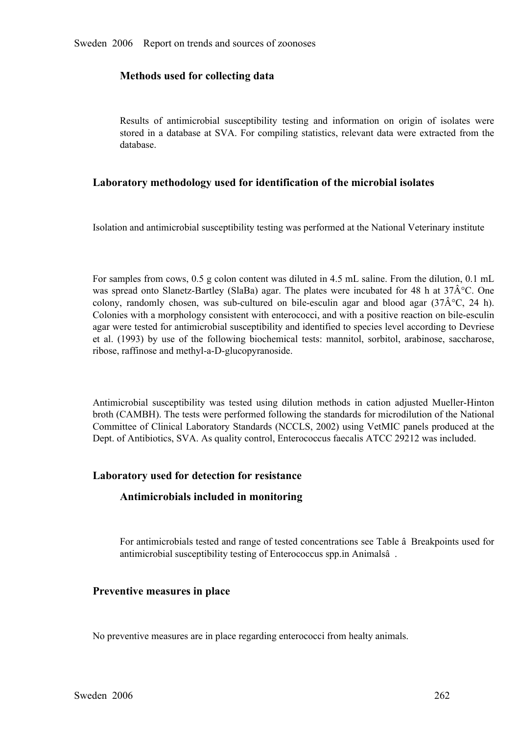#### **Methods used for collecting data**

Results of antimicrobial susceptibility testing and information on origin of isolates were stored in a database at SVA. For compiling statistics, relevant data were extracted from the database. stored in a database at SVA. For compiling statistics, relevant data were extracted from the database. database.

#### **Laboratory methodology used for identification of the microbial isolates**

Isolation and antimicrobial susceptibility testing was performed at the National Veterinary institute

For samples from cows, 0.5 g colon content was diluted in 4.5 mL saline. From the dilution, 0.1 mL was spread onto Slanetz-Bartley (SlaBa) agar. The plates were incubated for 48 h at  $37\hat{A}^{\circ}C$ . One colony, randomly chosen, was sub-cultured on bile-esculin agar and blood agar  $(37\hat{A}^{\circ}C, 24 h)$ . Colonies with a colony, randomly chosen, was sub-cultured on bile-esculin agar and blood agar  $(37\hat{A}^{\circ}C, 24 h)$ .<br>Colonies with a morphology consistent with enterococci, and with a positive reaction on bile-esculin agar were tested fo Colonies with a morphology consistent with enterococci, and with a positive reaction on bile-esculin agar were tested for antimicrobial susceptibility and identified to species level according to Devriese et al. (1993) by use of the following biochemical tests: mannitol, sorbitol, arabinose, saccharose, ribose, raffinose and methyl-a-D-glucopyranoside.

Antimicrobial susceptibility was tested using dilution methods in cation adjusted Mueller-Hinton<br>broth (CAMBH). The tests were performed following the standards for microdilution of the National<br>Committee of Clinical Labor broth (CAMBH). The tests were performed following the standards for microdilution of the National Committee of Clinical Laboratory Standards (NCCLS, 2002) using VetMIC panels produced at the Dept. of Antibiotics, SVA. As quality control, Enterococcus faecalis ATCC 29212 was included.

#### **Laboratory used for detection for resistance**

#### **Antimicrobials included in monitoring**

For antimicrobials tested and range of tested concentrations see Table â Breakpoints used for antimicrobial susceptibility testing of Enterococcus spp.in Animalsâ .

#### **Preventive measures in place**

No preventive measures are in place regarding enterococci from healty animals.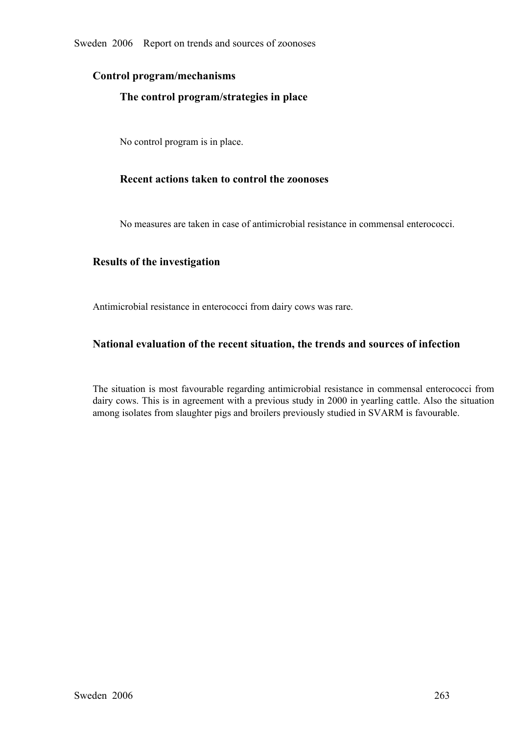## **Control program/mechanisms**

## **The control program/strategies in place**

No control program is in place.

## **Recent actions taken to control the zoonoses**

No measures are taken in case of antimicrobial resistance in commensal enterococci.

## **Results of the investigation**

Antimicrobial resistance in enterococci from dairy cows was rare.

## **National evaluation of the recent situation, the trends and sources of infection**

The situation is most favourable regarding antimicrobial resistance in commensal enterococci from dairy cows. This is in agreement with a previous study in 2000 in yearling cattle. Also the situation among isolates from sl dairy cows. This is in agreement with a previous study in 2000 in yearling cattle. Also the situation among isolates from slaughter pigs and broilers previously studied in SVARM is favourable.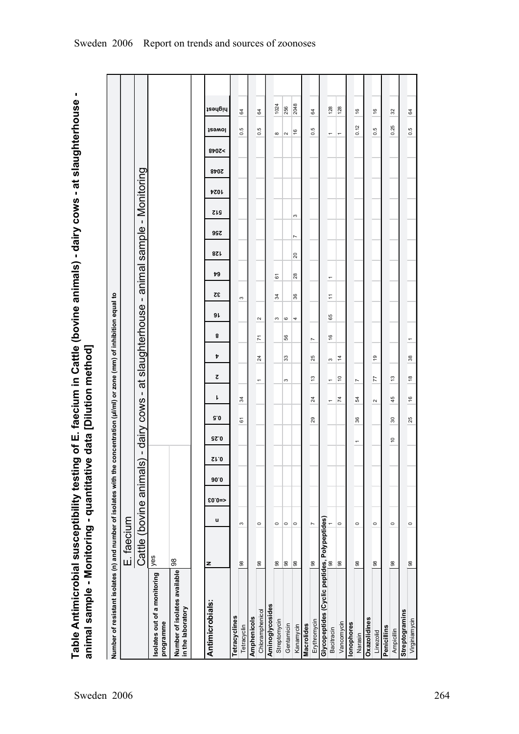Table Antimicrobial susceptibility testing of E. faecium in Cattle (bovine animals) - dairy cows - at slaughterhouse -<br>animal sample - Monitoring - quantitative data [Dilution method] **Table Antimicrobial susceptibility testing of E. faecium in Cattle (bovine animals) dairy cows at slaughterhouse animal sample Monitoring quantitative data [Dilution method]**

| Number of resistant isolates (n) and number of isolates with the concentration (µl/ml) or zone (mm) of inhibition equal to |                         |                |         |      |             |                          |                          |                                       |                     |                |        |                       |                |                 |                            |            |             |               |                          |               |  |
|----------------------------------------------------------------------------------------------------------------------------|-------------------------|----------------|---------|------|-------------|--------------------------|--------------------------|---------------------------------------|---------------------|----------------|--------|-----------------------|----------------|-----------------|----------------------------|------------|-------------|---------------|--------------------------|---------------|--|
|                                                                                                                            | E. faecium              |                |         |      |             |                          |                          |                                       |                     |                |        |                       |                |                 |                            |            |             |               |                          |               |  |
|                                                                                                                            | Cattle (bovine animals) |                |         |      | $\mathbf I$ | dairy cows -             |                          |                                       | at slaughterhouse - |                |        |                       |                |                 | animal sample - Monitoring |            |             |               |                          |               |  |
| Isolates out of a monitoring<br>programme                                                                                  | yes                     |                |         |      |             |                          |                          |                                       |                     |                |        |                       |                |                 |                            |            |             |               |                          |               |  |
| Number of isolates available<br>in the laboratory                                                                          | 98                      |                |         |      |             |                          |                          |                                       |                     |                |        |                       |                |                 |                            |            |             |               |                          |               |  |
|                                                                                                                            |                         |                |         |      |             |                          |                          |                                       |                     |                |        |                       |                |                 |                            |            |             |               |                          |               |  |
| Antimicrobials:                                                                                                            | z                       | u              | $$0.0=$ | 90.0 | SL O        | <b>GZ.0</b>              | 5.0                      | ट<br>ı                                | Þ                   | 8              | 9 L    | 32                    | 79             | 8Z L            | 99Z                        | <b>SIS</b> | <b>4024</b> | 8707<<br>8707 | <b>J</b> ewol            | highest       |  |
| Tetracyclines                                                                                                              |                         |                |         |      |             |                          |                          |                                       |                     |                |        |                       |                |                 |                            |            |             |               |                          |               |  |
| Tetracyclin                                                                                                                | $98$                    | S              |         |      |             |                          | $\overline{6}$           | 34                                    |                     |                |        | S                     |                |                 |                            |            |             |               | 0.5                      | 64            |  |
| Amphenicols                                                                                                                |                         |                |         |      |             |                          |                          |                                       |                     |                |        |                       |                |                 |                            |            |             |               |                          |               |  |
| Chloramphenicol                                                                                                            | 98                      | $\circ$        |         |      |             |                          |                          | $\overline{\phantom{0}}$              | $^{24}$             | $\overline{r}$ | $\sim$ |                       |                |                 |                            |            |             |               | 0.5                      | 64            |  |
| Aminoglycosides                                                                                                            |                         |                |         |      |             |                          |                          |                                       |                     |                |        |                       |                |                 |                            |            |             |               |                          |               |  |
| Streptomycin                                                                                                               | $\overline{98}$         | $\circ$        |         |      |             |                          |                          |                                       |                     |                | S      | 34                    | $\overline{6}$ |                 |                            |            |             |               | $\infty$                 | 1024          |  |
| Gentamicin                                                                                                                 | 98                      | $\circ$        |         |      |             |                          |                          | S                                     | 33                  | 56             | G      |                       |                |                 |                            |            |             |               | $\sim$                   | 256           |  |
| Kanamycin                                                                                                                  | 98                      | $\circ$        |         |      |             |                          |                          |                                       |                     |                | 4      | 36                    | 28             | $\overline{20}$ | r                          | S          |             |               | $\frac{6}{2}$            | 2048          |  |
| Macrolides                                                                                                                 |                         |                |         |      |             |                          |                          |                                       |                     |                |        |                       |                |                 |                            |            |             |               |                          |               |  |
| Erythromycin                                                                                                               | 98                      | $\overline{ }$ |         |      |             |                          | 29                       | $\tilde{c}$<br>$^{24}$                | 25                  | $\overline{ }$ |        |                       |                |                 |                            |            |             |               | 0.5                      | 64            |  |
| Glycopeptides (Cyclic peptides, Polypeptides)<br><sub>Ractivacio</sub>                                                     |                         |                |         |      |             |                          |                          |                                       |                     |                |        |                       |                |                 |                            |            |             |               |                          |               |  |
| Bacitracin                                                                                                                 |                         |                |         |      |             |                          | $\overline{\phantom{0}}$ | $\overline{\phantom{0}}$              | S                   | $\frac{6}{2}$  | 89     | $\stackrel{+}{\cdot}$ | ۳              |                 |                            |            |             |               | $\overline{\phantom{0}}$ | 128           |  |
| Vancomycin                                                                                                                 | $\frac{8}{3}$           | $\circ$        |         |      |             |                          |                          | S<br>$\overline{7}$                   | $\frac{4}{7}$       |                |        |                       |                |                 |                            |            |             |               | $\overline{ }$           | 128           |  |
| lonophores                                                                                                                 |                         |                |         |      |             |                          |                          |                                       |                     |                |        |                       |                |                 |                            |            |             |               |                          |               |  |
| Narasin                                                                                                                    | $_{98}$                 | $\circ$        |         |      |             | $\overline{\phantom{0}}$ | 36                       | $\overline{ }$<br>54                  |                     |                |        |                       |                |                 |                            |            |             |               | 0.12                     | $\frac{6}{2}$ |  |
| Oxazolidines                                                                                                               |                         |                |         |      |             |                          |                          |                                       |                     |                |        |                       |                |                 |                            |            |             |               |                          |               |  |
| Linezolid                                                                                                                  | $98$                    | $\circ$        |         |      |             |                          | $\sim$                   | 7                                     | é,                  |                |        |                       |                |                 |                            |            |             |               | 0.5                      | $\frac{6}{5}$ |  |
| Penicillins                                                                                                                |                         |                |         |      |             |                          |                          |                                       |                     |                |        |                       |                |                 |                            |            |             |               |                          |               |  |
| Ampicillin                                                                                                                 | 98                      | $\circ$        |         |      |             | $\tilde{e}$              | $30^{\circ}$             | 13<br>45                              |                     |                |        |                       |                |                 |                            |            |             |               | 0.25                     | 32            |  |
| Streptogramins                                                                                                             |                         |                |         |      |             |                          |                          |                                       |                     |                |        |                       |                |                 |                            |            |             |               |                          |               |  |
| Virginiamycin                                                                                                              | 98                      | $\circ$        |         |      |             |                          | 25                       | $\overset{\circ}{=}$<br>$\frac{6}{2}$ | $38\,$              |                |        |                       |                |                 |                            |            |             |               | 0.5                      | 64            |  |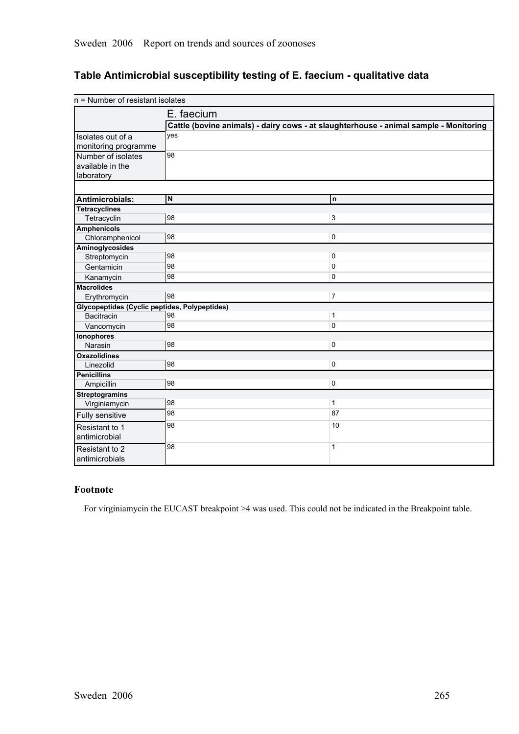# **Table Antimicrobial susceptibility testing of E. faecium qualitative data**

| E. faecium<br>Cattle (bovine animals) - dairy cows - at slaughterhouse - animal sample - Monitoring<br>yes<br>Isolates out of a<br>monitoring programme<br>98<br>Number of isolates<br>available in the<br>laboratory |  |
|-----------------------------------------------------------------------------------------------------------------------------------------------------------------------------------------------------------------------|--|
|                                                                                                                                                                                                                       |  |
|                                                                                                                                                                                                                       |  |
|                                                                                                                                                                                                                       |  |
|                                                                                                                                                                                                                       |  |
|                                                                                                                                                                                                                       |  |
|                                                                                                                                                                                                                       |  |
|                                                                                                                                                                                                                       |  |
|                                                                                                                                                                                                                       |  |
| N<br><b>n</b><br>Antimicrobials:                                                                                                                                                                                      |  |
| <b>Tetracyclines</b>                                                                                                                                                                                                  |  |
| $\overline{3}$<br>98<br>Tetracyclin                                                                                                                                                                                   |  |
| <b>Amphenicols</b>                                                                                                                                                                                                    |  |
| 98<br>0<br>Chloramphenicol                                                                                                                                                                                            |  |
| Aminoglycosides                                                                                                                                                                                                       |  |
| 98<br>0<br>Streptomycin                                                                                                                                                                                               |  |
| 98<br>$\mathbf 0$<br>Gentamicin                                                                                                                                                                                       |  |
| 98<br>$\mathbf 0$<br>Kanamycin                                                                                                                                                                                        |  |
| <b>Macrolides</b>                                                                                                                                                                                                     |  |
| 98<br>$\overline{7}$<br>Erythromycin                                                                                                                                                                                  |  |
| <b>Glycopeptides (Cyclic peptides, Polypeptides)</b>                                                                                                                                                                  |  |
| 98<br>$\mathbf{1}$<br><b>Bacitracin</b>                                                                                                                                                                               |  |
| 98<br>$\pmb{0}$<br>Vancomycin                                                                                                                                                                                         |  |
| <b>Ionophores</b>                                                                                                                                                                                                     |  |
| 98<br>0<br>Narasin                                                                                                                                                                                                    |  |
| <b>Oxazolidines</b><br>98<br>0                                                                                                                                                                                        |  |
| Linezolid<br><b>Penicillins</b>                                                                                                                                                                                       |  |
| 98<br>$\pmb{0}$<br>Ampicillin                                                                                                                                                                                         |  |
| <b>Streptogramins</b>                                                                                                                                                                                                 |  |
| 98<br>$\mathbf{1}$<br>Virginiamycin                                                                                                                                                                                   |  |
| 87<br>98<br>Fully sensitive                                                                                                                                                                                           |  |
| 10<br>98<br>Resistant to 1                                                                                                                                                                                            |  |
| antimicrobial                                                                                                                                                                                                         |  |
| 98<br>1<br>Resistant to 2                                                                                                                                                                                             |  |
| antimicrobials                                                                                                                                                                                                        |  |

## **Footnote**

For virginiamycin the EUCAST breakpoint >4 was used. This could not be indicated in the Breakpoint table.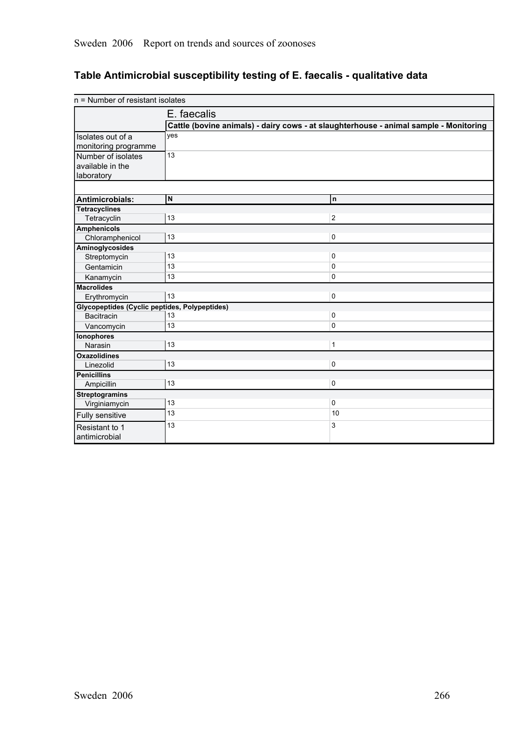# **Table Antimicrobial susceptibility testing of E. faecalis qualitative data**

| n = Number of resistant isolates                     |                                                                                       |                |
|------------------------------------------------------|---------------------------------------------------------------------------------------|----------------|
|                                                      | E. faecalis                                                                           |                |
|                                                      | Cattle (bovine animals) - dairy cows - at slaughterhouse - animal sample - Monitoring |                |
| Isolates out of a                                    | yes                                                                                   |                |
| monitoring programme                                 |                                                                                       |                |
| Number of isolates                                   | 13                                                                                    |                |
| available in the                                     |                                                                                       |                |
| laboratory                                           |                                                                                       |                |
|                                                      |                                                                                       |                |
| Antimicrobials:                                      | N                                                                                     | n              |
| <b>Tetracyclines</b>                                 |                                                                                       |                |
| Tetracyclin                                          | 13                                                                                    | $\overline{2}$ |
| <b>Amphenicols</b>                                   |                                                                                       |                |
| Chloramphenicol                                      | 13                                                                                    | $\pmb{0}$      |
| Aminoglycosides                                      |                                                                                       |                |
| Streptomycin                                         | 13                                                                                    | 0              |
| Gentamicin                                           | 13                                                                                    | $\pmb{0}$      |
| Kanamycin                                            | 13                                                                                    | $\mathbf 0$    |
| <b>Macrolides</b>                                    |                                                                                       |                |
| Erythromycin                                         | 13                                                                                    | 0              |
| <b>Glycopeptides (Cyclic peptides, Polypeptides)</b> |                                                                                       |                |
| <b>Bacitracin</b>                                    | 13                                                                                    | 0              |
| Vancomycin                                           | 13                                                                                    | $\Omega$       |
| <b>Ionophores</b>                                    |                                                                                       |                |
| Narasin                                              | 13                                                                                    | $\mathbf{1}$   |
| <b>Oxazolidines</b>                                  |                                                                                       |                |
| Linezolid                                            | 13                                                                                    | $\pmb{0}$      |
| <b>Penicillins</b>                                   |                                                                                       |                |
| Ampicillin                                           | 13                                                                                    | 0              |
| <b>Streptogramins</b>                                |                                                                                       |                |
| Virginiamycin                                        | 13                                                                                    | $\pmb{0}$      |
| Fully sensitive                                      | 13                                                                                    | 10             |
| Resistant to 1                                       | 13                                                                                    | 3              |
| antimicrobial                                        |                                                                                       |                |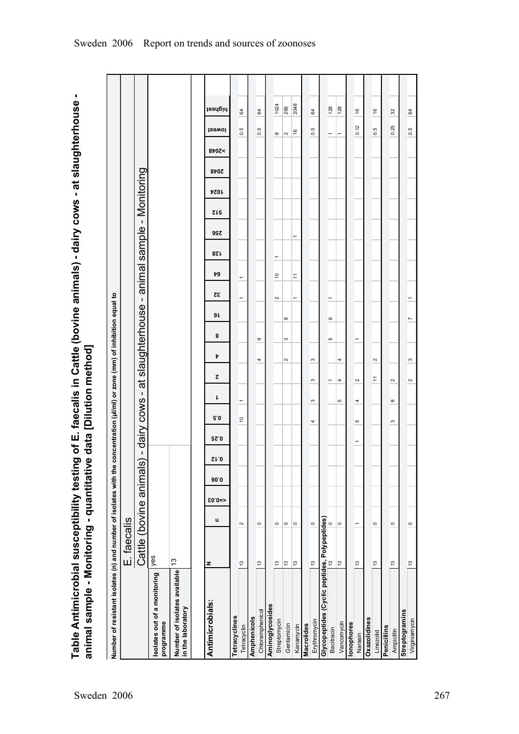Table Antimicrobial susceptibility testing of E. faecalis in Cattle (bovine animals) - dairy cows - at slaughterhouse -<br>animal sample - Monitoring - quantitative data [Dilution method] **Table Antimicrobial susceptibility testing of E. faecalis in Cattle (bovine animals) dairy cows at slaughterhouse animal sample Monitoring quantitative data [Dilution method]**

| Number of resistant isolates (n) and number of isolates with the concentration (µl/ml) or zone (mm) of inhibition equal to |                         |                          |         |      |                |                          |               |                                    |        |                          |                  |                          |                          |                |     |                     |             |             |                  |                       |         |
|----------------------------------------------------------------------------------------------------------------------------|-------------------------|--------------------------|---------|------|----------------|--------------------------|---------------|------------------------------------|--------|--------------------------|------------------|--------------------------|--------------------------|----------------|-----|---------------------|-------------|-------------|------------------|-----------------------|---------|
|                                                                                                                            | E. faecalis             |                          |         |      |                |                          |               |                                    |        |                          |                  |                          |                          |                |     |                     |             |             |                  |                       |         |
|                                                                                                                            | Cattle (bovine animals) |                          |         |      | $\blacksquare$ | dairy cows -             |               | đ                                  |        | slaughterhouse - animal  |                  |                          |                          |                |     | sample - Monitoring |             |             |                  |                       |         |
| Isolates out of a monitoring<br>programme                                                                                  | yes                     |                          |         |      |                |                          |               |                                    |        |                          |                  |                          |                          |                |     |                     |             |             |                  |                       |         |
| Number of isolates available<br>in the laboratory                                                                          | $\frac{3}{2}$           |                          |         |      |                |                          |               |                                    |        |                          |                  |                          |                          |                |     |                     |             |             |                  |                       |         |
|                                                                                                                            |                         |                          |         |      |                |                          |               |                                    |        |                          |                  |                          |                          |                |     |                     |             |             |                  |                       |         |
| Antimicrobials:                                                                                                            | z                       | u                        | $$0.0=$ | 90.0 | Sr.0           | 92.0                     | 5.0           | ı                                  | Þ<br>2 | 8                        | 9 L              | 32                       | 49                       | 128            | 99Z | <b>SIS</b>          | <b>4024</b> | <b>8402</b> | 8p0Z <           | <b>J</b><br>Sewol     | highest |
| Tetracyclines                                                                                                              |                         |                          |         |      |                |                          |               |                                    |        |                          |                  |                          |                          |                |     |                     |             |             |                  |                       |         |
| Tetracyclin                                                                                                                | 13                      | $\sim$                   |         |      |                |                          | $\frac{1}{2}$ | $\overline{\phantom{0}}$           |        |                          |                  | $\overline{\phantom{0}}$ | $\overline{\phantom{0}}$ |                |     |                     |             |             |                  | 64<br>0.5             |         |
| Amphenicols                                                                                                                |                         |                          |         |      |                |                          |               |                                    |        |                          |                  |                          |                          |                |     |                     |             |             |                  |                       |         |
| Chloramphenicol                                                                                                            | $\frac{3}{2}$           | $\circ$                  |         |      |                |                          |               |                                    | 4      | თ                        |                  |                          |                          |                |     |                     |             |             | 0.5              | 64                    |         |
| Aminoglycosides                                                                                                            |                         |                          |         |      |                |                          |               |                                    |        |                          |                  |                          |                          |                |     |                     |             |             |                  |                       |         |
| Streptomycin                                                                                                               | $\frac{3}{2}$           | $\circ$                  |         |      |                |                          |               |                                    |        |                          |                  | $\sim$                   | $\tilde{e}$              | $\overline{ }$ |     |                     |             |             | $\infty$         |                       | 1024    |
| Gentamicin                                                                                                                 | $\frac{3}{2}$           | $\circ$                  |         |      |                |                          |               |                                    | $\sim$ | S                        | $\infty$         |                          |                          |                |     |                     |             |             | $\sim$           |                       | 256     |
| Kanamycin                                                                                                                  | $\frac{3}{2}$           | $\circ$                  |         |      |                |                          |               |                                    |        |                          |                  | $\overline{ }$           | Ξ                        |                | ÷   |                     |             |             | 16               |                       | 2048    |
| <b>Macrolides</b>                                                                                                          |                         |                          |         |      |                |                          |               |                                    |        |                          |                  |                          |                          |                |     |                     |             |             |                  |                       |         |
| Erythromycin                                                                                                               | 13                      | $\circ$                  |         |      |                |                          | 4             | S<br>S                             | S      |                          |                  |                          |                          |                |     |                     |             |             |                  | 64<br>0.5             |         |
| Glycopeptides (Cyclic peptides, Polypeptides)<br>Bactiracio                                                                |                         |                          |         |      |                |                          |               |                                    |        |                          |                  |                          |                          |                |     |                     |             |             |                  |                       |         |
| Bacitracin                                                                                                                 |                         |                          |         |      |                |                          |               | $\overline{ }$                     |        | Ю                        | $\mathbf{\circ}$ | ۳                        |                          |                |     |                     |             |             | ٣                | 128                   |         |
| Vancomycin                                                                                                                 | $\frac{13}{2}$          | $\circ$                  |         |      |                |                          |               | 4<br>Ю                             | 4      |                          |                  |                          |                          |                |     |                     |             |             | $\overline{ }$   | 128                   |         |
| lonophores                                                                                                                 |                         |                          |         |      |                |                          |               |                                    |        |                          |                  |                          |                          |                |     |                     |             |             |                  |                       |         |
| Narasin                                                                                                                    | $\frac{3}{2}$           | $\overline{\phantom{0}}$ |         |      |                | $\overline{\phantom{0}}$ | Ю             | $\sim$<br>4                        |        | $\overline{\phantom{0}}$ |                  |                          |                          |                |     |                     |             |             |                  | $\frac{6}{5}$<br>0.12 |         |
| Oxazolidines                                                                                                               |                         |                          |         |      |                |                          |               |                                    |        |                          |                  |                          |                          |                |     |                     |             |             |                  |                       |         |
| Linezolid                                                                                                                  | $\frac{3}{2}$           | $\circ$                  |         |      |                |                          |               | $\stackrel{\text{+}}{\rightarrow}$ | $\sim$ |                          |                  |                          |                          |                |     |                     |             |             |                  | $\frac{6}{5}$<br>0.5  |         |
| Penicillins                                                                                                                |                         |                          |         |      |                |                          |               |                                    |        |                          |                  |                          |                          |                |     |                     |             |             |                  |                       |         |
| Ampicillin                                                                                                                 | $\frac{3}{2}$           | $\circ$                  |         |      |                |                          | S             | $\sim$<br>$\infty$                 |        |                          |                  |                          |                          |                |     |                     |             |             |                  | 32<br>0.25            |         |
| <b>Streptogramins</b>                                                                                                      |                         |                          |         |      |                |                          |               |                                    |        |                          |                  |                          |                          |                |     |                     |             |             |                  |                       |         |
| Virginiamycin                                                                                                              | $\frac{3}{2}$           | $\circ$                  |         |      |                |                          |               | $\sim$                             | S      |                          | Ľ                |                          |                          |                |     |                     |             |             | $0.\overline{5}$ | 64                    |         |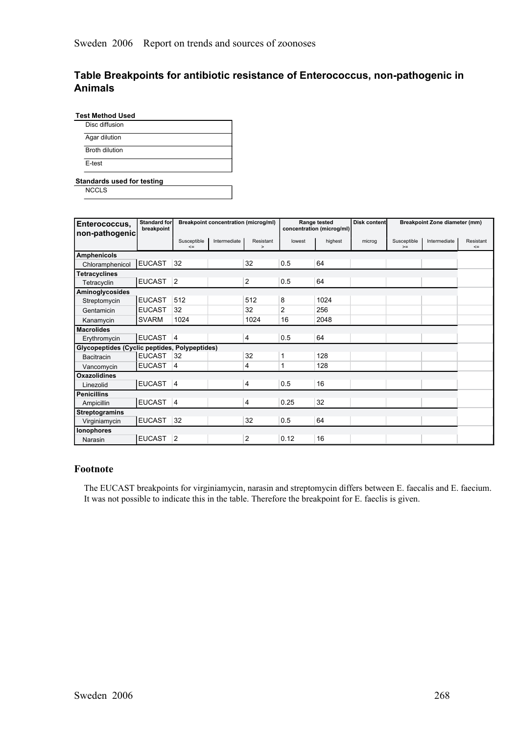## **Table Breakpoints for antibiotic resistance of Enterococcus, nonpathogenic in Animals**

| Disc diffusion |  |
|----------------|--|
| Agar dilution  |  |
| Broth dilution |  |
| E-test         |  |

**Standards used for testing**

**NCCLS** 

| Enterococcus,<br>non-pathogenic               | Standard for<br>breakpoint |                       | <b>Breakpoint concentration (microg/ml)</b> |                     |                | Range tested<br>concentration (microg/ml) | Disk content |                     | Breakpoint Zone diameter (mm) |                     |
|-----------------------------------------------|----------------------------|-----------------------|---------------------------------------------|---------------------|----------------|-------------------------------------------|--------------|---------------------|-------------------------------|---------------------|
|                                               |                            | Susceptible<br>$\leq$ | Intermediate                                | Resistant<br>$\geq$ | lowest         | highest                                   | microg       | Susceptible<br>$>=$ | Intermediate                  | Resistant<br>$\leq$ |
| <b>Amphenicols</b>                            |                            |                       |                                             |                     |                |                                           |              |                     |                               |                     |
| Chloramphenicol                               | <b>EUCAST</b>              | 32                    |                                             | 32                  | 0.5            | 64                                        |              |                     |                               |                     |
| <b>Tetracyclines</b>                          |                            |                       |                                             |                     |                |                                           |              |                     |                               |                     |
| Tetracyclin                                   | <b>EUCAST</b>              | 2                     |                                             | $\mathbf{2}$        | 0.5            | 64                                        |              |                     |                               |                     |
| Aminoglycosides                               |                            |                       |                                             |                     |                |                                           |              |                     |                               |                     |
| Streptomycin                                  | <b>EUCAST</b>              | 512                   |                                             | 512                 | 8              | 1024                                      |              |                     |                               |                     |
| Gentamicin                                    | <b>EUCAST</b>              | 32                    |                                             | 32                  | $\overline{2}$ | 256                                       |              |                     |                               |                     |
| Kanamycin                                     | <b>SVARM</b>               | 1024                  |                                             | 1024                | 16             | 2048                                      |              |                     |                               |                     |
| <b>Macrolides</b>                             |                            |                       |                                             |                     |                |                                           |              |                     |                               |                     |
| Erythromycin                                  | <b>EUCAST</b>              | 4                     |                                             | 4                   | 0.5            | 64                                        |              |                     |                               |                     |
| Glycopeptides (Cyclic peptides, Polypeptides) |                            |                       |                                             |                     |                |                                           |              |                     |                               |                     |
| <b>Bacitracin</b>                             | <b>EUCAST</b>              | 32                    |                                             | 32                  |                | 128                                       |              |                     |                               |                     |
| Vancomycin                                    | <b>EUCAST</b>              | 4                     |                                             | 4                   |                | 128                                       |              |                     |                               |                     |
| Oxazolidines                                  |                            |                       |                                             |                     |                |                                           |              |                     |                               |                     |
| Linezolid                                     | EUCAST 4                   |                       |                                             | 4                   | 0.5            | 16                                        |              |                     |                               |                     |
| <b>Penicillins</b>                            |                            |                       |                                             |                     |                |                                           |              |                     |                               |                     |
| Ampicillin                                    | EUCAST 4                   |                       |                                             | 4                   | 0.25           | 32                                        |              |                     |                               |                     |
| <b>Streptogramins</b>                         |                            |                       |                                             |                     |                |                                           |              |                     |                               |                     |
| Virginiamycin                                 | <b>EUCAST</b>              | 32                    |                                             | 32                  | 0.5            | 64                                        |              |                     |                               |                     |
| <b>lonophores</b>                             |                            |                       |                                             |                     |                |                                           |              |                     |                               |                     |
| Narasin                                       | <b>EUCAST</b>              | $\overline{2}$        |                                             | 2                   | 0.12           | 16                                        |              |                     |                               |                     |

#### **Footnote**

The EUCAST breakpoints for virginiamycin, narasin and streptomycin differs between E. faecalis and E. faecium. It was not possible to indicate this in the table. Therefore the breakpoint for E. faeclis is given.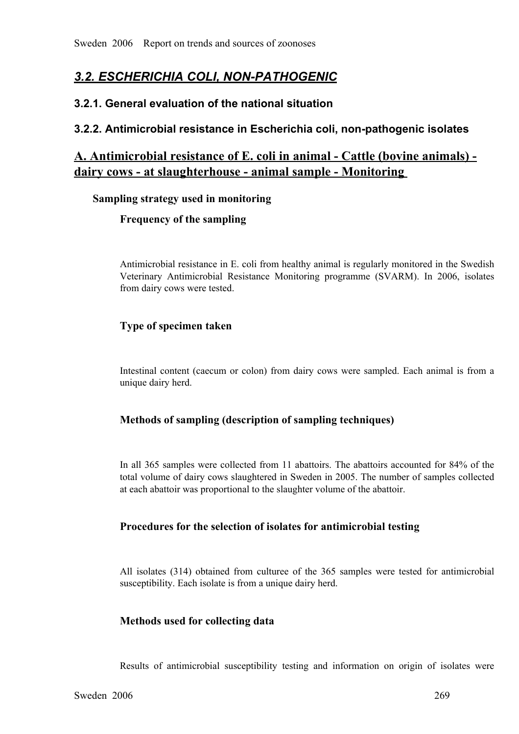# *3.2. ESCHERICHIA COLI, NONPATHOGENIC*

# **3.2.1. General evaluation of the national situation**

# **3.2.2. Antimicrobial resistance in Escherichia coli, nonpathogenic isolates**

# **A. Antimicrobial resistance of E. coli in animal Cattle (bovine animals)**  dairy cows - at slaughterhouse - animal sample - Monitoring

#### **Sampling strategy used in monitoring**

## **Frequency of the sampling**

Antimicrobial resistance in E. coli from healthy animal is regularly monitored in the Swedish Veterinary Antimicrobial Resistance Monitoring programme (SVARM). In 2006, isolates from dairy cows were tested.

# **Type of specimen taken**

Intestinal content (caecum or colon) from dairy cows were sampled. Each animal is from a unique dairy herd.

## **Methods of sampling (description of sampling techniques)**

In all 365 samples were collected from 11 abattoirs. The abattoirs accounted for 84% of the total volume of dairy cows slaughtered in Sweden in 2005. The number of samples collected at each abattoir was proportional to the total volume of dairy cows slaughtered in Sweden in 2005. The number of samples collected at each abattoir was proportional to the slaughter volume of the abattoir.

## **Procedures for the selection of isolates for antimicrobial testing**

All isolates (314) obtained from culturee of the <sup>365</sup> samples were tested for antimicrobial susceptibility. Each isolate is from a unique dairy herd.

## **Methods used for collecting data**

Results of antimicrobial susceptibility testing and information on origin of isolates were<br>006 269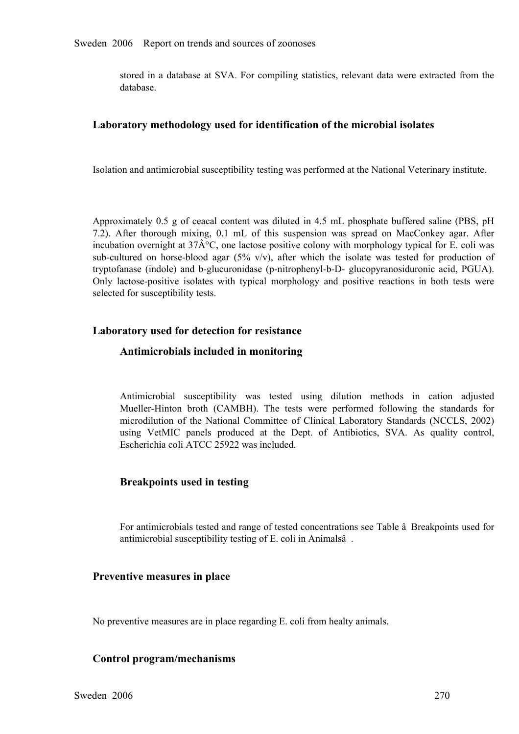stored in a database at SVA. For compiling statistics, relevant data were extracted from the database.

#### **Laboratory methodology used for identification of the microbial isolates**

Isolation and antimicrobial susceptibility testing was performed at the National Veterinary institute.

Approximately 0.5 g of ceacal content was diluted in 4.5 mL phosphate buffered saline (PBS, pH 7.2). After thorough mixing, 0.1 mL of this suspension was spread on MacConkey agar. After incubation overnight at  $37\text$ 7.2). After thorough mixing, 0.1 mL of this suspension was spread on MacConkey agar. After incubation overnight at  $37\hat{A}^{\circ}C$ , one lactose positive colony with morphology typical for E. coli was sub-cultured on horseincubation overnight at 37 $\hat{A}^{\circ}C$ , one lactose positive colony with morphology typical for E. coli was sub-cultured on horse-blood agar (5% v/v), after which the isolate was tested for production of tryptofanase (indole) and b-glucuronidase (p-nitrophenyl-b-D- glucopyranosiduronic acid, PGUA).<br>Only lactose-positiv tryptofanase (indole) and b-glucuronidase (p-nitrophenyl-b-D- glucopyranosiduronic acid, PGUA).<br>Only lactose-positive isolates with typical morphology and positive reactions in both tests were<br>selected for susceptibility t Only lactose-positive isolates with typical morphology and positive reactions in both tests were selected for susceptibility tests. selected for susceptibility tests.

#### **Laboratory used for detection for resistance**

#### **Antimicrobials included in monitoring**

Antimicrobial susceptibility was tested using dilution methods in cation adjusted Mueller-Hinton broth (CAMBH). The tests were performed following the standards for microdilution of the National Committee of Clinical Labor Mueller-Hinton broth (CAMBH). The tests were performed following the standards for microdilution of the National Committee of Clinical Laboratory Standards (NCCLS, 2002) using VetMIC panels produced at the Dept. of Antibio microdilution of the National Committee of Clinical Laboratory Standards (NCCLS, 2002)<br>using VetMIC panels produced at the Dept. of Antibiotics, SVA. As quality control,<br>Escherichia coli ATCC 25922 was included. using VetMIC panels produced at the Dept. of Antibiotics, SVA. As quality control, Escherichia coli ATCC 25922 was included. Escherichia coli ATCC 25922 was included.

#### **Breakpoints used in testing**

For antimicrobials tested and range of tested concentrations see Table â Breakpoints used for antimicrobial susceptibility testing of E. coli in Animalsâ .

#### **Preventive measures in place**

No preventive measures are in place regarding E. coli from healty animals.

#### **Control program/mechanisms**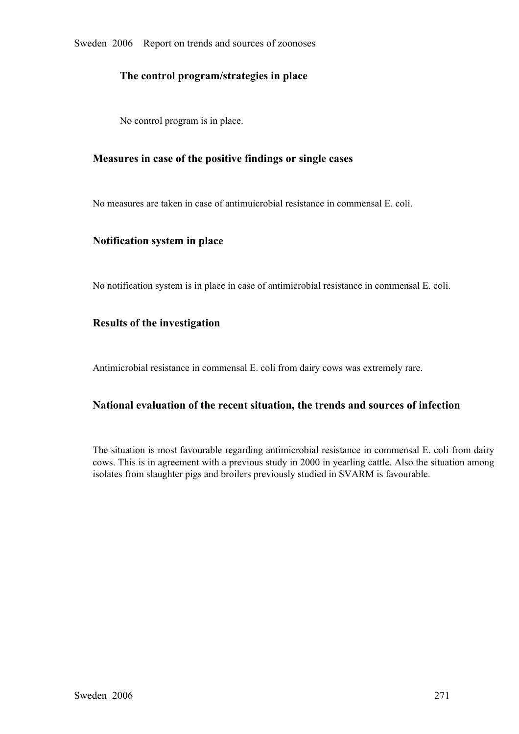Sweden 2006 Report on trends and sources of zoonoses

## **The control program/strategies in place**

No control program is in place.

#### **Measures in case of the positive findings or single cases**

No measures are taken in case of antimuicrobial resistance in commensal E. coli.

#### **Notification system in place**

No notification system is in place in case of antimicrobial resistance in commensal E. coli.

#### **Results of the investigation**

Antimicrobial resistance in commensal E. coli from dairy cows was extremely rare.

## **National evaluation of the recent situation, the trends and sources of infection**

The situation is most favourable regarding antimicrobial resistance in commensal E. coli from dairy cows. This is in agreement with a previous study in 2000 in yearling cattle. Also the situation among isolates from slaughter pigs and broilers previously studied in SVARM is favourable.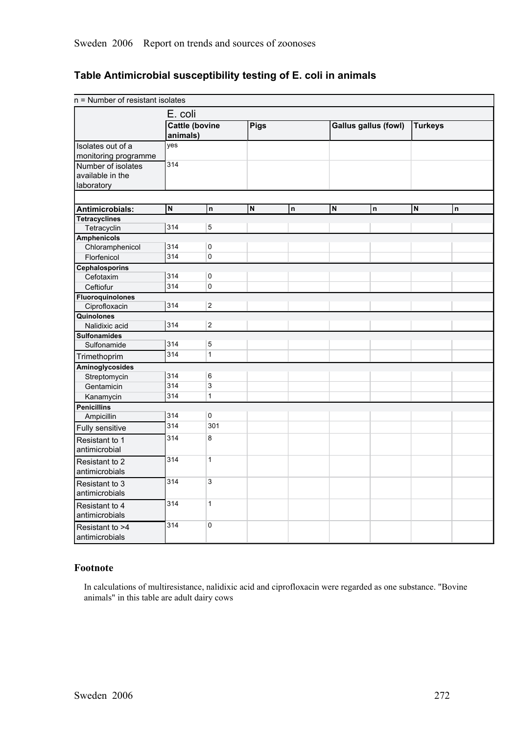# **Table Antimicrobial susceptibility testing of E. coli in animals**

| n = Number of resistant isolates |                       |                |      |             |                             |    |                |   |
|----------------------------------|-----------------------|----------------|------|-------------|-----------------------------|----|----------------|---|
|                                  | E. coli               |                |      |             |                             |    |                |   |
|                                  | <b>Cattle (bovine</b> |                | Pigs |             | <b>Gallus gallus (fowl)</b> |    | <b>Turkeys</b> |   |
|                                  | animals)              |                |      |             |                             |    |                |   |
| Isolates out of a                | yes                   |                |      |             |                             |    |                |   |
| monitoring programme             |                       |                |      |             |                             |    |                |   |
| Number of isolates               | 314                   |                |      |             |                             |    |                |   |
| available in the                 |                       |                |      |             |                             |    |                |   |
| laboratory                       |                       |                |      |             |                             |    |                |   |
|                                  |                       |                |      |             |                             |    |                |   |
| Antimicrobials:                  | $\mathsf{N}$          | $\mathsf{n}$   | N    | $\mathsf n$ | $\overline{N}$              | n. | N              | n |
| <b>Tetracyclines</b>             |                       |                |      |             |                             |    |                |   |
| Tetracyclin                      | 314                   | 5              |      |             |                             |    |                |   |
| <b>Amphenicols</b>               |                       |                |      |             |                             |    |                |   |
| Chloramphenicol                  | 314                   | 0              |      |             |                             |    |                |   |
| Florfenicol                      | 314                   | 0              |      |             |                             |    |                |   |
| <b>Cephalosporins</b>            |                       |                |      |             |                             |    |                |   |
| Cefotaxim                        | 314                   | 0              |      |             |                             |    |                |   |
| Ceftiofur                        | 314                   | $\pmb{0}$      |      |             |                             |    |                |   |
| Fluoroquinolones                 |                       |                |      |             |                             |    |                |   |
| Ciprofloxacin                    | 314                   | $\overline{a}$ |      |             |                             |    |                |   |
| Quinolones                       |                       |                |      |             |                             |    |                |   |
| Nalidixic acid                   | 314                   | $\overline{2}$ |      |             |                             |    |                |   |
| <b>Sulfonamides</b>              |                       |                |      |             |                             |    |                |   |
| Sulfonamide                      | 314                   | 5              |      |             |                             |    |                |   |
| Trimethoprim                     | 314                   | $\mathbf{1}$   |      |             |                             |    |                |   |
| Aminoglycosides                  |                       |                |      |             |                             |    |                |   |
| Streptomycin                     | 314                   | 6              |      |             |                             |    |                |   |
| Gentamicin                       | 314                   | 3              |      |             |                             |    |                |   |
| Kanamycin                        | 314                   | $\mathbf{1}$   |      |             |                             |    |                |   |
| <b>Penicillins</b>               |                       |                |      |             |                             |    |                |   |
| Ampicillin                       | 314                   | 0              |      |             |                             |    |                |   |
| Fully sensitive                  | 314                   | 301            |      |             |                             |    |                |   |
| Resistant to 1                   | 314                   | 8              |      |             |                             |    |                |   |
| antimicrobial                    |                       |                |      |             |                             |    |                |   |
| Resistant to 2                   | 314                   | $\mathbf{1}$   |      |             |                             |    |                |   |
| antimicrobials                   |                       |                |      |             |                             |    |                |   |
| Resistant to 3                   | 314                   | 3              |      |             |                             |    |                |   |
| antimicrobials                   |                       |                |      |             |                             |    |                |   |
|                                  | 314                   | $\mathbf{1}$   |      |             |                             |    |                |   |
| Resistant to 4                   |                       |                |      |             |                             |    |                |   |
| antimicrobials                   |                       |                |      |             |                             |    |                |   |
| Resistant to >4                  | 314                   | 0              |      |             |                             |    |                |   |
| antimicrobials                   |                       |                |      |             |                             |    |                |   |

#### **Footnote**

In calculations of multiresistance, nalidixic acid and ciprofloxacin were regarded as one substance. "Bovine animals" in this table are adult dairy cows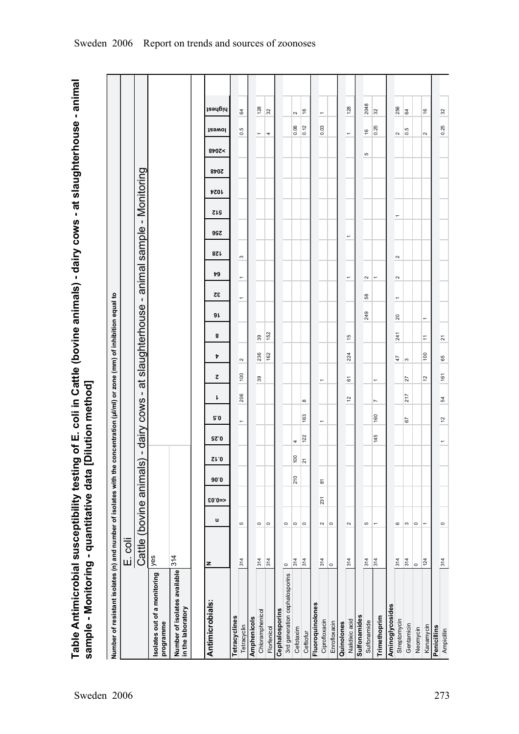Table Antimicrobial susceptibility testing of E. coli in Cattle (bovine animals) - dairy cows - at slaughterhouse - animal<br>sample - Monitoring - quantitative data [Dilution method] **Table Antimicrobial susceptibility testing of E. coli in Cattle (bovine animals) dairy cows at slaughterhouse animal sample Monitoring quantitative data [Dilution method]**

| Number of resistant isolates (n) and number of isolates with the concentration (µl/ml) or zone (mm) of inhibition equal to |                         |                |          |      |                |             |                          |                |                          |          |                |                 |                          |                          |        |                          |            |      |               |                          |                          |  |
|----------------------------------------------------------------------------------------------------------------------------|-------------------------|----------------|----------|------|----------------|-------------|--------------------------|----------------|--------------------------|----------|----------------|-----------------|--------------------------|--------------------------|--------|--------------------------|------------|------|---------------|--------------------------|--------------------------|--|
|                                                                                                                            | E. coli                 |                |          |      |                |             |                          |                |                          |          |                |                 |                          |                          |        |                          |            |      |               |                          |                          |  |
|                                                                                                                            | Cattle (bovine animals) |                |          |      | $\mathbf{I}$   |             | dairy cows -             |                | đ                        |          | slaughterhouse |                 | - anima                  |                          |        | sample - Monitoring      |            |      |               |                          |                          |  |
| Isolates out of a monitoring<br>programme                                                                                  | yes                     |                |          |      |                |             |                          |                |                          |          |                |                 |                          |                          |        |                          |            |      |               |                          |                          |  |
| Number of isolates available<br>in the laboratory                                                                          | 314                     |                |          |      |                |             |                          |                |                          |          |                |                 |                          |                          |        |                          |            |      |               |                          |                          |  |
|                                                                                                                            |                         |                |          |      |                |             |                          |                |                          |          |                |                 |                          |                          |        |                          |            |      |               |                          |                          |  |
| Antimicrobials:                                                                                                            | z                       | u              | $$0.0 =$ | 90.0 | Sr.O           | <b>GZ.0</b> | 90                       | ı              | ट                        | Þ        | 8              | 9 L             | 32                       | 49                       | 87L    | 99Z                      | <b>SIS</b> | 1024 | >2048<br>2048 | <b>J</b><br>Jewol        | highest                  |  |
| Tetracyclines                                                                                                              |                         |                |          |      |                |             |                          |                |                          |          |                |                 |                          |                          |        |                          |            |      |               |                          |                          |  |
| Tetracyclin                                                                                                                | 314                     | Ю              |          |      |                |             | $\overline{\phantom{0}}$ | 206            | 001                      | $\sim$   |                |                 | $\overline{\phantom{0}}$ | $\overline{\phantom{0}}$ | S      |                          |            |      |               | 0.5                      | 64                       |  |
| Amphenicols                                                                                                                |                         |                |          |      |                |             |                          |                |                          |          |                |                 |                          |                          |        |                          |            |      |               |                          |                          |  |
| Chloramphenicol                                                                                                            | 314                     | $\circ$        |          |      |                |             |                          |                | $39$                     | 236      | $39$           |                 |                          |                          |        |                          |            |      |               | $\overline{\phantom{0}}$ | 128                      |  |
| Florfenicol                                                                                                                | 314                     | $\circ$        |          |      |                |             |                          |                |                          | 162      | 152            |                 |                          |                          |        |                          |            |      |               | 4                        | 32                       |  |
| Cephalosporins                                                                                                             |                         |                |          |      |                |             |                          |                |                          |          |                |                 |                          |                          |        |                          |            |      |               |                          |                          |  |
| 3rd generation cephalosporins                                                                                              | $\circ$                 | $\circ$        |          |      |                |             |                          |                |                          |          |                |                 |                          |                          |        |                          |            |      |               |                          |                          |  |
| Cefotaxim                                                                                                                  | 314                     | $\circ$        |          | 210  | $\frac{8}{2}$  | 4           |                          |                |                          |          |                |                 |                          |                          |        |                          |            |      |               | 0.06                     | $\sim$                   |  |
| Ceftiofur                                                                                                                  | 314                     | $\circ$        |          |      | $\overline{z}$ | 122         | 163                      | $\infty$       |                          |          |                |                 |                          |                          |        |                          |            |      |               | $\frac{1}{2}$            | $\frac{6}{2}$            |  |
| Fluoroquinolones                                                                                                           |                         |                |          |      |                |             |                          |                |                          |          |                |                 |                          |                          |        |                          |            |      |               |                          |                          |  |
| Ciprofloxacin                                                                                                              | 314                     | $\sim$         | 231      | 5    |                |             | $\overline{ }$           |                |                          |          |                |                 |                          |                          |        |                          |            |      |               | 0.03                     | $\overline{\phantom{0}}$ |  |
| Enrofloxacin                                                                                                               | $\circ$                 | $\circ$        |          |      |                |             |                          |                |                          |          |                |                 |                          |                          |        |                          |            |      |               |                          |                          |  |
| Quinolones                                                                                                                 |                         |                |          |      |                |             |                          |                |                          |          |                |                 |                          |                          |        |                          |            |      |               |                          |                          |  |
| Nalidixic acid                                                                                                             | 314                     | $\sim$         |          |      |                |             |                          | $\frac{1}{2}$  | 61                       | 224      | 15             |                 |                          | ٣                        |        | $\overline{\phantom{0}}$ |            |      |               | $\overline{\phantom{0}}$ | 128                      |  |
| Sulfonamides                                                                                                               |                         |                |          |      |                |             |                          |                |                          |          |                |                 |                          |                          |        |                          |            |      |               |                          |                          |  |
| Sulfonamide                                                                                                                | 314                     | Ю              |          |      |                |             |                          |                |                          |          |                | 249             | 58                       | $\sim$                   |        |                          |            |      | 5             | $\frac{6}{5}$            | 2048                     |  |
| Trimethoprim                                                                                                               | 314                     | $\overline{ }$ |          |      |                | 145         | 160                      | $\overline{ }$ | $\overline{\phantom{0}}$ |          |                |                 |                          | $\overline{\phantom{0}}$ |        |                          |            |      |               | 0.25                     | 32                       |  |
| Aminoglycosides                                                                                                            |                         |                |          |      |                |             |                          |                |                          |          |                |                 |                          |                          |        |                          |            |      |               |                          |                          |  |
| Streptomycin                                                                                                               | 314                     | G              |          |      |                |             |                          |                |                          | 47       | 241            | $\overline{20}$ | $\overline{\phantom{0}}$ | $\sim$                   | $\sim$ |                          | ۳          |      |               | $\boldsymbol{\sim}$      | 256                      |  |
| Gentamicin                                                                                                                 | 314                     | S              |          |      |                |             | 67                       | 217            | 27                       | $\infty$ |                |                 |                          |                          |        |                          |            |      |               | $\frac{5}{2}$            | 64                       |  |
| Neomycin                                                                                                                   | $\circ$                 | $\circ$        |          |      |                |             |                          |                |                          |          |                |                 |                          |                          |        |                          |            |      |               |                          |                          |  |
| Kanamycin                                                                                                                  | 124                     | $\overline{ }$ |          |      |                |             |                          |                | $\overline{c}$           | 100      | $\overline{r}$ | $\overline{ }$  |                          |                          |        |                          |            |      |               | $\sim$                   | $\frac{6}{2}$            |  |
| Penicillins                                                                                                                |                         |                |          |      |                |             |                          |                |                          |          |                |                 |                          |                          |        |                          |            |      |               |                          |                          |  |
| Ampicillin                                                                                                                 | 314                     | $\circ$        |          |      |                |             | $\overline{\mathcal{L}}$ | 54             | 161                      | 65       | 21             |                 |                          |                          |        |                          |            |      |               | 0.25                     | $32\,$                   |  |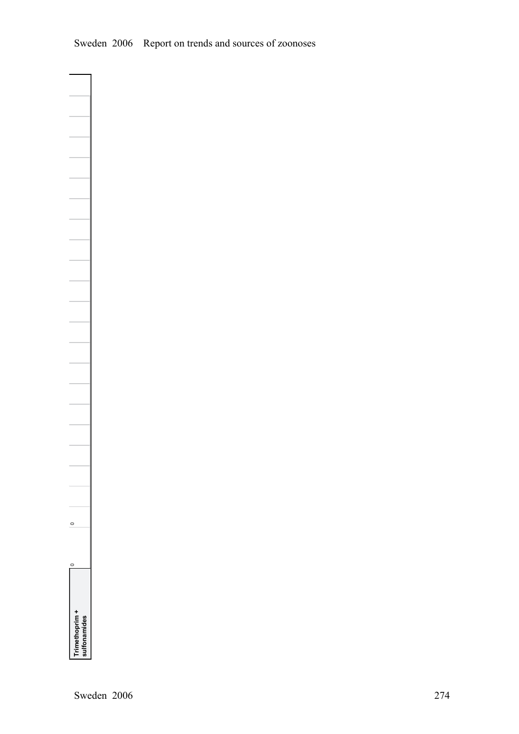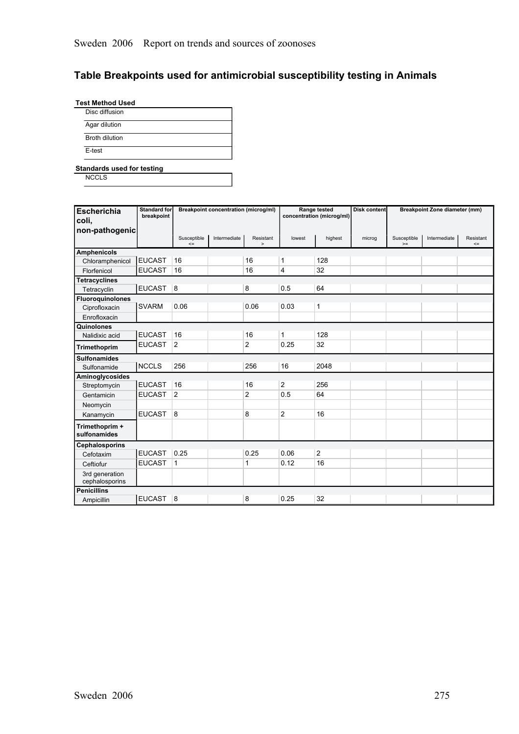# **Table Breakpoints used for antimicrobial susceptibility testing in Animals**

**Test Method Used**

| Agar dilution         |
|-----------------------|
| <b>Broth dilution</b> |

**Standards used for testing**

**NCCLS** 

| <b>Escherichia</b><br>coli,      | <b>Standard for</b><br>breakpoint |                       | <b>Breakpoint concentration (microg/ml)</b> |                     |                | Range tested<br>concentration (microg/ml) | <b>Disk content</b> |                     | <b>Breakpoint Zone diameter (mm)</b> |                     |
|----------------------------------|-----------------------------------|-----------------------|---------------------------------------------|---------------------|----------------|-------------------------------------------|---------------------|---------------------|--------------------------------------|---------------------|
| non-pathogenic                   |                                   | Susceptible<br>$\leq$ | Intermediate                                | Resistant<br>$\geq$ | lowest         | highest                                   | microg              | Susceptible<br>$>=$ | Intermediate                         | Resistant<br>$\leq$ |
| <b>Amphenicols</b>               |                                   |                       |                                             |                     |                |                                           |                     |                     |                                      |                     |
| Chloramphenicol                  | <b>EUCAST</b>                     | 16                    |                                             | 16                  | 1              | 128                                       |                     |                     |                                      |                     |
| Florfenicol                      | <b>EUCAST</b>                     | 16                    |                                             | 16                  | 4              | 32                                        |                     |                     |                                      |                     |
| <b>Tetracyclines</b>             |                                   |                       |                                             |                     |                |                                           |                     |                     |                                      |                     |
| Tetracyclin                      | EUCAST 8                          |                       |                                             | 8                   | 0.5            | 64                                        |                     |                     |                                      |                     |
| Fluoroquinolones                 |                                   |                       |                                             |                     |                |                                           |                     |                     |                                      |                     |
| Ciprofloxacin                    | <b>SVARM</b>                      | 0.06                  |                                             | 0.06                | 0.03           | 1                                         |                     |                     |                                      |                     |
| Enrofloxacin                     |                                   |                       |                                             |                     |                |                                           |                     |                     |                                      |                     |
| Quinolones                       |                                   |                       |                                             |                     |                |                                           |                     |                     |                                      |                     |
| Nalidixic acid                   | <b>EUCAST</b>                     | 16                    |                                             | 16                  | 1              | 128                                       |                     |                     |                                      |                     |
| Trimethoprim                     | <b>EUCAST</b>                     | $\overline{2}$        |                                             | $\overline{c}$      | 0.25           | 32                                        |                     |                     |                                      |                     |
| <b>Sulfonamides</b>              |                                   |                       |                                             |                     |                |                                           |                     |                     |                                      |                     |
| Sulfonamide                      | <b>NCCLS</b>                      | 256                   |                                             | 256                 | 16             | 2048                                      |                     |                     |                                      |                     |
| Aminoglycosides                  |                                   |                       |                                             |                     |                |                                           |                     |                     |                                      |                     |
| Streptomycin                     | <b>EUCAST</b>                     | 16                    |                                             | 16                  | $\mathbf{2}$   | 256                                       |                     |                     |                                      |                     |
| Gentamicin                       | <b>EUCAST</b>                     | $\overline{2}$        |                                             | 2                   | 0.5            | 64                                        |                     |                     |                                      |                     |
| Neomycin                         |                                   |                       |                                             |                     |                |                                           |                     |                     |                                      |                     |
| Kanamycin                        | <b>EUCAST</b>                     | 8                     |                                             | 8                   | $\overline{2}$ | 16                                        |                     |                     |                                      |                     |
| Trimethoprim +<br>sulfonamides   |                                   |                       |                                             |                     |                |                                           |                     |                     |                                      |                     |
| <b>Cephalosporins</b>            |                                   |                       |                                             |                     |                |                                           |                     |                     |                                      |                     |
| Cefotaxim                        | <b>EUCAST</b>                     | 0.25                  |                                             | 0.25                | 0.06           | $\overline{2}$                            |                     |                     |                                      |                     |
| Ceftiofur                        | <b>EUCAST</b>                     | 1                     |                                             | 1                   | 0.12           | 16                                        |                     |                     |                                      |                     |
| 3rd generation<br>cephalosporins |                                   |                       |                                             |                     |                |                                           |                     |                     |                                      |                     |
| <b>Penicillins</b>               |                                   |                       |                                             |                     |                |                                           |                     |                     |                                      |                     |
| Ampicillin                       | EUCAST 8                          |                       |                                             | 8                   | 0.25           | 32                                        |                     |                     |                                      |                     |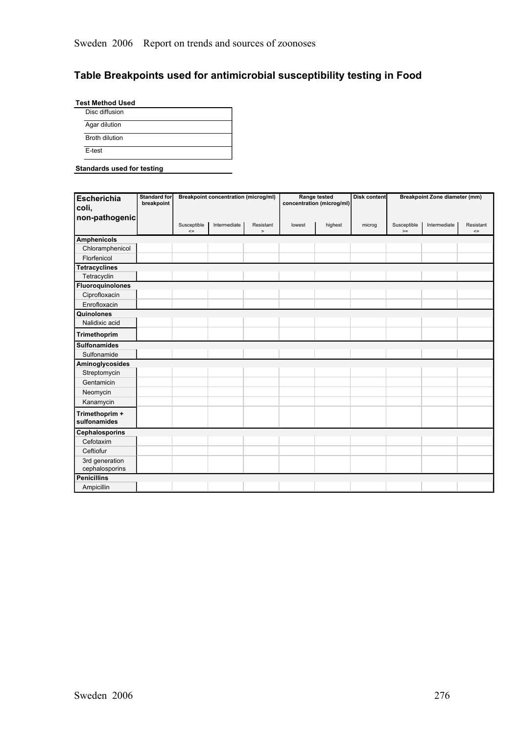# **Table Breakpoints used for antimicrobial susceptibility testing in Food**

**Test Method Used** Disc diffusion Agar dilution Broth dilution E-test

#### **Standards used for testing**

| <b>Escherichia</b><br>coli,<br>non-pathogenic | <b>Standard for</b><br>breakpoint |                       | <b>Breakpoint concentration (microg/ml)</b> |                   |        | Range tested<br>concentration (microg/ml) | Disk content |                     | <b>Breakpoint Zone diameter (mm)</b> |                     |
|-----------------------------------------------|-----------------------------------|-----------------------|---------------------------------------------|-------------------|--------|-------------------------------------------|--------------|---------------------|--------------------------------------|---------------------|
|                                               |                                   | Susceptible<br>$\leq$ | Intermediate                                | Resistant<br>$\,$ | lowest | highest                                   | microg       | Susceptible<br>$>=$ | Intermediate                         | Resistant<br>$\leq$ |
| <b>Amphenicols</b>                            |                                   |                       |                                             |                   |        |                                           |              |                     |                                      |                     |
| Chloramphenicol                               |                                   |                       |                                             |                   |        |                                           |              |                     |                                      |                     |
| Florfenicol                                   |                                   |                       |                                             |                   |        |                                           |              |                     |                                      |                     |
| <b>Tetracyclines</b>                          |                                   |                       |                                             |                   |        |                                           |              |                     |                                      |                     |
| Tetracyclin                                   |                                   |                       |                                             |                   |        |                                           |              |                     |                                      |                     |
| Fluoroquinolones                              |                                   |                       |                                             |                   |        |                                           |              |                     |                                      |                     |
| Ciprofloxacin                                 |                                   |                       |                                             |                   |        |                                           |              |                     |                                      |                     |
| Enrofloxacin                                  |                                   |                       |                                             |                   |        |                                           |              |                     |                                      |                     |
| Quinolones                                    |                                   |                       |                                             |                   |        |                                           |              |                     |                                      |                     |
| Nalidixic acid                                |                                   |                       |                                             |                   |        |                                           |              |                     |                                      |                     |
| Trimethoprim                                  |                                   |                       |                                             |                   |        |                                           |              |                     |                                      |                     |
| <b>Sulfonamides</b>                           |                                   |                       |                                             |                   |        |                                           |              |                     |                                      |                     |
| Sulfonamide                                   |                                   |                       |                                             |                   |        |                                           |              |                     |                                      |                     |
| Aminoglycosides                               |                                   |                       |                                             |                   |        |                                           |              |                     |                                      |                     |
| Streptomycin                                  |                                   |                       |                                             |                   |        |                                           |              |                     |                                      |                     |
| Gentamicin                                    |                                   |                       |                                             |                   |        |                                           |              |                     |                                      |                     |
| Neomycin                                      |                                   |                       |                                             |                   |        |                                           |              |                     |                                      |                     |
| Kanamycin                                     |                                   |                       |                                             |                   |        |                                           |              |                     |                                      |                     |
| Trimethoprim +<br>sulfonamides                |                                   |                       |                                             |                   |        |                                           |              |                     |                                      |                     |
| <b>Cephalosporins</b>                         |                                   |                       |                                             |                   |        |                                           |              |                     |                                      |                     |
| Cefotaxim                                     |                                   |                       |                                             |                   |        |                                           |              |                     |                                      |                     |
| Ceftiofur                                     |                                   |                       |                                             |                   |        |                                           |              |                     |                                      |                     |
| 3rd generation<br>cephalosporins              |                                   |                       |                                             |                   |        |                                           |              |                     |                                      |                     |
| <b>Penicillins</b>                            |                                   |                       |                                             |                   |        |                                           |              |                     |                                      |                     |
| Ampicillin                                    |                                   |                       |                                             |                   |        |                                           |              |                     |                                      |                     |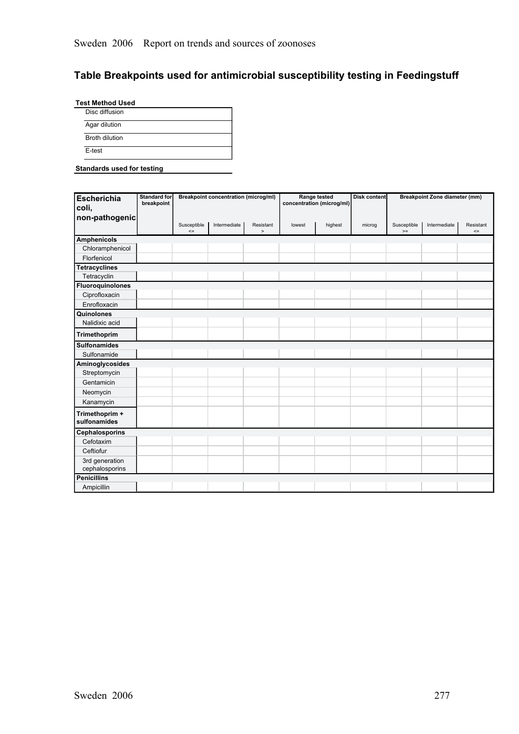# **Table Breakpoints used for antimicrobial susceptibility testing in Feedingstuff**

| Agar dilution<br>Broth dilution | Disc diffusion |  |
|---------------------------------|----------------|--|
|                                 |                |  |
|                                 |                |  |

#### **Standards used for testing**

| <b>Escherichia</b><br>coli,<br>non-pathogenic | <b>Standard for</b><br>breakpoint |                       | <b>Breakpoint concentration (microg/ml)</b> |                     |        | Range tested<br>concentration (microg/ml) | <b>Disk content</b> |                     | <b>Breakpoint Zone diameter (mm)</b> |                     |
|-----------------------------------------------|-----------------------------------|-----------------------|---------------------------------------------|---------------------|--------|-------------------------------------------|---------------------|---------------------|--------------------------------------|---------------------|
|                                               |                                   | Susceptible<br>$\leq$ | Intermediate                                | Resistant<br>$\geq$ | lowest | highest                                   | microg              | Susceptible<br>$>=$ | Intermediate                         | Resistant<br>$\leq$ |
| <b>Amphenicols</b>                            |                                   |                       |                                             |                     |        |                                           |                     |                     |                                      |                     |
| Chloramphenicol                               |                                   |                       |                                             |                     |        |                                           |                     |                     |                                      |                     |
| Florfenicol                                   |                                   |                       |                                             |                     |        |                                           |                     |                     |                                      |                     |
| <b>Tetracyclines</b>                          |                                   |                       |                                             |                     |        |                                           |                     |                     |                                      |                     |
| Tetracyclin                                   |                                   |                       |                                             |                     |        |                                           |                     |                     |                                      |                     |
| <b>Fluoroquinolones</b>                       |                                   |                       |                                             |                     |        |                                           |                     |                     |                                      |                     |
| Ciprofloxacin                                 |                                   |                       |                                             |                     |        |                                           |                     |                     |                                      |                     |
| Enrofloxacin                                  |                                   |                       |                                             |                     |        |                                           |                     |                     |                                      |                     |
| Quinolones                                    |                                   |                       |                                             |                     |        |                                           |                     |                     |                                      |                     |
| Nalidixic acid                                |                                   |                       |                                             |                     |        |                                           |                     |                     |                                      |                     |
| Trimethoprim                                  |                                   |                       |                                             |                     |        |                                           |                     |                     |                                      |                     |
| <b>Sulfonamides</b>                           |                                   |                       |                                             |                     |        |                                           |                     |                     |                                      |                     |
| Sulfonamide                                   |                                   |                       |                                             |                     |        |                                           |                     |                     |                                      |                     |
| Aminoglycosides                               |                                   |                       |                                             |                     |        |                                           |                     |                     |                                      |                     |
| Streptomycin                                  |                                   |                       |                                             |                     |        |                                           |                     |                     |                                      |                     |
| Gentamicin                                    |                                   |                       |                                             |                     |        |                                           |                     |                     |                                      |                     |
| Neomycin                                      |                                   |                       |                                             |                     |        |                                           |                     |                     |                                      |                     |
| Kanamycin                                     |                                   |                       |                                             |                     |        |                                           |                     |                     |                                      |                     |
| Trimethoprim +<br>sulfonamides                |                                   |                       |                                             |                     |        |                                           |                     |                     |                                      |                     |
| Cephalosporins                                |                                   |                       |                                             |                     |        |                                           |                     |                     |                                      |                     |
| Cefotaxim                                     |                                   |                       |                                             |                     |        |                                           |                     |                     |                                      |                     |
| Ceftiofur                                     |                                   |                       |                                             |                     |        |                                           |                     |                     |                                      |                     |
| 3rd generation<br>cephalosporins              |                                   |                       |                                             |                     |        |                                           |                     |                     |                                      |                     |
| <b>Penicillins</b><br>Ampicillin              |                                   |                       |                                             |                     |        |                                           |                     |                     |                                      |                     |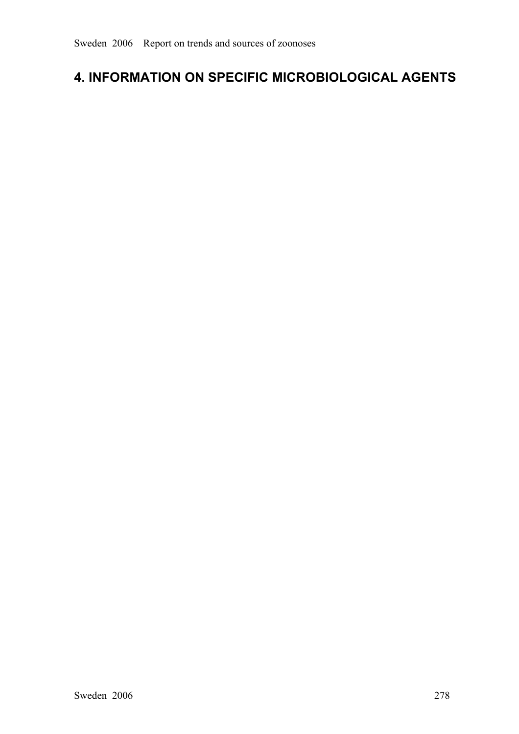# **4. INFORMATION ON SPECIFIC MICROBIOLOGICAL AGENTS**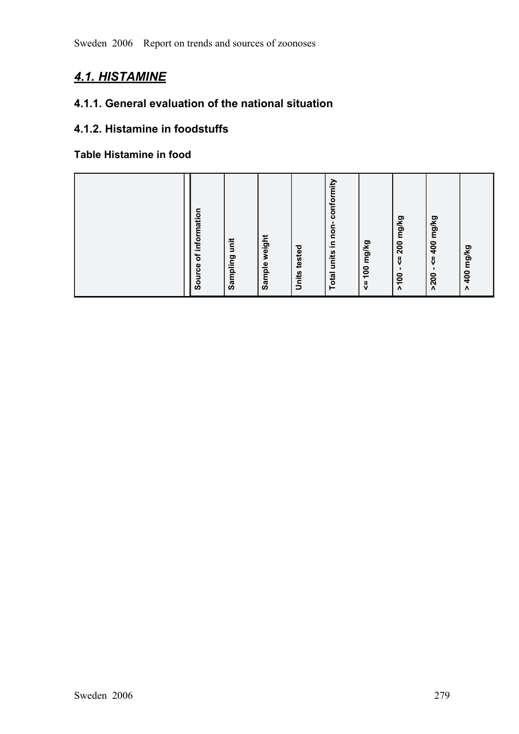# *4.1. HISTAMINE*

# **4.1.1. General evaluation of the national situation**

# **4.1.2. Histamine in foodstuffs**

# **Table Histamine in food**

|  | information<br>unit<br>$\mathbf{r}$<br>Sampling<br>Source | weight<br>tested<br>Sample<br>Units | in non-conformity<br>100 mg/kg<br><b>Total units</b><br>$\frac{\mathsf{II}}{\mathsf{V}}$ | <= 200 mg/kg<br><= 400 mg/kg<br>$\mathbf{I}$<br>٠<br>200<<br>$>200$ | mg/kg<br>400<br>$\boldsymbol{\Lambda}$ |
|--|-----------------------------------------------------------|-------------------------------------|------------------------------------------------------------------------------------------|---------------------------------------------------------------------|----------------------------------------|
|--|-----------------------------------------------------------|-------------------------------------|------------------------------------------------------------------------------------------|---------------------------------------------------------------------|----------------------------------------|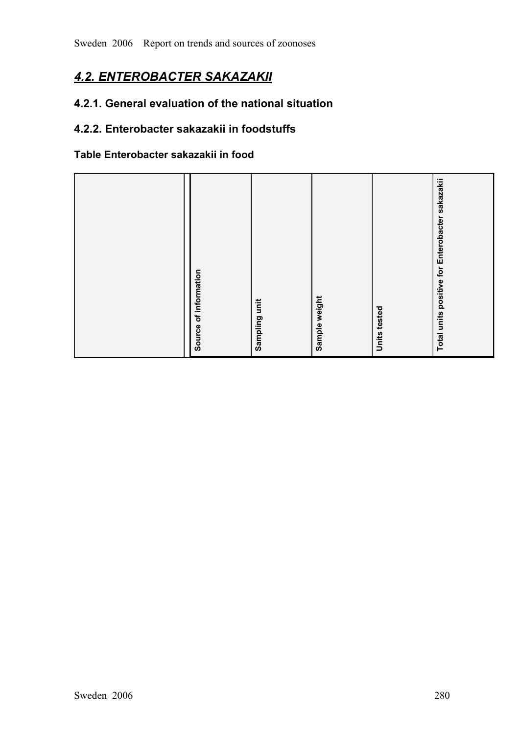# *4.2. ENTEROBACTER SAKAZAKII*

# **4.2.1. General evaluation of the national situation**

# **4.2.2. Enterobacter sakazakii in foodstuffs**

# **Table Enterobacter sakazakii in food**

| positive for Enterobacter sakazakii<br>Source of information<br>Sample weight<br>Sampling unit<br>Units tested<br>Total units |
|-------------------------------------------------------------------------------------------------------------------------------|
|-------------------------------------------------------------------------------------------------------------------------------|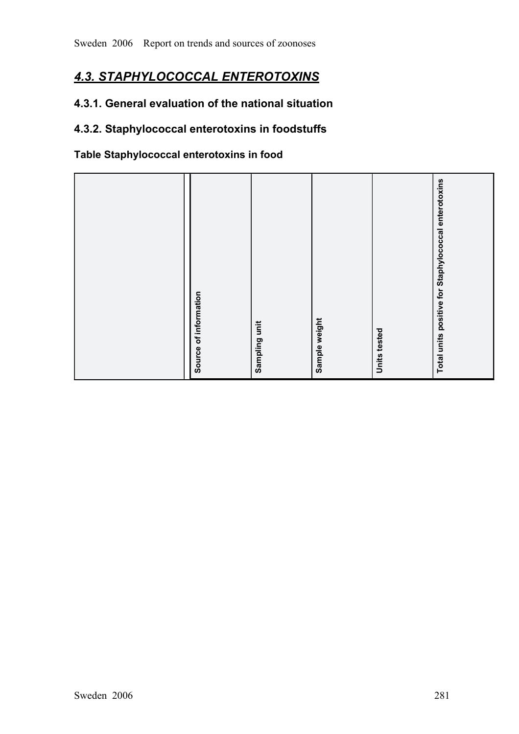# *4.3. STAPHYLOCOCCAL ENTEROTOXINS*

# **4.3.1. General evaluation of the national situation**

# **4.3.2. Staphylococcal enterotoxins in foodstuffs**

# **Table Staphylococcal enterotoxins in food**

| Source of information<br>Sampling unit               |
|------------------------------------------------------|
| Sample weight                                        |
| Units tested                                         |
| Total units positive for Staphylococcal enterotoxins |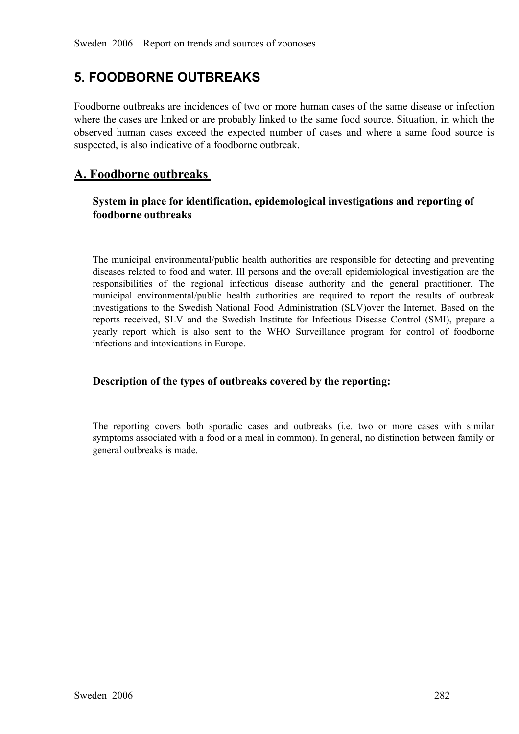# **5. FOODBORNE OUTBREAKS**

Foodborne outbreaks are incidences of two or more human cases of the same disease or infection where the cases are linked or are probably linked to the same food source. Situation, in which the observed human cases exceed the expected number of cases and where <sup>a</sup> same food source is suspected, is also indicative of a foodborne outbreak.

# **A. Foodborne outbreaks**

# **System in place for identification, epidemological investigations and reporting of foodborne outbreaks**

The municipal environmental/public health authorities are responsible for detecting and preventing diseases related to food and water. Ill persons and the overall epidemiological investigation are the responsibilities of t diseases related to food and water. Ill persons and the overall epidemiological investigation are the responsibilities of the regional infectious disease authority and the general practitioner. The<br>municipal environmental/public health authorities are required to report the results of outbreak<br>investigations to the Swedish municipal environmental/public health authorities are required to report the results of outbreak<br>investigations to the Swedish National Food Administration (SLV)over the Internet. Based on the<br>reports received, SLV and the investigations to the Swedish National Food Administration (SLV)over the Internet. Based on the reports received, SLV and the Swedish Institute for Infectious Disease Control (SMI), prepare a yearly report which is also se reports received, SLV and the Swedish Institute for Infectious Disease Control (SMI), prepare a yearly report which is also sent to the WHO Surveillance program for control of foodborne infections and int yearly report which is also sent to the WHO Surveillance program for control of foodborne infections and intoxications in Europe. infections and intoxications in Europe.

# **Description of the types of outbreaks covered by the reporting:**

The reporting covers both sporadic cases and outbreaks (i.e. two or more cases with similar symptoms associated with a food or a meal in common). In general, no distinction between family or general outbreaks is made. symptoms associated with a food or a meal in common). In general, no distinction between family or general outbreaks is made.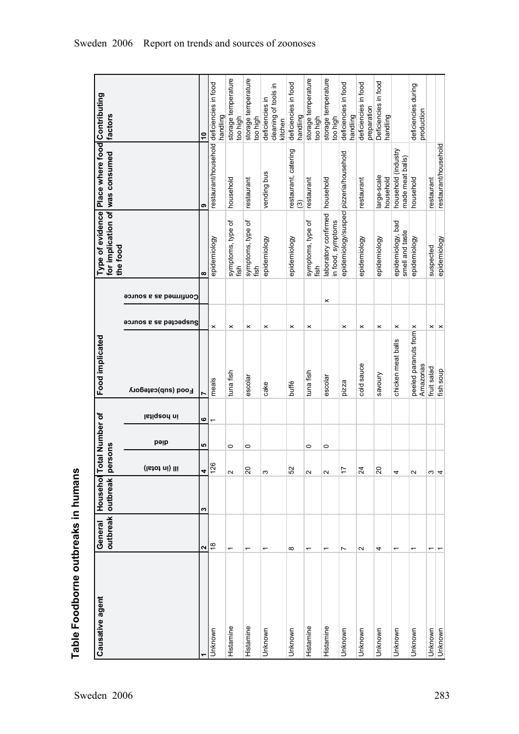| Causative agent | General                  | outbreak outbreak<br>Househol | rsons<br>per      | <b>Total Number of</b> |             | Food implicated                    |                       |                       | for implication of was consumed<br>Type of evidence<br>the food | Place where food                          | Contributing<br>factors                            |
|-----------------|--------------------------|-------------------------------|-------------------|------------------------|-------------|------------------------------------|-----------------------|-----------------------|-----------------------------------------------------------------|-------------------------------------------|----------------------------------------------------|
|                 |                          |                               | ill (in total)    | pəip                   | istiqeon ni | Food (sub)category                 | Suspected as a source | Confirmed as a source |                                                                 |                                           |                                                    |
|                 | $\mathbf{\Omega}$        | S                             | 4                 | 5                      | $\bullet$   |                                    |                       |                       | ထ                                                               | თ                                         | $\tilde{a}$                                        |
| Unknown         | $\frac{8}{1}$            |                               | 126               |                        | ٣           | meals                              | ×                     |                       | epidemiology                                                    | restaurant/household deficiencies in food | handling                                           |
| Histamine       | ᡪ                        |                               | $\sim$            | 0                      |             | tuna fish                          | $\times$              |                       | symptoms, type of<br>fish                                       | household                                 | storage temperature<br>too high                    |
| Histamine       | ٣                        |                               | $\overline{c}$    | 0                      |             | escolar                            | ×                     |                       | symptoms, type of<br>fish                                       | restaurant                                | storage temperature<br>too high                    |
| Unknown         | ۳                        |                               | S                 |                        |             | cake                               | ×                     |                       | epidemiology                                                    | vending bus                               | cleaning of tools in<br>deficiencies in<br>kitchen |
| Unknown         | ${}^{\circ}$             |                               | 52                |                        |             | buffé                              | $\times$              |                       | epidemiology                                                    | restaurant, catering<br>(3)               | deficiencies in food<br>handling                   |
| Histamine       | ↽                        |                               | Z                 | 0                      |             | tuna fish                          | $\boldsymbol{\times}$ |                       | symptoms, type of<br>fish                                       | restaurant                                | storage temperature<br>too high                    |
| Histamine       | ᡪ                        |                               | $\mathbf{\Omega}$ | 0                      |             | escolar                            | ×                     |                       | laboratory confirmed<br>in food, symptoms                       | household                                 | storage temperature<br>too high                    |
| Unknown         | Ľ                        |                               | 17                |                        |             | pizza                              | $\boldsymbol{\times}$ |                       | epidemiology/suspect pizzeria/household                         |                                           | deficiencies in food<br>handling                   |
| Unknown         | $\mathbf{\Omega}$        |                               | 24                |                        |             | cold sauce                         | ×                     |                       | epidemiology                                                    | restaurant                                | deficiencies in food<br>preparation                |
| Unknown         | 4                        |                               | $\overline{c}$    |                        |             | savoury                            | ×                     |                       | epidemiology                                                    | large-scale<br>household                  | Deficiencies in food<br>handling                   |
| Unknown         | ٣                        |                               | 4                 |                        |             | chicken meat balls                 | $\boldsymbol{\times}$ |                       | epidemiology, bad<br>smell and taste                            | household (industry<br>made meat balls)   |                                                    |
| Unknown         | ۳                        |                               | $\mathbf{\Omega}$ |                        |             | peeled paranuts from x<br>Amazonas |                       |                       | epidemiology                                                    | household                                 | deficiencies during<br>production                  |
| Unknown         | $\overline{\phantom{0}}$ |                               | S                 |                        |             | fruit salad                        | $\boldsymbol{\times}$ |                       | suspected                                                       | restaurant                                |                                                    |
| Unknown         |                          |                               | 4                 |                        |             | fish soup                          | $\times$              |                       | epidemiology                                                    | restaurant/household                      |                                                    |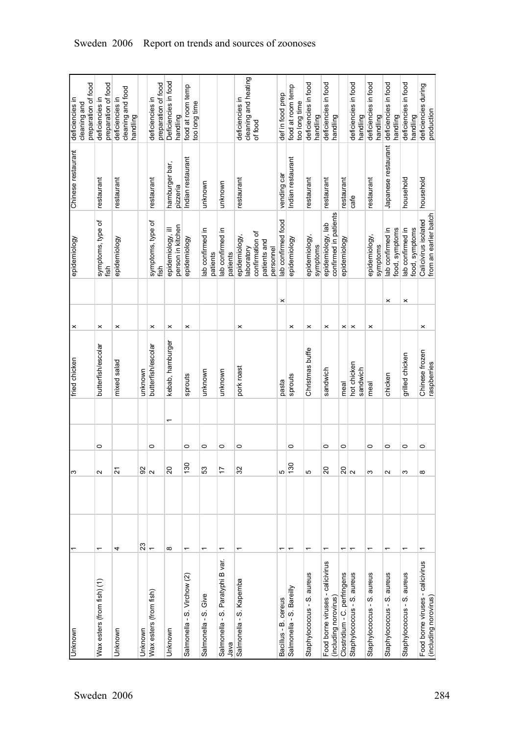| Unknown                                                   |                          | ო                       |         | fried chicken                 | ×                     |          | epidemiology                                  | Chinese restaurant         | deficiencies in                        |
|-----------------------------------------------------------|--------------------------|-------------------------|---------|-------------------------------|-----------------------|----------|-----------------------------------------------|----------------------------|----------------------------------------|
|                                                           |                          |                         |         |                               |                       |          |                                               |                            | cleaning and                           |
| Wax esters (from fish) (1)                                | ۰                        | $\sim$                  | 0       | butterfish/escolar            | ×                     |          | symptoms, type of                             | restaurant                 | preparation of food<br>deficiencies in |
|                                                           |                          |                         |         |                               |                       |          | fish                                          |                            | preparation of food                    |
| Unknown                                                   | 4                        | 24                      |         | mixed salad                   | $\boldsymbol{\times}$ |          | epidemiology                                  | restaurant                 | deficiencies in                        |
|                                                           |                          |                         |         |                               |                       |          |                                               |                            | cleaning and food<br>handling          |
| Unknown                                                   | 23                       | 92                      |         | unknown                       |                       |          |                                               |                            |                                        |
| Wax esters (from fish)                                    | $\overline{\phantom{0}}$ | $\overline{\mathsf{N}}$ | 0       | butterfish/escolar            | $\boldsymbol{\times}$ |          | symptoms, type of<br>fish                     | restaurant                 | preparation of food<br>deficiencies in |
|                                                           |                          |                         |         |                               |                       |          |                                               |                            |                                        |
| Unknown                                                   | $\infty$                 | $\Omega$                | ᡪ       | kebab, hamburger              | ×                     |          | person in kitchen<br>epidemiology, ill        | hamburger bar,<br>pizzeria | Deficiencies in food<br>handling       |
| Salmonella - S. Virchow (2)                               | ↽                        | $\frac{130}{5}$         | 0       | sprouts                       | ×                     |          | epidemiology                                  | Indian restaurant          | food at room temp<br>too long time     |
| Give<br>Salmonella - S.                                   | ۳                        | 53                      | 0       | unknown                       |                       |          | lab confirmed in<br>patients                  | unknown                    |                                        |
| Paratyphi B var.<br>Salmonella - S.<br>Java               | ᡪ                        | 17                      | 0       | unknown                       |                       |          | lab confirmed in<br>patients                  | unknown                    |                                        |
| Kapemba<br>Salmonella - S.                                |                          | 32                      | 0       | pork roast                    | ×                     |          | epidemiology,                                 | restaurant                 | deficiencies in                        |
|                                                           |                          |                         |         |                               |                       |          | confirmation of<br>patients and<br>laboratory |                            | cleaning and heating<br>of food        |
|                                                           | ٣                        |                         |         |                               |                       |          | lab confirmed food<br>personnel               |                            |                                        |
| Bacillus - B. cereus                                      |                          | 5                       |         | pasta                         |                       | ×        |                                               | vending car                | def in food prep                       |
| Salmonella - S. Bareilly                                  |                          | 130                     | 0       | sprouts                       | ×                     |          | epidemiology                                  | Indian restaurant          | food at room temp<br>too long time     |
| aureus<br>Staphylococcus - S.                             |                          | 5                       |         | Christmas buffe               | ×                     |          | epidemiology,<br>symptoms                     | restaurant                 | deficiencies in food<br>handling       |
| Food borne viruses - calicivirus<br>(including norovirus) | ᡪ                        | $\overline{c}$          | $\circ$ | sandwich                      | $\times$              |          | confirmed in patients<br>epidemiology, lab    | restaurant                 | deficiencies in food<br>handling       |
| Clostridium - C. perfringens                              | ٣                        | <u> ଗ୍ଲା</u>            | $\circ$ | meal                          | ×                     |          | epidemiology                                  | restaurant                 |                                        |
| Staphylococcus - S. aureus                                | ٣                        |                         |         | hot chicken<br>sandwich       | $\pmb{\times}$        |          |                                               | cafe                       | deficiencies in food<br>handling       |
| aureus<br>Staphylococcus - S.                             |                          | က                       | 0       | meal                          | $\boldsymbol{\times}$ |          | epidemiology,<br>symptoms                     | restaurant                 | deficiencies in food<br>handling       |
| aureus<br>Staphylococcus - S.                             | ۳                        | $\sim$                  | $\circ$ | chicken                       |                       | ×        | ≘.<br>food, symptoms<br>lab confirmed         | Japanese restaurant        | deficiencies in food<br>handling       |
| aureus<br>Staphylococcus - S.                             | ۳                        | ω                       | 0       | grilled chicken               |                       | $\times$ | lab confirmed in<br>food, symptoms            | household                  | deficiencies in food<br>handling       |
| Food borne viruses - calicivirus<br>(including norovirus) | ٣                        | ${}^{\circ}$            | $\circ$ | Chinese frozen<br>raspberries | ×                     |          | from an earlier batch<br>Calicivirus isolated | household                  | deficiencies during<br>production      |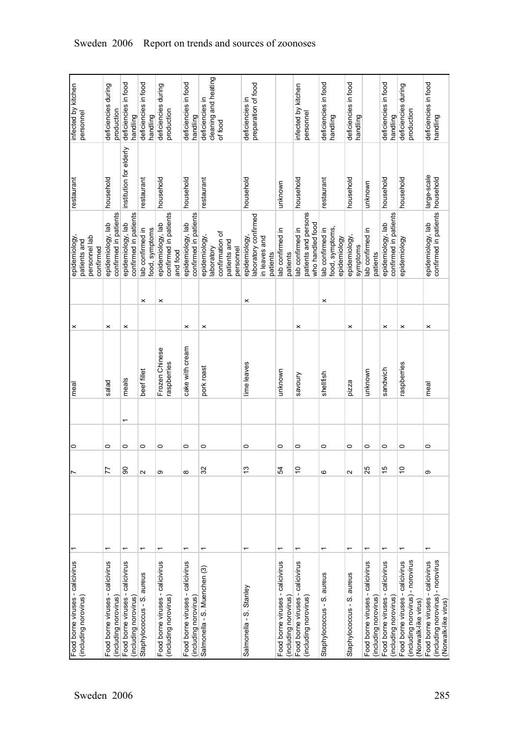| infected by kitchen<br>personnel                            | deficiencies during<br>production                         | deficiencies in food<br>handling                          | deficiencies in food<br>handling   | deficiencies during<br>production                         | deficiencies in food<br>handling                          | cleaning and heating<br>deficiencies in<br>of food                         | preparation of food<br>deficiencies in                             |                                                           | infected by kitchen<br>personnel                             | deficiencies in food<br>handling                    | deficiencies in food<br>handling |                                                           | deficiencies in food<br>handling                          | deficiencies during<br>production                                                                | deficiencies in food<br>handling                                                                 |
|-------------------------------------------------------------|-----------------------------------------------------------|-----------------------------------------------------------|------------------------------------|-----------------------------------------------------------|-----------------------------------------------------------|----------------------------------------------------------------------------|--------------------------------------------------------------------|-----------------------------------------------------------|--------------------------------------------------------------|-----------------------------------------------------|----------------------------------|-----------------------------------------------------------|-----------------------------------------------------------|--------------------------------------------------------------------------------------------------|--------------------------------------------------------------------------------------------------|
| restaurant                                                  | household                                                 | institution for elderly                                   | estaurant                          | household                                                 | household                                                 | restaurant                                                                 | household                                                          | unknown                                                   | household                                                    | restaurant                                          | household                        | unknown                                                   | household                                                 | household                                                                                        | large-scale<br>household                                                                         |
| epidemiology,<br>personnel lab<br>patients and<br>confirmed | confirmed in patients<br>epidemiology, lab                | confirmed in patients<br>epidemiology, lab                | lab confirmed in<br>food, symptoms | confirmed in patients<br>epidemiology, lab<br>and food    | confirmed in patients<br>epidemiology, lab                | confirmation of<br>epidemiology,<br>patients and<br>aboratory<br>personnel | laboratory confirmed<br>epidemiology,<br>in leaves and<br>patients | lab confirmed in<br>patients                              | patients and persons<br>who handled food<br>lab confirmed in | food, symptoms,<br>lab confirmed in<br>epidemiology | epidemiology,<br>symptoms        | lab confirmed in<br>patients                              | confirmed in patients<br>epidemiology, lab                | epidemiology                                                                                     | confirmed in patients<br>epidemiology, lab                                                       |
|                                                             |                                                           |                                                           | $\boldsymbol{\times}$              | ×                                                         |                                                           |                                                                            | ×                                                                  |                                                           |                                                              | ×                                                   |                                  |                                                           |                                                           |                                                                                                  |                                                                                                  |
| ×                                                           | $\times$                                                  | ×                                                         |                                    |                                                           | ×                                                         | $\times$                                                                   |                                                                    |                                                           | $\times$                                                     |                                                     | ×                                |                                                           | ×                                                         | ×                                                                                                | ×                                                                                                |
| meal                                                        | salad                                                     | meals                                                     | beef fillet                        | Frozen Chinese<br>raspberries                             | cake with cream                                           | pork roast                                                                 | lime leaves                                                        | unknown                                                   | savoury                                                      | shellfish                                           | pizza                            | unknown                                                   | sandwich                                                  | raspberries                                                                                      | meal                                                                                             |
|                                                             |                                                           | ᠇                                                         |                                    |                                                           |                                                           |                                                                            |                                                                    |                                                           |                                                              |                                                     |                                  |                                                           |                                                           |                                                                                                  |                                                                                                  |
| 0                                                           | 0                                                         | $\circ$                                                   | 0                                  | $\circ$                                                   | 0                                                         | 0                                                                          | 0                                                                  | 0                                                         | 0                                                            | 0                                                   | 0                                | 0                                                         | $\circ$                                                   | 0                                                                                                | 0                                                                                                |
|                                                             | 77                                                        | 8                                                         | $\mathbf{\Omega}$                  | თ                                                         | ${}^{\circ}$                                              | 32                                                                         | $\frac{3}{2}$                                                      | 54                                                        | $\tilde{c}$                                                  | ဖ                                                   | Z                                | 25                                                        | 15                                                        | $\tilde{c}$                                                                                      | တ                                                                                                |
|                                                             |                                                           |                                                           |                                    |                                                           |                                                           |                                                                            |                                                                    |                                                           |                                                              |                                                     |                                  |                                                           |                                                           |                                                                                                  |                                                                                                  |
|                                                             | $\overline{ }$                                            | ↽                                                         | ᡪ                                  | ۳                                                         | ٣                                                         |                                                                            |                                                                    | $\overline{\phantom{0}}$                                  | ٣                                                            |                                                     | ᡪ                                | $\overline{\phantom{0}}$                                  | ↽                                                         |                                                                                                  |                                                                                                  |
| Food borne viruses - calicivirus<br>(including norovirus)   | Food borne viruses - calicivirus<br>(including norovirus) | Food borne viruses - calicivirus<br>(including norovirus) | Staphylococcus - S. aureus         | Food borne viruses - calicivirus<br>(including norovirus) | Food borne viruses - calicivirus<br>(including norovirus) | Salmonella - S. Muenchen (3)                                               | Salmonella - S. Stanley                                            | Food borne viruses - calicivirus<br>(including norovirus) | Food borne viruses - calicivirus<br>(including norovirus)    | Staphylococcus - S. aureus                          | Staphylococcus - S. aureus       | Food borne viruses - calicivirus<br>(including norovirus) | Food borne viruses - calicivirus<br>(including norovirus) | - norovirus<br>Food borne viruses - calicivirus<br>(including norovirus)<br>(Norwalk-like virus) | - norovirus<br>Food borne viruses - calicivirus<br>(including norovirus)<br>(Norwalk-like virus) |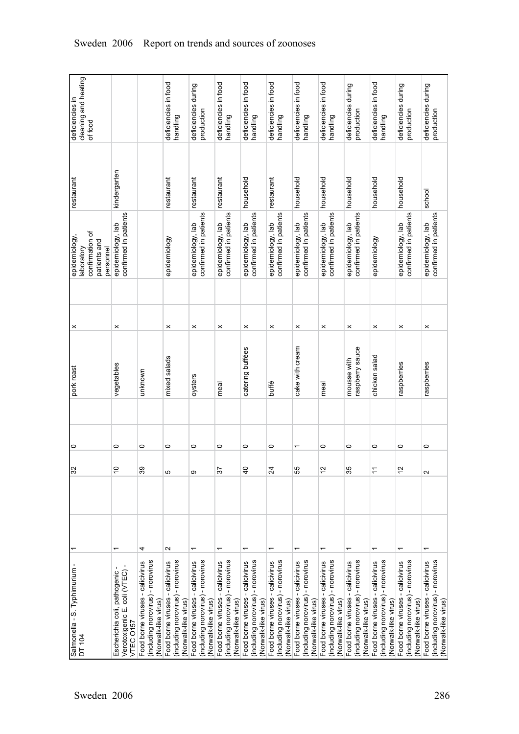| cleaning and heating<br>deficiencies in<br>of food                          |                                                                                                       |                                                                                                    | deficiencies in food<br>handling                                                                        | deficiencies during<br>production                                                                  | deficiencies in food<br>handling                                                              | deficiencies in food<br>handling                                                                   | deficiencies in food<br>handling                                                              | deficiencies in food<br>handling                                                                   | deficiencies in food<br>handling                                                              | deficiencies during<br>production                                                                  | deficiencies in food<br>handling                                                              | deficiencies during<br>production                                                                | deficiencies during<br>production                                                             |
|-----------------------------------------------------------------------------|-------------------------------------------------------------------------------------------------------|----------------------------------------------------------------------------------------------------|---------------------------------------------------------------------------------------------------------|----------------------------------------------------------------------------------------------------|-----------------------------------------------------------------------------------------------|----------------------------------------------------------------------------------------------------|-----------------------------------------------------------------------------------------------|----------------------------------------------------------------------------------------------------|-----------------------------------------------------------------------------------------------|----------------------------------------------------------------------------------------------------|-----------------------------------------------------------------------------------------------|--------------------------------------------------------------------------------------------------|-----------------------------------------------------------------------------------------------|
| restaurant                                                                  | kindergarten                                                                                          |                                                                                                    | restaurant                                                                                              | restaurant                                                                                         | restaurant                                                                                    | household                                                                                          | restaurant                                                                                    | household                                                                                          | household                                                                                     | household                                                                                          | household                                                                                     | household                                                                                        | school                                                                                        |
| confirmation of<br>epidemiology,<br>patients and<br>personnel<br>laboratory | confirmed in patients<br>epidemiology, lab                                                            |                                                                                                    | epidemiology                                                                                            | confirmed in patients<br>epidemiology, lab                                                         | confirmed in patients<br>epidemiology, lab                                                    | confirmed in patients<br>epidemiology, lab                                                         | confirmed in patients<br>epidemiology, lab                                                    | confirmed in patients<br>epidemiology, lab                                                         | confirmed in patients<br>epidemiology, lab                                                    | confirmed in patients<br>epidemiology, lab                                                         | epidemiology                                                                                  | confirmed in patients<br>epidemiology, lab                                                       | confirmed in patients<br>epidemiology, lab                                                    |
|                                                                             |                                                                                                       |                                                                                                    | $\boldsymbol{\times}$                                                                                   | $\boldsymbol{\times}$                                                                              | $\boldsymbol{\times}$                                                                         | $\times$                                                                                           | $\pmb{\times}$                                                                                | $\times$                                                                                           | $\boldsymbol{\times}$                                                                         | $\boldsymbol{\times}$                                                                              | ×                                                                                             | $\times$                                                                                         |                                                                                               |
| ×<br>pork roast                                                             | $\boldsymbol{\times}$<br>vegetables                                                                   | unknown                                                                                            | mixed salads                                                                                            | oysters                                                                                            | meal                                                                                          | catering buffées                                                                                   | buffé                                                                                         | cake with cream                                                                                    | meal                                                                                          | raspberry sauce<br>mousse with                                                                     | chicken salad                                                                                 | raspberries                                                                                      | ×<br>raspberries                                                                              |
|                                                                             |                                                                                                       |                                                                                                    |                                                                                                         |                                                                                                    |                                                                                               |                                                                                                    |                                                                                               |                                                                                                    |                                                                                               |                                                                                                    |                                                                                               |                                                                                                  |                                                                                               |
| 0<br>$\overline{\mathcal{E}}$                                               | $\circ$<br>$\overline{c}$                                                                             | $\circ$<br>39                                                                                      | 0<br>5                                                                                                  | 0<br>ω                                                                                             | 0<br>57                                                                                       | 0<br>$\overline{4}$                                                                                | 0<br>24                                                                                       | ٣<br>55                                                                                            | 0<br>$\tilde{c}$                                                                              | 0<br>35                                                                                            | 0                                                                                             | 0<br>$\tilde{c}$                                                                                 | 0<br>2                                                                                        |
|                                                                             |                                                                                                       |                                                                                                    |                                                                                                         |                                                                                                    |                                                                                               |                                                                                                    |                                                                                               |                                                                                                    |                                                                                               |                                                                                                    |                                                                                               |                                                                                                  |                                                                                               |
| Salmonella - S. Typhimurium -<br>DT 104                                     | $\overline{\phantom{0}}$<br>Verotoxigenic E. coli (VTEC)<br>Escherichia coli, pathogenic<br>VTEC 0157 | 4<br>(including norovirus) - norovirus<br>Food borne viruses - calicivirus<br>(Norwalk-like virus) | $\sim$<br>(including norovirus) - norovirus<br>Food borne viruses - calicivirus<br>(Norwalk-like virus) | ٣<br>(including norovirus) - norovirus<br>Food borne viruses - calicivirus<br>(Norwalk-like virus) | (including norovirus) - norovirus<br>Food borne viruses - calicivirus<br>(Norwalk-like virus) | ٣<br>(including norovirus) - norovirus<br>Food borne viruses - calicivirus<br>(Norwalk-like virus) | (including norovirus) - norovirus<br>Food borne viruses - calicivirus<br>(Norwalk-like virus) | ٣<br>(including norovirus) - norovirus<br>Food borne viruses - calicivirus<br>(Norwalk-like virus) | (including norovirus) - norovirus<br>Food borne viruses - calicivirus<br>(Norwalk-like virus) | ٣<br>(including norovirus) - norovirus<br>Food borne viruses - calicivirus<br>(Norwalk-like virus) | (including norovirus) - norovirus<br>Food borne viruses - calicivirus<br>(Norwalk-like virus) | - norovirus<br>Food borne viruses - calicivirus<br>(including norovirus)<br>(Norwalk-like virus) | (including norovirus) - norovirus<br>Food borne viruses - calicivirus<br>(Norwalk-like virus) |